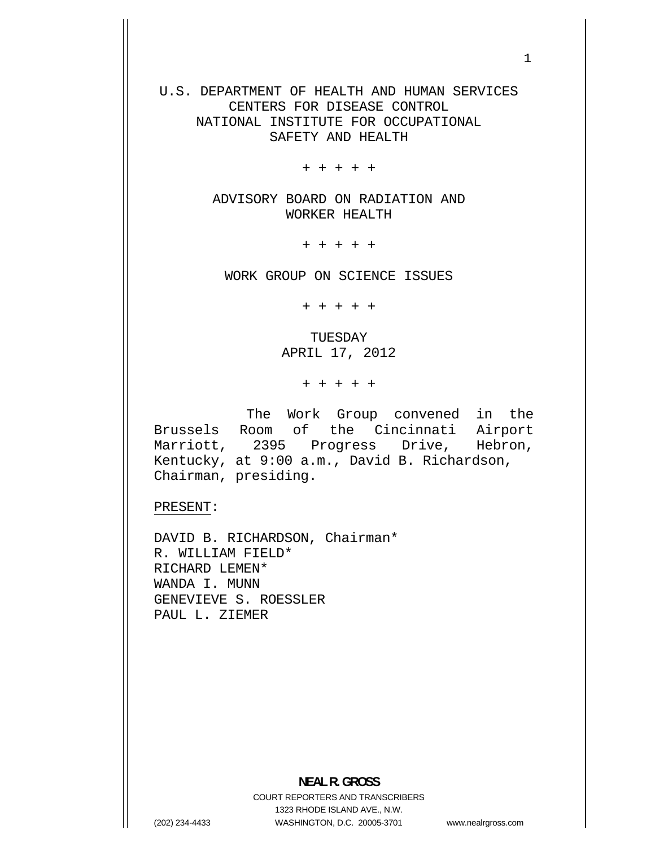U.S. DEPARTMENT OF HEALTH AND HUMAN SERVICES CENTERS FOR DISEASE CONTROL NATIONAL INSTITUTE FOR OCCUPATIONAL SAFETY AND HEALTH

+ + + + +

ADVISORY BOARD ON RADIATION AND WORKER HEALTH

+ + + + +

WORK GROUP ON SCIENCE ISSUES

+ + + + +

TUESDAY APRIL 17, 2012

+ + + + +

The Work Group convened in the Brussels Room of the Cincinnati Airport Marriott, 2395 Progress Drive, Hebron, Kentucky, at 9:00 a.m., David B. Richardson, Chairman, presiding.

PRESENT:

DAVID B. RICHARDSON, Chairman\* R. WILLIAM FIELD\* RICHARD LEMEN\* WANDA I. MUNN GENEVIEVE S. ROESSLER PAUL L. ZIEMER

**NEAL R. GROSS**  COURT REPORTERS AND TRANSCRIBERS 1323 RHODE ISLAND AVE., N.W. (202) 234-4433 WASHINGTON, D.C. 20005-3701

www.nealrgross.com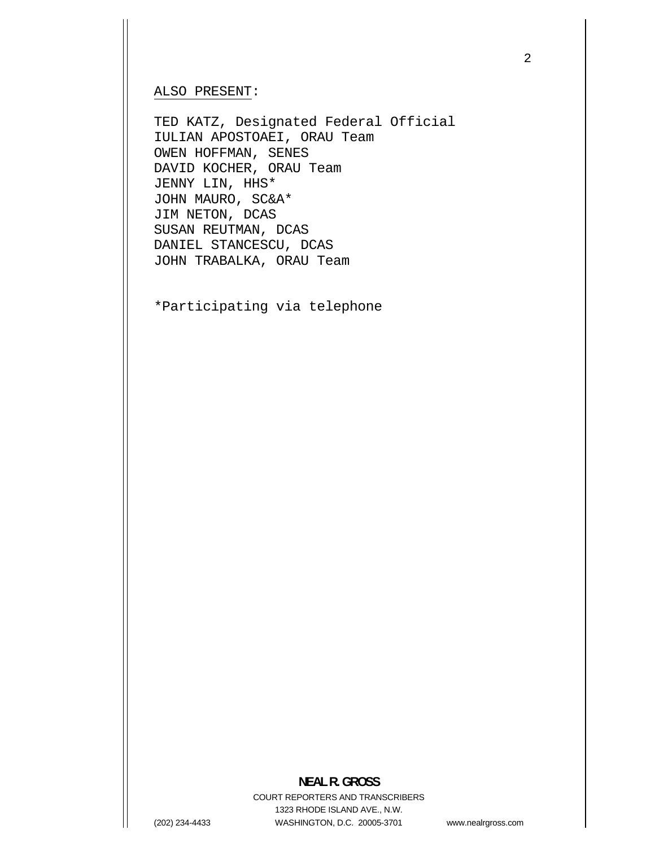## ALSO PRESENT:

TED KATZ, Designated Federal Official IULIAN APOSTOAEI, ORAU Team OWEN HOFFMAN, SENES DAVID KOCHER, ORAU Team JENNY LIN, HHS\* JOHN MAURO, SC&A\* JIM NETON, DCAS SUSAN REUTMAN, DCAS DANIEL STANCESCU, DCAS JOHN TRABALKA, ORAU Team

\*Participating via telephone

## **NEAL R. GROSS**

COURT REPORTERS AND TRANSCRIBERS 1323 RHODE ISLAND AVE., N.W. (202) 234-4433 WASHINGTON, D.C. 20005-3701

www.nealrgross.com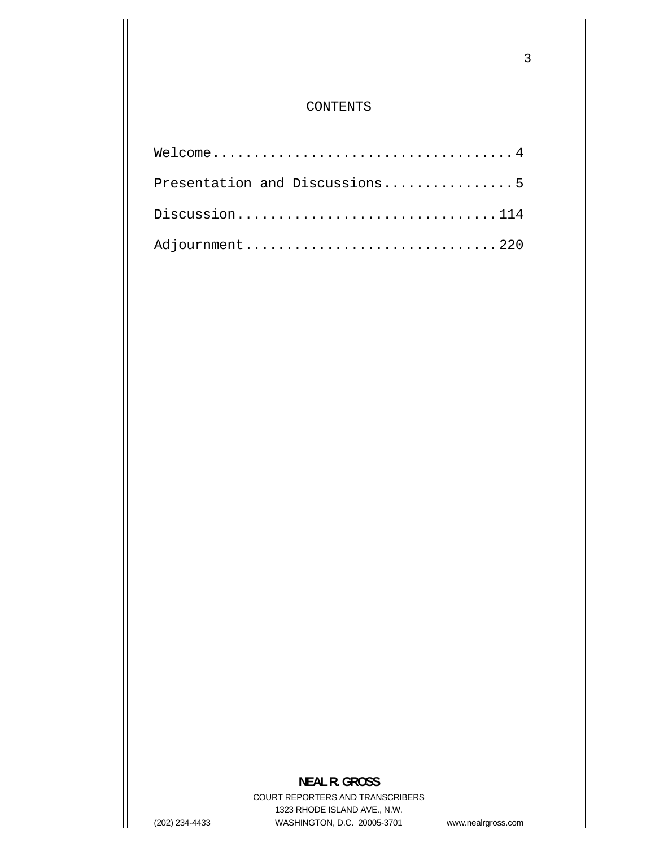## CONTENTS

| Presentation and Discussions5 |
|-------------------------------|
| Discussion114                 |
| Adjournment220                |

## **NEAL R. GROSS**

COURT REPORTERS AND TRANSCRIBERS 1323 RHODE ISLAND AVE., N.W. (202) 234-4433 WASHINGTON, D.C. 20005-3701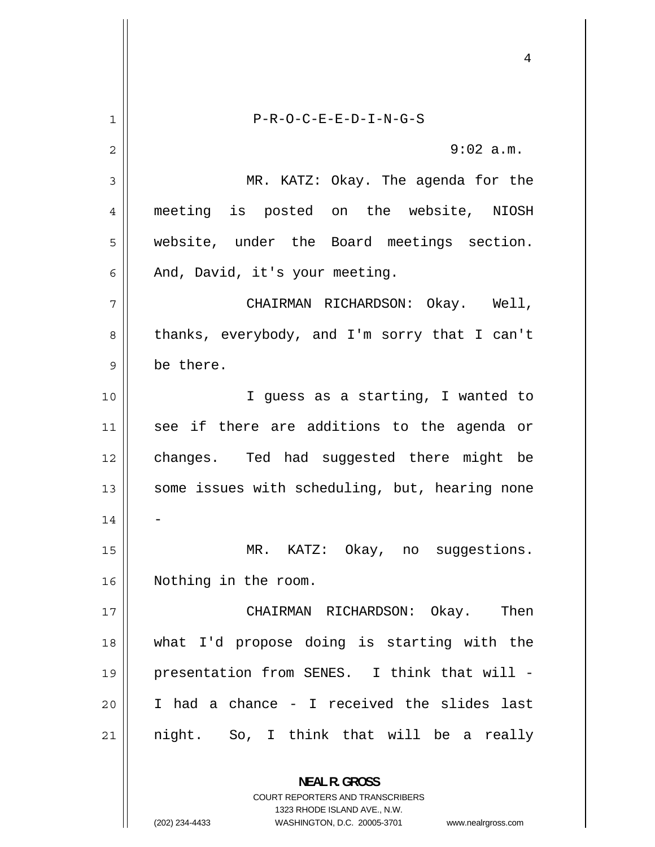<span id="page-3-0"></span>1 P-R-O-C-E-E-D-I-N-G-S 2 9:02 a.m. 3 MR. KATZ: Okay. The agenda for the 4 meeting is posted on the website, NIOSH 5 website, under the Board meetings section. 6 And, David, it's your meeting. 7 CHAIRMAN RICHARDSON: Okay. Well, 8 thanks, everybody, and I'm sorry that I can't 9 be there. 10 || I guess as a starting, I wanted to 11 see if there are additions to the agenda or 12 changes. Ted had suggested there might be 13 some issues with scheduling, but, hearing none  $14$ 15 MR. KATZ: Okay, no suggestions. 16 Nothing in the room. 17 CHAIRMAN RICHARDSON: Okay. Then 18 what I'd propose doing is starting with the 19 presentation from SENES. I think that will - 20 I had a chance - I received the slides last 21 night. So, I think that will be a really **NEAL R. GROSS** 

> COURT REPORTERS AND TRANSCRIBERS 1323 RHODE ISLAND AVE., N.W.

(202) 234-4433 WASHINGTON, D.C. 20005-3701 www.nealrgross.com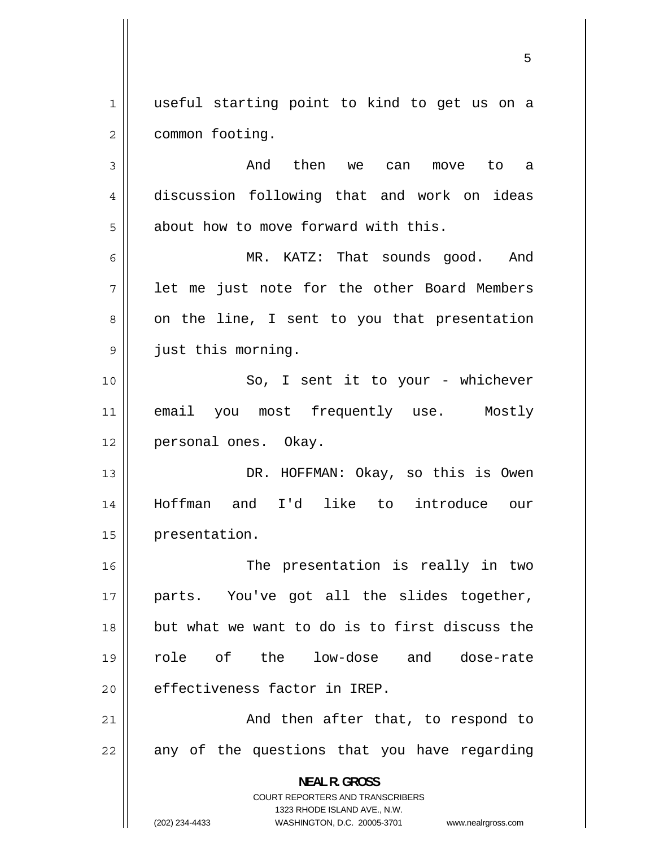<span id="page-4-0"></span>1 useful starting point to kind to get us on a 2 common footing. 3 And then we can move to a 4 discussion following that and work on ideas 5 about how to move forward with this. 6 MR. KATZ: That sounds good. And 7 let me just note for the other Board Members 8 on the line, I sent to you that presentation 9 just this morning. 10 So, I sent it to your - whichever 11 email you most frequently use. Mostly 12 || personal ones. Okay. 13 DR. HOFFMAN: Okay, so this is Owen 14 Hoffman and I'd like to introduce our 15 | presentation. 16 The presentation is really in two 17 parts. You've got all the slides together, 18 but what we want to do is to first discuss the 19 role of the low-dose and dose-rate 20 effectiveness factor in IREP. 21 And then after that, to respond to 22 any of the questions that you have regarding **NEAL R. GROSS**  COURT REPORTERS AND TRANSCRIBERS

1323 RHODE ISLAND AVE., N.W.

(202) 234-4433 WASHINGTON, D.C. 20005-3701 www.nealrgross.com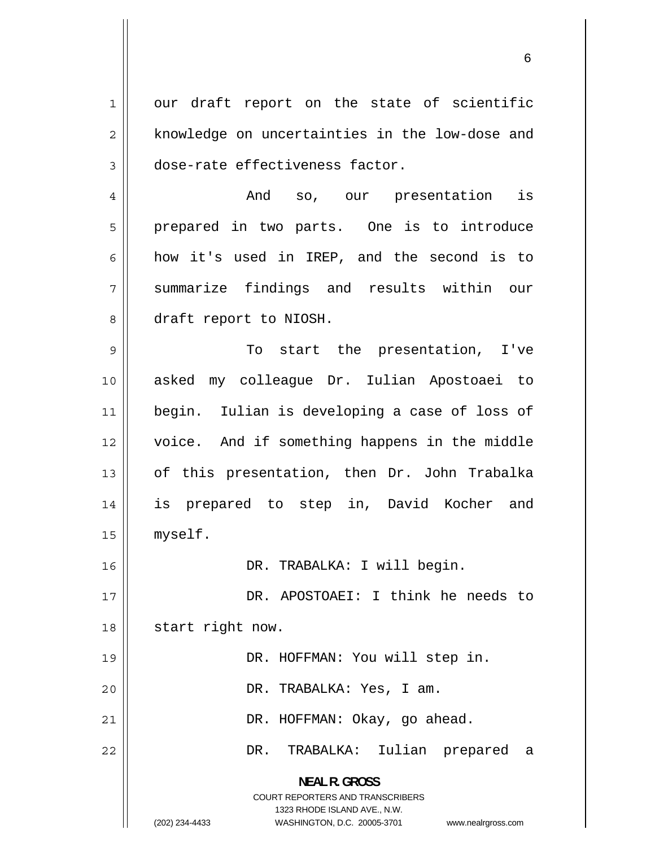<span id="page-5-0"></span>1 our draft report on the state of scientific 2 knowledge on uncertainties in the low-dose and 3 dose-rate effectiveness factor.

4 And so, our presentation is 5 prepared in two parts. One is to introduce 6 how it's used in IREP, and the second is to 7 summarize findings and results within our 8 draft report to NIOSH.

9 To start the presentation, I've 10 asked my colleague Dr. Iulian Apostoaei to 11 begin. Iulian is developing a case of loss of 12 voice. And if something happens in the middle 13 of this presentation, then Dr. John Trabalka 14 is prepared to step in, David Kocher and 15 myself.

16 DR. TRABALKA: I will begin.

17 DR. APOSTOAEI: I think he needs to 18 || start right now. 19 || DR. HOFFMAN: You will step in.

20 DR. TRABALKA: Yes, I am.

21 | DR. HOFFMAN: Okay, go ahead.

DR. TRABALKA: Iulian prepared a

**NEAL R. GROSS**  COURT REPORTERS AND TRANSCRIBERS

1323 RHODE ISLAND AVE., N.W.

22

(202) 234-4433 WASHINGTON, D.C. 20005-3701 www.nealrgross.com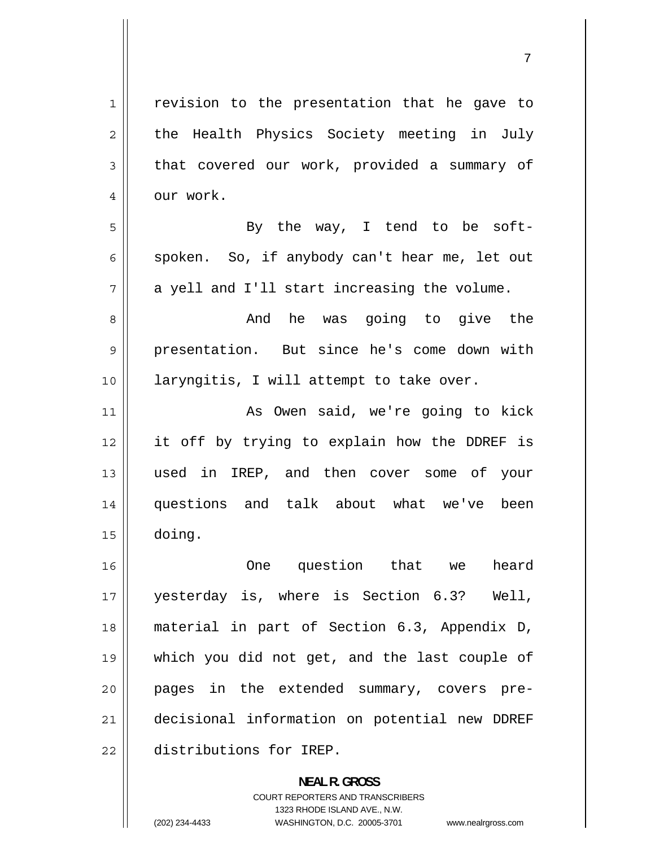<span id="page-6-0"></span>

| 1              | revision to the presentation that he gave to  |
|----------------|-----------------------------------------------|
| $\overline{2}$ | the Health Physics Society meeting in July    |
| 3              | that covered our work, provided a summary of  |
| 4              | our work.                                     |
| 5              | By the way, I tend to be soft-                |
| 6              | spoken. So, if anybody can't hear me, let out |
| 7              | a yell and I'll start increasing the volume.  |
| 8              | And he was going to give the                  |
| 9              | presentation. But since he's come down with   |
| 10             | laryngitis, I will attempt to take over.      |
| 11             | As Owen said, we're going to kick             |
| 12             | it off by trying to explain how the DDREF is  |
| 13             | used in IREP, and then cover some of your     |
| 14             | questions and talk about what we've been      |
| 15             | doing.                                        |
| 16             | One question that we<br>heard                 |
| 17             | yesterday is, where is Section 6.3? Well,     |
| 18             | material in part of Section 6.3, Appendix D,  |
| 19             | which you did not get, and the last couple of |
| 20             | pages in the extended summary, covers pre-    |
| 21             | decisional information on potential new DDREF |
| 22             | distributions for IREP.                       |
|                | <b>NEAL R. GROSS</b>                          |

COURT REPORTERS AND TRANSCRIBERS 1323 RHODE ISLAND AVE., N.W.

 $\mathsf{l}$ 

(202) 234-4433 WASHINGTON, D.C. 20005-3701 www.nealrgross.com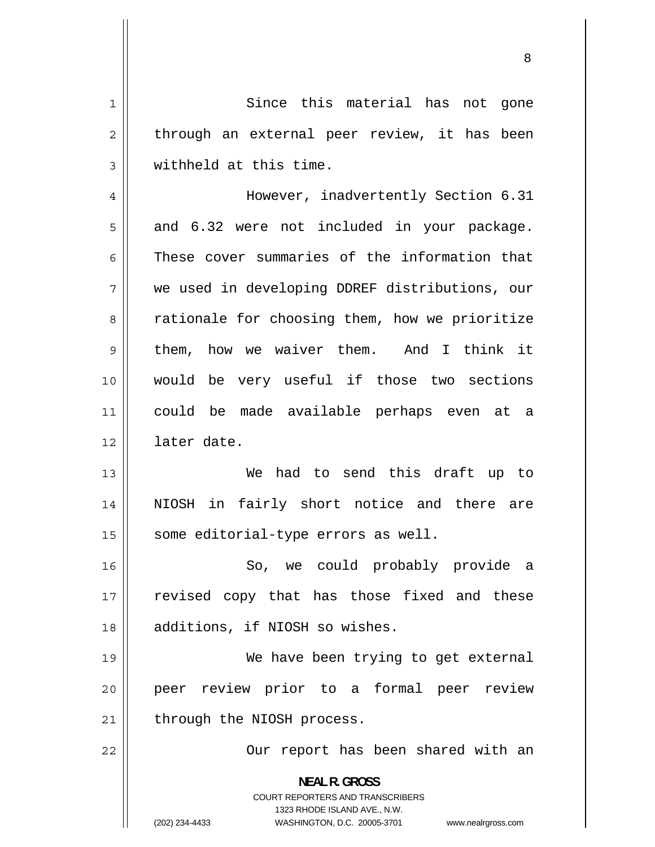<span id="page-7-0"></span>1 Since this material has not gone 2 through an external peer review, it has been 3 withheld at this time. 4 However, inadvertently Section 6.31 5 and 6.32 were not included in your package. 6 These cover summaries of the information that 7 we used in developing DDREF distributions, our 8 rationale for choosing them, how we prioritize 9 them, how we waiver them. And I think it 10 would be very useful if those two sections 11 could be made available perhaps even at a 12 later date. 13 We had to send this draft up to 14 NIOSH in fairly short notice and there are 15 | some editorial-type errors as well. 16 So, we could probably provide a 17 revised copy that has those fixed and these 18 || additions, if NIOSH so wishes. 19 We have been trying to get external 20 peer review prior to a formal peer review  $21$  | through the NIOSH process. 22 Our report has been shared with an **NEAL R. GROSS**  COURT REPORTERS AND TRANSCRIBERS 1323 RHODE ISLAND AVE., N.W. (202) 234-4433 WASHINGTON, D.C. 20005-3701 www.nealrgross.com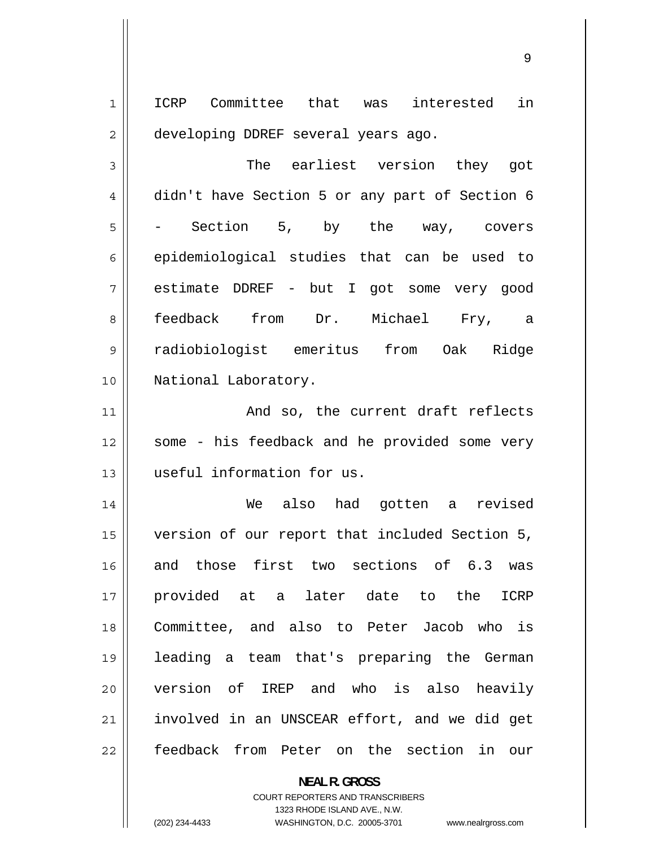<span id="page-8-0"></span>1 ICRP Committee that was interested in 2 developing DDREF several years ago.

3 The earliest version they got 4 didn't have Section 5 or any part of Section 6 5 Section 5, by the way, covers 6 epidemiological studies that can be used to 7 estimate DDREF - but I got some very good 8 feedback from Dr. Michael Fry, a 9 radiobiologist emeritus from Oak Ridge 10 National Laboratory.

11 And so, the current draft reflects 12 some - his feedback and he provided some very 13 || useful information for us.

14 We also had gotten a revised 15 version of our report that included Section 5, 16 and those first two sections of 6.3 was 17 provided at a later date to the ICRP 18 Committee, and also to Peter Jacob who is 19 leading a team that's preparing the German 20 version of IREP and who is also heavily 21 involved in an UNSCEAR effort, and we did get 22 feedback from Peter on the section in our

> **NEAL R. GROSS**  COURT REPORTERS AND TRANSCRIBERS 1323 RHODE ISLAND AVE., N.W. (202) 234-4433 WASHINGTON, D.C. 20005-3701 www.nealrgross.com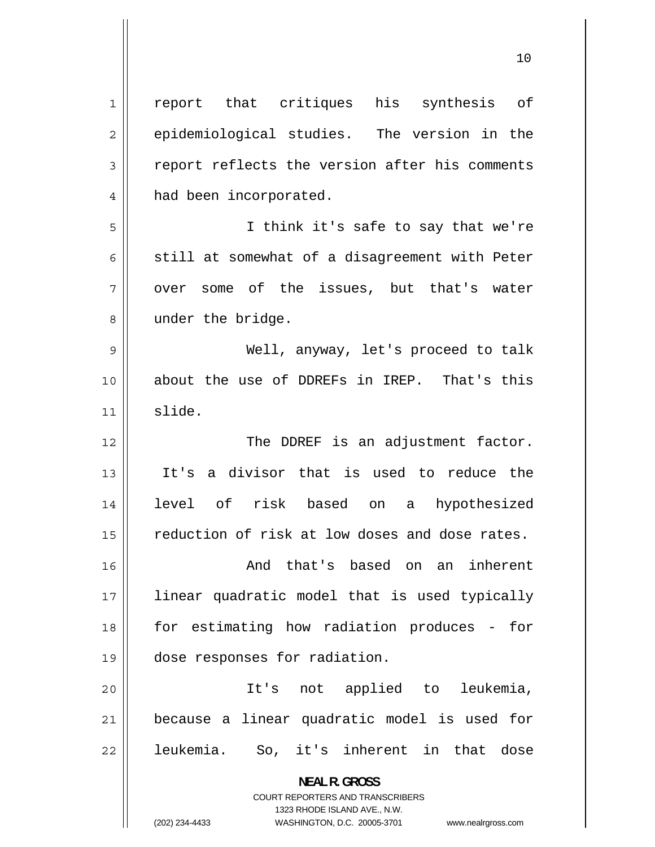<span id="page-9-0"></span>

| $\mathbf 1$    | report that critiques his synthesis of                                                              |
|----------------|-----------------------------------------------------------------------------------------------------|
| $\overline{2}$ | epidemiological studies. The version in the                                                         |
| 3              | report reflects the version after his comments                                                      |
| 4              | had been incorporated.                                                                              |
| 5              | I think it's safe to say that we're                                                                 |
| 6              | still at somewhat of a disagreement with Peter                                                      |
| 7              | over some of the issues, but that's water                                                           |
| 8              | under the bridge.                                                                                   |
| 9              | Well, anyway, let's proceed to talk                                                                 |
| 10             | about the use of DDREFs in IREP. That's this                                                        |
| 11             | slide.                                                                                              |
| 12             | The DDREF is an adjustment factor.                                                                  |
| 13             | a divisor that is used to reduce the<br>It's                                                        |
| 14             | level of risk based on a hypothesized                                                               |
| 15             | reduction of risk at low doses and dose rates.                                                      |
| 16             | And that's based on an inherent                                                                     |
| 17             | linear quadratic model that is used typically                                                       |
| 18             | for estimating how radiation produces -<br>for                                                      |
| 19             | dose responses for radiation.                                                                       |
| 20             | It's not applied to leukemia,                                                                       |
| 21             | because a linear quadratic model is used for                                                        |
| 22             | leukemia.<br>So, it's inherent in that dose                                                         |
|                | <b>NEAL R. GROSS</b>                                                                                |
|                | <b>COURT REPORTERS AND TRANSCRIBERS</b>                                                             |
|                | 1323 RHODE ISLAND AVE., N.W.<br>(202) 234-4433<br>WASHINGTON, D.C. 20005-3701<br>www.nealrgross.com |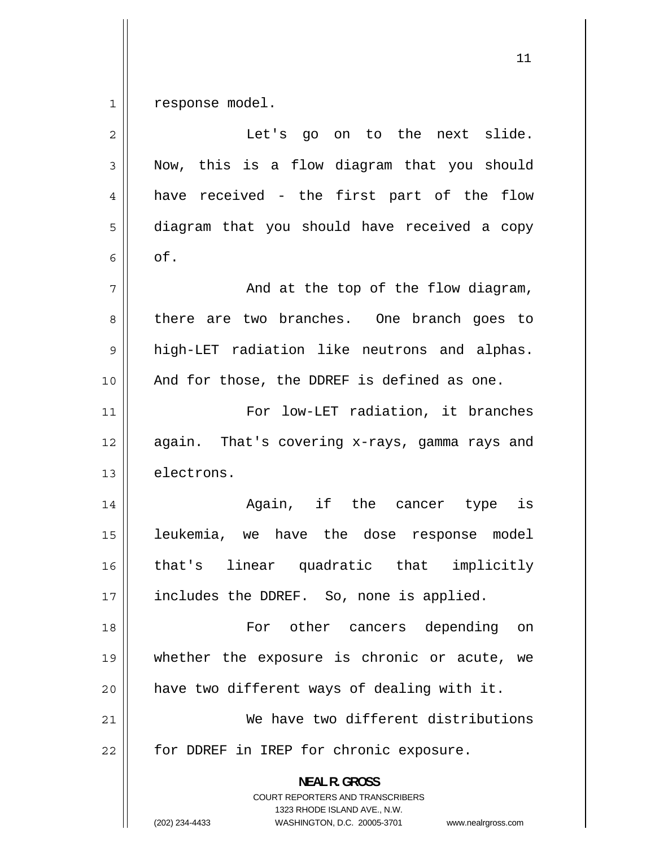<span id="page-10-0"></span>1 response model.

| $\overline{2}$ | Let's go on to the next slide.                                                                                                                                         |
|----------------|------------------------------------------------------------------------------------------------------------------------------------------------------------------------|
| 3              | Now, this is a flow diagram that you should                                                                                                                            |
| 4              | have received - the first part of the flow                                                                                                                             |
| 5              | diagram that you should have received a copy                                                                                                                           |
| 6              | of.                                                                                                                                                                    |
| 7              | And at the top of the flow diagram,                                                                                                                                    |
| 8              | there are two branches. One branch goes to                                                                                                                             |
| 9              | high-LET radiation like neutrons and alphas.                                                                                                                           |
| 10             | And for those, the DDREF is defined as one.                                                                                                                            |
| 11             | For low-LET radiation, it branches                                                                                                                                     |
| 12             | again. That's covering x-rays, gamma rays and                                                                                                                          |
| 13             | electrons.                                                                                                                                                             |
| 14             | Again, if the cancer type is                                                                                                                                           |
| 15             | leukemia, we have the dose response model                                                                                                                              |
| 16             | that's linear quadratic that implicitly                                                                                                                                |
| $17$           | includes the DDREF. So, none is applied.                                                                                                                               |
| 18             | For other cancers depending<br>on                                                                                                                                      |
| 19             | whether the exposure is chronic or acute,<br>we                                                                                                                        |
| 20             | have two different ways of dealing with it.                                                                                                                            |
| 21             | We have two different distributions                                                                                                                                    |
| 22             | for DDREF in IREP for chronic exposure.                                                                                                                                |
|                | <b>NEAL R. GROSS</b><br><b>COURT REPORTERS AND TRANSCRIBERS</b><br>1323 RHODE ISLAND AVE., N.W.<br>(202) 234-4433<br>WASHINGTON, D.C. 20005-3701<br>www.nealrgross.com |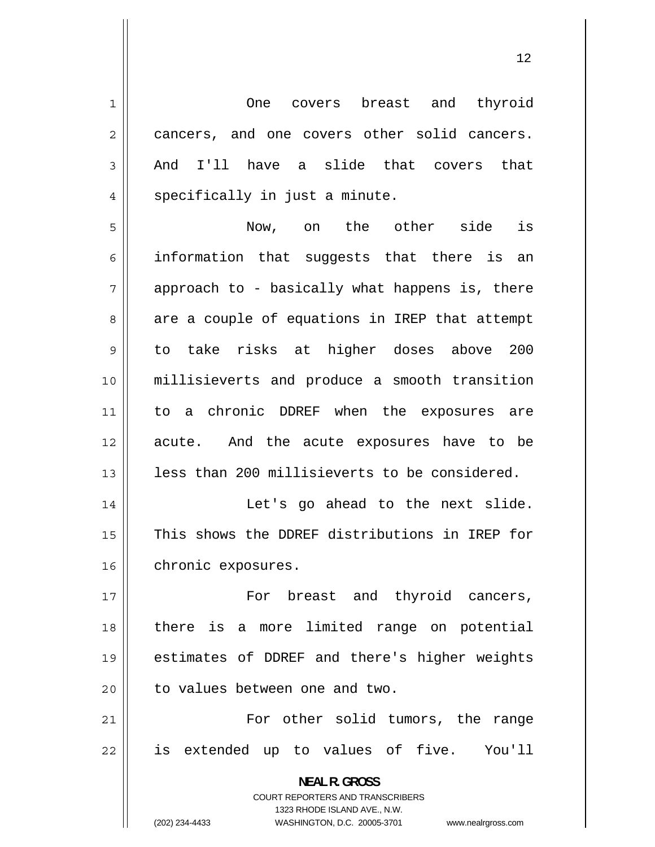<span id="page-11-0"></span>1 One covers breast and thyroid 2 cancers, and one covers other solid cancers. 3 And I'll have a slide that covers that 4 specifically in just a minute. 5 Now, on the other side is 6 information that suggests that there is an 7 approach to - basically what happens is, there 8 are a couple of equations in IREP that attempt 9 to take risks at higher doses above 200 10 millisieverts and produce a smooth transition 11 to a chronic DDREF when the exposures are 12 acute. And the acute exposures have to be 13 || less than 200 millisieverts to be considered. 14 Let's go ahead to the next slide. 15 This shows the DDREF distributions in IREP for 16 | chronic exposures. 17 For breast and thyroid cancers, 18 there is a more limited range on potential 19 estimates of DDREF and there's higher weights  $20$  | to values between one and two. 21 For other solid tumors, the range 22 is extended up to values of five. You'll **NEAL R. GROSS**  COURT REPORTERS AND TRANSCRIBERS 1323 RHODE ISLAND AVE., N.W.

(202) 234-4433 WASHINGTON, D.C. 20005-3701 www.nealrgross.com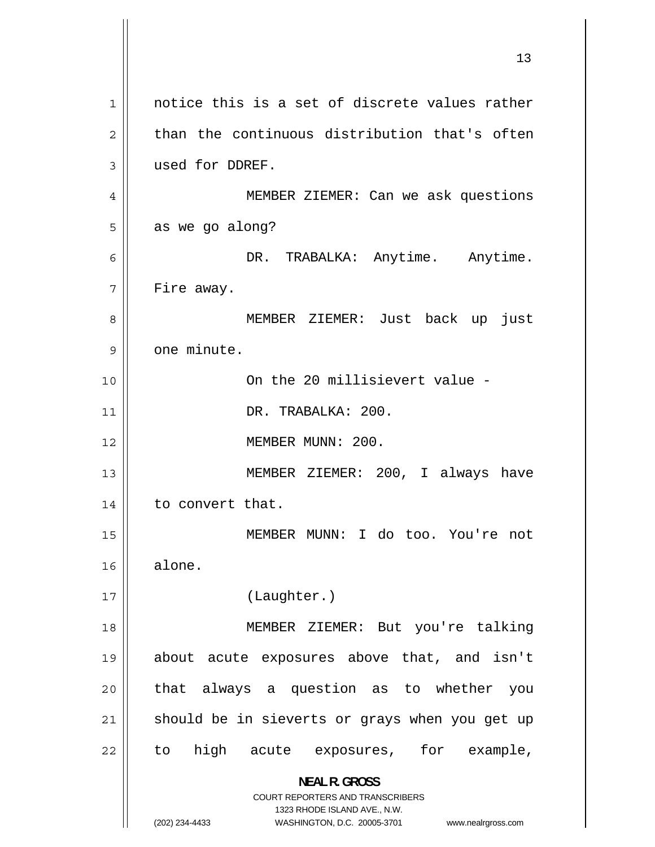<span id="page-12-0"></span>13 1 notice this is a set of discrete values rather 2 than the continuous distribution that's often 3 used for DDREF. 4 MEMBER ZIEMER: Can we ask questions 5 as we go along? 6 DR. TRABALKA: Anytime. Anytime. 7 Fire away. 8 MEMBER ZIEMER: Just back up just 9 one minute. 10 On the 20 millisievert value - 11 | DR. TRABALKA: 200. 12 || MEMBER MUNN: 200. 13 MEMBER ZIEMER: 200, I always have 14 || to convert that. 15 MEMBER MUNN: I do too. You're not 16 alone. 17 (Laughter.) 18 MEMBER ZIEMER: But you're talking 19 about acute exposures above that, and isn't 20 that always a question as to whether you 21 should be in sieverts or grays when you get up 22 to high acute exposures, for example, **NEAL R. GROSS**  COURT REPORTERS AND TRANSCRIBERS 1323 RHODE ISLAND AVE., N.W. (202) 234-4433 WASHINGTON, D.C. 20005-3701 www.nealrgross.com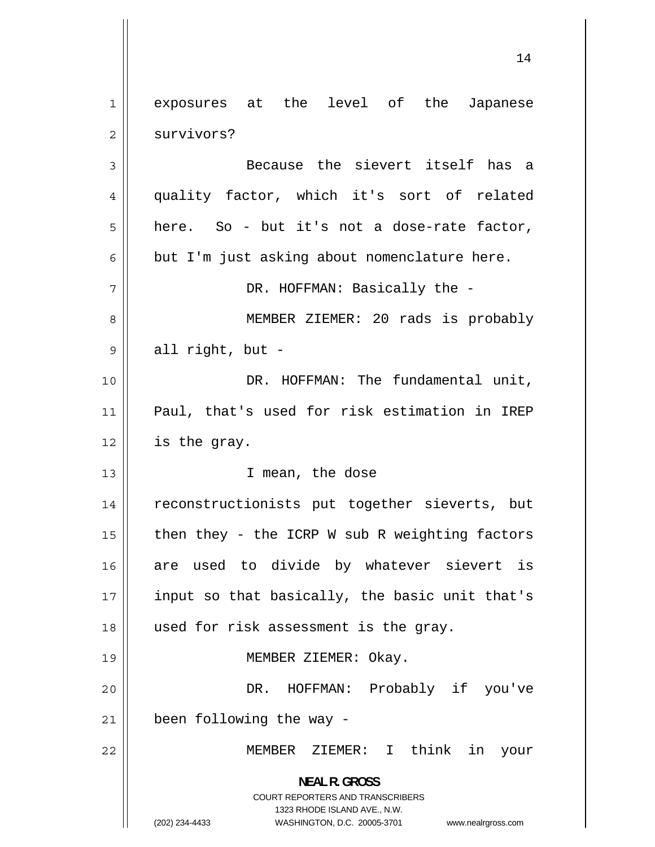<span id="page-13-0"></span>1 exposures at the level of the Japanese 2 survivors? 3 Because the sievert itself has a 4 quality factor, which it's sort of related 5 here. So - but it's not a dose-rate factor, 6 but I'm just asking about nomenclature here. 7 DR. HOFFMAN: Basically the -8 MEMBER ZIEMER: 20 rads is probably 9 all right, but - 10 DR. HOFFMAN: The fundamental unit, 11 Paul, that's used for risk estimation in IREP  $12 \parallel$  is the gray. 13 || T mean, the dose 14 reconstructionists put together sieverts, but 15 then they - the ICRP W sub R weighting factors 16 are used to divide by whatever sievert is 17 input so that basically, the basic unit that's 18 used for risk assessment is the gray. 19 || MEMBER ZIEMER: Okay. 20 DR. HOFFMAN: Probably if you've  $21$  | been following the way -22 MEMBER ZIEMER: I think in your **NEAL R. GROSS**  COURT REPORTERS AND TRANSCRIBERS 1323 RHODE ISLAND AVE., N.W. (202) 234-4433 WASHINGTON, D.C. 20005-3701 www.nealrgross.com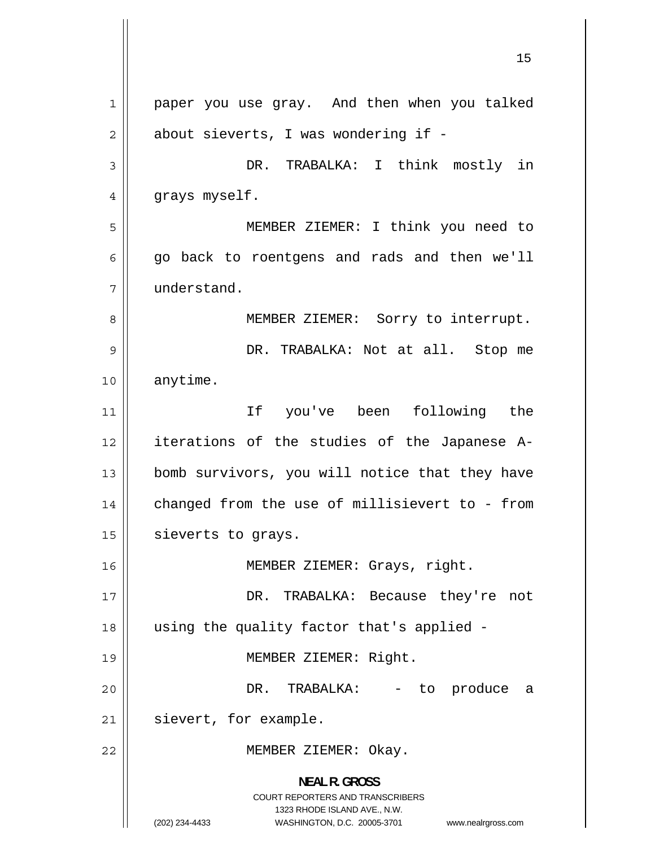<span id="page-14-0"></span>1 paper you use gray. And then when you talked 2 about sieverts, I was wondering if - 3 DR. TRABALKA: I think mostly in 4 grays myself. 5 MEMBER ZIEMER: I think you need to 6 go back to roentgens and rads and then we'll 7 understand. 8 MEMBER ZIEMER: Sorry to interrupt. 9 DR. TRABALKA: Not at all. Stop me 10 anytime. 11 If you've been following the 12 iterations of the studies of the Japanese A-13 bomb survivors, you will notice that they have 14 changed from the use of millisievert to - from  $15$  sieverts to grays. 16 | MEMBER ZIEMER: Grays, right. 17 DR. TRABALKA: Because they're not 18 using the quality factor that's applied - 19 || **MEMBER ZIEMER: Right.** 20 DR. TRABALKA: - to produce a  $21$  | sievert, for example. 22 || MEMBER ZIEMER: Okay. **NEAL R. GROSS**  COURT REPORTERS AND TRANSCRIBERS 1323 RHODE ISLAND AVE., N.W. (202) 234-4433 WASHINGTON, D.C. 20005-3701 www.nealrgross.com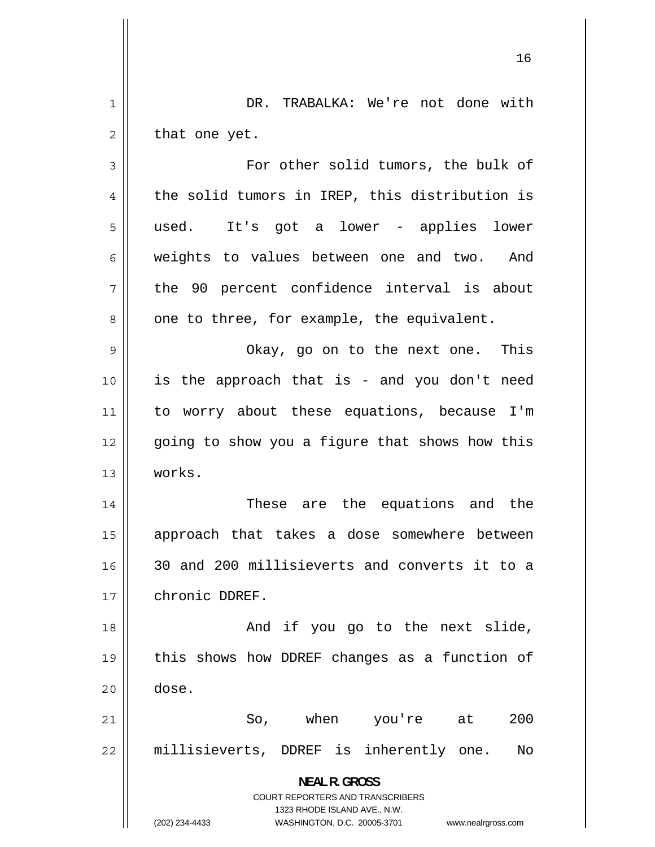<span id="page-15-0"></span>1 DR. TRABALKA: We're not done with 2 that one yet. 3 For other solid tumors, the bulk of 4 the solid tumors in IREP, this distribution is 5 used. It's got a lower - applies lower 6 weights to values between one and two. And 7 the 90 percent confidence interval is about 8 one to three, for example, the equivalent. 9 Okay, go on to the next one. This 10 is the approach that is - and you don't need 11 to worry about these equations, because I'm 12 going to show you a figure that shows how this 13 works. 14 These are the equations and the 15 approach that takes a dose somewhere between 16 30 and 200 millisieverts and converts it to a 17 chronic DDREF. 18 || The Solomon and if you go to the next slide, 19 this shows how DDREF changes as a function of  $20$   $\parallel$  dose. 21 So, when you're at 200 22 millisieverts, DDREF is inherently one. No **NEAL R. GROSS**  COURT REPORTERS AND TRANSCRIBERS

> 1323 RHODE ISLAND AVE., N.W. (202) 234-4433 WASHINGTON, D.C. 20005-3701 www.nealrgross.com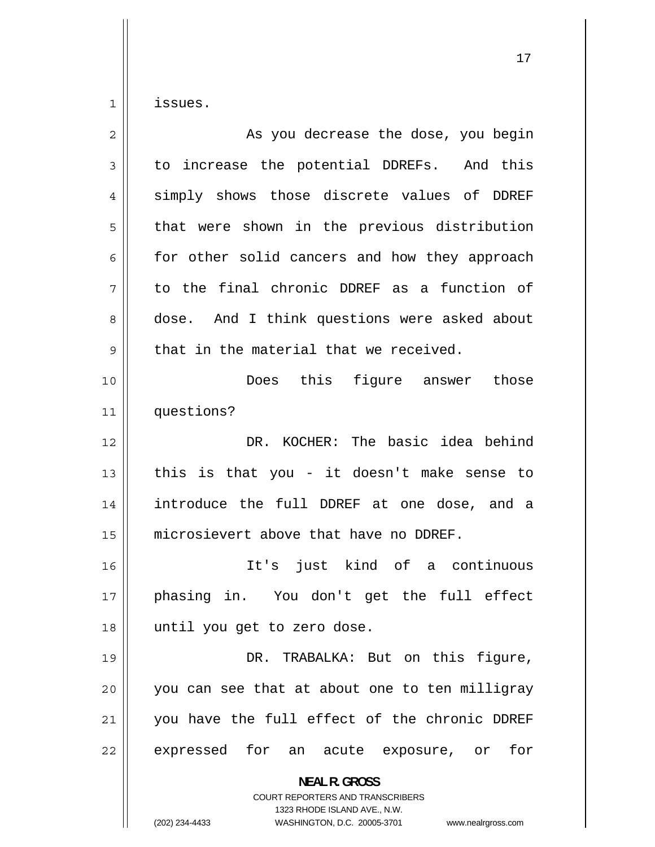<span id="page-16-0"></span>1 issues.

| $\overline{2}$ | As you decrease the dose, you begin                                                                                                                                    |
|----------------|------------------------------------------------------------------------------------------------------------------------------------------------------------------------|
| 3              | to increase the potential DDREFs. And this                                                                                                                             |
| 4              | simply shows those discrete values of DDREF                                                                                                                            |
| 5              | that were shown in the previous distribution                                                                                                                           |
| 6              | for other solid cancers and how they approach                                                                                                                          |
| 7              | to the final chronic DDREF as a function of                                                                                                                            |
| 8              | dose. And I think questions were asked about                                                                                                                           |
| 9              | that in the material that we received.                                                                                                                                 |
| 10             | Does this figure answer those                                                                                                                                          |
| 11             | questions?                                                                                                                                                             |
| 12             | DR. KOCHER: The basic idea behind                                                                                                                                      |
| 13             | this is that you - it doesn't make sense to                                                                                                                            |
| 14             | introduce the full DDREF at one dose, and a                                                                                                                            |
| 15             | microsievert above that have no DDREF.                                                                                                                                 |
| 16             | It's just kind of a continuous                                                                                                                                         |
| 17             | phasing in. You don't get the full effect                                                                                                                              |
| 18             | until you get to zero dose.                                                                                                                                            |
| 19             | fiqure,<br>DR. TRABALKA: But on this                                                                                                                                   |
| 20             | you can see that at about one to ten milligray                                                                                                                         |
| 21             | you have the full effect of the chronic DDREF                                                                                                                          |
| 22             | expressed for an acute exposure, or<br>for                                                                                                                             |
|                | <b>NEAL R. GROSS</b><br><b>COURT REPORTERS AND TRANSCRIBERS</b><br>1323 RHODE ISLAND AVE., N.W.<br>(202) 234-4433<br>WASHINGTON, D.C. 20005-3701<br>www.nealrgross.com |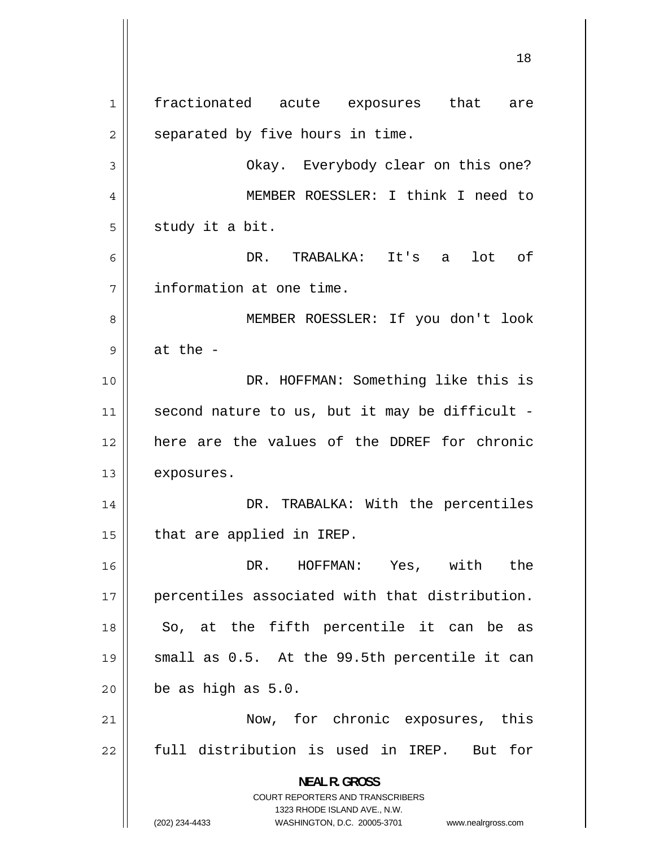<span id="page-17-0"></span>1 fractionated acute exposures that are 2 separated by five hours in time. 3 Okay. Everybody clear on this one? 4 MEMBER ROESSLER: I think I need to 5 study it a bit. 6 DR. TRABALKA: It's a lot of 7 information at one time. 8 MEMBER ROESSLER: If you don't look 9 at the - 10 || DR. HOFFMAN: Something like this is 11 second nature to us, but it may be difficult -12 here are the values of the DDREF for chronic 13 | exposures. 14 DR. TRABALKA: With the percentiles  $15$  | that are applied in IREP. 16 DR. HOFFMAN: Yes, with the 17 percentiles associated with that distribution. 18 So, at the fifth percentile it can be as 19 small as 0.5. At the 99.5th percentile it can  $20$  | be as high as  $5.0$ . 21 Now, for chronic exposures, this 22 full distribution is used in IREP. But for **NEAL R. GROSS**  COURT REPORTERS AND TRANSCRIBERS 1323 RHODE ISLAND AVE., N.W. (202) 234-4433 WASHINGTON, D.C. 20005-3701 www.nealrgross.com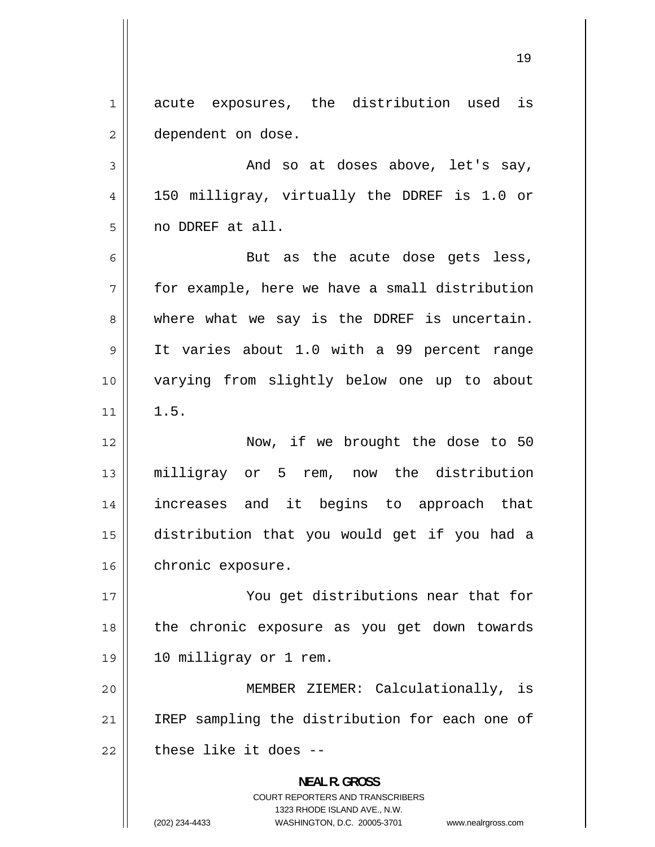<span id="page-18-0"></span>1 acute exposures, the distribution used is 2 dependent on dose.

3 And so at doses above, let's say, 4 150 milligray, virtually the DDREF is 1.0 or 5 no DDREF at all.

6 But as the acute dose gets less, 7 for example, here we have a small distribution 8 where what we say is the DDREF is uncertain. 9 It varies about 1.0 with a 99 percent range 10 varying from slightly below one up to about 11 1.5.

12 || Now, if we brought the dose to 50 13 milligray or 5 rem, now the distribution 14 increases and it begins to approach that 15 distribution that you would get if you had a 16 | chronic exposure.

17 You get distributions near that for 18 the chronic exposure as you get down towards 19 10 milligray or 1 rem.

20 MEMBER ZIEMER: Calculationally, is 21 IREP sampling the distribution for each one of  $22$   $\parallel$  these like it does --

> **NEAL R. GROSS**  COURT REPORTERS AND TRANSCRIBERS 1323 RHODE ISLAND AVE., N.W. (202) 234-4433 WASHINGTON, D.C. 20005-3701 www.nealrgross.com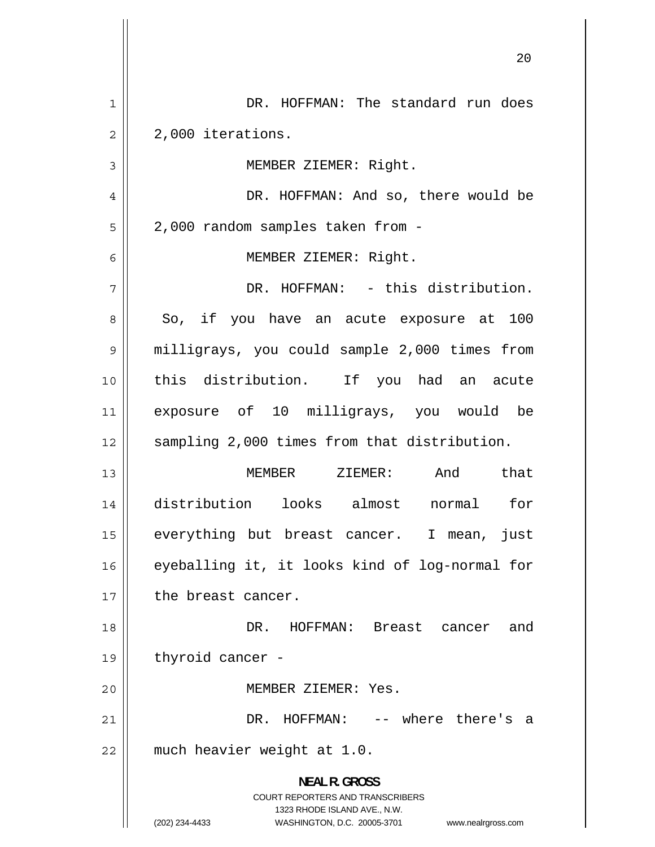<span id="page-19-0"></span>

|                | ∠ ∪                                                                                                                                                                    |
|----------------|------------------------------------------------------------------------------------------------------------------------------------------------------------------------|
| 1              | DR. HOFFMAN: The standard run does                                                                                                                                     |
| $\overline{2}$ | 2,000 iterations.                                                                                                                                                      |
| 3              | MEMBER ZIEMER: Right.                                                                                                                                                  |
| 4              | DR. HOFFMAN: And so, there would be                                                                                                                                    |
| 5              | 2,000 random samples taken from -                                                                                                                                      |
| 6              | MEMBER ZIEMER: Right.                                                                                                                                                  |
| 7              | DR. HOFFMAN: - this distribution.                                                                                                                                      |
| 8              | So, if you have an acute exposure at 100                                                                                                                               |
| 9              | milligrays, you could sample 2,000 times from                                                                                                                          |
| 10             | this distribution. If you had an acute                                                                                                                                 |
| 11             | exposure of 10 milligrays, you would be                                                                                                                                |
| 12             | sampling 2,000 times from that distribution.                                                                                                                           |
| 13             | And<br>that<br>MEMBER ZIEMER:                                                                                                                                          |
| 14             | distribution looks almost<br>for<br>normal                                                                                                                             |
| 15             | everything but breast cancer. I mean,<br>just                                                                                                                          |
| 16             | eyeballing it, it looks kind of log-normal for                                                                                                                         |
| 17             | the breast cancer.                                                                                                                                                     |
| 18             | DR. HOFFMAN: Breast cancer and                                                                                                                                         |
| 19             | thyroid cancer -                                                                                                                                                       |
| 20             | MEMBER ZIEMER: Yes.                                                                                                                                                    |
| 21             | DR. HOFFMAN: -- where there's a                                                                                                                                        |
| 22             | much heavier weight at 1.0.                                                                                                                                            |
|                | <b>NEAL R. GROSS</b><br><b>COURT REPORTERS AND TRANSCRIBERS</b><br>1323 RHODE ISLAND AVE., N.W.<br>(202) 234-4433<br>WASHINGTON, D.C. 20005-3701<br>www.nealrgross.com |

 $\parallel$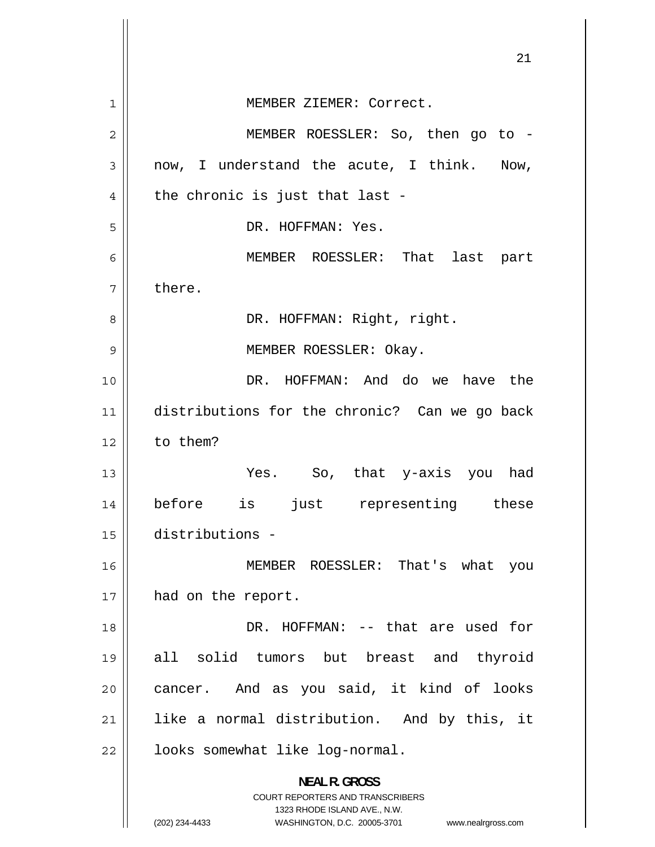<span id="page-20-0"></span>

|                | 21                                                                                                  |
|----------------|-----------------------------------------------------------------------------------------------------|
|                |                                                                                                     |
| 1              | MEMBER ZIEMER: Correct.                                                                             |
| $\overline{2}$ | MEMBER ROESSLER: So, then go to -                                                                   |
| 3              | now, I understand the acute, I think. Now,                                                          |
| 4              | the chronic is just that last -                                                                     |
| 5              | DR. HOFFMAN: Yes.                                                                                   |
| 6              | MEMBER ROESSLER: That last part                                                                     |
| 7              | there.                                                                                              |
| 8              | DR. HOFFMAN: Right, right.                                                                          |
| 9              | MEMBER ROESSLER: Okay.                                                                              |
| 10             | DR. HOFFMAN: And do we have the                                                                     |
| 11             | distributions for the chronic? Can we go back                                                       |
| 12             | to them?                                                                                            |
| 13             | Yes. So, that y-axis you had                                                                        |
| 14             | before is just representing these                                                                   |
| 15             | distributions -                                                                                     |
| 16             | MEMBER ROESSLER: That's what<br>you                                                                 |
| 17             | had on the report.                                                                                  |
| 18             | DR. HOFFMAN: -- that are used for                                                                   |
| 19             | all solid tumors but breast and thyroid                                                             |
| 20             | cancer. And as you said, it kind of looks                                                           |
| 21             | like a normal distribution. And by this, it                                                         |
| 22             | looks somewhat like log-normal.                                                                     |
|                | <b>NEAL R. GROSS</b>                                                                                |
|                | <b>COURT REPORTERS AND TRANSCRIBERS</b>                                                             |
|                | 1323 RHODE ISLAND AVE., N.W.<br>(202) 234-4433<br>WASHINGTON, D.C. 20005-3701<br>www.nealrgross.com |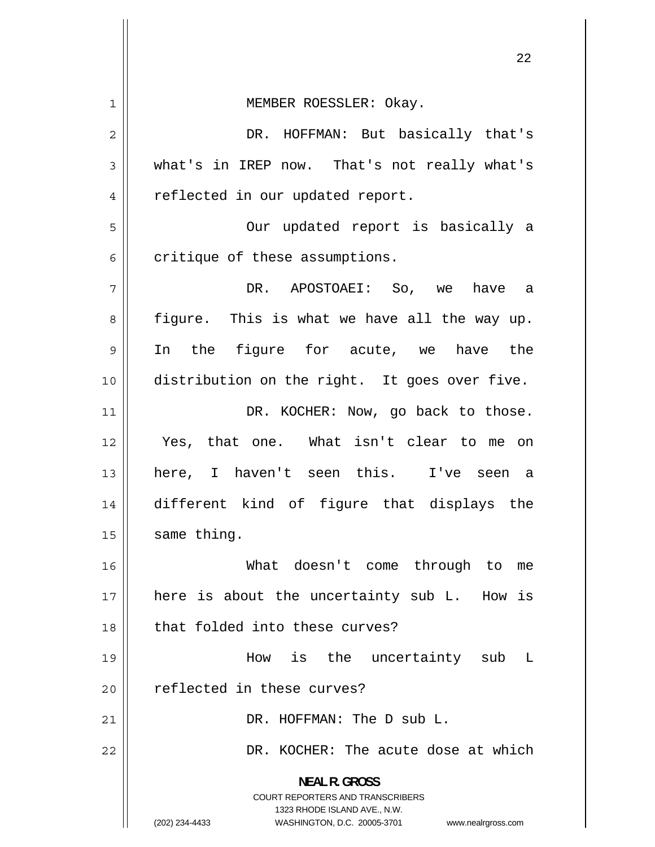<span id="page-21-0"></span>

| 1              | MEMBER ROESSLER: Okay.                                                                                                                                                 |
|----------------|------------------------------------------------------------------------------------------------------------------------------------------------------------------------|
| $\overline{2}$ | DR. HOFFMAN: But basically that's                                                                                                                                      |
| 3              | what's in IREP now. That's not really what's                                                                                                                           |
| 4              | reflected in our updated report.                                                                                                                                       |
| 5              | Our updated report is basically a                                                                                                                                      |
| 6              | critique of these assumptions.                                                                                                                                         |
| 7              | DR. APOSTOAEI: So, we have a                                                                                                                                           |
| 8              | figure. This is what we have all the way up.                                                                                                                           |
| 9              | In the figure for acute, we have the                                                                                                                                   |
| 10             | distribution on the right. It goes over five.                                                                                                                          |
| 11             | DR. KOCHER: Now, go back to those.                                                                                                                                     |
| 12             | Yes, that one. What isn't clear to me on                                                                                                                               |
| 13             | here, I haven't seen this. I've seen a                                                                                                                                 |
| 14             | different kind of figure that displays the                                                                                                                             |
| 15             | same thing.                                                                                                                                                            |
| 16             | What doesn't come through to<br>me                                                                                                                                     |
| 17             | here is about the uncertainty sub L. How is                                                                                                                            |
| 18             | that folded into these curves?                                                                                                                                         |
| 19             | How is the uncertainty sub<br>L                                                                                                                                        |
| 20             | reflected in these curves?                                                                                                                                             |
| 21             | DR. HOFFMAN: The D sub L.                                                                                                                                              |
| 22             | DR. KOCHER: The acute dose at which                                                                                                                                    |
|                | <b>NEAL R. GROSS</b><br><b>COURT REPORTERS AND TRANSCRIBERS</b><br>1323 RHODE ISLAND AVE., N.W.<br>(202) 234-4433<br>WASHINGTON, D.C. 20005-3701<br>www.nealrgross.com |

 $\mathop{||}$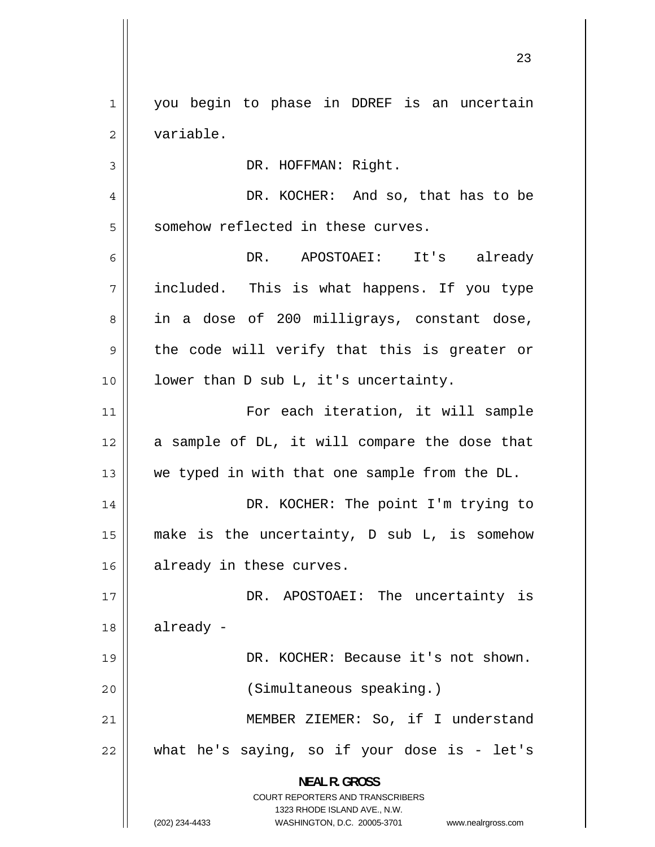1 you begin to phase in DDREF is an uncertain 2 variable.

DR. HOFFMAN: Right.

4 DR. KOCHER: And so, that has to be 5 somehow reflected in these curves.

6 DR. APOSTOAEI: It's already 7 included. This is what happens. If you type 8 in a dose of 200 milligrays, constant dose, 9 the code will verify that this is greater or 10 || lower than D sub L, it's uncertainty.

11 For each iteration, it will sample 12 a sample of DL, it will compare the dose that 13  $\parallel$  we typed in with that one sample from the DL.

14 DR. KOCHER: The point I'm trying to 15 make is the uncertainty, D sub L, is somehow 16 || already in these curves.

17 DR. APOSTOAEI: The uncertainty is  $18$  already -19 DR. KOCHER: Because it's not shown.

20 (Simultaneous speaking.)

21 MEMBER ZIEMER: So, if I understand 22 what he's saying, so if your dose is - let's

> **NEAL R. GROSS**  COURT REPORTERS AND TRANSCRIBERS 1323 RHODE ISLAND AVE., N.W.

3

(202) 234-4433 WASHINGTON, D.C. 20005-3701 www.nealrgross.com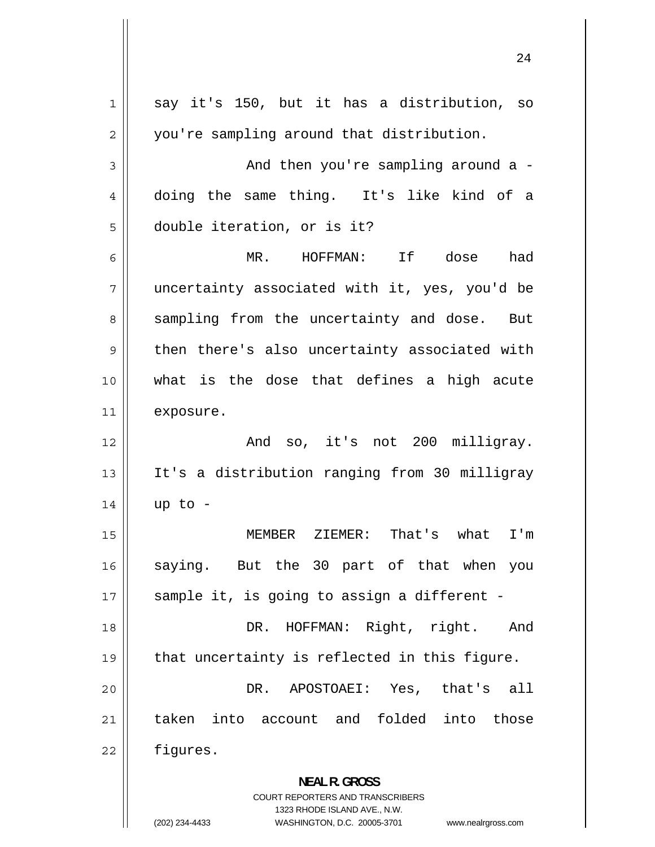1 say it's 150, but it has a distribution, so 2 you're sampling around that distribution. 3 And then you're sampling around a - [4](#page-3-0) doing the same thing. It's like kind of a [5](#page-4-0) double iteration, or is it? [6](#page-5-0) MR. HOFFMAN: If dose had [7](#page-6-0) uncertainty associated with it, yes, you'd be [8](#page-7-0) sampling from the uncertainty and dose. But [9](#page-8-0) then there's also uncertainty associated with [10](#page-9-0) what is the dose that defines a high acute [11](#page-10-0) exposure. [12](#page-11-0) And so, it's not 200 milligray. [13](#page-12-0) It's a distribution ranging from 30 milligray [14](#page-13-0) up to - [15](#page-14-0) MEMBER ZIEMER: That's what I'm [16](#page-15-0) saying. But the 30 part of that when you [17](#page-16-0) sample it, is going to assign a different -[18](#page-17-0) DR. HOFFMAN: Right, right. And [19](#page-18-0) that uncertainty is reflected in this figure. [20](#page-19-0) DR. APOSTOAEI: Yes, that's all [21](#page-20-0) taken into account and folded into those [22](#page-21-0) figures. **NEAL R. GROSS**  COURT REPORTERS AND TRANSCRIBERS 1323 RHODE ISLAND AVE., N.W. (202) 234-4433 WASHINGTON, D.C. 20005-3701 www.nealrgross.com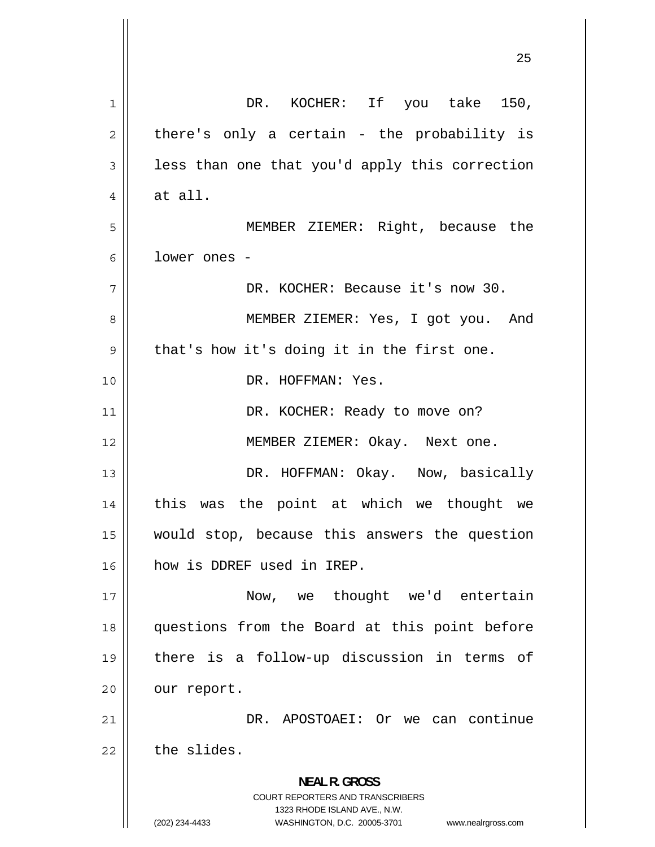| 1  | DR. KOCHER: If you take 150,                                                                        |
|----|-----------------------------------------------------------------------------------------------------|
| 2  | there's only a certain - the probability is                                                         |
| 3  | less than one that you'd apply this correction                                                      |
| 4  | at all.                                                                                             |
| 5  | MEMBER ZIEMER: Right, because the                                                                   |
| 6  | lower ones -                                                                                        |
| 7  | DR. KOCHER: Because it's now 30.                                                                    |
| 8  | MEMBER ZIEMER: Yes, I got you. And                                                                  |
| 9  | that's how it's doing it in the first one.                                                          |
| 10 | DR. HOFFMAN: Yes.                                                                                   |
| 11 | DR. KOCHER: Ready to move on?                                                                       |
| 12 | MEMBER ZIEMER: Okay. Next one.                                                                      |
| 13 | DR. HOFFMAN: Okay. Now, basically                                                                   |
| 14 | this was the point at which we thought we                                                           |
| 15 | would stop, because this answers the question                                                       |
| 16 | how is DDREF used in IREP.                                                                          |
| 17 | Now, we thought we'd entertain                                                                      |
| 18 | questions from the Board at this point before                                                       |
| 19 | there is a follow-up discussion in terms of                                                         |
| 20 | our report.                                                                                         |
| 21 | DR. APOSTOAEI: Or we can continue                                                                   |
| 22 | the slides.                                                                                         |
|    | <b>NEAL R. GROSS</b>                                                                                |
|    | <b>COURT REPORTERS AND TRANSCRIBERS</b>                                                             |
|    | 1323 RHODE ISLAND AVE., N.W.<br>(202) 234-4433<br>WASHINGTON, D.C. 20005-3701<br>www.nealrgross.com |

 $\mathsf{I}$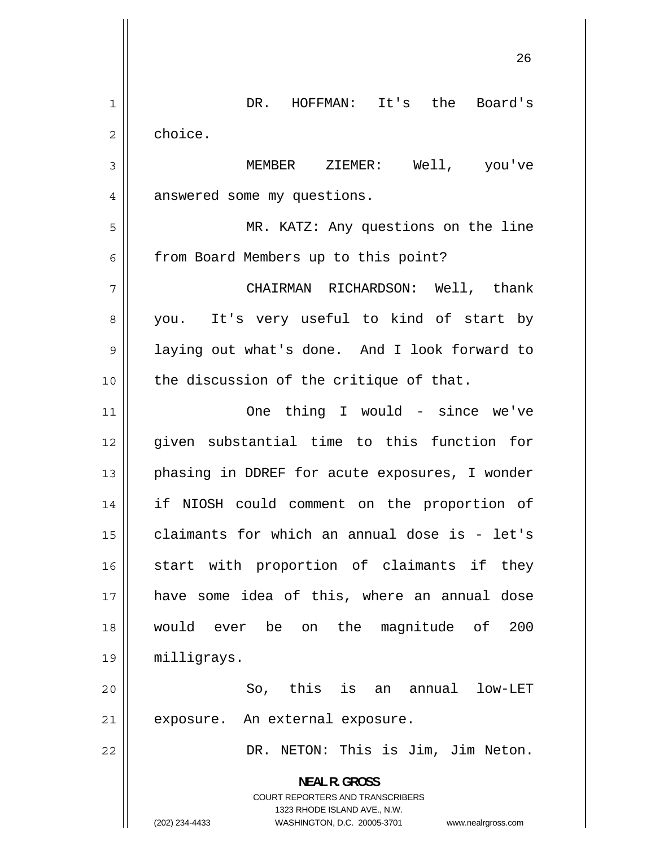1 DR. HOFFMAN: It's the Board's 2 choice. 3 MEMBER ZIEMER: Well, you've 4 answered some my questions. 5 MR. KATZ: Any questions on the line 6 from Board Members up to this point? 7 CHAIRMAN RICHARDSON: Well, thank 8 you. It's very useful to kind of start by 9 laying out what's done. And I look forward to  $10$  | the discussion of the critique of that. 11 One thing I would - since we've 12 given substantial time to this function for 13 phasing in DDREF for acute exposures, I wonder 14 if NIOSH could comment on the proportion of 15 claimants for which an annual dose is - let's 16 start with proportion of claimants if they 17 have some idea of this, where an annual dose 18 would ever be on the magnitude of 200 19 milligrays. 20 So, this is an annual low-LET 21 || exposure. An external exposure. 22 DR. NETON: This is Jim, Jim Neton. **NEAL R. GROSS**  COURT REPORTERS AND TRANSCRIBERS 1323 RHODE ISLAND AVE., N.W. (202) 234-4433 WASHINGTON, D.C. 20005-3701 www.nealrgross.com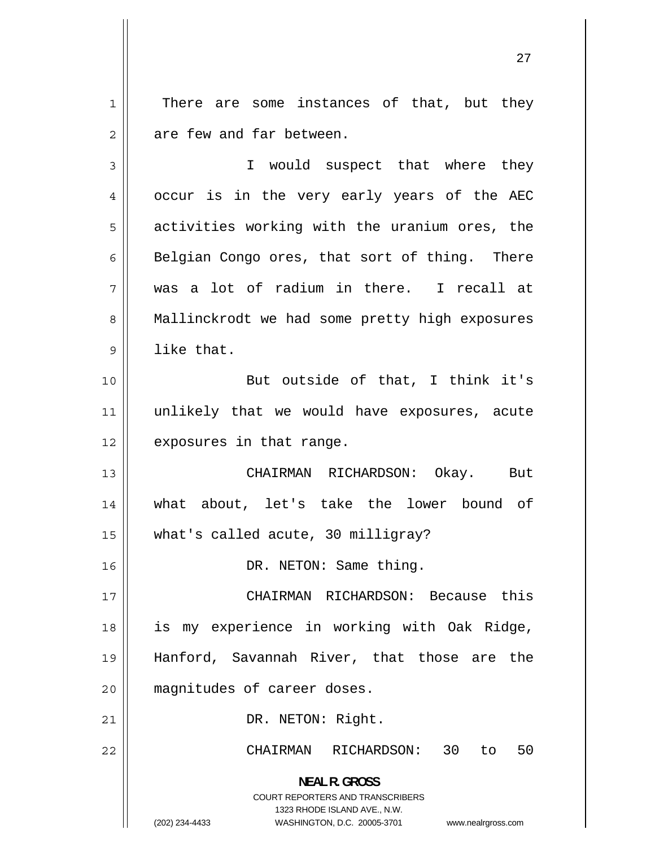1 There are some instances of that, but they 2 are few and far between.

3 I would suspect that where they 4 occur is in the very early years of the AEC 5 activities working with the uranium ores, the 6 Belgian Congo ores, that sort of thing. There 7 was a lot of radium in there. I recall at 8 Mallinckrodt we had some pretty high exposures 9 like that. 10 || But outside of that, I think it's 11 unlikely that we would have exposures, acute 12 | exposures in that range. 13 CHAIRMAN RICHARDSON: Okay. But 14 what about, let's take the lower bound of 15 what's called acute, 30 milligray? 16 || DR. NETON: Same thing. 17 CHAIRMAN RICHARDSON: Because this 18 is my experience in working with Oak Ridge, 19 Hanford, Savannah River, that those are the 20 || magnitudes of career doses. 21 || DR. NETON: Right. 22 CHAIRMAN RICHARDSON: 30 to 50 **NEAL R. GROSS**  COURT REPORTERS AND TRANSCRIBERS 1323 RHODE ISLAND AVE., N.W.

(202) 234-4433 WASHINGTON, D.C. 20005-3701 www.nealrgross.com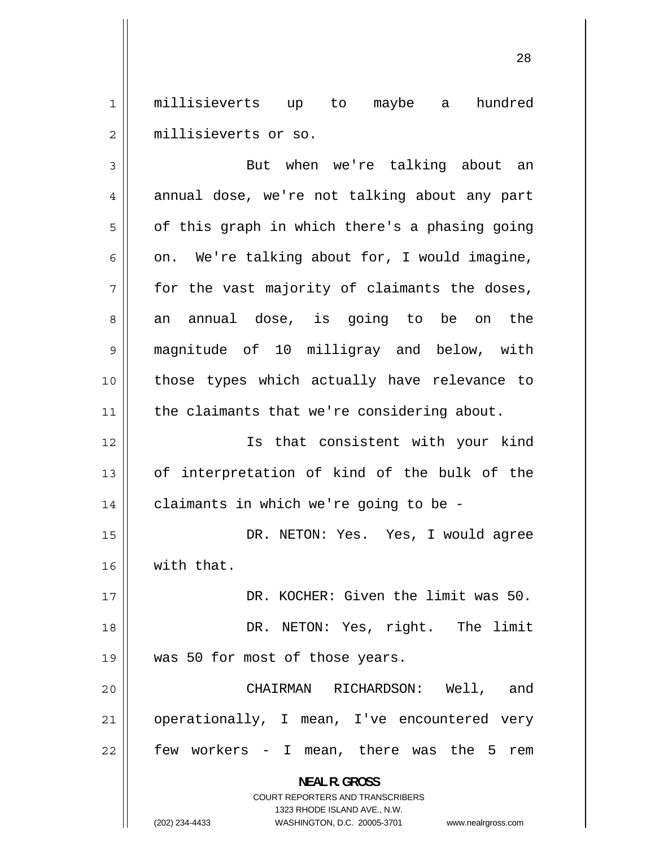1 millisieverts up to maybe a hundred 2 millisieverts or so.

3 But when we're talking about an 4 annual dose, we're not talking about any part 5 of this graph in which there's a phasing going 6 on. We're talking about for, I would imagine, 7 for the vast majority of claimants the doses, 8 an annual dose, is going to be on the 9 magnitude of 10 milligray and below, with 10 those types which actually have relevance to 11 || the claimants that we're considering about. 12 Is that consistent with your kind 13 of interpretation of kind of the bulk of the  $14$  | claimants in which we're going to be -15 DR. NETON: Yes. Yes, I would agree 16 | with that. 17 DR. KOCHER: Given the limit was 50. 18 DR. NETON: Yes, right. The limit 19 || was 50 for most of those years. 20 CHAIRMAN RICHARDSON: Well, and 21 operationally, I mean, I've encountered very 22 few workers - I mean, there was the 5 rem **NEAL R. GROSS**  COURT REPORTERS AND TRANSCRIBERS 1323 RHODE ISLAND AVE., N.W. (202) 234-4433 WASHINGTON, D.C. 20005-3701 www.nealrgross.com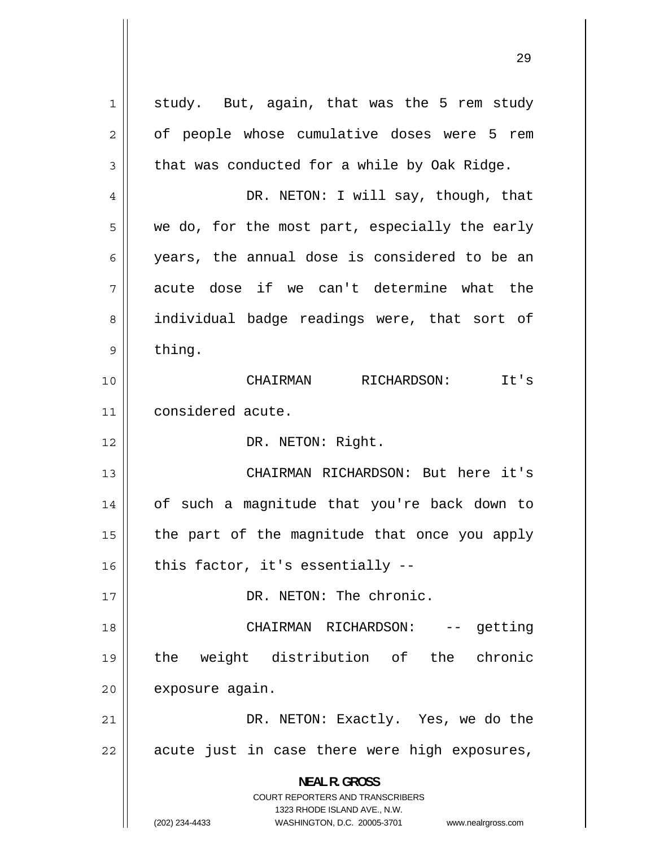1 study. But, again, that was the 5 rem study 2 of people whose cumulative doses were 5 rem 3 that was conducted for a while by Oak Ridge. 4 DR. NETON: I will say, though, that 5 we do, for the most part, especially the early 6 years, the annual dose is considered to be an 7 acute dose if we can't determine what the 8 individual badge readings were, that sort of 9 thing. 10 CHAIRMAN RICHARDSON: It's 11 considered acute. 12 | DR. NETON: Right. 13 CHAIRMAN RICHARDSON: But here it's 14 of such a magnitude that you're back down to 15 the part of the magnitude that once you apply  $16$  | this factor, it's essentially --17 || DR. NETON: The chronic. 18 CHAIRMAN RICHARDSON: -- getting 19 the weight distribution of the chronic 20 | exposure again. 21 DR. NETON: Exactly. Yes, we do the 22 acute just in case there were high exposures, **NEAL R. GROSS**  COURT REPORTERS AND TRANSCRIBERS 1323 RHODE ISLAND AVE., N.W. (202) 234-4433 WASHINGTON, D.C. 20005-3701 www.nealrgross.com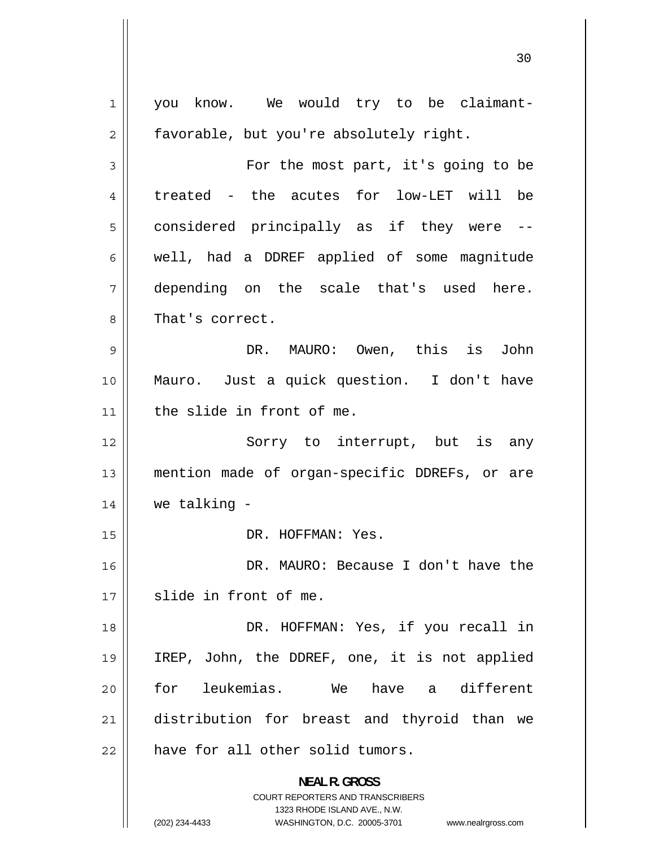1 you know. We would try to be claimant-2 favorable, but you're absolutely right. 3 For the most part, it's going to be 4 treated - the acutes for low-LET will be 5 considered principally as if they were -- 6 well, had a DDREF applied of some magnitude 7 depending on the scale that's used here. 8 That's correct. 9 DR. MAURO: Owen, this is John 10 Mauro. Just a quick question. I don't have 11 the slide in front of me. 12 Sorry to interrupt, but is any 13 mention made of organ-specific DDREFs, or are  $14$  we talking  $-$ 15 || DR. HOFFMAN: Yes. 16 DR. MAURO: Because I don't have the 17 slide in front of me. 18 DR. HOFFMAN: Yes, if you recall in 19 IREP, John, the DDREF, one, it is not applied 20 for leukemias. We have a different 21 distribution for breast and thyroid than we  $22$  | have for all other solid tumors. **NEAL R. GROSS**  COURT REPORTERS AND TRANSCRIBERS 1323 RHODE ISLAND AVE., N.W. (202) 234-4433 WASHINGTON, D.C. 20005-3701 www.nealrgross.com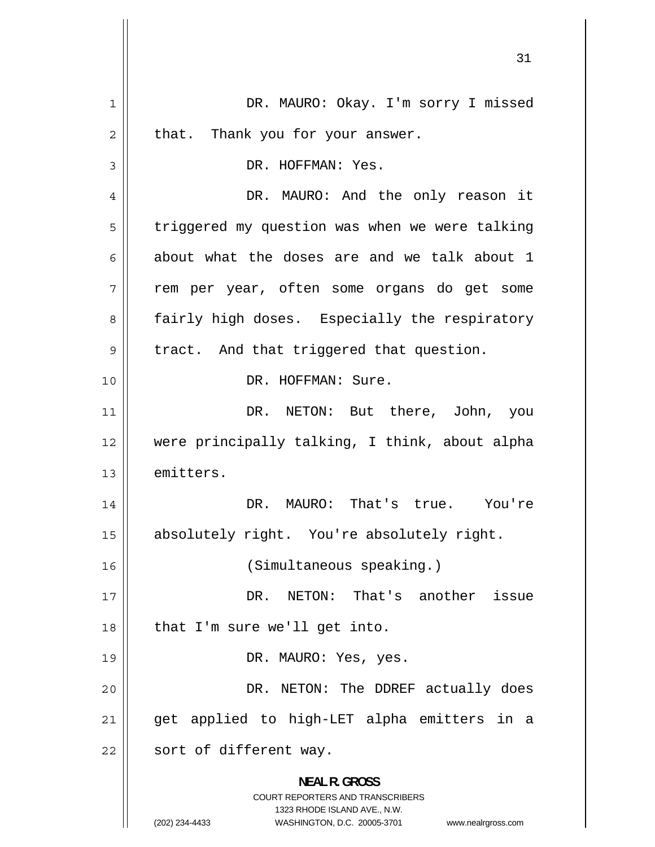1 DR. MAURO: Okay. I'm sorry I missed 2 that. Thank you for your answer. 3 DR. HOFFMAN: Yes. 4 DR. MAURO: And the only reason it 5 triggered my question was when we were talking 6 about what the doses are and we talk about 1 7 rem per year, often some organs do get some 8 fairly high doses. Especially the respiratory 9 tract. And that triggered that question. 10 DR. HOFFMAN: Sure. 11 DR. NETON: But there, John, you 12 were principally talking, I think, about alpha 13 emitters. 14 DR. MAURO: That's true. You're 15 absolutely right. You're absolutely right. 16 (Simultaneous speaking.) 17 DR. NETON: That's another issue  $18$  | that I'm sure we'll get into. 19 || DR. MAURO: Yes, yes. 20 DR. NETON: The DDREF actually does 21 get applied to high-LET alpha emitters in a  $22$  | sort of different way. **NEAL R. GROSS**  COURT REPORTERS AND TRANSCRIBERS 1323 RHODE ISLAND AVE., N.W. (202) 234-4433 WASHINGTON, D.C. 20005-3701 www.nealrgross.com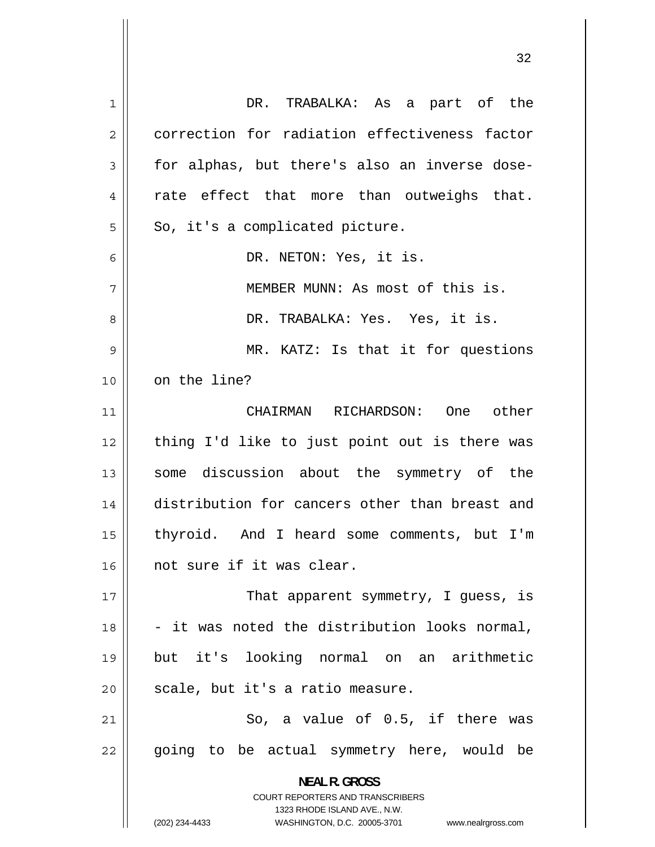1 DR. TRABALKA: As a part of the 2 correction for radiation effectiveness factor 3 for alphas, but there's also an inverse dose-4 rate effect that more than outweighs that. 5 So, it's a complicated picture. 6 DR. NETON: Yes, it is. 7 MEMBER MUNN: As most of this is. 8 DR. TRABALKA: Yes. Yes, it is. 9 MR. KATZ: Is that it for questions 10 | on the line? 11 CHAIRMAN RICHARDSON: One other 12 thing I'd like to just point out is there was 13 some discussion about the symmetry of the 14 distribution for cancers other than breast and 15 thyroid. And I heard some comments, but I'm 16 || not sure if it was clear. 17 That apparent symmetry, I guess, is 18 - it was noted the distribution looks normal, 19 but it's looking normal on an arithmetic  $20$  | scale, but it's a ratio measure. 21 So, a value of 0.5, if there was 22 going to be actual symmetry here, would be **NEAL R. GROSS**  COURT REPORTERS AND TRANSCRIBERS 1323 RHODE ISLAND AVE., N.W. (202) 234-4433 WASHINGTON, D.C. 20005-3701 www.nealrgross.com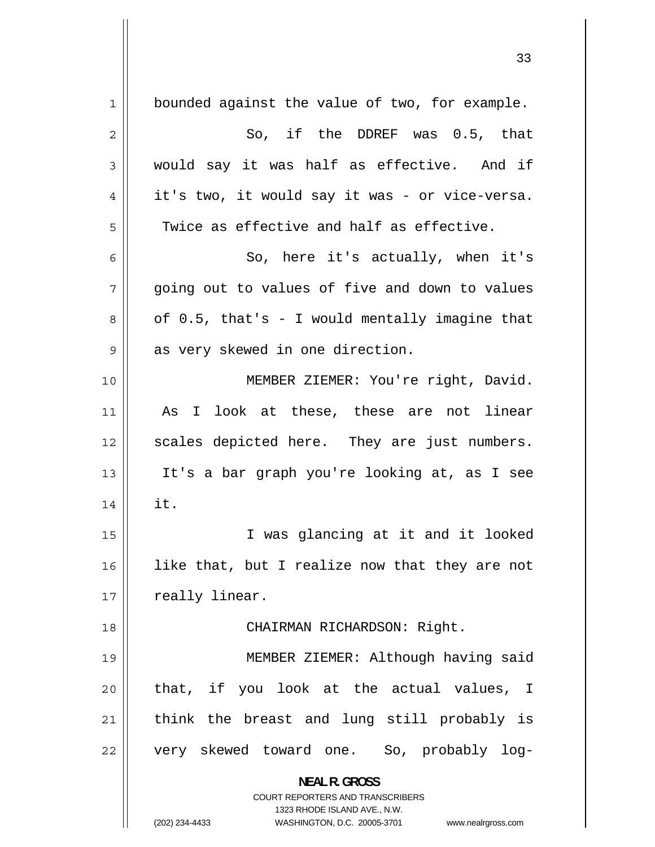| 1  | bounded against the value of two, for example.                      |
|----|---------------------------------------------------------------------|
| 2  | So, if the DDREF was 0.5, that                                      |
| 3  | would say it was half as effective. And if                          |
| 4  | it's two, it would say it was - or vice-versa.                      |
| 5  | Twice as effective and half as effective.                           |
| 6  | So, here it's actually, when it's                                   |
| 7  | going out to values of five and down to values                      |
| 8  | of $0.5$ , that's - I would mentally imagine that                   |
| 9  | as very skewed in one direction.                                    |
| 10 | MEMBER ZIEMER: You're right, David.                                 |
| 11 | I look at these, these are not linear<br>As                         |
| 12 | scales depicted here. They are just numbers.                        |
| 13 | It's a bar graph you're looking at, as I see                        |
| 14 | it.                                                                 |
| 15 | I was glancing at it and it looked                                  |
| 16 | like that, but I realize now that they are not                      |
| 17 | really linear.                                                      |
| 18 | CHAIRMAN RICHARDSON: Right.                                         |
| 19 | MEMBER ZIEMER: Although having said                                 |
| 20 | that, if you look at the actual values, I                           |
| 21 | think the breast and lung still probably is                         |
| 22 | very skewed toward one. So, probably log-                           |
|    |                                                                     |
|    | <b>NEAL R. GROSS</b><br><b>COURT REPORTERS AND TRANSCRIBERS</b>     |
|    | 1323 RHODE ISLAND AVE., N.W.                                        |
|    | (202) 234-4433<br>WASHINGTON, D.C. 20005-3701<br>www.nealrgross.com |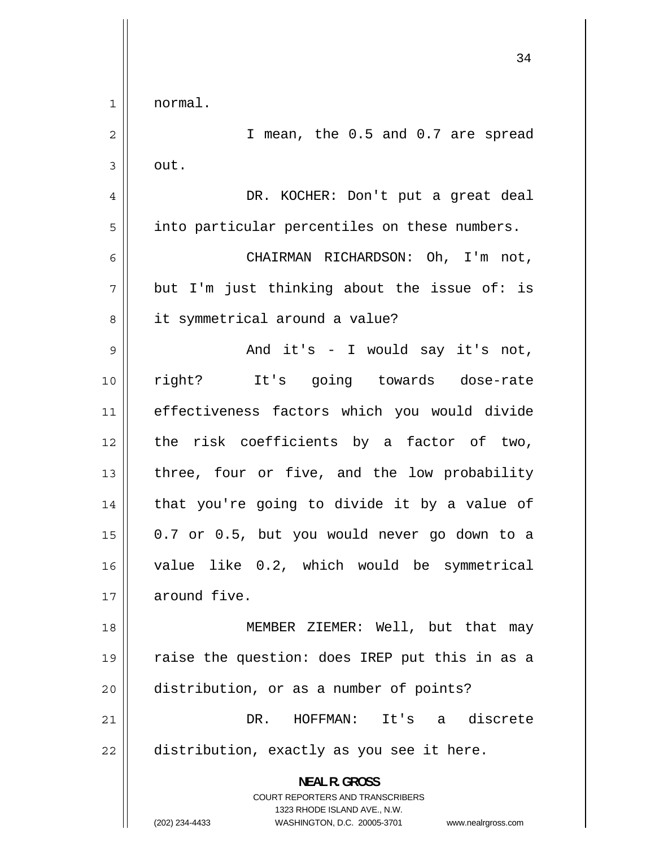34 1 normal. 2 I mean, the 0.5 and 0.7 are spread 3 out. 4 DR. KOCHER: Don't put a great deal 5 into particular percentiles on these numbers. 6 CHAIRMAN RICHARDSON: Oh, I'm not, 7 but I'm just thinking about the issue of: is 8 it symmetrical around a value? 9 And it's - I would say it's not, 10 right? It's going towards dose-rate 11 effectiveness factors which you would divide 12 the risk coefficients by a factor of two, 13 three, four or five, and the low probability 14 that you're going to divide it by a value of 15 0.7 or 0.5, but you would never go down to a 16 value like 0.2, which would be symmetrical 17 around five. 18 MEMBER ZIEMER: Well, but that may 19 raise the question: does IREP put this in as a 20 distribution, or as a number of points? 21 DR. HOFFMAN: It's a discrete  $22$  | distribution, exactly as you see it here. **NEAL R. GROSS**  COURT REPORTERS AND TRANSCRIBERS 1323 RHODE ISLAND AVE., N.W. (202) 234-4433 WASHINGTON, D.C. 20005-3701 www.nealrgross.com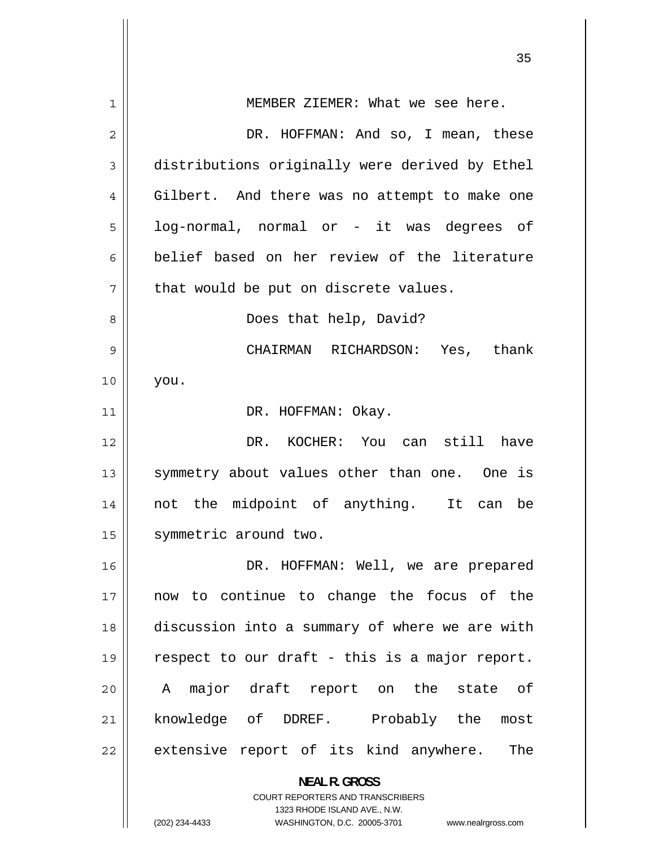| MEMBER ZIEMER: What we see here.                                                                    |
|-----------------------------------------------------------------------------------------------------|
| DR. HOFFMAN: And so, I mean, these                                                                  |
| distributions originally were derived by Ethel                                                      |
| Gilbert. And there was no attempt to make one                                                       |
| log-normal, normal or - it was degrees of                                                           |
| belief based on her review of the literature                                                        |
| that would be put on discrete values.                                                               |
| Does that help, David?                                                                              |
| CHAIRMAN RICHARDSON: Yes, thank                                                                     |
| you.                                                                                                |
| DR. HOFFMAN: Okay.                                                                                  |
| DR. KOCHER: You can still have                                                                      |
| symmetry about values other than one. One is                                                        |
| not the midpoint of anything. It can be                                                             |
| symmetric around two.                                                                               |
| DR. HOFFMAN: Well, we are prepared                                                                  |
| now to continue to change the focus of the                                                          |
| discussion into a summary of where we are with                                                      |
| respect to our draft - this is a major report.                                                      |
| A major draft report on the state of                                                                |
| knowledge of DDREF. Probably the<br>most                                                            |
| extensive report of its kind anywhere.<br>The                                                       |
| <b>NEAL R. GROSS</b>                                                                                |
| <b>COURT REPORTERS AND TRANSCRIBERS</b>                                                             |
| 1323 RHODE ISLAND AVE., N.W.<br>(202) 234-4433<br>WASHINGTON, D.C. 20005-3701<br>www.nealrgross.com |
|                                                                                                     |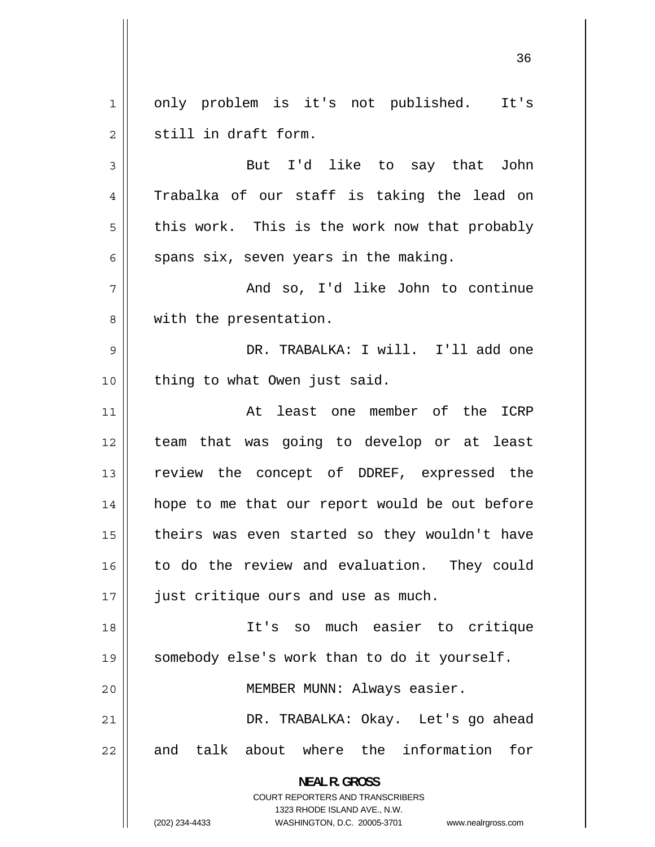1 only problem is it's not published. It's 2 still in draft form.

3 But I'd like to say that John 4 Trabalka of our staff is taking the lead on 5 this work. This is the work now that probably 6 spans six, seven years in the making.

7 And so, I'd like John to continue 8 with the presentation.

9 DR. TRABALKA: I will. I'll add one 10 || thing to what Owen just said.

11 At least one member of the ICRP 12 team that was going to develop or at least 13 review the concept of DDREF, expressed the 14 hope to me that our report would be out before 15 theirs was even started so they wouldn't have 16 to do the review and evaluation. They could 17 || just critique ours and use as much.

18 It's so much easier to critique 19 somebody else's work than to do it yourself.

20 || MEMBER MUNN: Always easier.

21 DR. TRABALKA: Okay. Let's go ahead 22 and talk about where the information for

**NEAL R. GROSS** 

COURT REPORTERS AND TRANSCRIBERS 1323 RHODE ISLAND AVE., N.W.

(202) 234-4433 WASHINGTON, D.C. 20005-3701 www.nealrgross.com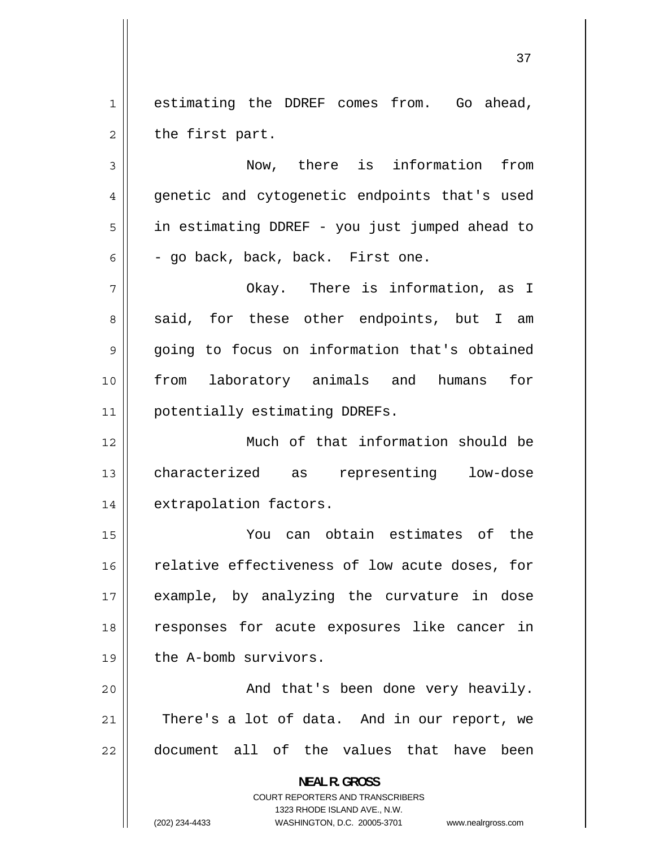1 estimating the DDREF comes from. Go ahead, 2 the first part.

3 Now, there is information from 4 genetic and cytogenetic endpoints that's used 5 in estimating DDREF - you just jumped ahead to 6 - go back, back, back. First one.

7 Okay. There is information, as I 8 said, for these other endpoints, but I am 9 going to focus on information that's obtained 10 from laboratory animals and humans for 11 | potentially estimating DDREFs.

12 Much of that information should be 13 characterized as representing low-dose 14 | extrapolation factors.

15 You can obtain estimates of the 16 relative effectiveness of low acute doses, for 17 example, by analyzing the curvature in dose 18 responses for acute exposures like cancer in 19 || the A-bomb survivors.

20 And that's been done very heavily. 21 There's a lot of data. And in our report, we 22 document all of the values that have been

> **NEAL R. GROSS**  COURT REPORTERS AND TRANSCRIBERS 1323 RHODE ISLAND AVE., N.W. (202) 234-4433 WASHINGTON, D.C. 20005-3701 www.nealrgross.com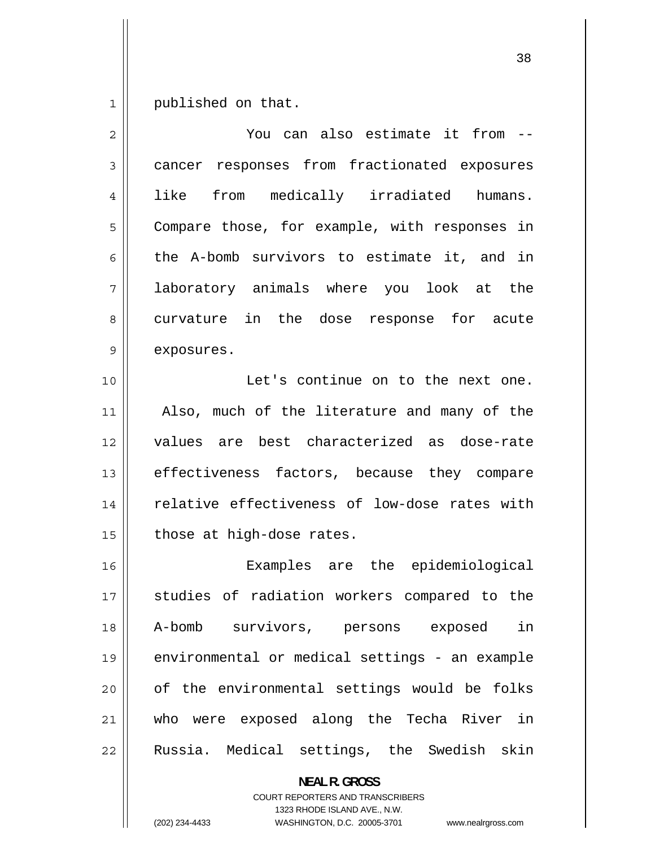1 published on that.

| 2  | You can also estimate it from --               |
|----|------------------------------------------------|
| 3  | cancer responses from fractionated exposures   |
| 4  | from medically irradiated humans.<br>like      |
| 5  | Compare those, for example, with responses in  |
| 6  | the A-bomb survivors to estimate it, and in    |
| 7  | laboratory animals where you look at the       |
| 8  | curvature in the dose response for acute       |
| 9  | exposures.                                     |
| 10 | Let's continue on to the next one.             |
| 11 | Also, much of the literature and many of the   |
| 12 | values are best characterized as dose-rate     |
| 13 | effectiveness factors, because they compare    |
| 14 | relative effectiveness of low-dose rates with  |
| 15 | those at high-dose rates.                      |
| 16 | Examples are the epidemiological               |
| 17 | studies of radiation workers compared to the   |
| 18 | A-bomb survivors, persons exposed in           |
| 19 | environmental or medical settings - an example |
| 20 | of the environmental settings would be folks   |
| 21 | who were exposed along the Techa River in      |
| 22 | Russia. Medical settings, the Swedish skin     |
|    |                                                |

**NEAL R. GROSS**  COURT REPORTERS AND TRANSCRIBERS

1323 RHODE ISLAND AVE., N.W.

(202) 234-4433 WASHINGTON, D.C. 20005-3701 www.nealrgross.com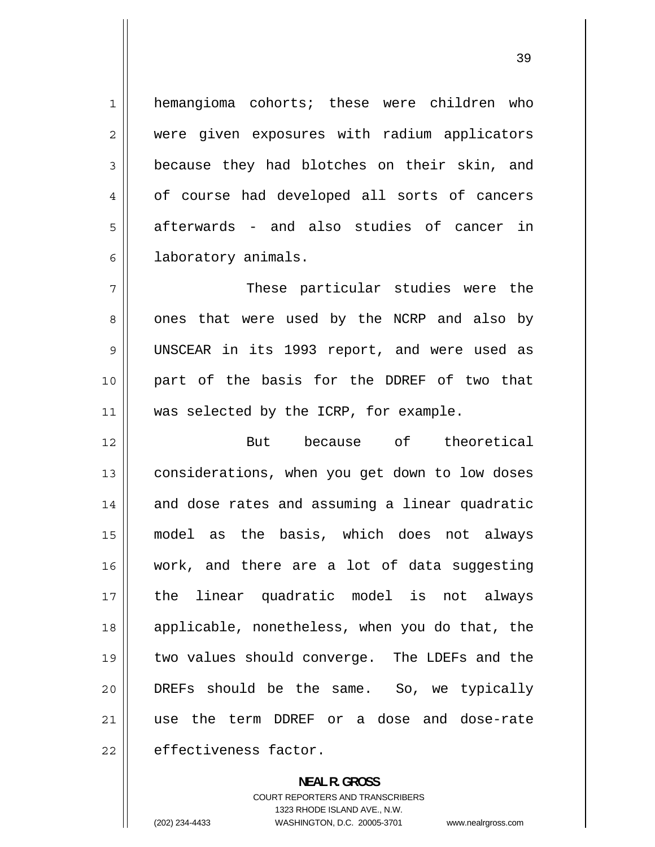hemangioma cohorts; these were children who were given exposures with radium applicators because they had blotches on their skin, and of course had developed all sorts of cancers afterwards - and also studies of cancer in laboratory animals.

1

2

3

4

5

6

7 These particular studies were the 8 ones that were used by the NCRP and also by 9 UNSCEAR in its 1993 report, and were used as 10 part of the basis for the DDREF of two that 11 || was selected by the ICRP, for example.

12 But because of theoretical 13 considerations, when you get down to low doses 14 and dose rates and assuming a linear quadratic 15 model as the basis, which does not always 16 work, and there are a lot of data suggesting 17 the linear quadratic model is not always 18 applicable, nonetheless, when you do that, the 19 two values should converge. The LDEFs and the 20 DREFs should be the same. So, we typically 21 use the term DDREF or a dose and dose-rate 22 effectiveness factor.

> **NEAL R. GROSS**  COURT REPORTERS AND TRANSCRIBERS 1323 RHODE ISLAND AVE., N.W. (202) 234-4433 WASHINGTON, D.C. 20005-3701 www.nealrgross.com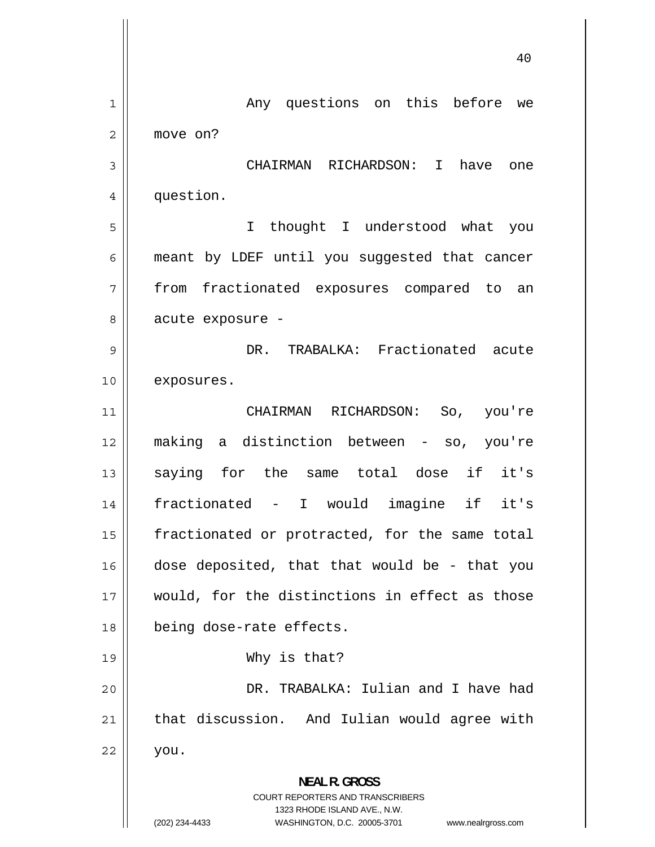|              | 40                                                                                              |
|--------------|-------------------------------------------------------------------------------------------------|
| $\mathbf{1}$ | Any questions on this before<br>we                                                              |
| 2            | move on?                                                                                        |
| 3            | CHAIRMAN RICHARDSON: I<br>have<br>one                                                           |
| 4            | question.                                                                                       |
| 5            | thought I understood what<br>I<br>you                                                           |
| 6            | meant by LDEF until you suggested that cancer                                                   |
| 7            | fractionated exposures compared to<br>from<br>an                                                |
| 8            | acute exposure -                                                                                |
| 9            | TRABALKA: Fractionated<br>DR.<br>acute                                                          |
| 10           | exposures.                                                                                      |
| 11           | CHAIRMAN<br>RICHARDSON:<br>So, you're                                                           |
| 12           | making a distinction between - so, you're                                                       |
| 13           | if<br>saying for the same total dose<br>it's                                                    |
| 14           | fractionated -<br>if<br>I would<br>imagine<br>it's                                              |
| 15           | fractionated or protracted, for the same total                                                  |
| 16           | dose deposited, that that would be - that you                                                   |
| 17           | would, for the distinctions in effect as those                                                  |
| 18           | being dose-rate effects.                                                                        |
| 19           | Why is that?                                                                                    |
| 20           | DR. TRABALKA: Iulian and I have had                                                             |
| 21           | that discussion. And Iulian would agree with                                                    |
| 22           | you.                                                                                            |
|              | <b>NEAL R. GROSS</b><br><b>COURT REPORTERS AND TRANSCRIBERS</b><br>1323 RHODE ISLAND AVE., N.W. |
|              | (202) 234-4433<br>WASHINGTON, D.C. 20005-3701 www.nealrgross.com                                |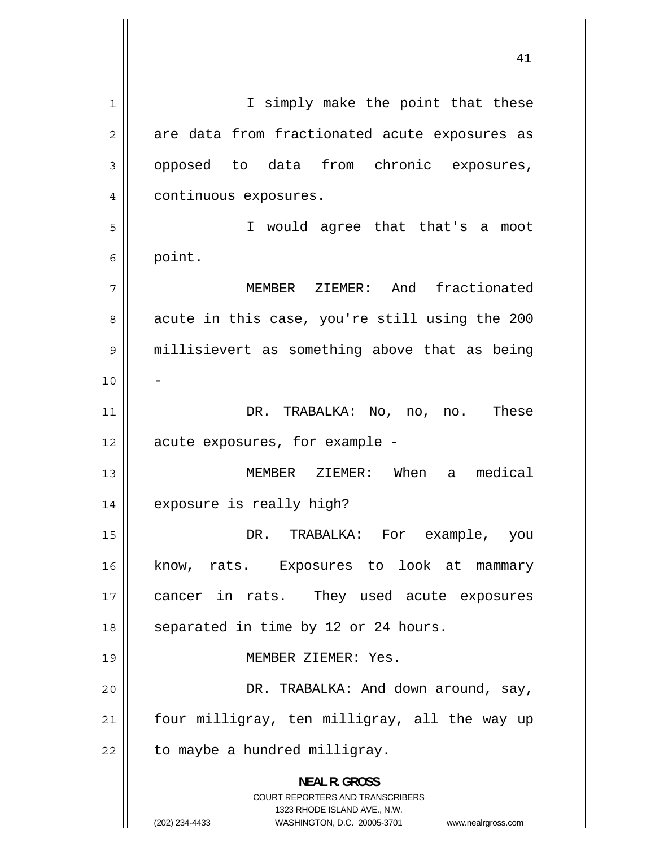1 I simply make the point that these 2 are data from fractionated acute exposures as 3 opposed to data from chronic exposures, [4](#page-3-0) continuous exposures. [5](#page-4-0) I would agree that that's a moot [6](#page-5-0) point. [7](#page-6-0) MEMBER ZIEMER: And fractionated [8](#page-7-0) [acute in this case, you're still using the 200](#page-199-0)  [9](#page-8-0) millisievert as something above that as being [10](#page-9-0) - [11](#page-10-0) DR. TRABALKA: No, no, no. These [12](#page-11-0) acute exposures, for example - [13](#page-12-0) MEMBER ZIEMER: When a medical [14](#page-13-0) exposure is really high? [15](#page-14-0) DR. TRABALKA: For example, you [16](#page-15-0) know, rats. Exposures to look at mammary [17](#page-16-0) cancer in rats. They used acute exposures [18](#page-17-0) separated in time by 12 or 24 hours. [19](#page-18-0) MEMBER ZIEMER: Yes. [20](#page-19-0) DR. TRABALKA: And down around, say, [21](#page-20-0) four milligray, ten milligray, all the way up [22](#page-21-0) to maybe a hundred milligray. **NEAL R. GROSS**  COURT REPORTERS AND TRANSCRIBERS 1323 RHODE ISLAND AVE., N.W. (202) 234-4433 WASHINGTON, D.C. 20005-3701 www.nealrgross.com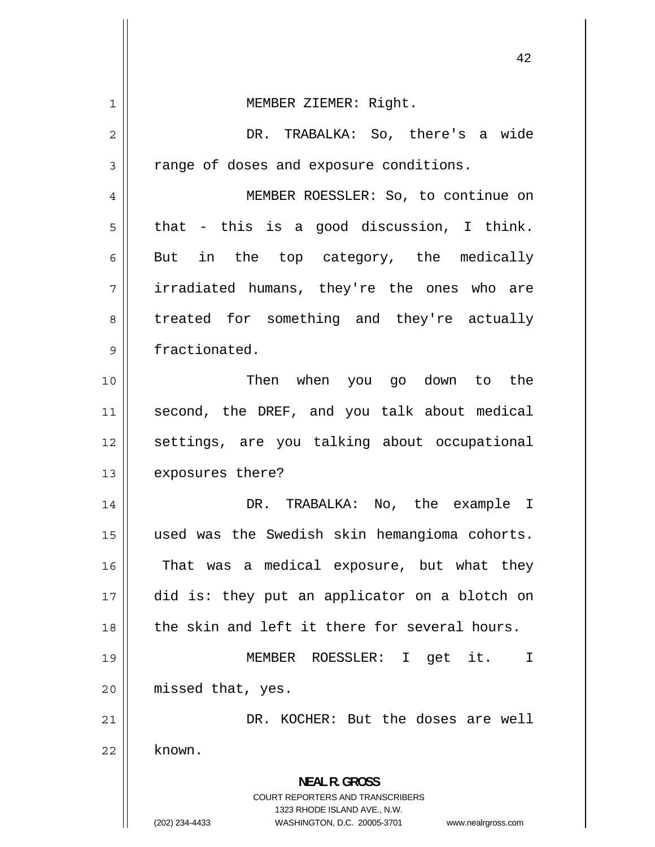| 1              | MEMBER ZIEMER: Right.                                                                                                                                               |
|----------------|---------------------------------------------------------------------------------------------------------------------------------------------------------------------|
| $\overline{c}$ | DR. TRABALKA: So, there's a wide                                                                                                                                    |
| 3              | range of doses and exposure conditions.                                                                                                                             |
| 4              | MEMBER ROESSLER: So, to continue on                                                                                                                                 |
| 5              | that - this is a good discussion, I think.                                                                                                                          |
| 6              | But in the top category, the medically                                                                                                                              |
| 7              | irradiated humans, they're the ones who are                                                                                                                         |
| 8              | treated for something and they're actually                                                                                                                          |
| 9              | fractionated.                                                                                                                                                       |
| 10             | Then when you go down to the                                                                                                                                        |
| 11             | second, the DREF, and you talk about medical                                                                                                                        |
| 12             | settings, are you talking about occupational                                                                                                                        |
| 13             | exposures there?                                                                                                                                                    |
| 14             | DR. TRABALKA: No, the example I                                                                                                                                     |
| 15             | used was the Swedish skin hemangioma cohorts.                                                                                                                       |
| 16             | That was a medical exposure, but what they                                                                                                                          |
| 17             | did is: they put an applicator on a blotch on                                                                                                                       |
| 18             | the skin and left it there for several hours.                                                                                                                       |
| 19             | MEMBER ROESSLER: I get it.<br>Ι                                                                                                                                     |
| 20             | missed that, yes.                                                                                                                                                   |
| 21             | DR. KOCHER: But the doses are well                                                                                                                                  |
| 22             | known.                                                                                                                                                              |
|                | <b>NEAL R. GROSS</b><br><b>COURT REPORTERS AND TRANSCRIBERS</b><br>1323 RHODE ISLAND AVE., N.W.<br>(202) 234-4433<br>WASHINGTON, D.C. 20005-3701 www.nealrgross.com |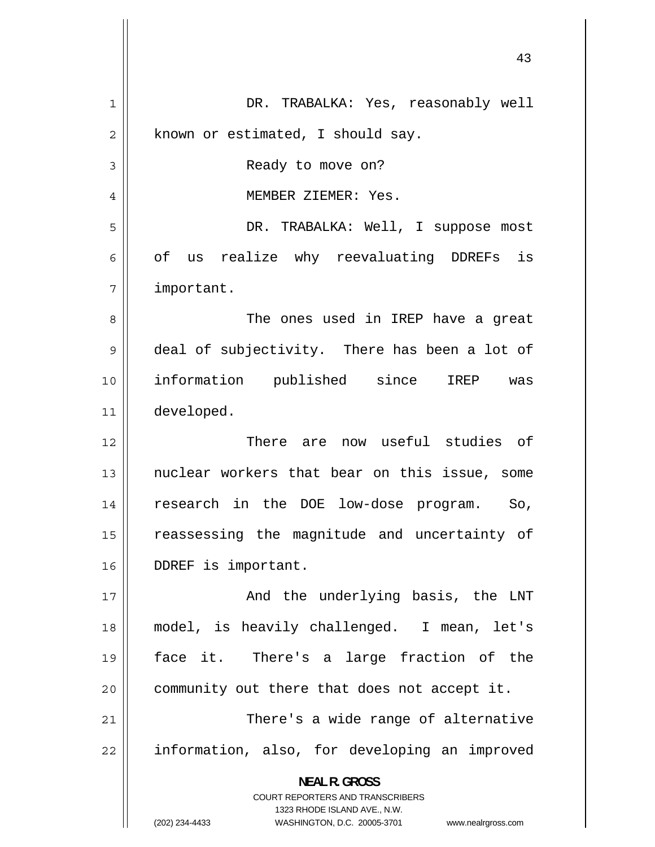| 1  | DR. TRABALKA: Yes, reasonably well                                                                  |
|----|-----------------------------------------------------------------------------------------------------|
| 2  | known or estimated, I should say.                                                                   |
| 3  | Ready to move on?                                                                                   |
| 4  | MEMBER ZIEMER: Yes.                                                                                 |
| 5  | DR. TRABALKA: Well, I suppose most                                                                  |
| 6  | of us realize why reevaluating DDREFs is                                                            |
| 7  | important.                                                                                          |
| 8  | The ones used in IREP have a great                                                                  |
| 9  | deal of subjectivity. There has been a lot of                                                       |
| 10 | information published since IREP was                                                                |
| 11 | developed.                                                                                          |
| 12 | There are now useful studies of                                                                     |
| 13 | nuclear workers that bear on this issue, some                                                       |
| 14 | research in the DOE low-dose program. So,                                                           |
| 15 | reassessing the magnitude and uncertainty of                                                        |
| 16 | DDREF is important.                                                                                 |
| 17 | And the underlying basis, the LNT                                                                   |
| 18 | model, is heavily challenged. I mean, let's                                                         |
| 19 | face it. There's a large fraction of the                                                            |
| 20 | community out there that does not accept it.                                                        |
| 21 | There's a wide range of alternative                                                                 |
| 22 | information, also, for developing an improved                                                       |
|    | <b>NEAL R. GROSS</b>                                                                                |
|    | <b>COURT REPORTERS AND TRANSCRIBERS</b>                                                             |
|    | 1323 RHODE ISLAND AVE., N.W.<br>(202) 234-4433<br>WASHINGTON, D.C. 20005-3701<br>www.nealrgross.com |
|    |                                                                                                     |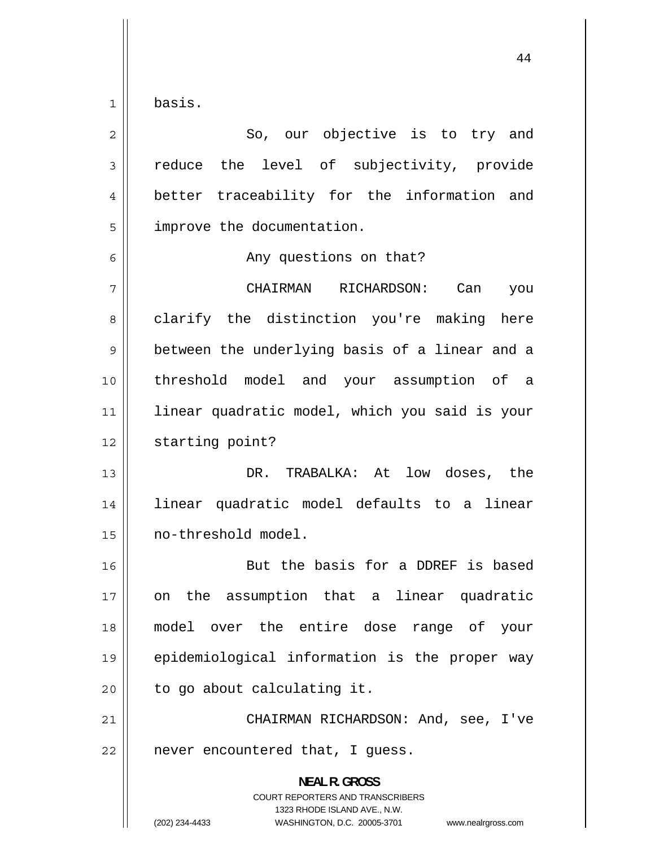1 basis.

| $\overline{c}$ | So, our objective is to try and                                                                                                                                        |
|----------------|------------------------------------------------------------------------------------------------------------------------------------------------------------------------|
| $\mathfrak{Z}$ | reduce the level of subjectivity, provide                                                                                                                              |
| 4              | better traceability for the information and                                                                                                                            |
| 5              | improve the documentation.                                                                                                                                             |
| 6              | Any questions on that?                                                                                                                                                 |
| 7              | CHAIRMAN RICHARDSON:<br>Can<br>you                                                                                                                                     |
| 8              | clarify the distinction you're making here                                                                                                                             |
| 9              | between the underlying basis of a linear and a                                                                                                                         |
| 10             | threshold model and your assumption of a                                                                                                                               |
| 11             | linear quadratic model, which you said is your                                                                                                                         |
| 12             | starting point?                                                                                                                                                        |
| 13             | DR. TRABALKA: At low doses, the                                                                                                                                        |
| 14             | linear quadratic model defaults to a linear                                                                                                                            |
| 15             | no-threshold model.                                                                                                                                                    |
| 16             | But the basis for a DDREF is based                                                                                                                                     |
| 17             | the assumption that a linear quadratic<br>on                                                                                                                           |
| 18             | model over the entire dose range of your                                                                                                                               |
| 19             | epidemiological information is the proper way                                                                                                                          |
| 20             | to go about calculating it.                                                                                                                                            |
| 21             | CHAIRMAN RICHARDSON: And, see, I've                                                                                                                                    |
| 22             | never encountered that, I guess.                                                                                                                                       |
|                | <b>NEAL R. GROSS</b><br><b>COURT REPORTERS AND TRANSCRIBERS</b><br>1323 RHODE ISLAND AVE., N.W.<br>(202) 234-4433<br>WASHINGTON, D.C. 20005-3701<br>www.nealrgross.com |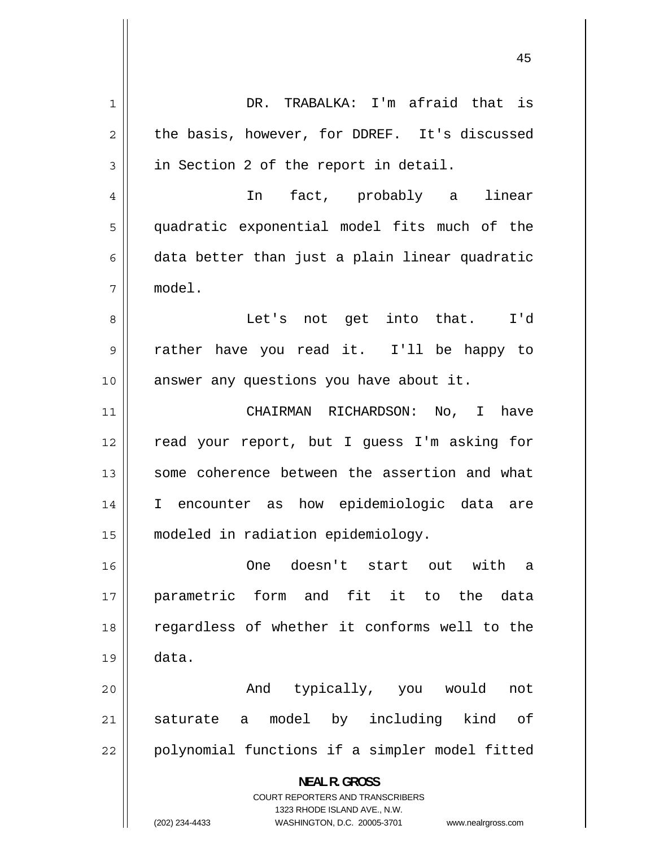1 DR. TRABALKA: I'm afraid that is 2 the basis, however, for DDREF. It's discussed 3 in Section 2 of the report in detail. 4 In fact, probably a linear 5 quadratic exponential model fits much of the 6 data better than just a plain linear quadratic 7 model. 8 Let's not get into that. I'd 9 rather have you read it. I'll be happy to 10 || answer any questions you have about it. 11 CHAIRMAN RICHARDSON: No, I have 12 read your report, but I guess I'm asking for 13 some coherence between the assertion and what 14 I encounter as how epidemiologic data are 15 modeled in radiation epidemiology. 16 One doesn't start out with a 17 parametric form and fit it to the data 18 regardless of whether it conforms well to the  $19 \parallel$  data. 20 And typically, you would not 21 saturate a model by including kind of 22 polynomial functions if a simpler model fitted **NEAL R. GROSS**  COURT REPORTERS AND TRANSCRIBERS 1323 RHODE ISLAND AVE., N.W. (202) 234-4433 WASHINGTON, D.C. 20005-3701 www.nealrgross.com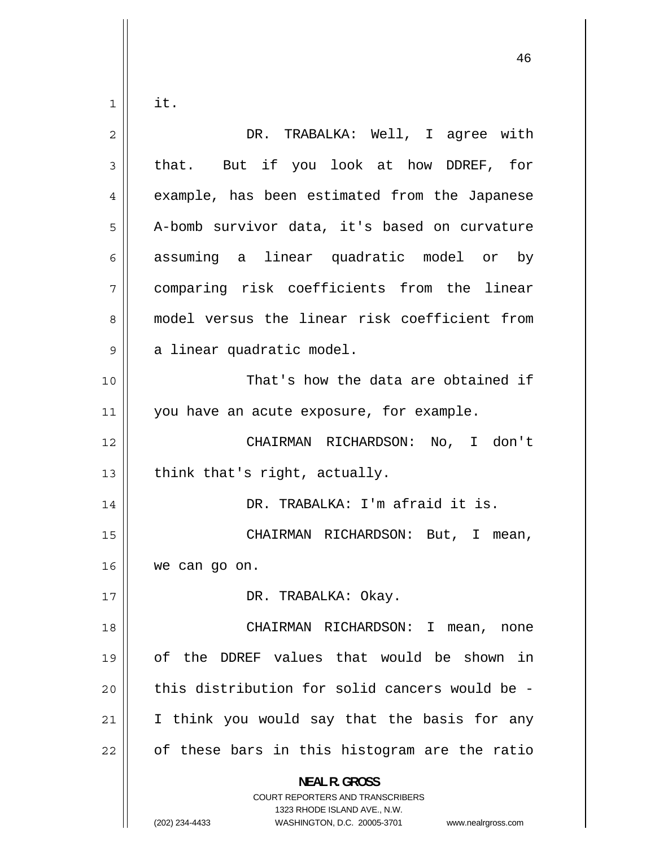1 it.

| $\overline{2}$ | DR. TRABALKA: Well, I agree with                                                                                                                                       |
|----------------|------------------------------------------------------------------------------------------------------------------------------------------------------------------------|
| 3              | that. But if you look at how DDREF, for                                                                                                                                |
| 4              | example, has been estimated from the Japanese                                                                                                                          |
| 5              | A-bomb survivor data, it's based on curvature                                                                                                                          |
| 6              | assuming a linear quadratic model or by                                                                                                                                |
| 7              | comparing risk coefficients from the linear                                                                                                                            |
| 8              | model versus the linear risk coefficient from                                                                                                                          |
| 9              | a linear quadratic model.                                                                                                                                              |
| 10             | That's how the data are obtained if                                                                                                                                    |
| 11             | you have an acute exposure, for example.                                                                                                                               |
| 12             | CHAIRMAN RICHARDSON: No, I don't                                                                                                                                       |
| 13             | think that's right, actually.                                                                                                                                          |
| 14             | DR. TRABALKA: I'm afraid it is.                                                                                                                                        |
| 15             | CHAIRMAN RICHARDSON: But, I mean,                                                                                                                                      |
| 16             | we can go on.                                                                                                                                                          |
| 17             | DR. TRABALKA: Okay.                                                                                                                                                    |
| 18             | CHAIRMAN RICHARDSON: I<br>mean,<br>none                                                                                                                                |
| 19             | of the DDREF values that would be shown in                                                                                                                             |
| 20             | this distribution for solid cancers would be -                                                                                                                         |
| 21             | I think you would say that the basis for any                                                                                                                           |
| 22             | of these bars in this histogram are the ratio                                                                                                                          |
|                | <b>NEAL R. GROSS</b><br><b>COURT REPORTERS AND TRANSCRIBERS</b><br>1323 RHODE ISLAND AVE., N.W.<br>(202) 234-4433<br>WASHINGTON, D.C. 20005-3701<br>www.nealrgross.com |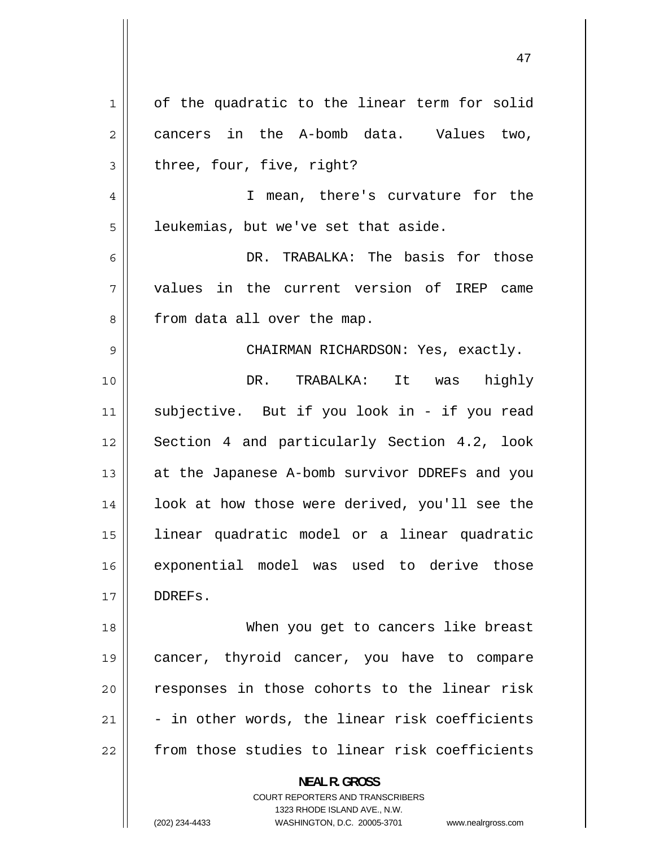| 1  | of the quadratic to the linear term for solid                                                       |
|----|-----------------------------------------------------------------------------------------------------|
| 2  | cancers in the A-bomb data. Values two,                                                             |
| 3  | three, four, five, right?                                                                           |
| 4  | I mean, there's curvature for the                                                                   |
| 5  | leukemias, but we've set that aside.                                                                |
| 6  | DR. TRABALKA: The basis for those                                                                   |
| 7  | values in the current version of IREP came                                                          |
| 8  | from data all over the map.                                                                         |
| 9  | CHAIRMAN RICHARDSON: Yes, exactly.                                                                  |
| 10 | DR. TRABALKA: It was highly                                                                         |
| 11 | subjective. But if you look in - if you read                                                        |
| 12 | Section 4 and particularly Section 4.2, look                                                        |
| 13 | at the Japanese A-bomb survivor DDREFs and you                                                      |
| 14 | look at how those were derived, you'll see the                                                      |
| 15 | linear quadratic model or a linear quadratic                                                        |
|    |                                                                                                     |
| 16 | exponential model was used to derive those                                                          |
| 17 | DDREFS.                                                                                             |
| 18 | When you get to cancers like breast                                                                 |
| 19 | cancer, thyroid cancer, you have to compare                                                         |
| 20 | responses in those cohorts to the linear risk                                                       |
| 21 | - in other words, the linear risk coefficients                                                      |
| 22 | from those studies to linear risk coefficients                                                      |
|    | <b>NEAL R. GROSS</b>                                                                                |
|    | <b>COURT REPORTERS AND TRANSCRIBERS</b>                                                             |
|    | 1323 RHODE ISLAND AVE., N.W.<br>(202) 234-4433<br>WASHINGTON, D.C. 20005-3701<br>www.nealrgross.com |
|    |                                                                                                     |

<sup>(202) 234-4433</sup> WASHINGTON, D.C. 20005-3701 www.nealrgross.com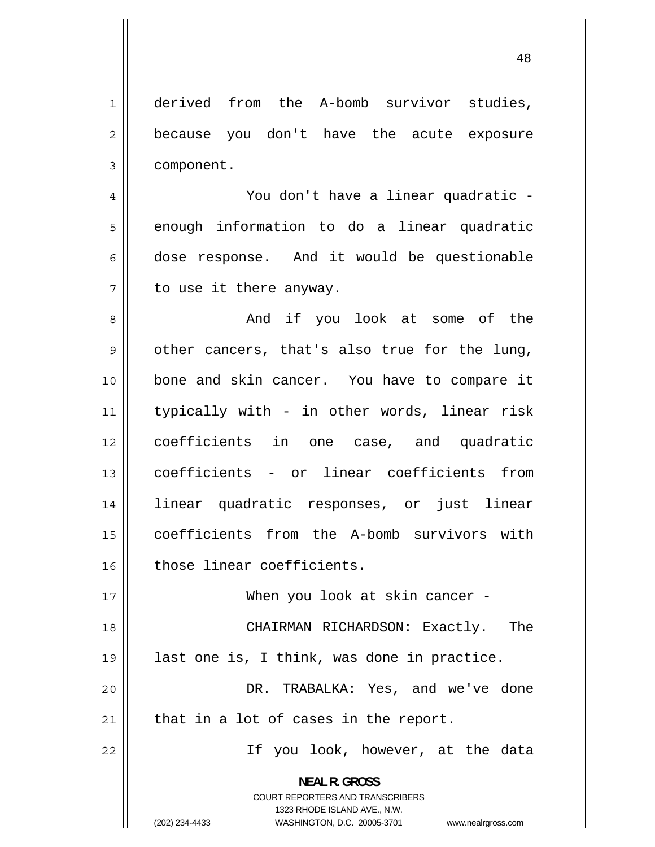1 derived from the A-bomb survivor studies, 2 because you don't have the acute exposure 3 component.

4 You don't have a linear quadratic -5 enough information to do a linear quadratic 6 dose response. And it would be questionable 7 to use it there anyway.

8 And if you look at some of the 9 other cancers, that's also true for the lung, 10 bone and skin cancer. You have to compare it 11 typically with - in other words, linear risk 12 coefficients in one case, and quadratic 13 coefficients - or linear coefficients from 14 linear quadratic responses, or just linear 15 coefficients from the A-bomb survivors with 16 those linear coefficients.

17 When you look at skin cancer - 18 CHAIRMAN RICHARDSON: Exactly. The 19 last one is, I think, was done in practice. 20 DR. TRABALKA: Yes, and we've done  $21$  | that in a lot of cases in the report.

If you look, however, at the data

**NEAL R. GROSS**  COURT REPORTERS AND TRANSCRIBERS 1323 RHODE ISLAND AVE., N.W.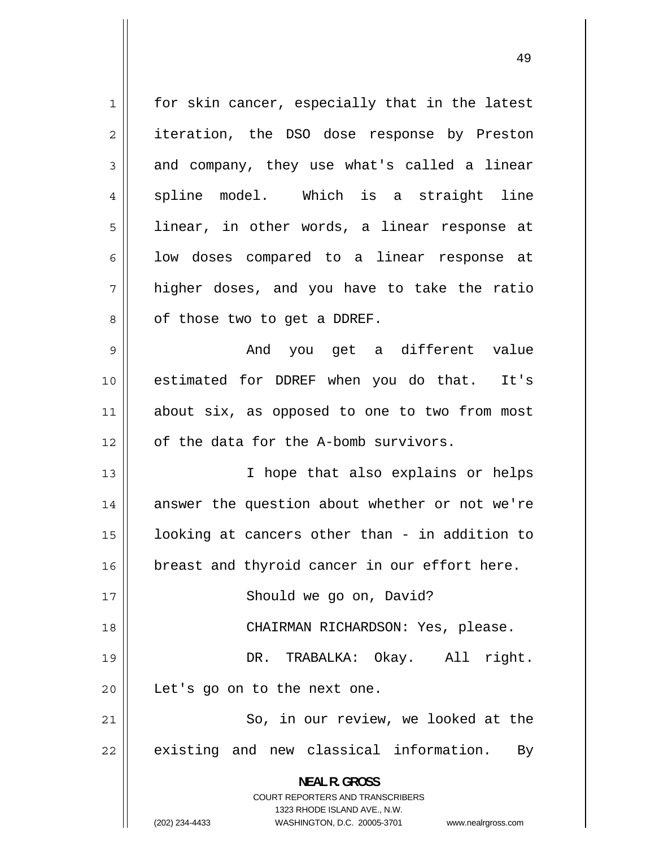1 for skin cancer, especially that in the latest 2 iteration, the DSO dose response by Preston 3 and company, they use what's called a linear 4 spline model. Which is a straight line 5 linear, in other words, a linear response at 6 low doses compared to a linear response at 7 higher doses, and you have to take the ratio 8 of those two to get a DDREF. 9 And you get a different value 10 estimated for DDREF when you do that. It's 11 about six, as opposed to one to two from most  $12$  | of the data for the A-bomb survivors. 13 I hope that also explains or helps 14 answer the question about whether or not we're 15 looking at cancers other than - in addition to 16 | breast and thyroid cancer in our effort here. 17 || Should we go on, David? 18 CHAIRMAN RICHARDSON: Yes, please. 19 DR. TRABALKA: Okay. All right. 20 || Let's go on to the next one. 21 So, in our review, we looked at the 22 existing and new classical information. By **NEAL R. GROSS**  COURT REPORTERS AND TRANSCRIBERS 1323 RHODE ISLAND AVE., N.W. (202) 234-4433 WASHINGTON, D.C. 20005-3701 www.nealrgross.com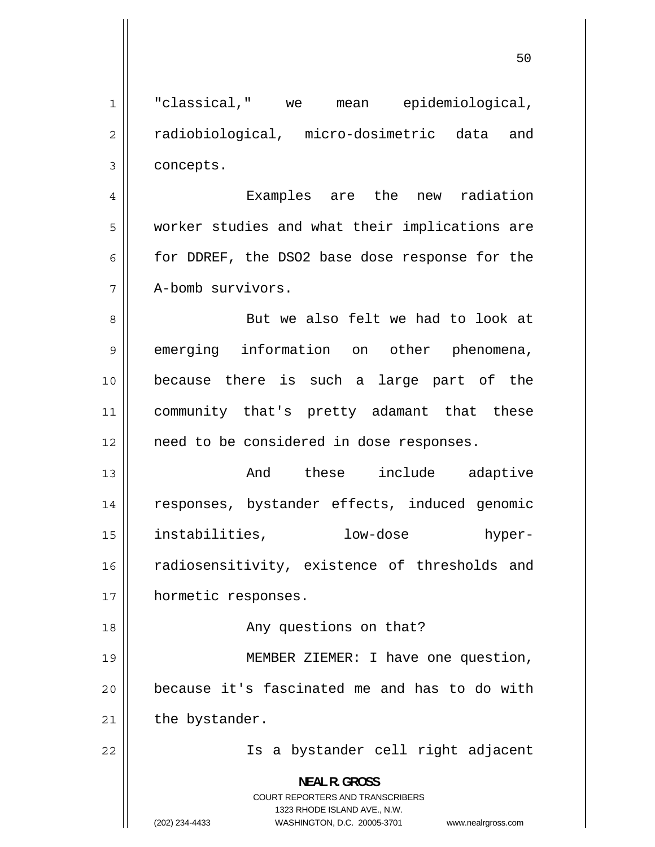1 "classical," we mean epidemiological, 2 radiobiological, micro-dosimetric data and 3 concepts. 4 Examples are the new radiation 5 worker studies and what their implications are 6 for DDREF, the DSO2 base dose response for the 7 A-bomb survivors. 8 But we also felt we had to look at 9 emerging information on other phenomena, 10 because there is such a large part of the 11 community that's pretty adamant that these 12 || need to be considered in dose responses. 13 And these include adaptive 14 responses, bystander effects, induced genomic 15 instabilities, low-dose hyper-16 radiosensitivity, existence of thresholds and 17 | hormetic responses. 18 || Any questions on that? 19 MEMBER ZIEMER: I have one question, 20 because it's fascinated me and has to do with  $21$  | the bystander. 22 Is a bystander cell right adjacent **NEAL R. GROSS** 

> COURT REPORTERS AND TRANSCRIBERS 1323 RHODE ISLAND AVE., N.W.

(202) 234-4433 WASHINGTON, D.C. 20005-3701 www.nealrgross.com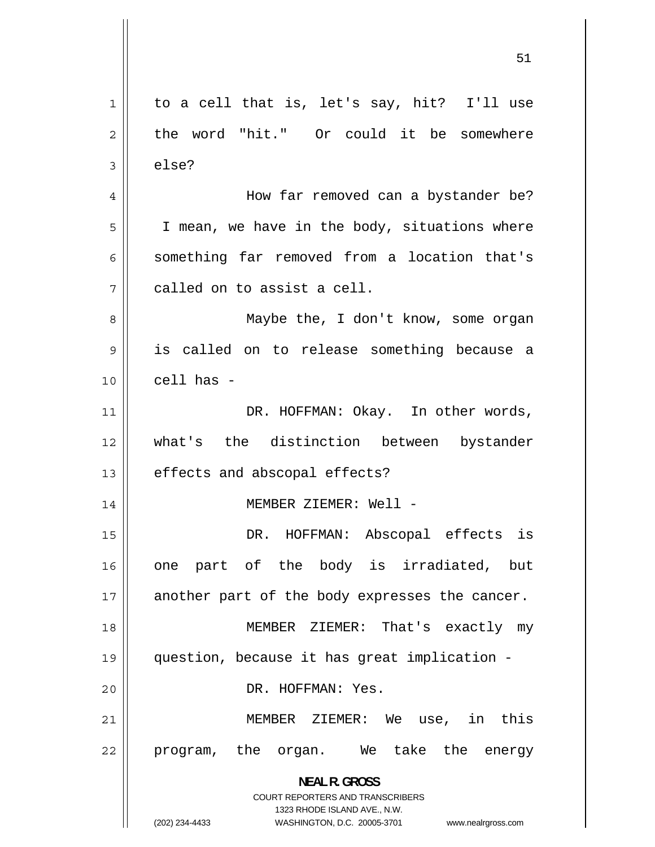1 to a cell that is, let's say, hit? I'll use 2 the word "hit." Or could it be somewhere 3 else? 4 How far removed can a bystander be? 5 I mean, we have in the body, situations where 6 something far removed from a location that's 7 called on to assist a cell. 8 Maybe the, I don't know, some organ 9 is called on to release something because a  $10$   $\parallel$  cell has -11 DR. HOFFMAN: Okay. In other words, 12 what's the distinction between bystander 13 || effects and abscopal effects? 14 MEMBER ZIEMER: Well - 15 DR. HOFFMAN: Abscopal effects is 16 one part of the body is irradiated, but 17 another part of the body expresses the cancer. 18 MEMBER ZIEMER: That's exactly my 19 question, because it has great implication - 20 || DR. HOFFMAN: Yes. 21 MEMBER ZIEMER: We use, in this 22 program, the organ. We take the energy **NEAL R. GROSS**  COURT REPORTERS AND TRANSCRIBERS 1323 RHODE ISLAND AVE., N.W. (202) 234-4433 WASHINGTON, D.C. 20005-3701 www.nealrgross.com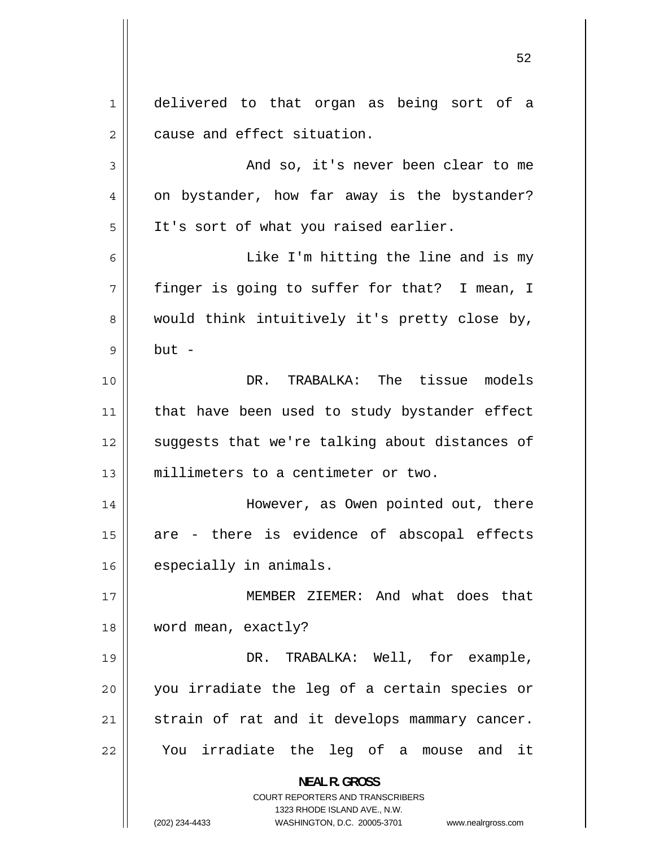1 delivered to that organ as being sort of a 2 cause and effect situation. 3 And so, it's never been clear to me 4 on bystander, how far away is the bystander? 5 It's sort of what you raised earlier. 6 Like I'm hitting the line and is my 7 finger is going to suffer for that? I mean, I 8 would think intuitively it's pretty close by, 9 but - 10 DR. TRABALKA: The tissue models 11 that have been used to study bystander effect 12 suggests that we're talking about distances of 13 millimeters to a centimeter or two. 14 However, as Owen pointed out, there 15 are - there is evidence of abscopal effects 16 | especially in animals. 17 MEMBER ZIEMER: And what does that 18 | word mean, exactly? 19 DR. TRABALKA: Well, for example, 20 you irradiate the leg of a certain species or 21 strain of rat and it develops mammary cancer. 22 You irradiate the leg of a mouse and it **NEAL R. GROSS**  COURT REPORTERS AND TRANSCRIBERS 1323 RHODE ISLAND AVE., N.W. (202) 234-4433 WASHINGTON, D.C. 20005-3701 www.nealrgross.com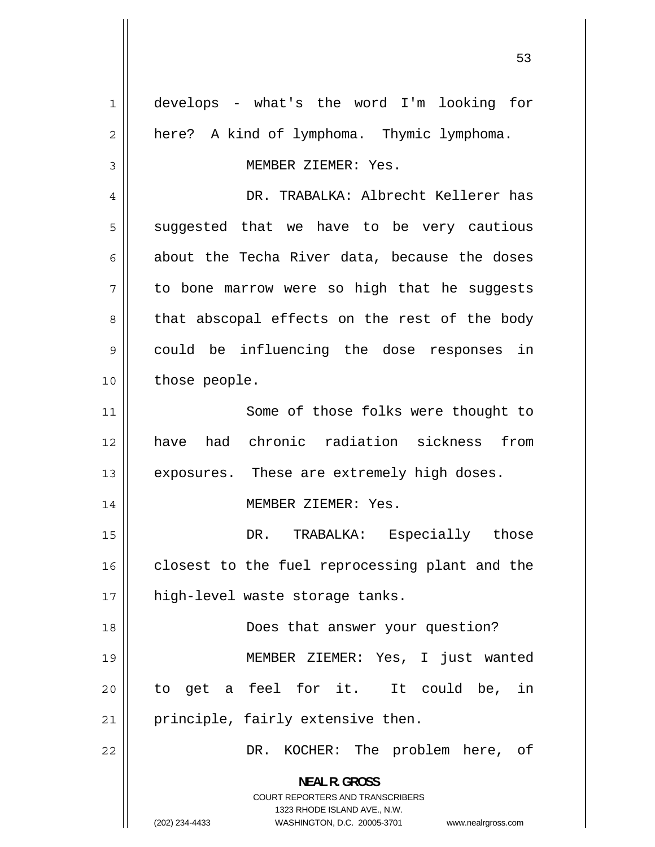1 develops - what's the word I'm looking for 2 here? A kind of lymphoma. Thymic lymphoma. 3 MEMBER ZIEMER: Yes. 4 DR. TRABALKA: Albrecht Kellerer has 5 suggested that we have to be very cautious 6 about the Techa River data, because the doses 7 to bone marrow were so high that he suggests 8 that abscopal effects on the rest of the body 9 could be influencing the dose responses in 10 | those people. 11 Some of those folks were thought to 12 have had chronic radiation sickness from  $13$  || exposures. These are extremely high doses. 14 || MEMBER ZIEMER: Yes. 15 DR. TRABALKA: Especially those 16 closest to the fuel reprocessing plant and the 17 || high-level waste storage tanks. 18 Does that answer your question? 19 MEMBER ZIEMER: Yes, I just wanted 20 to get a feel for it. It could be, in  $21$  | principle, fairly extensive then. 22 DR. KOCHER: The problem here, of **NEAL R. GROSS**  COURT REPORTERS AND TRANSCRIBERS 1323 RHODE ISLAND AVE., N.W. (202) 234-4433 WASHINGTON, D.C. 20005-3701 www.nealrgross.com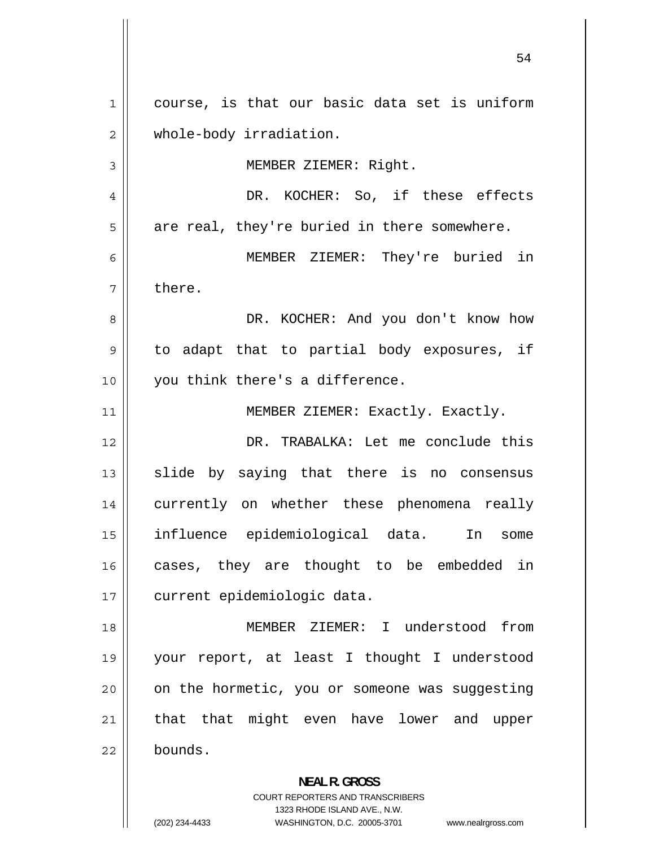1 course, is that our basic data set is uniform 2 whole-body irradiation. 3 MEMBER ZIEMER: Right. 4 DR. KOCHER: So, if these effects 5 are real, they're buried in there somewhere. 6 MEMBER ZIEMER: They're buried in 7 there. 8 DR. KOCHER: And you don't know how 9 to adapt that to partial body exposures, if 10 || you think there's a difference. 11 | MEMBER ZIEMER: Exactly. Exactly. 12 DR. TRABALKA: Let me conclude this 13 slide by saying that there is no consensus 14 currently on whether these phenomena really 15 influence epidemiological data. In some 16 cases, they are thought to be embedded in 17 | current epidemiologic data. 18 MEMBER ZIEMER: I understood from 19 your report, at least I thought I understood 20 on the hormetic, you or someone was suggesting 21 that that might even have lower and upper 22 bounds. **NEAL R. GROSS** 

> COURT REPORTERS AND TRANSCRIBERS 1323 RHODE ISLAND AVE., N.W.

(202) 234-4433 WASHINGTON, D.C. 20005-3701 www.nealrgross.com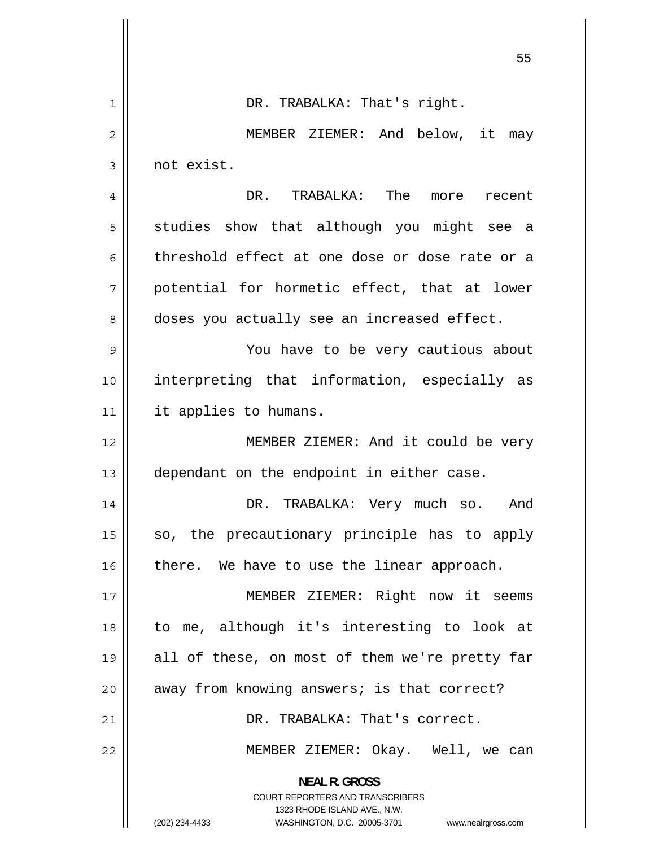|    | 55                                                                                               |
|----|--------------------------------------------------------------------------------------------------|
| 1  | DR. TRABALKA: That's right.                                                                      |
| 2  | MEMBER ZIEMER: And below, it<br>may                                                              |
| 3  | not exist.                                                                                       |
| 4  | DR. TRABALKA: The more recent                                                                    |
| 5  | studies show that although you might see a                                                       |
| 6  | threshold effect at one dose or dose rate or a                                                   |
| 7  | potential for hormetic effect, that at lower                                                     |
| 8  | doses you actually see an increased effect.                                                      |
| 9  | You have to be very cautious about                                                               |
| 10 | interpreting that information, especially as                                                     |
| 11 | it applies to humans.                                                                            |
| 12 | MEMBER ZIEMER: And it could be very                                                              |
| 13 | dependant on the endpoint in either case.                                                        |
| 14 | DR. TRABALKA: Very much so.<br>And                                                               |
| 15 | so, the precautionary principle has to apply                                                     |
| 16 | there. We have to use the linear approach.                                                       |
| 17 | MEMBER ZIEMER: Right now it seems                                                                |
| 18 | to me, although it's interesting to look at                                                      |
| 19 | all of these, on most of them we're pretty far                                                   |
| 20 | away from knowing answers; is that correct?                                                      |
| 21 | DR. TRABALKA: That's correct.                                                                    |
| 22 | MEMBER ZIEMER: Okay. Well, we can                                                                |
|    | <b>NEAL R. GROSS</b><br><b>COURT REPORTERS AND TRANSCRIBERS</b>                                  |
|    | 1323 RHODE ISLAND AVE., N.W.<br>(202) 234-4433<br>WASHINGTON, D.C. 20005-3701 www.nealrgross.com |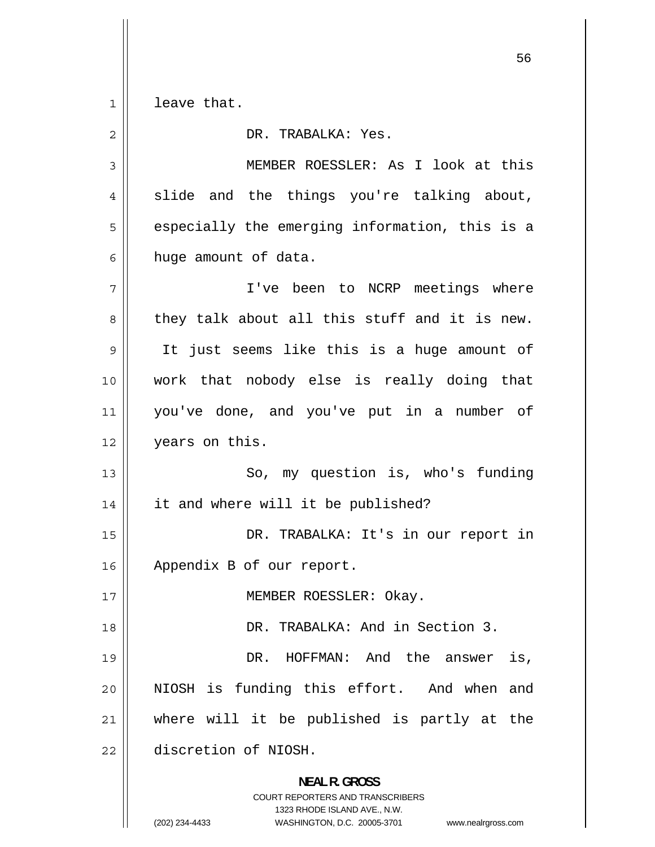$1$ leave that.

| 2  | DR. TRABALKA: Yes.                                                                                                                                                     |
|----|------------------------------------------------------------------------------------------------------------------------------------------------------------------------|
| 3  | MEMBER ROESSLER: As I look at this                                                                                                                                     |
| 4  | slide and the things you're talking about,                                                                                                                             |
| 5  | especially the emerging information, this is a                                                                                                                         |
| 6  | huge amount of data.                                                                                                                                                   |
| 7  | I've been to NCRP meetings where                                                                                                                                       |
| 8  | they talk about all this stuff and it is new.                                                                                                                          |
| 9  | It just seems like this is a huge amount of                                                                                                                            |
| 10 | work that nobody else is really doing that                                                                                                                             |
| 11 | you've done, and you've put in a number of                                                                                                                             |
| 12 | years on this.                                                                                                                                                         |
| 13 | So, my question is, who's funding                                                                                                                                      |
| 14 | it and where will it be published?                                                                                                                                     |
| 15 | DR. TRABALKA: It's in our report in                                                                                                                                    |
| 16 | Appendix B of our report.                                                                                                                                              |
| 17 | MEMBER ROESSLER: Okay.                                                                                                                                                 |
| 18 | DR. TRABALKA: And in Section 3.                                                                                                                                        |
| 19 | DR. HOFFMAN: And the answer<br>is,                                                                                                                                     |
| 20 | NIOSH is funding this effort. And when<br>and                                                                                                                          |
| 21 | where will it be published is partly at the                                                                                                                            |
| 22 | discretion of NIOSH.                                                                                                                                                   |
|    | <b>NEAL R. GROSS</b><br><b>COURT REPORTERS AND TRANSCRIBERS</b><br>1323 RHODE ISLAND AVE., N.W.<br>(202) 234-4433<br>WASHINGTON, D.C. 20005-3701<br>www.nealrgross.com |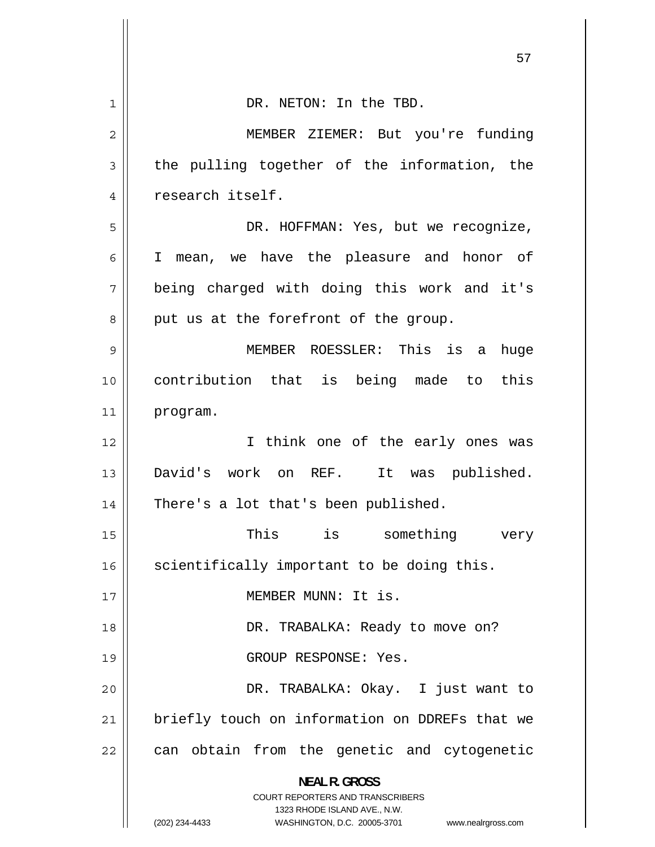|    | ו כ                                                                                                                                                                 |
|----|---------------------------------------------------------------------------------------------------------------------------------------------------------------------|
| 1  | DR. NETON: In the TBD.                                                                                                                                              |
| 2  | MEMBER ZIEMER: But you're funding                                                                                                                                   |
| 3  | the pulling together of the information, the                                                                                                                        |
| 4  | research itself.                                                                                                                                                    |
| 5  | DR. HOFFMAN: Yes, but we recognize,                                                                                                                                 |
| 6  | I mean, we have the pleasure and honor of                                                                                                                           |
| 7  | being charged with doing this work and it's                                                                                                                         |
| 8  | put us at the forefront of the group.                                                                                                                               |
| 9  | MEMBER ROESSLER: This is<br>huge<br>a                                                                                                                               |
| 10 | contribution that is being made to this                                                                                                                             |
| 11 | program.                                                                                                                                                            |
| 12 | I think one of the early ones was                                                                                                                                   |
| 13 | David's work on REF. It was published.                                                                                                                              |
| 14 | There's a lot that's been published.                                                                                                                                |
| 15 | is something<br>This<br>very                                                                                                                                        |
| 16 | scientifically important to be doing this.                                                                                                                          |
| 17 | MEMBER MUNN: It is.                                                                                                                                                 |
| 18 | DR. TRABALKA: Ready to move on?                                                                                                                                     |
| 19 | GROUP RESPONSE: Yes.                                                                                                                                                |
| 20 | DR. TRABALKA: Okay. I just want to                                                                                                                                  |
| 21 | briefly touch on information on DDREFs that we                                                                                                                      |
| 22 | can obtain from the genetic and cytogenetic                                                                                                                         |
|    | <b>NEAL R. GROSS</b><br><b>COURT REPORTERS AND TRANSCRIBERS</b><br>1323 RHODE ISLAND AVE., N.W.<br>(202) 234-4433<br>WASHINGTON, D.C. 20005-3701 www.nealrgross.com |

 $\overline{\phantom{a}}$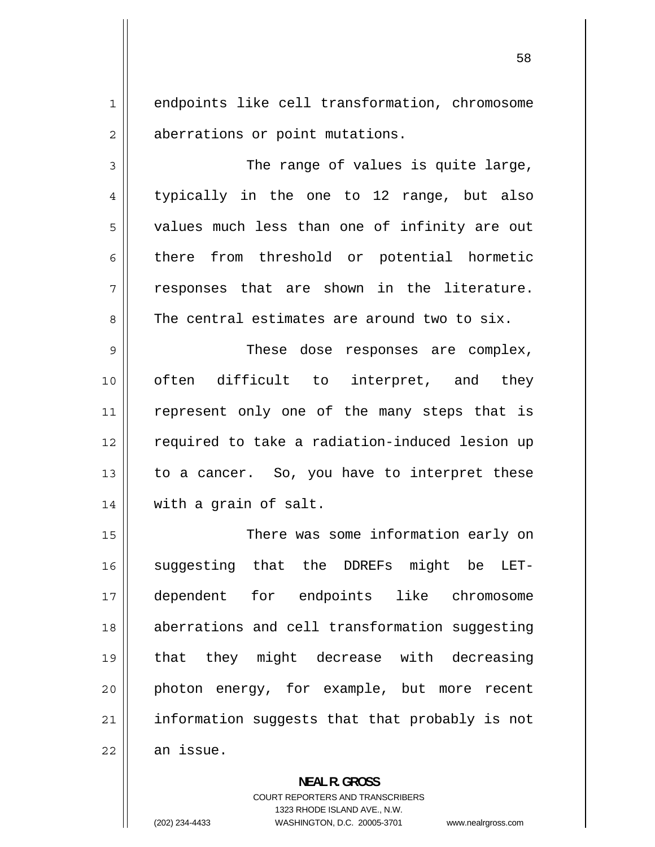1 endpoints like cell transformation, chromosome 2 aberrations or point mutations.

3 The range of values is quite large, 4 typically in the one to 12 range, but also 5 values much less than one of infinity are out 6 there from threshold or potential hormetic 7 responses that are shown in the literature. 8 The central estimates are around two to six.

9 These dose responses are complex, 10 often difficult to interpret, and they 11 represent only one of the many steps that is 12 required to take a radiation-induced lesion up 13 to a cancer. So, you have to interpret these 14 | with a grain of salt.

15 There was some information early on 16 suggesting that the DDREFs might be LET-17 dependent for endpoints like chromosome 18 aberrations and cell transformation suggesting 19 that they might decrease with decreasing 20 photon energy, for example, but more recent 21 information suggests that that probably is not  $22$   $\parallel$  an issue.

> **NEAL R. GROSS**  COURT REPORTERS AND TRANSCRIBERS 1323 RHODE ISLAND AVE., N.W. (202) 234-4433 WASHINGTON, D.C. 20005-3701 www.nealrgross.com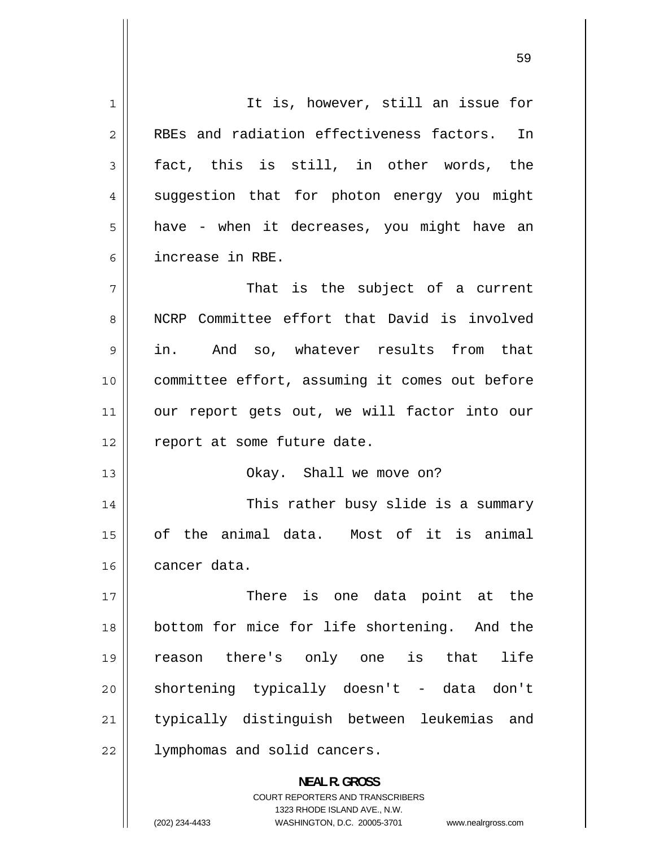1 It is, however, still an issue for 2 RBEs and radiation effectiveness factors. In 3 fact, this is still, in other words, the 4 suggestion that for photon energy you might 5 have - when it decreases, you might have an 6 increase in RBE. 7 That is the subject of a current 8 NCRP Committee effort that David is involved 9 in. And so, whatever results from that 10 committee effort, assuming it comes out before 11 our report gets out, we will factor into our 12 | report at some future date. 13 || Ckay. Shall we move on? 14 This rather busy slide is a summary 15 of the animal data. Most of it is animal 16 cancer data. 17 There is one data point at the 18 bottom for mice for life shortening. And the 19 reason there's only one is that life 20 shortening typically doesn't - data don't 21 typically distinguish between leukemias and 22 | lymphomas and solid cancers. **NEAL R. GROSS**  COURT REPORTERS AND TRANSCRIBERS

1323 RHODE ISLAND AVE., N.W.

(202) 234-4433 WASHINGTON, D.C. 20005-3701 www.nealrgross.com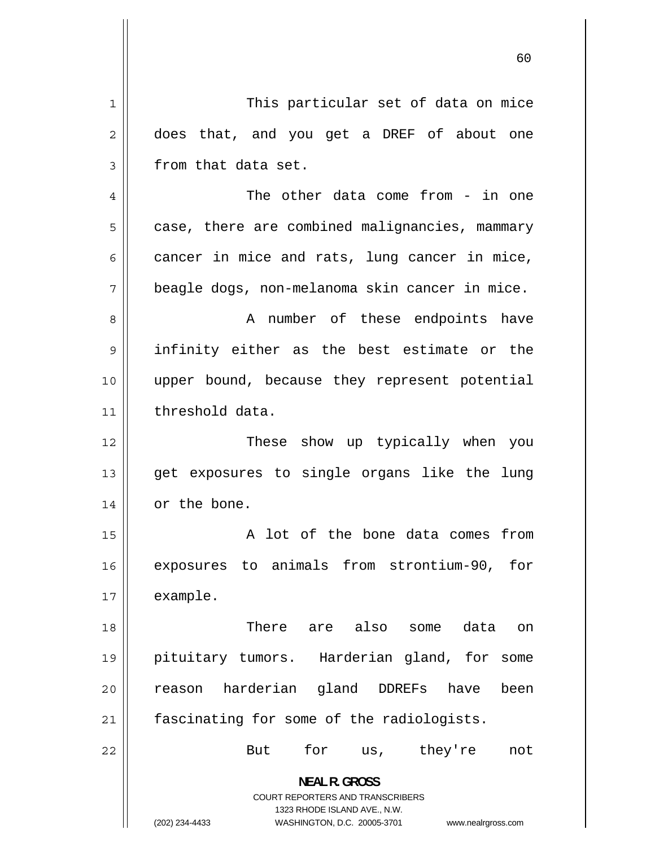1 This particular set of data on mice 2 does that, and you get a DREF of about one 3 from that data set. 4 The other data come from - in one 5 case, there are combined malignancies, mammary 6 cancer in mice and rats, lung cancer in mice, 7 beagle dogs, non-melanoma skin cancer in mice. 8 A number of these endpoints have 9 infinity either as the best estimate or the 10 upper bound, because they represent potential 11 | threshold data. 12 These show up typically when you 13 get exposures to single organs like the lung 14 | or the bone. 15 A lot of the bone data comes from 16 exposures to animals from strontium-90, for 17 example. 18 There are also some data on 19 pituitary tumors. Harderian gland, for some 20 reason harderian gland DDREFs have been 21 | fascinating for some of the radiologists. 22 But for us, they're not **NEAL R. GROSS**  COURT REPORTERS AND TRANSCRIBERS 1323 RHODE ISLAND AVE., N.W. (202) 234-4433 WASHINGTON, D.C. 20005-3701 www.nealrgross.com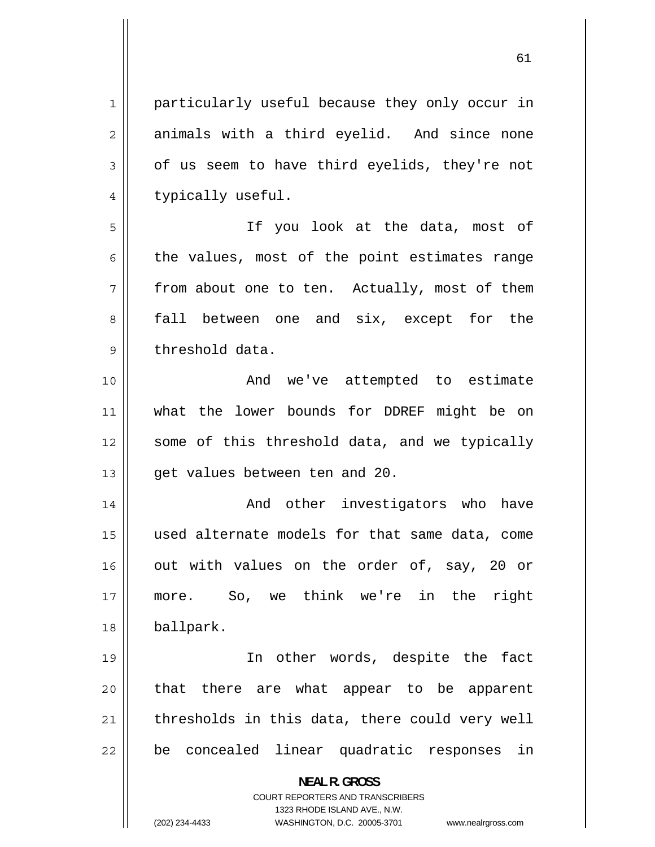61

1 particularly useful because they only occur in 2 animals with a third eyelid. And since none 3 of us seem to have third eyelids, they're not 4 typically useful. 5 If you look at the data, most of 6 the values, most of the point estimates range 7 from about one to ten. Actually, most of them 8 fall between one and six, except for the 9 threshold data. 10 And we've attempted to estimate 11 what the lower bounds for DDREF might be on 12 some of this threshold data, and we typically  $13$  | qet values between ten and 20. 14 And other investigators who have 15 used alternate models for that same data, come 16 out with values on the order of, say, 20 or 17 more. So, we think we're in the right 18 ballpark. 19 In other words, despite the fact 20 that there are what appear to be apparent 21 thresholds in this data, there could very well 22 be concealed linear quadratic responses in **NEAL R. GROSS**  COURT REPORTERS AND TRANSCRIBERS 1323 RHODE ISLAND AVE., N.W. (202) 234-4433 WASHINGTON, D.C. 20005-3701 www.nealrgross.com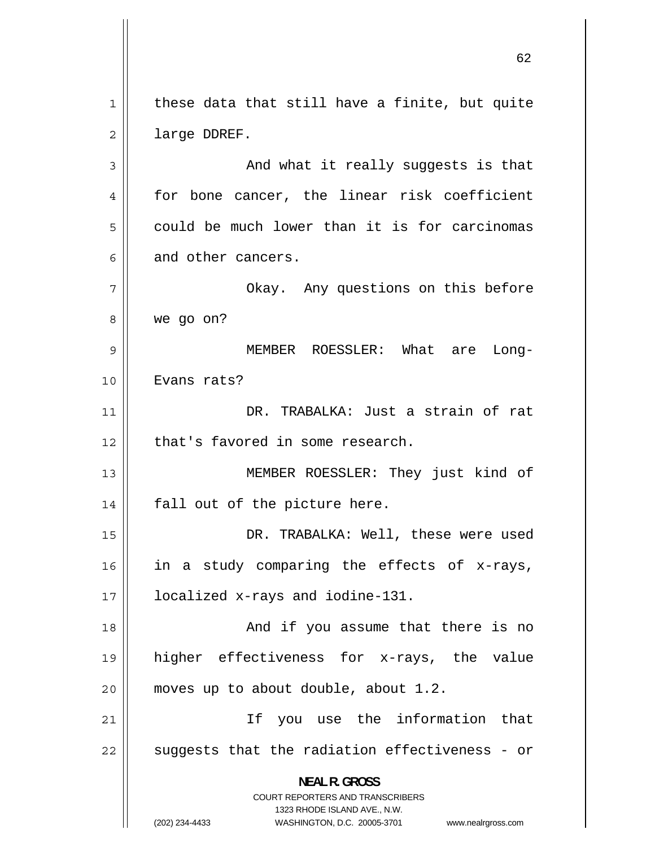1 these data that still have a finite, but quite 2 large DDREF. 3 And what it really suggests is that 4 for bone cancer, the linear risk coefficient 5 could be much lower than it is for carcinomas 6 and other cancers. 7 Okay. Any questions on this before 8 we go on? 9 MEMBER ROESSLER: What are Long-10 || Evans rats? 11 DR. TRABALKA: Just a strain of rat  $12$  | that's favored in some research. 13 MEMBER ROESSLER: They just kind of  $14$  | fall out of the picture here. 15 DR. TRABALKA: Well, these were used 16 in a study comparing the effects of x-rays, 17 localized x-rays and iodine-131. 18 And if you assume that there is no 19 higher effectiveness for x-rays, the value 20  $\parallel$  moves up to about double, about 1.2. 21 If you use the information that 22 suggests that the radiation effectiveness - or **NEAL R. GROSS**  COURT REPORTERS AND TRANSCRIBERS 1323 RHODE ISLAND AVE., N.W. (202) 234-4433 WASHINGTON, D.C. 20005-3701 www.nealrgross.com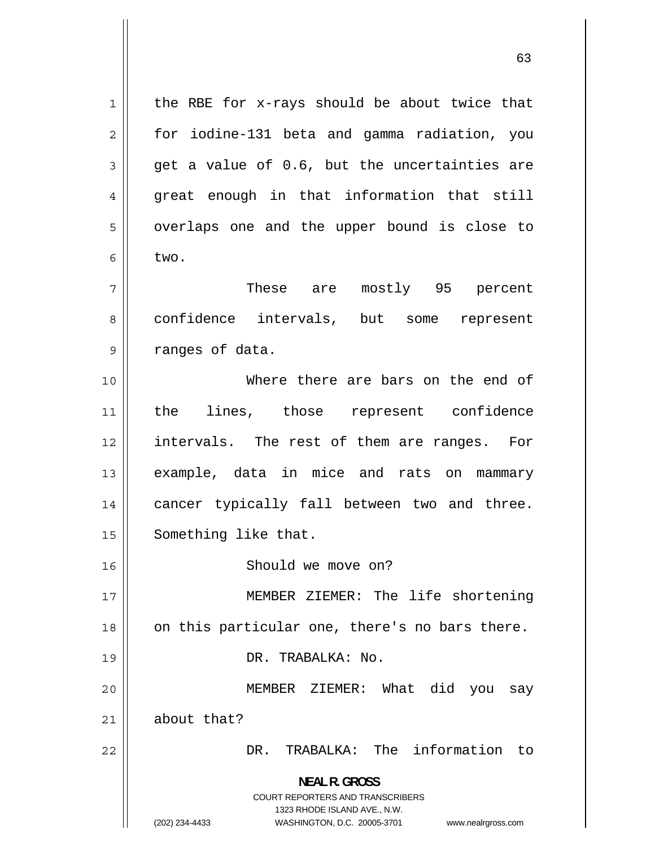1 the RBE for x-rays should be about twice that 2 for iodine-131 beta and gamma radiation, you 3 get a value of 0.6, but the uncertainties are 4 great enough in that information that still 5 overlaps one and the upper bound is close to 6 two. 7 These are mostly 95 percent 8 confidence intervals, but some represent 9 ranges of data. 10 Where there are bars on the end of 11 the lines, those represent confidence 12 intervals. The rest of them are ranges. For 13 example, data in mice and rats on mammary 14 cancer typically fall between two and three. 15 | Something like that. 16 | Should we move on? 17 MEMBER ZIEMER: The life shortening 18 on this particular one, there's no bars there. 19 DR. TRABALKA: No. 20 MEMBER ZIEMER: What did you say  $21$  about that? 22 DR. TRABALKA: The information to **NEAL R. GROSS**  COURT REPORTERS AND TRANSCRIBERS 1323 RHODE ISLAND AVE., N.W. (202) 234-4433 WASHINGTON, D.C. 20005-3701 www.nealrgross.com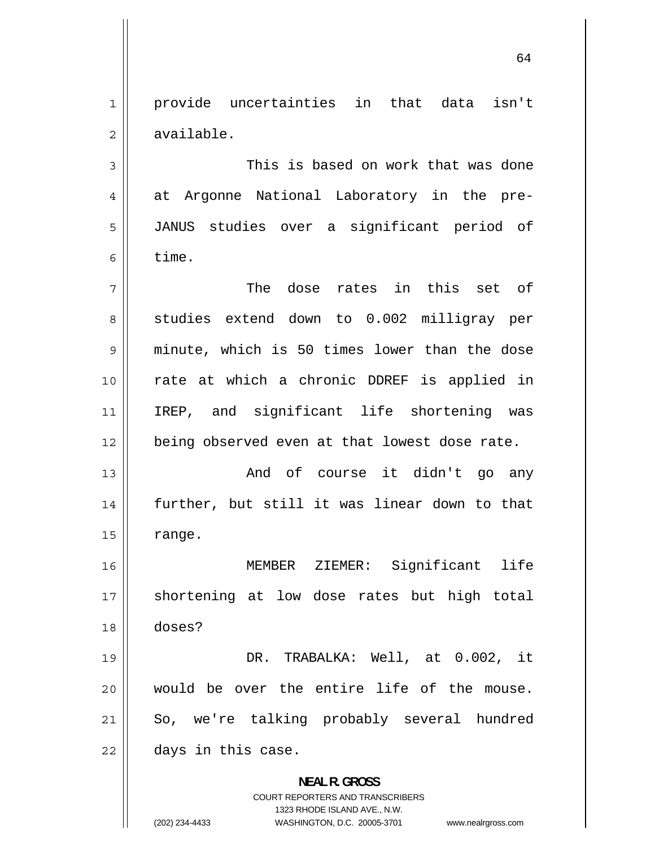1 provide uncertainties in that data isn't 2 available.

3 This is based on work that was done 4 at Argonne National Laboratory in the pre-5 JANUS studies over a significant period of 6 time.

7 The dose rates in this set of 8 studies extend down to 0.002 milligray per 9 minute, which is 50 times lower than the dose 10 rate at which a chronic DDREF is applied in 11 IREP, and significant life shortening was 12 || being observed even at that lowest dose rate.

13 And of course it didn't go any 14 further, but still it was linear down to that  $15$   $\parallel$  range.

16 MEMBER ZIEMER: Significant life 17 shortening at low dose rates but high total 18 doses?

19 DR. TRABALKA: Well, at 0.002, it 20 would be over the entire life of the mouse. 21 So, we're talking probably several hundred  $22$  | days in this case.

> **NEAL R. GROSS**  COURT REPORTERS AND TRANSCRIBERS 1323 RHODE ISLAND AVE., N.W. (202) 234-4433 WASHINGTON, D.C. 20005-3701 www.nealrgross.com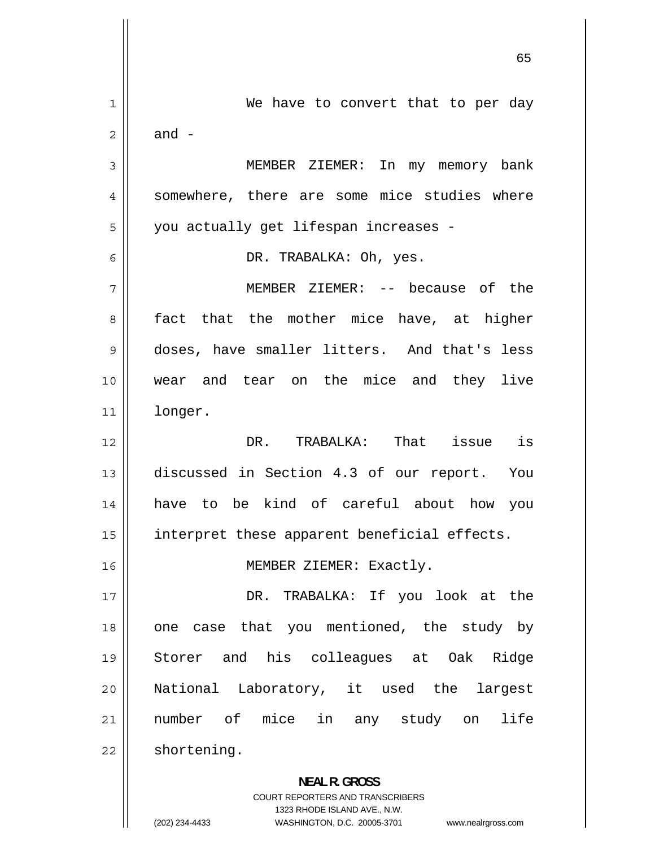1 We have to convert that to per day 2 and - 3 MEMBER ZIEMER: In my memory bank 4 somewhere, there are some mice studies where 5 you actually get lifespan increases - 6 DR. TRABALKA: Oh, yes. 7 MEMBER ZIEMER: -- because of the 8 fact that the mother mice have, at higher 9 doses, have smaller litters. And that's less 10 wear and tear on the mice and they live 11 longer. 12 DR. TRABALKA: That issue is 13 discussed in Section 4.3 of our report. You 14 have to be kind of careful about how you 15 || interpret these apparent beneficial effects. 16 || MEMBER ZIEMER: Exactly. 17 DR. TRABALKA: If you look at the 18 one case that you mentioned, the study by 19 Storer and his colleagues at Oak Ridge 20 National Laboratory, it used the largest 21 number of mice in any study on life  $22$  | shortening. **NEAL R. GROSS**  COURT REPORTERS AND TRANSCRIBERS

1323 RHODE ISLAND AVE., N.W.

(202) 234-4433 WASHINGTON, D.C. 20005-3701 www.nealrgross.com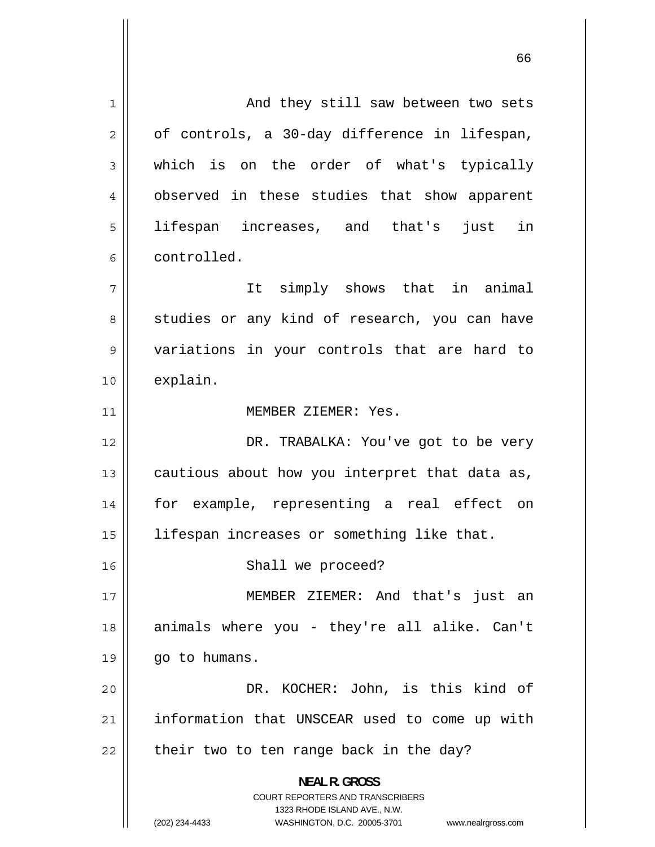1 And they still saw between two sets 2 of controls, a 30-day difference in lifespan, 3 which is on the order of what's typically 4 observed in these studies that show apparent 5 lifespan increases, and that's just in 6 controlled. 7 It simply shows that in animal 8 studies or any kind of research, you can have 9 variations in your controls that are hard to 10 explain. 11 | MEMBER ZIEMER: Yes. 12 DR. TRABALKA: You've got to be very 13 cautious about how you interpret that data as, 14 for example, representing a real effect on 15 | lifespan increases or something like that. 16 || Shall we proceed? 17 MEMBER ZIEMER: And that's just an 18 animals where you - they're all alike. Can't  $19 \parallel$  go to humans. 20 DR. KOCHER: John, is this kind of 21 information that UNSCEAR used to come up with  $22$  || their two to ten range back in the day? **NEAL R. GROSS**  COURT REPORTERS AND TRANSCRIBERS 1323 RHODE ISLAND AVE., N.W. (202) 234-4433 WASHINGTON, D.C. 20005-3701 www.nealrgross.com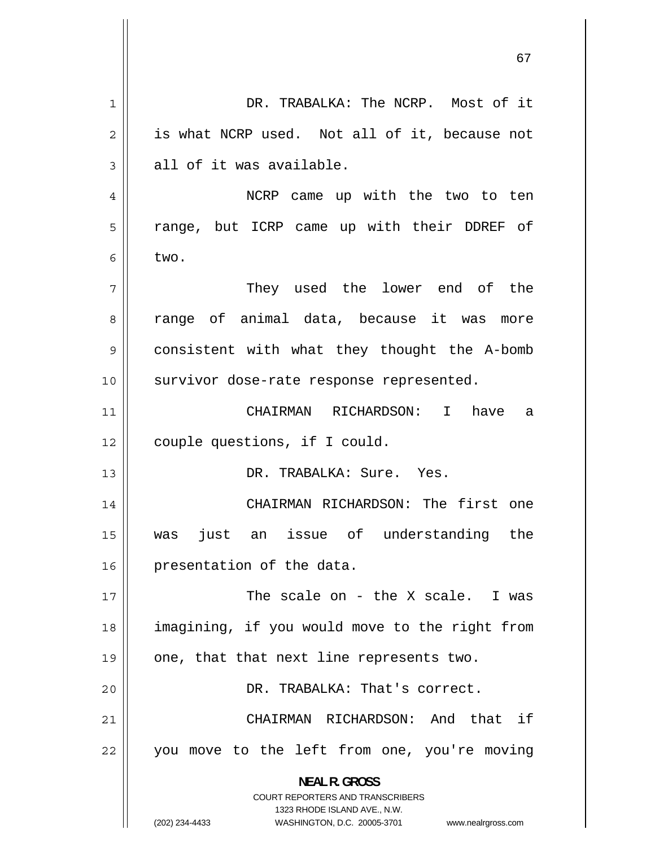1 DR. TRABALKA: The NCRP. Most of it 2 is what NCRP used. Not all of it, because not 3 all of it was available. 4 NCRP came up with the two to ten 5 range, but ICRP came up with their DDREF of 6 two. 7 They used the lower end of the 8 range of animal data, because it was more 9 consistent with what they thought the A-bomb 10 || survivor dose-rate response represented. 11 CHAIRMAN RICHARDSON: I have a 12 | couple questions, if I could. 13 DR. TRABALKA: Sure. Yes. 14 CHAIRMAN RICHARDSON: The first one 15 was just an issue of understanding the 16 | presentation of the data. 17 The scale on - the X scale. I was 18 imagining, if you would move to the right from  $19 \parallel$  one, that that next line represents two. 20 DR. TRABALKA: That's correct. 21 CHAIRMAN RICHARDSON: And that if 22 you move to the left from one, you're moving **NEAL R. GROSS**  COURT REPORTERS AND TRANSCRIBERS 1323 RHODE ISLAND AVE., N.W. (202) 234-4433 WASHINGTON, D.C. 20005-3701 www.nealrgross.com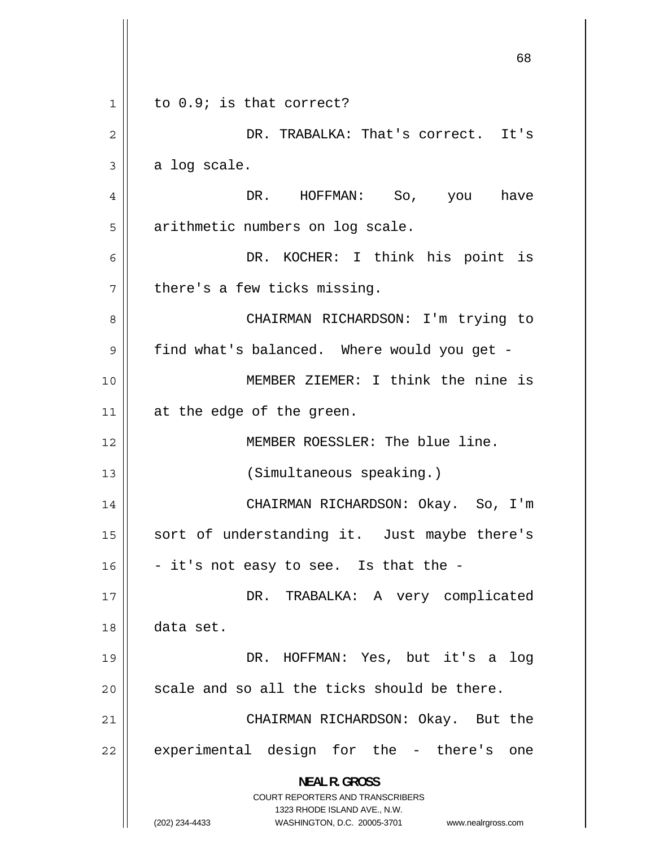|    | 68                                                                                                  |
|----|-----------------------------------------------------------------------------------------------------|
| 1  | to 0.9; is that correct?                                                                            |
| 2  | DR. TRABALKA: That's correct. It's                                                                  |
| 3  | a log scale.                                                                                        |
| 4  | DR. HOFFMAN: So, you have                                                                           |
| 5  | arithmetic numbers on log scale.                                                                    |
|    |                                                                                                     |
| 6  | DR. KOCHER: I think his point is                                                                    |
| 7  | there's a few ticks missing.                                                                        |
| 8  | CHAIRMAN RICHARDSON: I'm trying to                                                                  |
| 9  | find what's balanced. Where would you get -                                                         |
| 10 | MEMBER ZIEMER: I think the nine is                                                                  |
| 11 | at the edge of the green.                                                                           |
| 12 | MEMBER ROESSLER: The blue line.                                                                     |
| 13 | (Simultaneous speaking.)                                                                            |
| 14 | CHAIRMAN RICHARDSON: Okay. So, I'm                                                                  |
| 15 | sort of understanding it. Just maybe there's                                                        |
| 16 | - it's not easy to see. Is that the -                                                               |
| 17 | DR. TRABALKA: A very complicated                                                                    |
| 18 | data set.                                                                                           |
| 19 | DR. HOFFMAN: Yes, but it's a<br>log                                                                 |
| 20 | scale and so all the ticks should be there.                                                         |
| 21 | CHAIRMAN RICHARDSON: Okay. But the                                                                  |
| 22 | experimental design for the - there's one                                                           |
|    | <b>NEAL R. GROSS</b>                                                                                |
|    | <b>COURT REPORTERS AND TRANSCRIBERS</b>                                                             |
|    | 1323 RHODE ISLAND AVE., N.W.<br>(202) 234-4433<br>WASHINGTON, D.C. 20005-3701<br>www.nealrgross.com |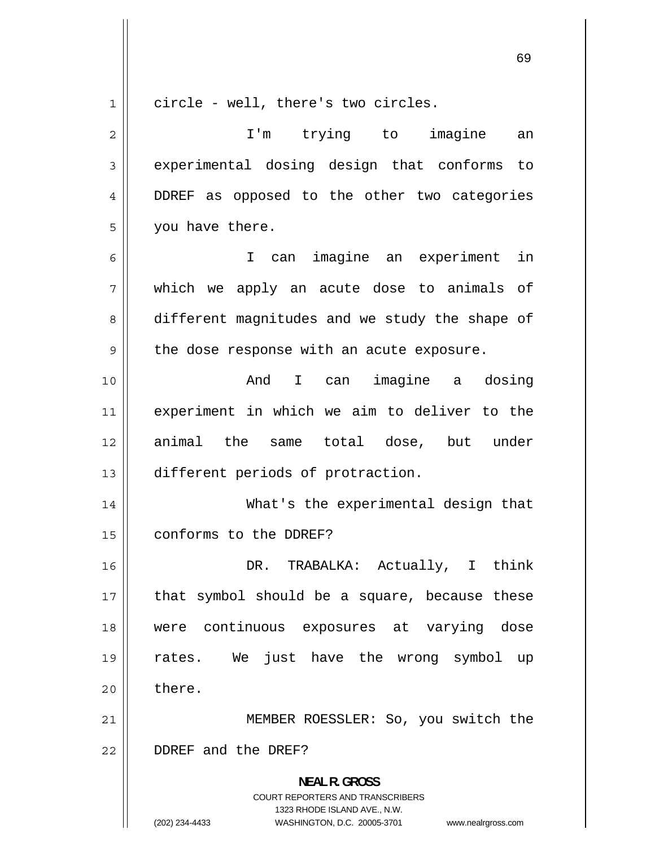1 circle - well, there's two circles. 2 I'm trying to imagine an 3 experimental dosing design that conforms to 4 DDREF as opposed to the other two categories 5 you have there. 6 I can imagine an experiment in 7 which we apply an acute dose to animals of 8 different magnitudes and we study the shape of 9 the dose response with an acute exposure. 10 And I can imagine a dosing 11 experiment in which we aim to deliver to the 12 animal the same total dose, but under 13 different periods of protraction. 14 What's the experimental design that 15 | conforms to the DDREF? 16 DR. TRABALKA: Actually, I think 17 that symbol should be a square, because these 18 were continuous exposures at varying dose 19 rates. We just have the wrong symbol up  $20$   $\parallel$  there. 21 MEMBER ROESSLER: So, you switch the 22 DDREF and the DREF? **NEAL R. GROSS**  COURT REPORTERS AND TRANSCRIBERS 1323 RHODE ISLAND AVE., N.W.

(202) 234-4433 WASHINGTON, D.C. 20005-3701 www.nealrgross.com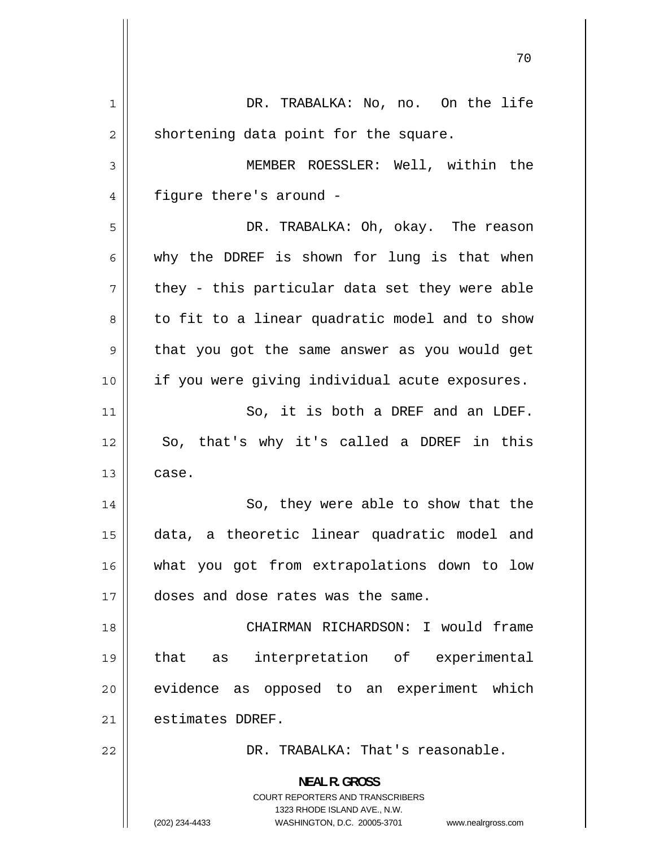| 7 U                                                                                                 |
|-----------------------------------------------------------------------------------------------------|
| DR. TRABALKA: No, no. On the life                                                                   |
| shortening data point for the square.                                                               |
| MEMBER ROESSLER: Well, within the                                                                   |
| figure there's around -                                                                             |
| DR. TRABALKA: Oh, okay. The reason                                                                  |
| why the DDREF is shown for lung is that when                                                        |
| they - this particular data set they were able                                                      |
| to fit to a linear quadratic model and to show                                                      |
| that you got the same answer as you would get                                                       |
| if you were giving individual acute exposures.                                                      |
| So, it is both a DREF and an LDEF.                                                                  |
| So, that's why it's called a DDREF in this                                                          |
| case.                                                                                               |
| So, they were able to show that the                                                                 |
| data, a theoretic linear quadratic model and                                                        |
| what you got from extrapolations down to low                                                        |
| doses and dose rates was the same.                                                                  |
| CHAIRMAN RICHARDSON: I would frame                                                                  |
| that<br>interpretation of experimental<br>as                                                        |
| evidence as opposed to an experiment which                                                          |
| estimates DDREF.                                                                                    |
| DR. TRABALKA: That's reasonable.                                                                    |
| <b>NEAL R. GROSS</b>                                                                                |
| <b>COURT REPORTERS AND TRANSCRIBERS</b>                                                             |
| 1323 RHODE ISLAND AVE., N.W.<br>(202) 234-4433<br>WASHINGTON, D.C. 20005-3701<br>www.nealrgross.com |
|                                                                                                     |

 $\overline{1}$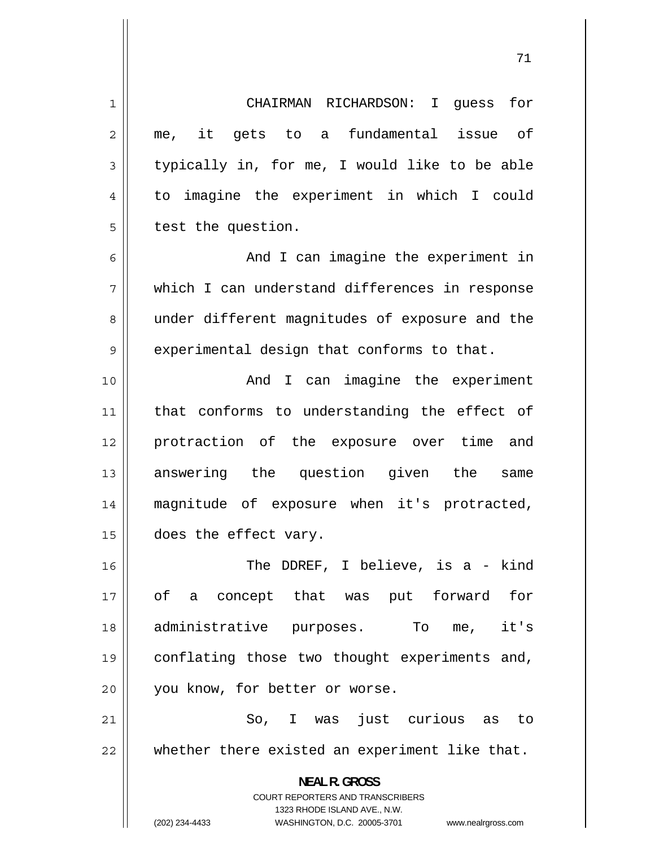1 CHAIRMAN RICHARDSON: I guess for 2 me, it gets to a fundamental issue of 3 typically in, for me, I would like to be able 4 to imagine the experiment in which I could 5 test the question. 6 And I can imagine the experiment in 7 which I can understand differences in response 8 under different magnitudes of exposure and the 9 experimental design that conforms to that. 10 And I can imagine the experiment 11 that conforms to understanding the effect of 12 protraction of the exposure over time and 13 answering the question given the same 14 magnitude of exposure when it's protracted, 15 | does the effect vary. 16 The DDREF, I believe, is a - kind 17 of a concept that was put forward for 18 administrative purposes. To me, it's 19 conflating those two thought experiments and, 20 || you know, for better or worse. 21 So, I was just curious as to 22 whether there existed an experiment like that. **NEAL R. GROSS**  COURT REPORTERS AND TRANSCRIBERS 1323 RHODE ISLAND AVE., N.W.

(202) 234-4433 WASHINGTON, D.C. 20005-3701 www.nealrgross.com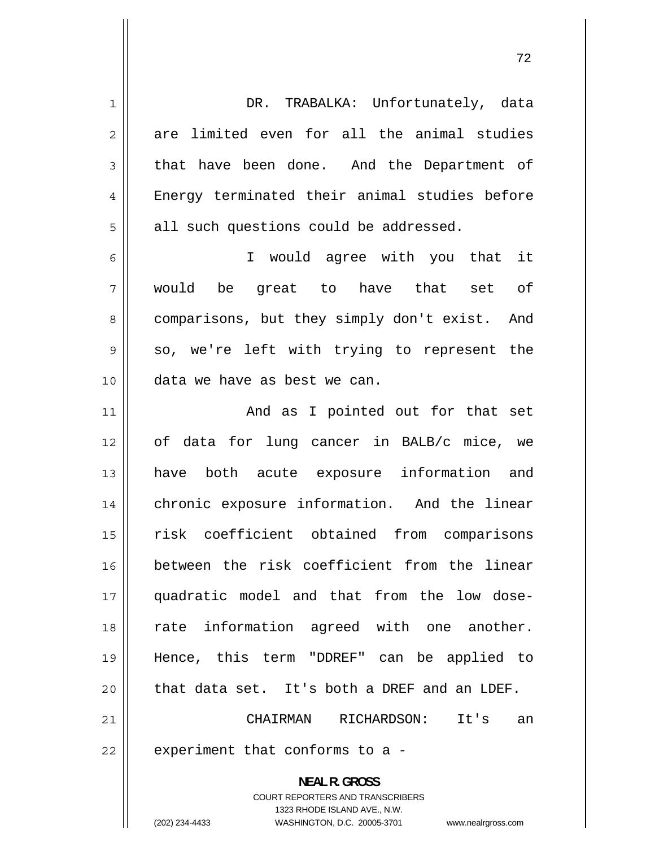| $\mathbf 1$    | DR. TRABALKA: Unfortunately, data                                                                   |
|----------------|-----------------------------------------------------------------------------------------------------|
| $\overline{c}$ | are limited even for all the animal studies                                                         |
| 3              | that have been done. And the Department of                                                          |
| $\overline{4}$ | Energy terminated their animal studies before                                                       |
| 5              | all such questions could be addressed.                                                              |
| 6              | I would agree with you that it                                                                      |
| 7              | would be great to have that set of                                                                  |
| 8              | comparisons, but they simply don't exist. And                                                       |
| 9              | so, we're left with trying to represent the                                                         |
| 10             | data we have as best we can.                                                                        |
| 11             | And as I pointed out for that set                                                                   |
| 12             | of data for lung cancer in BALB/c mice, we                                                          |
| 13             | have both acute exposure information and                                                            |
| 14             | chronic exposure information. And the linear                                                        |
| 15             | risk coefficient obtained from comparisons                                                          |
| 16             | between the risk coefficient from the linear                                                        |
| 17             | quadratic model and that from the low dose-                                                         |
| 18             | rate information agreed with one another.                                                           |
| 19             | Hence, this term "DDREF" can be applied to                                                          |
| 20             | that data set. It's both a DREF and an LDEF.                                                        |
| 21             | CHAIRMAN<br>RICHARDSON:<br>It's<br>an                                                               |
| 22             | experiment that conforms to a -                                                                     |
|                | <b>NEAL R. GROSS</b>                                                                                |
|                | <b>COURT REPORTERS AND TRANSCRIBERS</b>                                                             |
|                | 1323 RHODE ISLAND AVE., N.W.<br>(202) 234-4433<br>WASHINGTON, D.C. 20005-3701<br>www.nealrgross.com |
|                |                                                                                                     |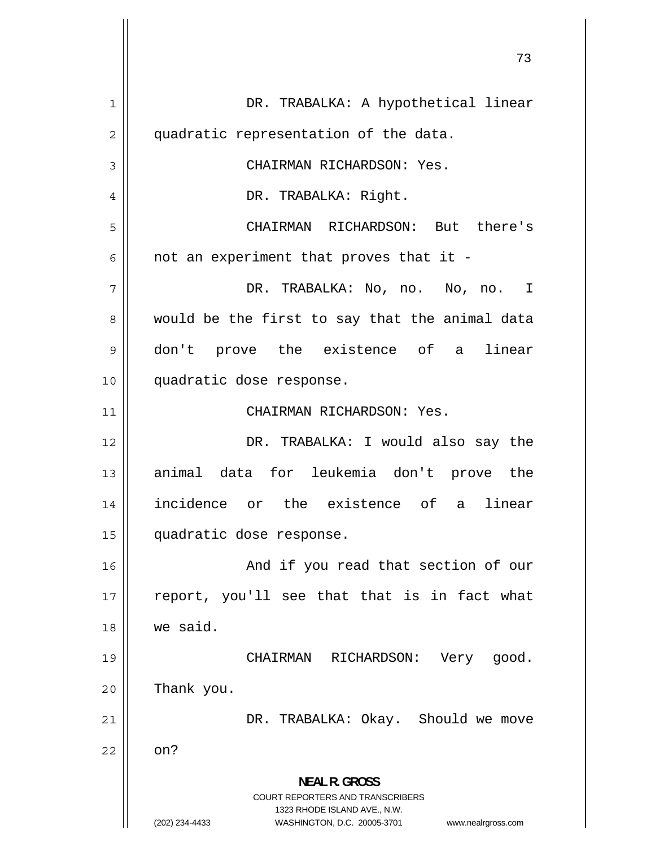1 DR. TRABALKA: A hypothetical linear 2 quadratic representation of the data. 3 CHAIRMAN RICHARDSON: Yes. 4 DR. TRABALKA: Right. 5 CHAIRMAN RICHARDSON: But there's 6 not an experiment that proves that it - 7 DR. TRABALKA: No, no. No, no. I 8 would be the first to say that the animal data 9 don't prove the existence of a linear 10 quadratic dose response. 11 || CHAIRMAN RICHARDSON: Yes. 12 DR. TRABALKA: I would also say the 13 animal data for leukemia don't prove the 14 incidence or the existence of a linear 15 quadratic dose response. 16 And if you read that section of our 17 report, you'll see that that is in fact what 18 we said. 19 CHAIRMAN RICHARDSON: Very good.  $20$  | Thank you. 21 DR. TRABALKA: Okay. Should we move  $22 \parallel$  on? **NEAL R. GROSS**  COURT REPORTERS AND TRANSCRIBERS 1323 RHODE ISLAND AVE., N.W. (202) 234-4433 WASHINGTON, D.C. 20005-3701 www.nealrgross.com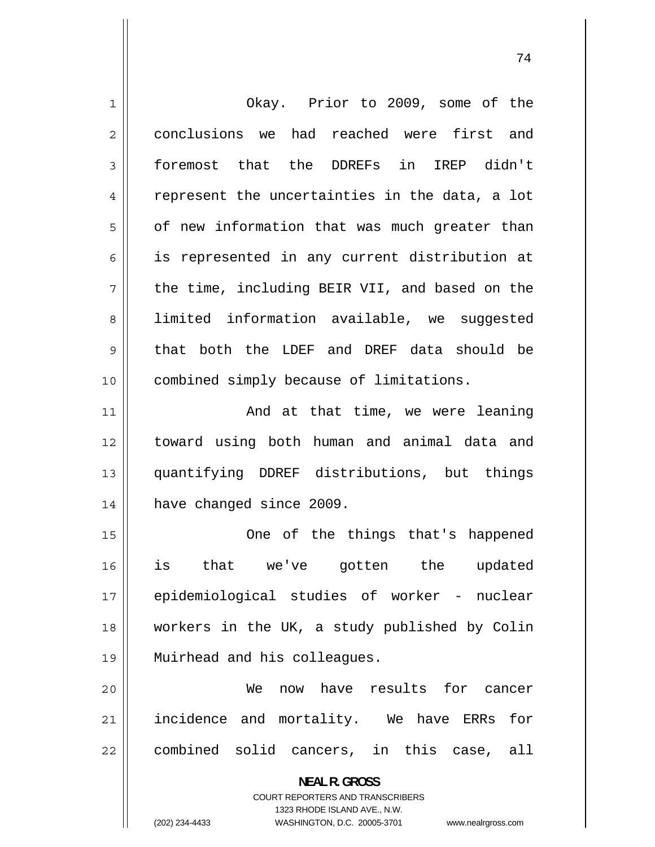| $\mathbf 1$    | Okay. Prior to 2009, some of the                                                                |
|----------------|-------------------------------------------------------------------------------------------------|
| $\overline{2}$ | conclusions we had reached were first and                                                       |
| 3              | foremost that the DDREFs in IREP didn't                                                         |
| 4              | represent the uncertainties in the data, a lot                                                  |
| 5              | of new information that was much greater than                                                   |
| 6              | is represented in any current distribution at                                                   |
| 7              | the time, including BEIR VII, and based on the                                                  |
| 8              | limited information available, we suggested                                                     |
| 9              | that both the LDEF and DREF data should be                                                      |
| 10             | combined simply because of limitations.                                                         |
| 11             | And at that time, we were leaning                                                               |
| 12             | toward using both human and animal data and                                                     |
| 13             | quantifying DDREF distributions, but things                                                     |
| 14             | have changed since 2009.                                                                        |
| 15             | One of the things that's happened                                                               |
| 16             | is that we've gotten the updated                                                                |
| 17             | epidemiological studies of worker - nuclear                                                     |
| 18             | workers in the UK, a study published by Colin                                                   |
| 19             | Muirhead and his colleagues.                                                                    |
| 20             | have results for cancer<br>We<br>now                                                            |
| 21             | incidence and mortality. We have ERRs<br>for                                                    |
| 22             | combined solid cancers, in this case, all                                                       |
|                | <b>NEAL R. GROSS</b><br><b>COURT REPORTERS AND TRANSCRIBERS</b><br>1323 RHODE ISLAND AVE., N.W. |
|                | (202) 234-4433<br>WASHINGTON, D.C. 20005-3701<br>www.nealrgross.com                             |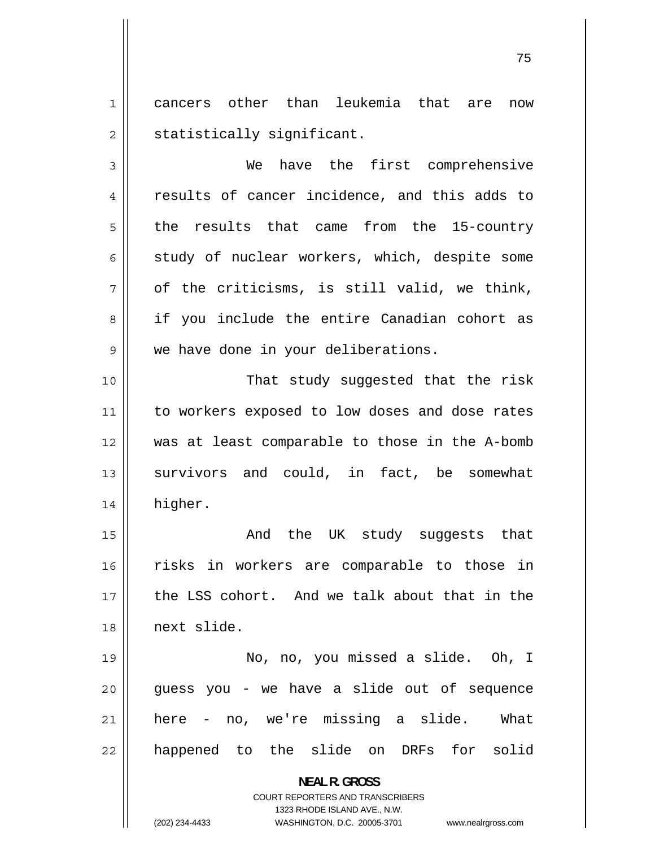1 cancers other than leukemia that are now 2 statistically significant.

3 We have the first comprehensive 4 results of cancer incidence, and this adds to 5 the results that came from the 15-country 6 study of nuclear workers, which, despite some 7 of the criticisms, is still valid, we think, 8 if you include the entire Canadian cohort as 9 we have done in your deliberations.

10 That study suggested that the risk 11 to workers exposed to low doses and dose rates 12 was at least comparable to those in the A-bomb 13 survivors and could, in fact, be somewhat 14 higher.

15 And the UK study suggests that 16 risks in workers are comparable to those in 17 the LSS cohort. And we talk about that in the 18 next slide.

19 No, no, you missed a slide. Oh, I 20 guess you - we have a slide out of sequence 21 here - no, we're missing a slide. What 22 happened to the slide on DRFs for solid

> **NEAL R. GROSS**  COURT REPORTERS AND TRANSCRIBERS

> > 1323 RHODE ISLAND AVE., N.W.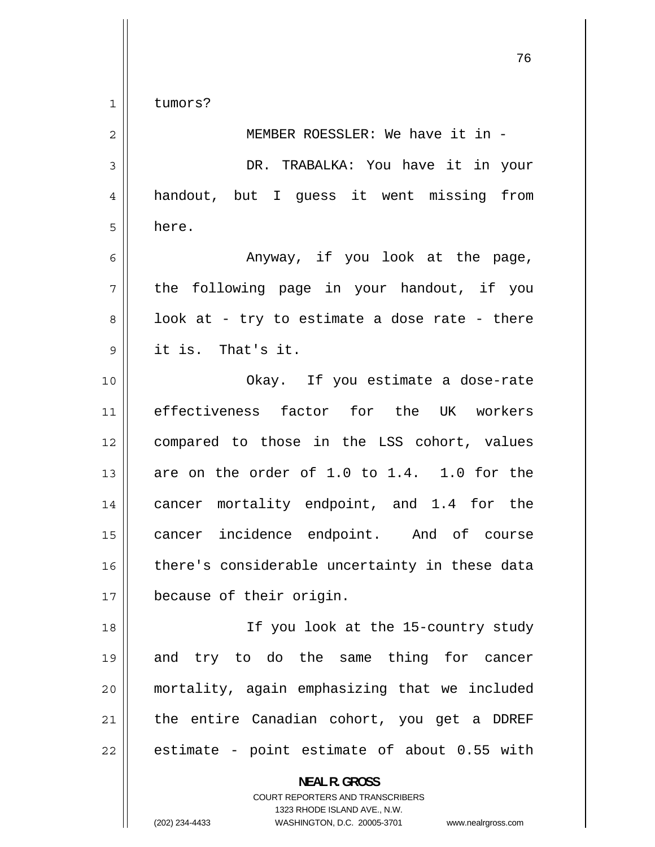$\begin{array}{c|c|c|c} 1 & 1 \end{array}$ tumors?

| $\overline{2}$ | MEMBER ROESSLER: We have it in -               |
|----------------|------------------------------------------------|
| 3              | DR. TRABALKA: You have it in your              |
| 4              | handout, but I guess it went missing from      |
| 5              | here.                                          |
| 6              | Anyway, if you look at the page,               |
| 7              | the following page in your handout, if you     |
| 8              | look at - try to estimate a dose rate - there  |
| $\mathsf 9$    | it is. That's it.                              |
| 10             | Okay. If you estimate a dose-rate              |
| 11             | effectiveness factor for the UK workers        |
| 12             | compared to those in the LSS cohort, values    |
| 13             | are on the order of 1.0 to 1.4. 1.0 for the    |
| 14             | cancer mortality endpoint, and 1.4 for the     |
| 15             | cancer incidence endpoint. And of course       |
| 16             | there's considerable uncertainty in these data |
| 17             | because of their origin.                       |
| 18             | If you look at the 15-country study            |
| 19             | and try to do the same thing for cancer        |
| 20             | mortality, again emphasizing that we included  |
| 21             | the entire Canadian cohort, you get a DDREF    |
| 22             | estimate - point estimate of about 0.55 with   |
|                | <b>NEAL R. GROSS</b>                           |

COURT REPORTERS AND TRANSCRIBERS 1323 RHODE ISLAND AVE., N.W.

 $\mathsf{I}$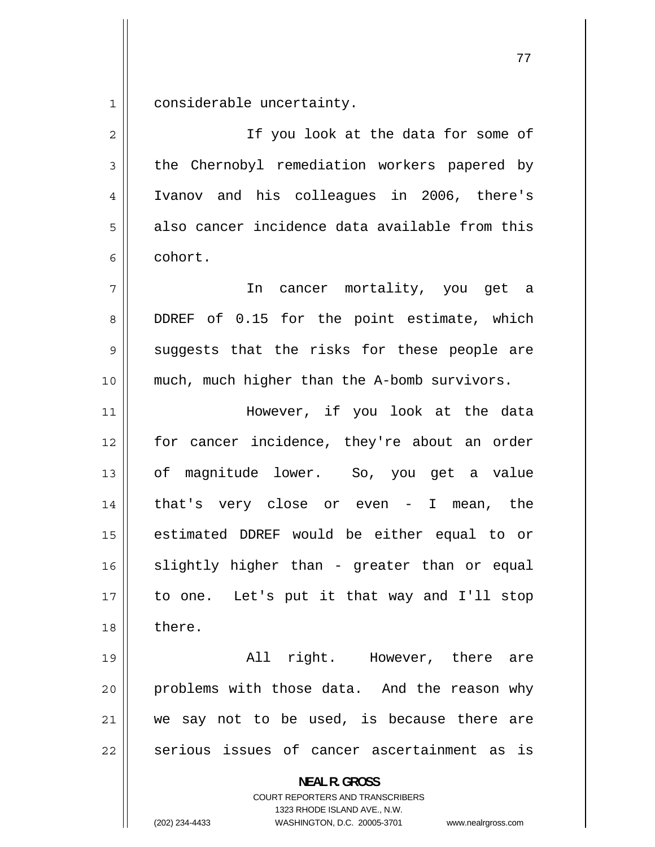1 considerable uncertainty.

2 If you look at the data for some of 3 the Chernobyl remediation workers papered by 4 Ivanov and his colleagues in 2006, there's 5 also cancer incidence data available from this 6 cohort. 7 In cancer mortality, you get a 8 DDREF of 0.15 for the point estimate, which 9 suggests that the risks for these people are 10 || much, much higher than the A-bomb survivors. 11 However, if you look at the data 12 for cancer incidence, they're about an order 13 of magnitude lower. So, you get a value 14 that's very close or even - I mean, the 15 estimated DDREF would be either equal to or 16 slightly higher than - greater than or equal 17 to one. Let's put it that way and I'll stop 18 l there. 19 All right. However, there are 20 problems with those data. And the reason why 21 we say not to be used, is because there are 22 serious issues of cancer ascertainment as is **NEAL R. GROSS**  COURT REPORTERS AND TRANSCRIBERS 1323 RHODE ISLAND AVE., N.W.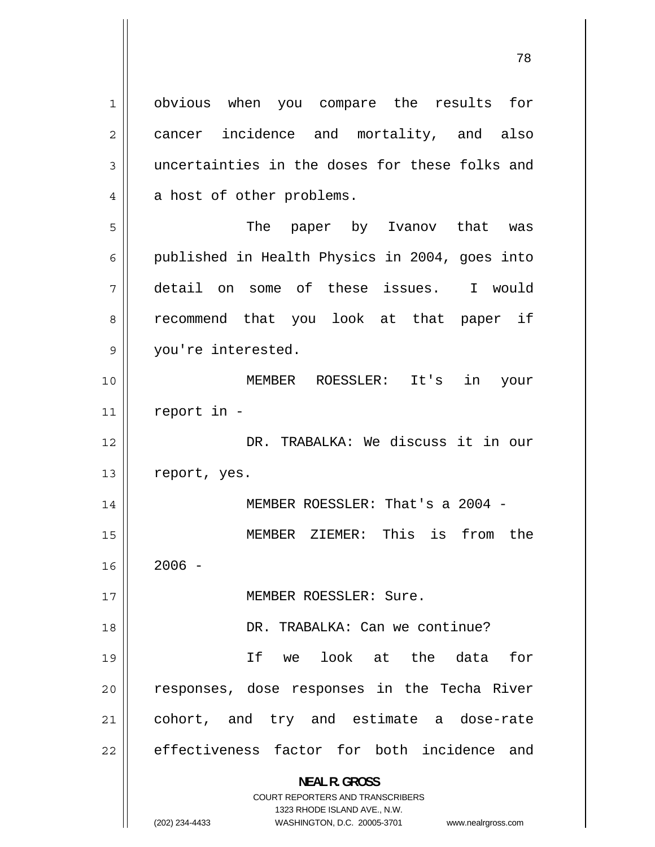1 obvious when you compare the results for 2 cancer incidence and mortality, and also 3 uncertainties in the doses for these folks and 4 a host of other problems. 5 The paper by Ivanov that was 6 published in Health Physics in 2004, goes into 7 detail on some of these issues. I would 8 recommend that you look at that paper if 9 you're interested. 10 MEMBER ROESSLER: It's in your  $11$  report in -12 DR. TRABALKA: We discuss it in our 13 | report, yes. 14 MEMBER ROESSLER: That's a 2004 - 15 MEMBER ZIEMER: This is from the 16  $2006 -$ 17 MEMBER ROESSLER: Sure. 18 DR. TRABALKA: Can we continue? 19 If we look at the data for 20 responses, dose responses in the Techa River 21 cohort, and try and estimate a dose-rate 22 effectiveness factor for both incidence and **NEAL R. GROSS**  COURT REPORTERS AND TRANSCRIBERS 1323 RHODE ISLAND AVE., N.W.

(202) 234-4433 WASHINGTON, D.C. 20005-3701 www.nealrgross.com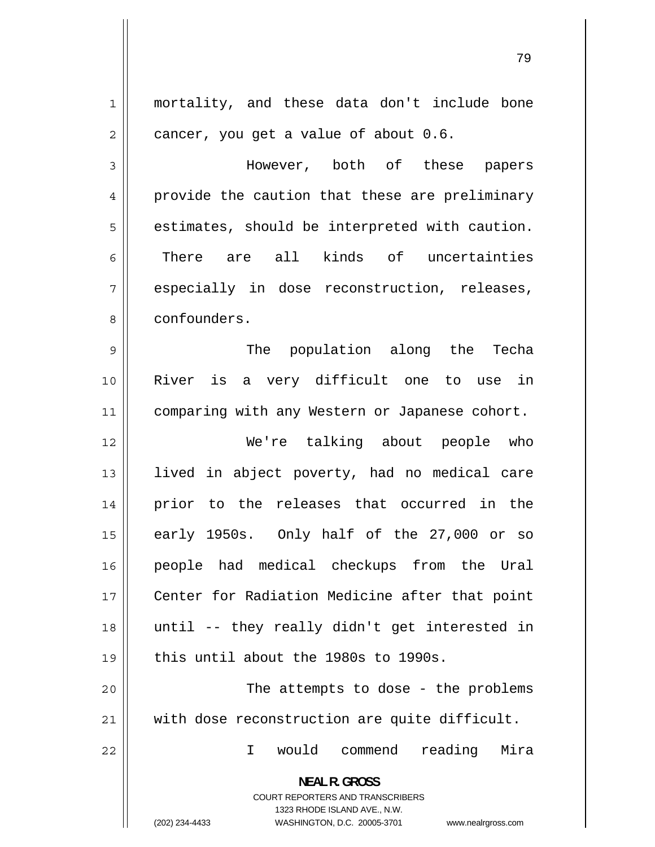| $\mathbf 1$    | mortality, and these data don't include bone                                                                                                                           |
|----------------|------------------------------------------------------------------------------------------------------------------------------------------------------------------------|
| $\overline{2}$ | cancer, you get a value of about 0.6.                                                                                                                                  |
| 3              | However, both of these papers                                                                                                                                          |
| 4              | provide the caution that these are preliminary                                                                                                                         |
| 5              | estimates, should be interpreted with caution.                                                                                                                         |
| 6              | There are all kinds of uncertainties                                                                                                                                   |
| 7              | especially in dose reconstruction, releases,                                                                                                                           |
| 8              | confounders.                                                                                                                                                           |
| $\mathsf 9$    | The population along the Techa                                                                                                                                         |
| 10             | River is a very difficult one to use in                                                                                                                                |
| 11             | comparing with any Western or Japanese cohort.                                                                                                                         |
| 12             | We're talking about people who                                                                                                                                         |
| 13             | lived in abject poverty, had no medical care                                                                                                                           |
| 14             | prior to the releases that occurred in the                                                                                                                             |
| 15             | early 1950s. Only half of the 27,000 or so                                                                                                                             |
| 16             | people had medical checkups from the Ural                                                                                                                              |
| 17             | Center for Radiation Medicine after that point                                                                                                                         |
| 18             | until -- they really didn't get interested in                                                                                                                          |
| 19             | this until about the 1980s to 1990s.                                                                                                                                   |
| 20             | The attempts to dose - the problems                                                                                                                                    |
| 21             | with dose reconstruction are quite difficult.                                                                                                                          |
| 22             | would commend<br>reading<br>Mira<br>I.                                                                                                                                 |
|                | <b>NEAL R. GROSS</b><br><b>COURT REPORTERS AND TRANSCRIBERS</b><br>1323 RHODE ISLAND AVE., N.W.<br>(202) 234-4433<br>WASHINGTON, D.C. 20005-3701<br>www.nealrgross.com |

 $\mathbf{1}$ 

 $\mathbf{\mathsf{H}}$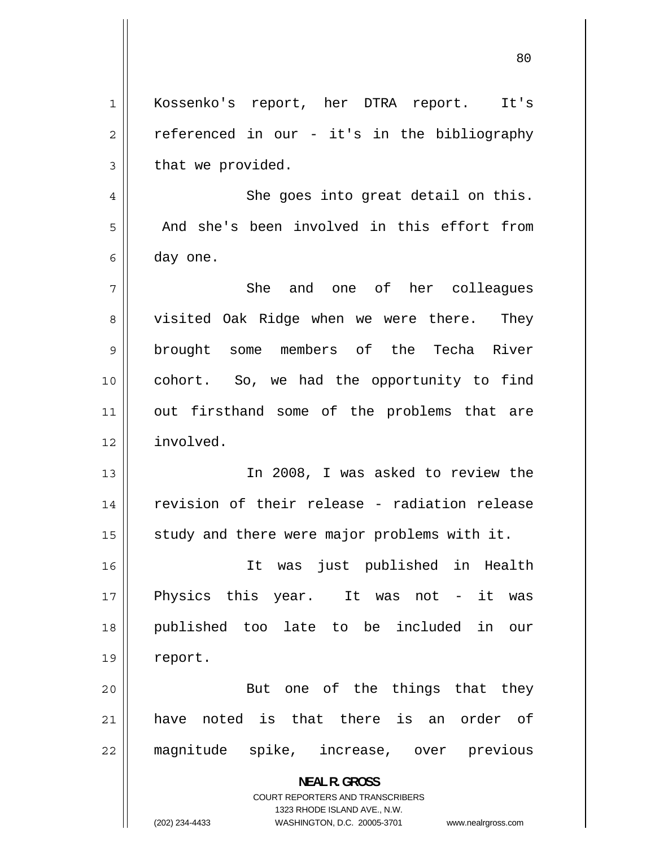1 Kossenko's report, her DTRA report. It's 2 referenced in our - it's in the bibliography 3 that we provided. 4 She goes into great detail on this. 5 And she's been involved in this effort from 6 day one. 7 She and one of her colleagues 8 visited Oak Ridge when we were there. They 9 brought some members of the Techa River 10 cohort. So, we had the opportunity to find 11 out firsthand some of the problems that are 12 involved. 13 In 2008, I was asked to review the 14 revision of their release - radiation release 15  $\parallel$  study and there were major problems with it. 16 It was just published in Health 17 Physics this year. It was not - it was 18 published too late to be included in our 19 | report. 20 But one of the things that they 21 have noted is that there is an order of 22 magnitude spike, increase, over previous **NEAL R. GROSS**  COURT REPORTERS AND TRANSCRIBERS 1323 RHODE ISLAND AVE., N.W. (202) 234-4433 WASHINGTON, D.C. 20005-3701 www.nealrgross.com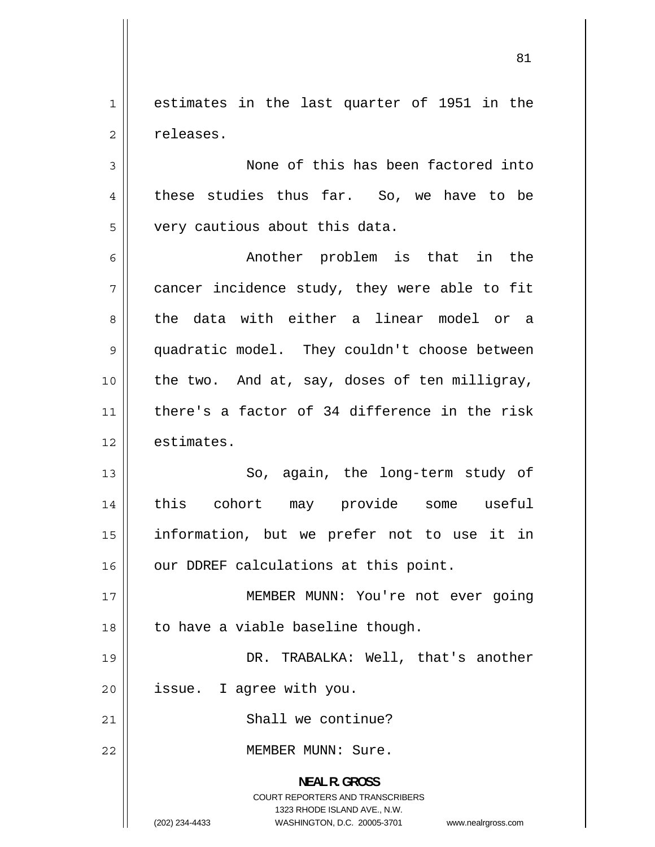1 estimates in the last quarter of 1951 in the 2 releases.

3 None of this has been factored into 4 these studies thus far. So, we have to be 5 very cautious about this data.

6 Another problem is that in the 7 cancer incidence study, they were able to fit 8 the data with either a linear model or a 9 quadratic model. They couldn't choose between 10 the two. And at, say, doses of ten milligray, 11 there's a factor of 34 difference in the risk 12 estimates.

13 So, again, the long-term study of 14 this cohort may provide some useful 15 information, but we prefer not to use it in 16 || our DDREF calculations at this point.

17 MEMBER MUNN: You're not ever going  $18$  | to have a viable baseline though.

19 DR. TRABALKA: Well, that's another 20 | issue. I agree with you.

21 | Shall we continue?

22 MEMBER MUNN: Sure.

**NEAL R. GROSS**  COURT REPORTERS AND TRANSCRIBERS 1323 RHODE ISLAND AVE., N.W. (202) 234-4433 WASHINGTON, D.C. 20005-3701 www.nealrgross.com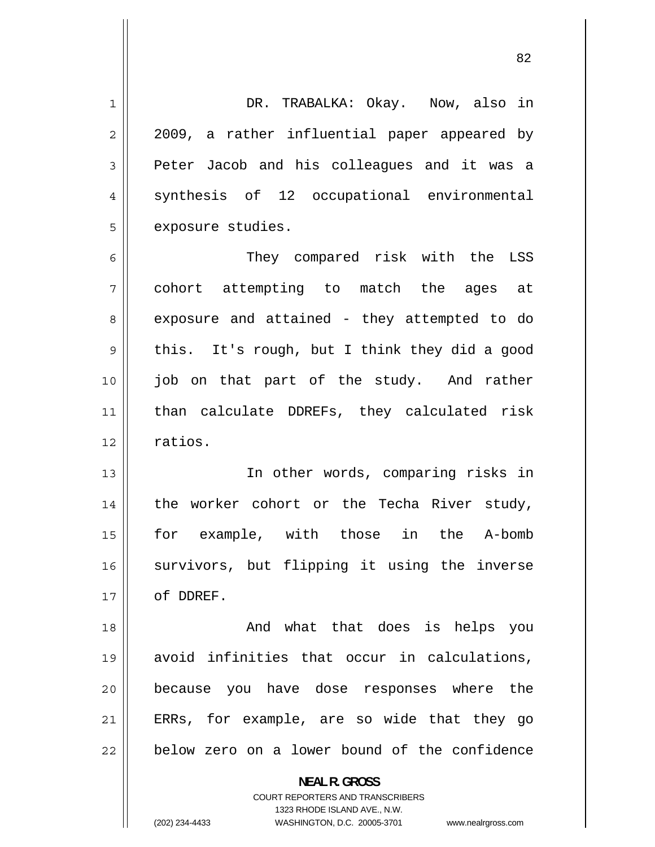1 DR. TRABALKA: Okay. Now, also in 2 2009, a rather influential paper appeared by 3 Peter Jacob and his colleagues and it was a 4 synthesis of 12 occupational environmental 5 exposure studies. 6 They compared risk with the LSS

7 cohort attempting to match the ages at 8 exposure and attained - they attempted to do 9 this. It's rough, but I think they did a good 10 job on that part of the study. And rather 11 than calculate DDREFs, they calculated risk 12 | ratios.

13 In other words, comparing risks in 14 the worker cohort or the Techa River study, 15 for example, with those in the A-bomb 16 survivors, but flipping it using the inverse 17 | of DDREF.

18 And what that does is helps you 19 avoid infinities that occur in calculations, 20 because you have dose responses where the 21 ERRs, for example, are so wide that they go 22 below zero on a lower bound of the confidence

> **NEAL R. GROSS**  COURT REPORTERS AND TRANSCRIBERS 1323 RHODE ISLAND AVE., N.W. (202) 234-4433 WASHINGTON, D.C. 20005-3701 www.nealrgross.com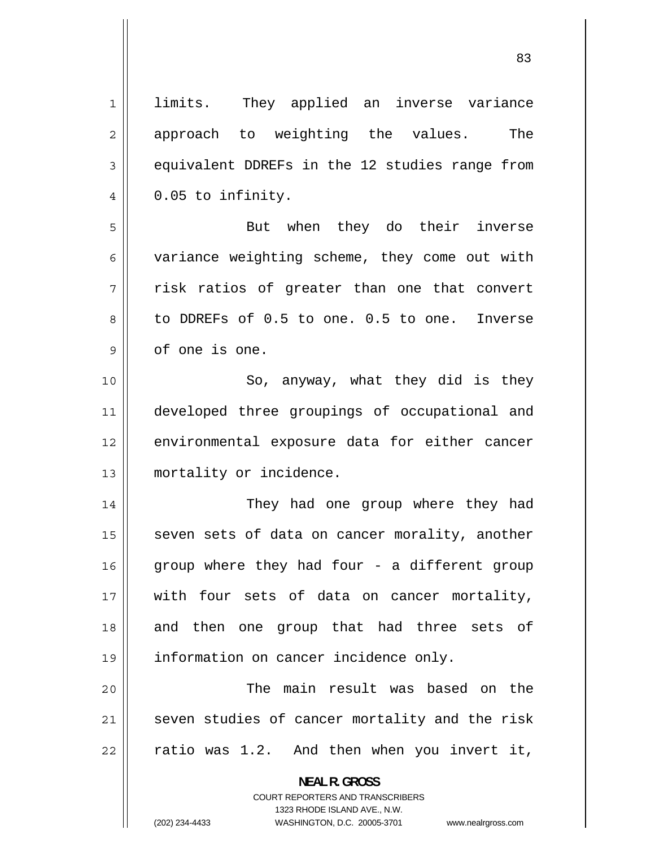1 limits. They applied an inverse variance 2 approach to weighting the values. The 3 equivalent DDREFs in the 12 studies range from 4 0.05 to infinity. 5 But when they do their inverse 6 variance weighting scheme, they come out with 7 risk ratios of greater than one that convert 8 to DDREFs of 0.5 to one. 0.5 to one. Inverse 9 of one is one. 10 || So, anyway, what they did is they 11 developed three groupings of occupational and 12 environmental exposure data for either cancer 13 mortality or incidence. 14 They had one group where they had 15 seven sets of data on cancer morality, another 16 group where they had four - a different group 17 with four sets of data on cancer mortality, 18 and then one group that had three sets of 19 information on cancer incidence only. 20 The main result was based on the 21 seven studies of cancer mortality and the risk 22 ratio was 1.2. And then when you invert it, **NEAL R. GROSS**  COURT REPORTERS AND TRANSCRIBERS

1323 RHODE ISLAND AVE., N.W.

(202) 234-4433 WASHINGTON, D.C. 20005-3701 www.nealrgross.com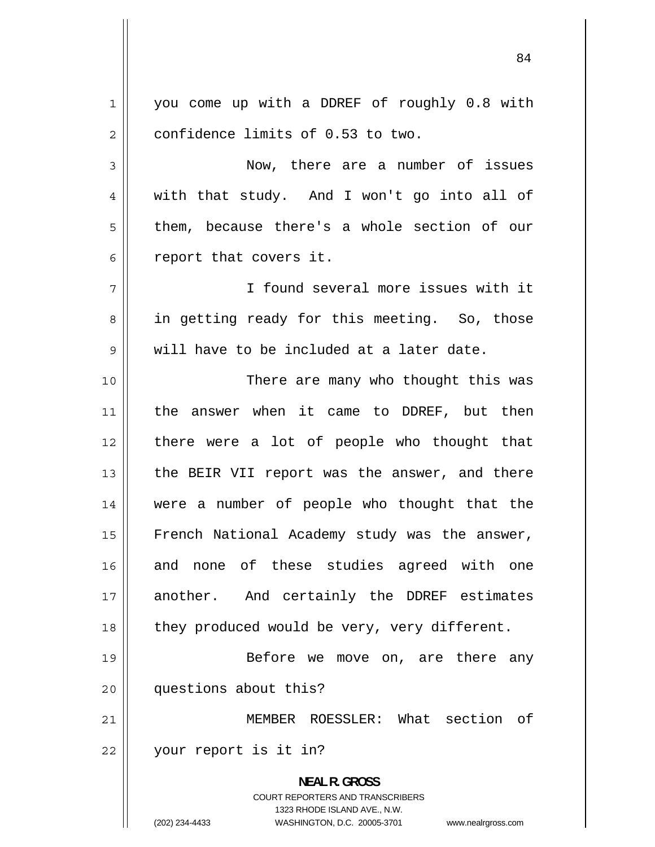1 you come up with a DDREF of roughly 0.8 with 2 confidence limits of 0.53 to two. 3 Now, there are a number of issues 4 with that study. And I won't go into all of 5 them, because there's a whole section of our 6 report that covers it. 7 I found several more issues with it 8 in getting ready for this meeting. So, those 9 will have to be included at a later date. 10 There are many who thought this was 11 the answer when it came to DDREF, but then 12 there were a lot of people who thought that 13 the BEIR VII report was the answer, and there 14 were a number of people who thought that the 15 French National Academy study was the answer, 16 and none of these studies agreed with one 17 another. And certainly the DDREF estimates 18  $\parallel$  they produced would be very, very different. 19 Before we move on, are there any

20 questions about this?

21 MEMBER ROESSLER: What section of 22 your report is it in?

> **NEAL R. GROSS**  COURT REPORTERS AND TRANSCRIBERS 1323 RHODE ISLAND AVE., N.W. (202) 234-4433 WASHINGTON, D.C. 20005-3701 www.nealrgross.com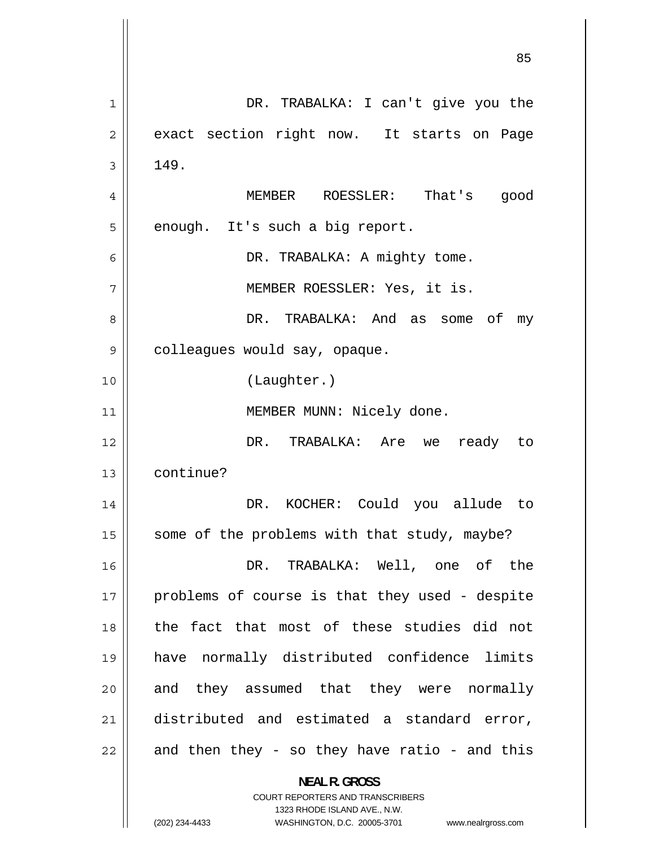85 1 DR. TRABALKA: I can't give you the 2 exact section right now. It starts on Page 3 149. 4 MEMBER ROESSLER: That's good 5 enough. It's such a big report. 6 DR. TRABALKA: A mighty tome. 7 MEMBER ROESSLER: Yes, it is. 8 DR. TRABALKA: And as some of my 9 colleagues would say, opaque. 10 (Laughter.) 11 || MEMBER MUNN: Nicely done. 12 DR. TRABALKA: Are we ready to 13 continue? 14 DR. KOCHER: Could you allude to 15  $\parallel$  some of the problems with that study, maybe? 16 DR. TRABALKA: Well, one of the 17 problems of course is that they used - despite 18 the fact that most of these studies did not 19 have normally distributed confidence limits 20 and they assumed that they were normally 21 distributed and estimated a standard error, 22 and then they - so they have ratio - and this **NEAL R. GROSS**  COURT REPORTERS AND TRANSCRIBERS 1323 RHODE ISLAND AVE., N.W.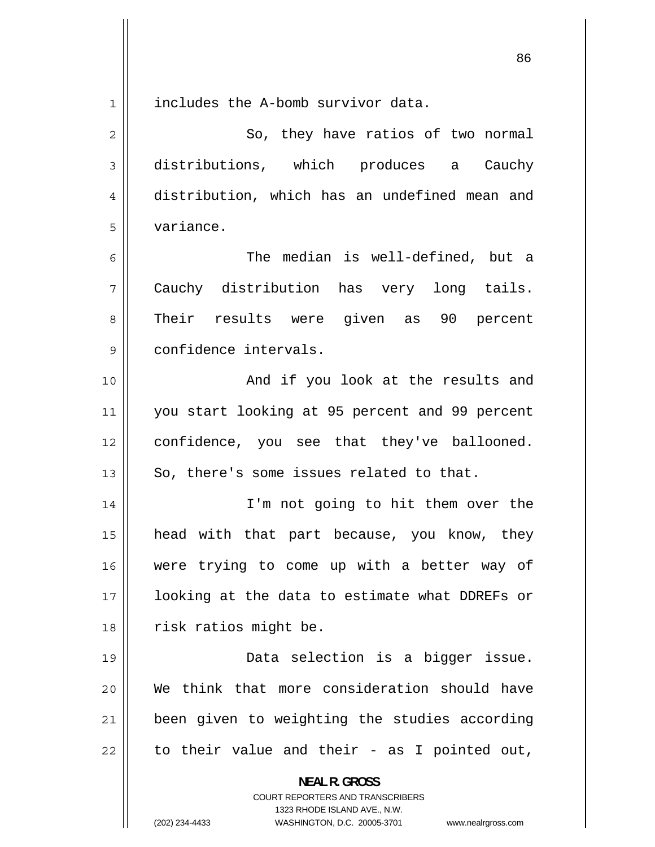1 includes the A-bomb survivor data. 2 So, they have ratios of two normal 3 distributions, which produces a Cauchy 4 distribution, which has an undefined mean and 5 variance. 6 The median is well-defined, but a 7 Cauchy distribution has very long tails. 8 Their results were given as 90 percent 9 confidence intervals. 10 And if you look at the results and 11 you start looking at 95 percent and 99 percent 12 confidence, you see that they've ballooned.  $13$  | So, there's some issues related to that. 14 I'm not going to hit them over the 15 head with that part because, you know, they 16 were trying to come up with a better way of 17 looking at the data to estimate what DDREFs or 18 || risk ratios might be. 19 Data selection is a bigger issue. 20 We think that more consideration should have 21 been given to weighting the studies according 22 to their value and their - as I pointed out, **NEAL R. GROSS**  COURT REPORTERS AND TRANSCRIBERS 1323 RHODE ISLAND AVE., N.W. (202) 234-4433 WASHINGTON, D.C. 20005-3701 www.nealrgross.com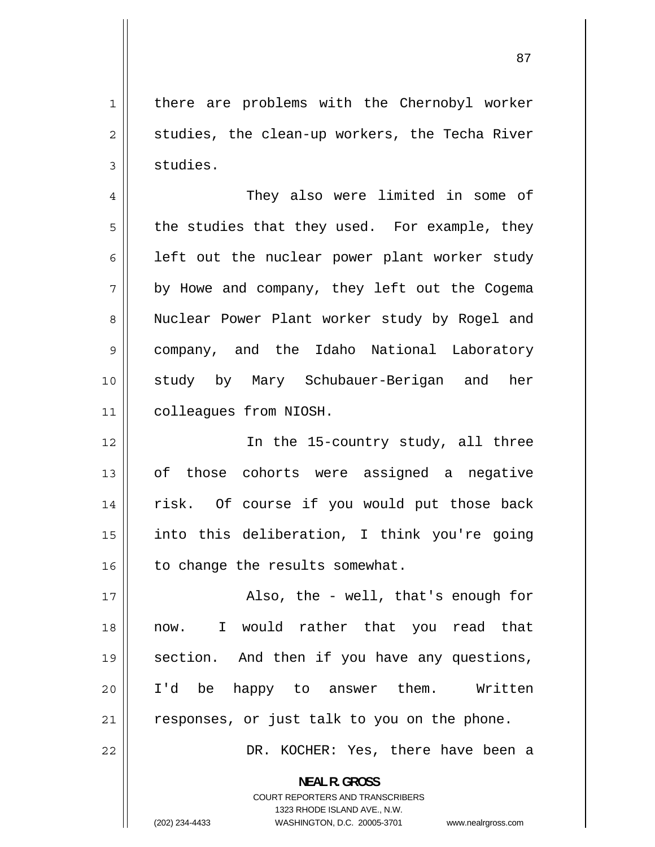1 there are problems with the Chernobyl worker 2 studies, the clean-up workers, the Techa River 3 studies.

4 They also were limited in some of 5 the studies that they used. For example, they 6 left out the nuclear power plant worker study 7 by Howe and company, they left out the Cogema 8 Nuclear Power Plant worker study by Rogel and 9 company, and the Idaho National Laboratory 10 study by Mary Schubauer-Berigan and her 11 colleagues from NIOSH.

12 In the 15-country study, all three 13 of those cohorts were assigned a negative 14 risk. Of course if you would put those back 15 into this deliberation, I think you're going  $16$  to change the results somewhat.

17 Also, the - well, that's enough for 18 now. I would rather that you read that 19 section. And then if you have any questions, 20 I'd be happy to answer them. Written  $21$  responses, or just talk to you on the phone.

DR. KOCHER: Yes, there have been a

**NEAL R. GROSS**  COURT REPORTERS AND TRANSCRIBERS

1323 RHODE ISLAND AVE., N.W.

22

(202) 234-4433 WASHINGTON, D.C. 20005-3701 www.nealrgross.com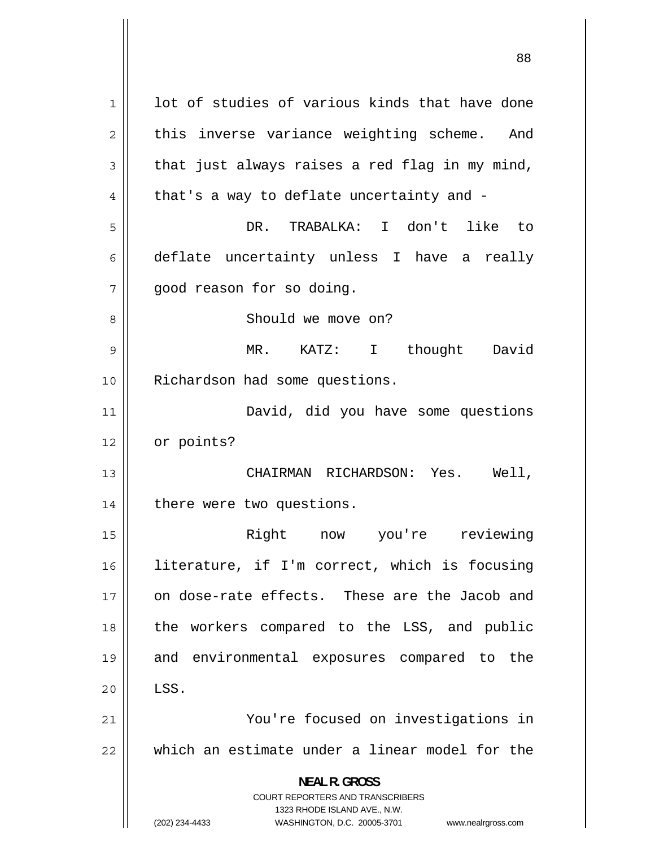1 lot of studies of various kinds that have done 2 this inverse variance weighting scheme. And 3 that just always raises a red flag in my mind, 4 that's a way to deflate uncertainty and - 5 DR. TRABALKA: I don't like to 6 deflate uncertainty unless I have a really 7 good reason for so doing. 8 Should we move on? 9 MR. KATZ: I thought David 10 Richardson had some questions. 11 David, did you have some questions 12 | or points? 13 CHAIRMAN RICHARDSON: Yes. Well, 14 | there were two questions. 15 Right now you're reviewing 16 literature, if I'm correct, which is focusing 17 on dose-rate effects. These are the Jacob and 18 the workers compared to the LSS, and public 19 and environmental exposures compared to the  $20$   $\parallel$  LSS. 21 You're focused on investigations in 22 which an estimate under a linear model for the **NEAL R. GROSS**  COURT REPORTERS AND TRANSCRIBERS 1323 RHODE ISLAND AVE., N.W. (202) 234-4433 WASHINGTON, D.C. 20005-3701 www.nealrgross.com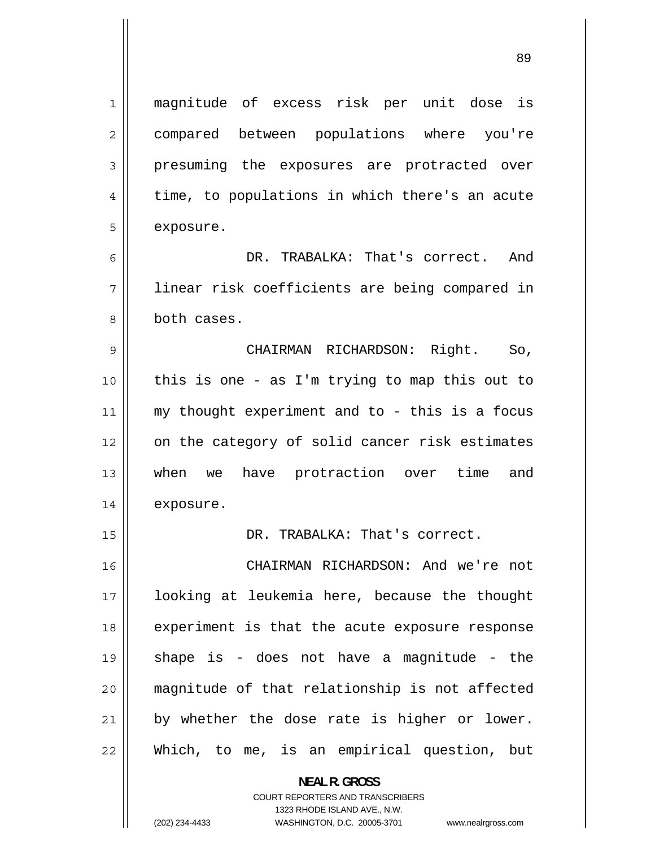1 magnitude of excess risk per unit dose is 2 compared between populations where you're 3 presuming the exposures are protracted over 4 time, to populations in which there's an acute 5 exposure. 6 DR. TRABALKA: That's correct. And 7 linear risk coefficients are being compared in 8 both cases. 9 CHAIRMAN RICHARDSON: Right. So, 10 this is one - as I'm trying to map this out to 11 my thought experiment and to - this is a focus 12 on the category of solid cancer risk estimates 13 when we have protraction over time and 14 exposure. 15 || DR. TRABALKA: That's correct. 16 CHAIRMAN RICHARDSON: And we're not 17 looking at leukemia here, because the thought 18 experiment is that the acute exposure response 19 shape is - does not have a magnitude - the 20 magnitude of that relationship is not affected 21 by whether the dose rate is higher or lower. 22 Which, to me, is an empirical question, but

> **NEAL R. GROSS**  COURT REPORTERS AND TRANSCRIBERS 1323 RHODE ISLAND AVE., N.W.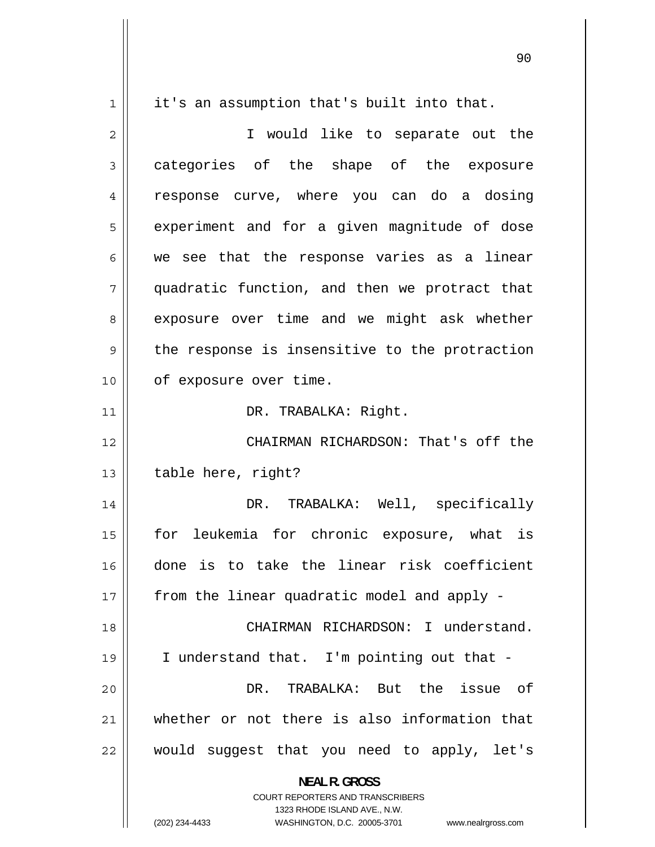1 it's an assumption that's built into that. 2 I would like to separate out the 3 categories of the shape of the exposure 4 response curve, where you can do a dosing 5 experiment and for a given magnitude of dose 6 we see that the response varies as a linear 7 quadratic function, and then we protract that 8 exposure over time and we might ask whether 9 the response is insensitive to the protraction 10 | of exposure over time. 11 || DR. TRABALKA: Right. 12 CHAIRMAN RICHARDSON: That's off the  $13$  | table here, right? 14 DR. TRABALKA: Well, specifically 15 for leukemia for chronic exposure, what is 16 done is to take the linear risk coefficient  $17$  | from the linear quadratic model and apply -18 CHAIRMAN RICHARDSON: I understand. 19 I understand that. I'm pointing out that - 20 DR. TRABALKA: But the issue of 21 whether or not there is also information that 22 would suggest that you need to apply, let's **NEAL R. GROSS**  COURT REPORTERS AND TRANSCRIBERS 1323 RHODE ISLAND AVE., N.W.

(202) 234-4433 WASHINGTON, D.C. 20005-3701 www.nealrgross.com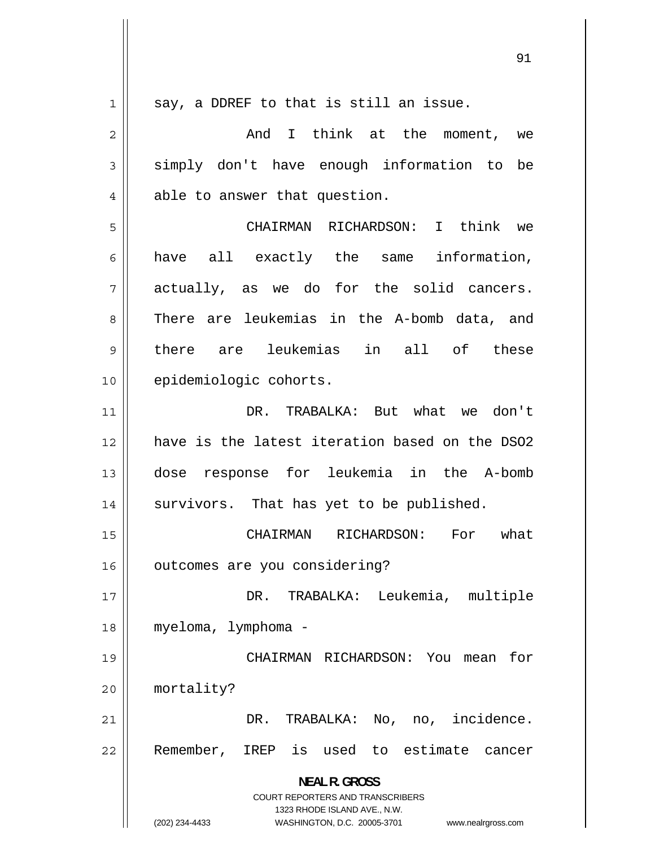1 say, a DDREF to that is still an issue. 2 And I think at the moment, we 3 simply don't have enough information to be 4 able to answer that question. 5 CHAIRMAN RICHARDSON: I think we 6 have all exactly the same information, 7 actually, as we do for the solid cancers. 8 There are leukemias in the A-bomb data, and 9 there are leukemias in all of these 10 | epidemiologic cohorts. 11 DR. TRABALKA: But what we don't 12 have is the latest iteration based on the DSO2 13 dose response for leukemia in the A-bomb 14 | survivors. That has yet to be published. 15 CHAIRMAN RICHARDSON: For what 16 | outcomes are you considering? 17 DR. TRABALKA: Leukemia, multiple 18 myeloma, lymphoma - 19 CHAIRMAN RICHARDSON: You mean for 20 mortality? 21 DR. TRABALKA: No, no, incidence. 22 Remember, IREP is used to estimate cancer **NEAL R. GROSS**  COURT REPORTERS AND TRANSCRIBERS 1323 RHODE ISLAND AVE., N.W. (202) 234-4433 WASHINGTON, D.C. 20005-3701 www.nealrgross.com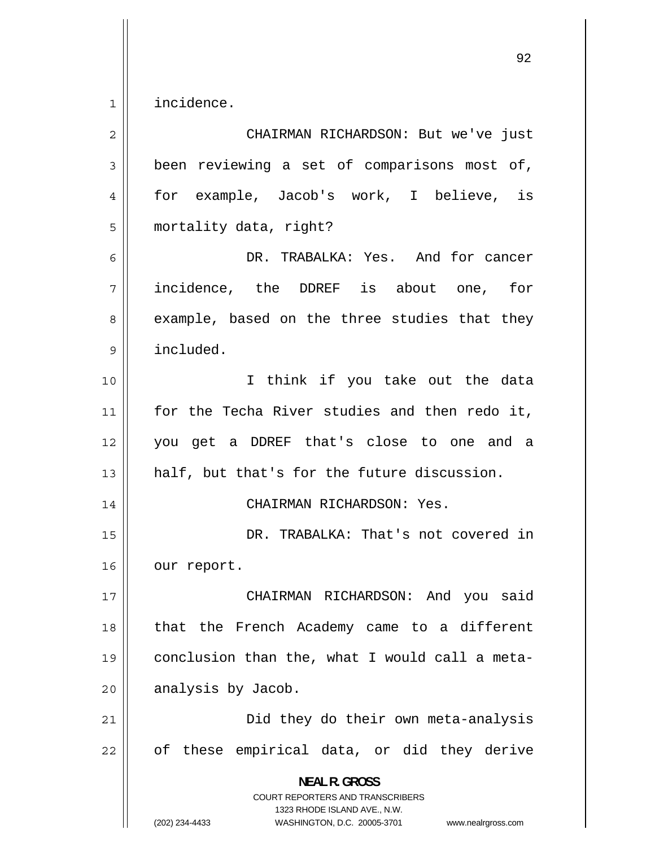1 incidence.

| $\overline{2}$ | CHAIRMAN RICHARDSON: But we've just                                                                                                                                    |
|----------------|------------------------------------------------------------------------------------------------------------------------------------------------------------------------|
| 3              | been reviewing a set of comparisons most of,                                                                                                                           |
| 4              | for example, Jacob's work, I believe, is                                                                                                                               |
| 5              | mortality data, right?                                                                                                                                                 |
| 6              | DR. TRABALKA: Yes. And for cancer                                                                                                                                      |
| 7              | incidence, the DDREF is about one, for                                                                                                                                 |
| 8              | example, based on the three studies that they                                                                                                                          |
| 9              | included.                                                                                                                                                              |
| 10             | I think if you take out the data                                                                                                                                       |
| 11             | for the Techa River studies and then redo it,                                                                                                                          |
| 12             | you get a DDREF that's close to one and a                                                                                                                              |
| 13             | half, but that's for the future discussion.                                                                                                                            |
| 14             | CHAIRMAN RICHARDSON: Yes.                                                                                                                                              |
| 15             | DR. TRABALKA: That's not covered in                                                                                                                                    |
| 16             | our report.                                                                                                                                                            |
| 17             | CHAIRMAN RICHARDSON: And you said                                                                                                                                      |
| 18             | that the French Academy came to a different                                                                                                                            |
| 19             | conclusion than the, what I would call a meta-                                                                                                                         |
| 20             | analysis by Jacob.                                                                                                                                                     |
| 21             | Did they do their own meta-analysis                                                                                                                                    |
| 22             | of these empirical data, or did they derive                                                                                                                            |
|                | <b>NEAL R. GROSS</b><br><b>COURT REPORTERS AND TRANSCRIBERS</b><br>1323 RHODE ISLAND AVE., N.W.<br>(202) 234-4433<br>WASHINGTON, D.C. 20005-3701<br>www.nealrgross.com |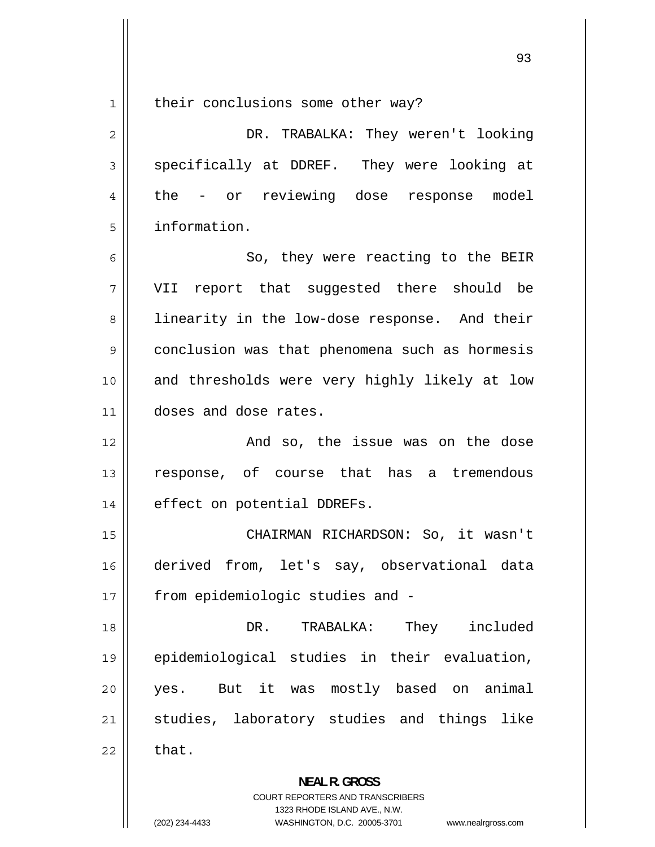1

their conclusions some other way?

2 DR. TRABALKA: They weren't looking 3 specifically at DDREF. They were looking at 4 the - or reviewing dose response model 5 information.

6 So, they were reacting to the BEIR 7 VII report that suggested there should be 8 linearity in the low-dose response. And their 9 conclusion was that phenomena such as hormesis 10 and thresholds were very highly likely at low 11 doses and dose rates.

12 And so, the issue was on the dose 13 response, of course that has a tremendous 14 | effect on potential DDREFs.

15 CHAIRMAN RICHARDSON: So, it wasn't 16 derived from, let's say, observational data 17 || from epidemiologic studies and -

18 DR. TRABALKA: They included 19 epidemiological studies in their evaluation, 20 yes. But it was mostly based on animal 21 studies, laboratory studies and things like  $22 \parallel$  that.

> **NEAL R. GROSS**  COURT REPORTERS AND TRANSCRIBERS

> > 1323 RHODE ISLAND AVE., N.W.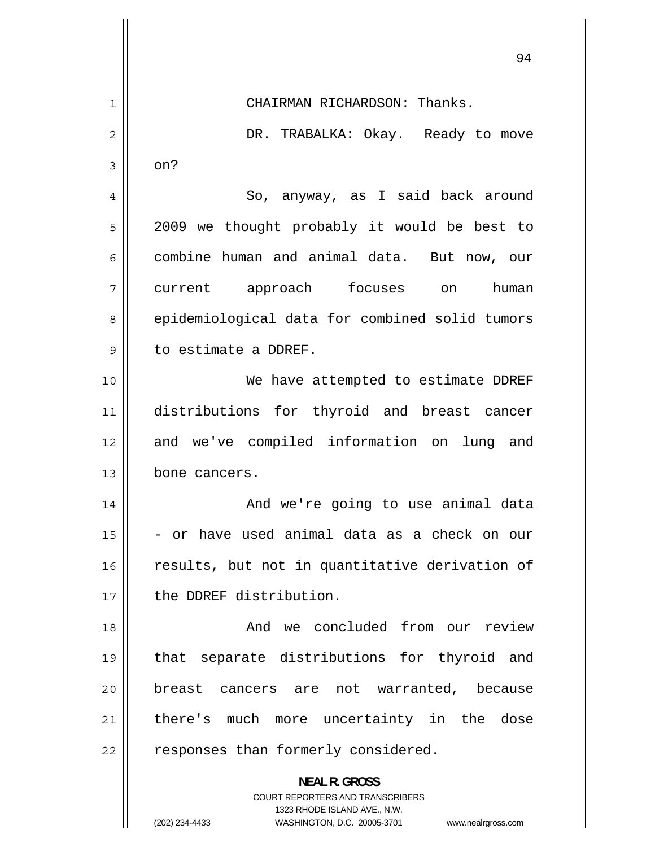|    | ソ生                                                                                                  |
|----|-----------------------------------------------------------------------------------------------------|
| 1  | CHAIRMAN RICHARDSON: Thanks.                                                                        |
| 2  | DR. TRABALKA: Okay. Ready to move                                                                   |
| 3  | on?                                                                                                 |
| 4  | So, anyway, as I said back around                                                                   |
| 5  | 2009 we thought probably it would be best to                                                        |
| 6  | combine human and animal data. But now, our                                                         |
| 7  | current approach focuses<br>human<br>on                                                             |
| 8  | epidemiological data for combined solid tumors                                                      |
| 9  | to estimate a DDREF.                                                                                |
| 10 | We have attempted to estimate DDREF                                                                 |
| 11 | distributions for thyroid and breast cancer                                                         |
| 12 | and we've compiled information on<br>lung and                                                       |
| 13 | bone cancers.                                                                                       |
| 14 | And we're going to use animal data                                                                  |
| 15 | - or have used animal data as a check on our                                                        |
| 16 | results, but not in quantitative derivation of                                                      |
| 17 | the DDREF distribution.                                                                             |
| 18 | And we concluded from our review                                                                    |
| 19 | separate distributions for thyroid and<br>that                                                      |
| 20 | breast cancers are not warranted,<br>because                                                        |
| 21 | there's much more uncertainty in the dose                                                           |
| 22 | responses than formerly considered.                                                                 |
|    | <b>NEAL R. GROSS</b>                                                                                |
|    | <b>COURT REPORTERS AND TRANSCRIBERS</b>                                                             |
|    | 1323 RHODE ISLAND AVE., N.W.<br>(202) 234-4433<br>WASHINGTON, D.C. 20005-3701<br>www.nealrgross.com |

 $\mathsf{l}$ 

 $Q_{\Delta}$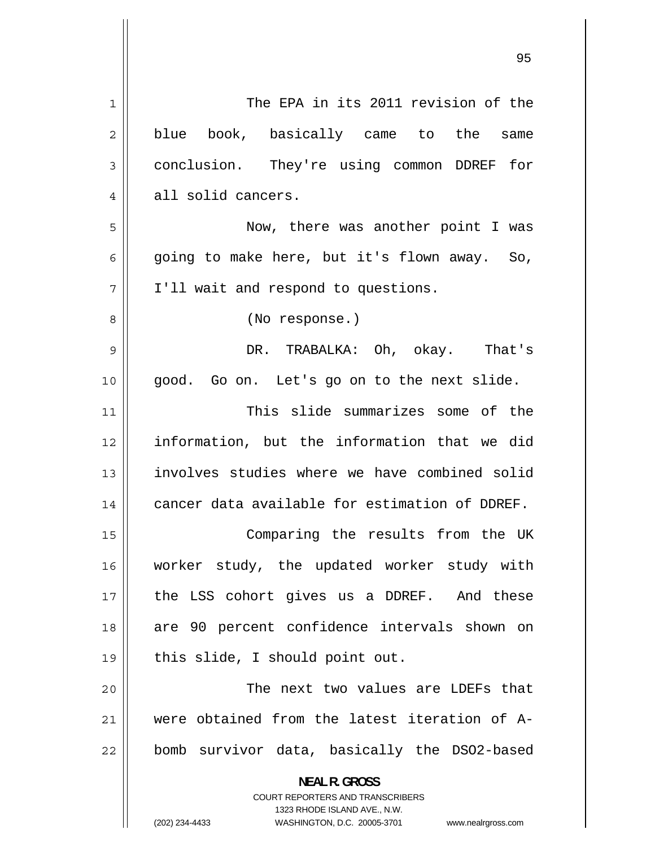| 1  | The EPA in its 2011 revision of the                                                                                                                                    |
|----|------------------------------------------------------------------------------------------------------------------------------------------------------------------------|
| 2  | blue book, basically came to the<br>same                                                                                                                               |
| 3  | conclusion. They're using common DDREF for                                                                                                                             |
| 4  | all solid cancers.                                                                                                                                                     |
| 5  | Now, there was another point I was                                                                                                                                     |
| 6  | going to make here, but it's flown away. So,                                                                                                                           |
| 7  | I'll wait and respond to questions.                                                                                                                                    |
| 8  | (No response.)                                                                                                                                                         |
| 9  | DR. TRABALKA: Oh, okay. That's                                                                                                                                         |
| 10 | good. Go on. Let's go on to the next slide.                                                                                                                            |
| 11 | This slide summarizes some of the                                                                                                                                      |
| 12 | information, but the information that we did                                                                                                                           |
| 13 | involves studies where we have combined solid                                                                                                                          |
| 14 | cancer data available for estimation of DDREF.                                                                                                                         |
| 15 | Comparing the results from the UK                                                                                                                                      |
| 16 | worker study, the updated worker study with                                                                                                                            |
| 17 | the LSS cohort gives us a DDREF. And these                                                                                                                             |
| 18 | are 90 percent confidence intervals shown on                                                                                                                           |
| 19 | this slide, I should point out.                                                                                                                                        |
| 20 | The next two values are LDEFs that                                                                                                                                     |
| 21 | were obtained from the latest iteration of A-                                                                                                                          |
| 22 | bomb survivor data, basically the DSO2-based                                                                                                                           |
|    | <b>NEAL R. GROSS</b><br><b>COURT REPORTERS AND TRANSCRIBERS</b><br>1323 RHODE ISLAND AVE., N.W.<br>(202) 234-4433<br>WASHINGTON, D.C. 20005-3701<br>www.nealrgross.com |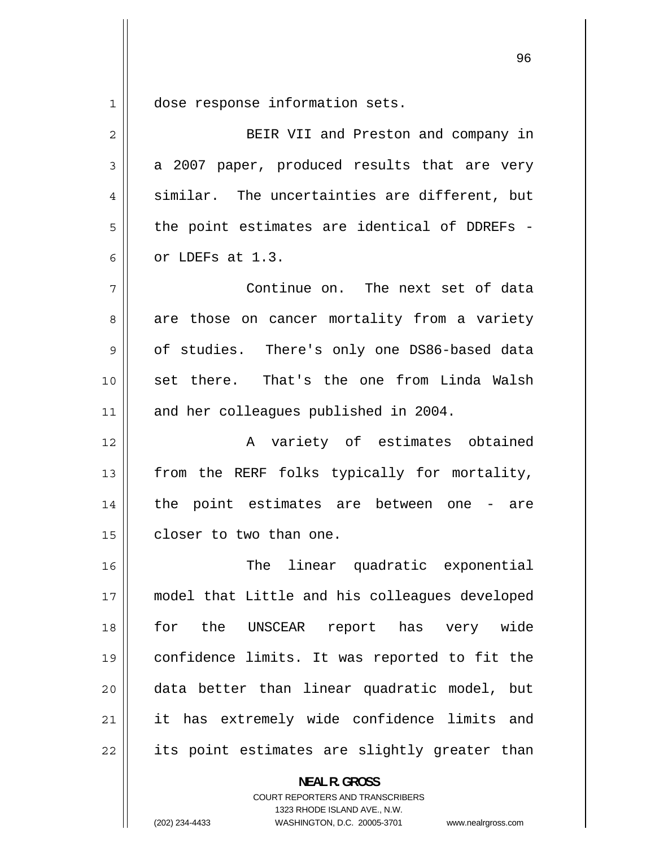1 dose response information sets.

| $\overline{2}$ | BEIR VII and Preston and company in            |
|----------------|------------------------------------------------|
| 3              | a 2007 paper, produced results that are very   |
| 4              | similar. The uncertainties are different, but  |
| 5              | the point estimates are identical of DDREFs -  |
| 6              | or LDEFs at 1.3.                               |
| 7              | Continue on. The next set of data              |
| 8              | are those on cancer mortality from a variety   |
| 9              | of studies. There's only one DS86-based data   |
| 10             | set there. That's the one from Linda Walsh     |
| 11             | and her colleagues published in 2004.          |
| 12             | A variety of estimates obtained                |
| 13             | from the RERF folks typically for mortality,   |
| 14             | the point estimates are between one - are      |
| 15             | closer to two than one.                        |
| 16             | linear quadratic exponential<br>The            |
| 17             | model that Little and his colleagues developed |
| 18             | for the UNSCEAR report has very wide           |
| 19             | confidence limits. It was reported to fit the  |
| 20             | data better than linear quadratic model, but   |
| 21             | it has extremely wide confidence limits and    |
| 22             | its point estimates are slightly greater than  |
|                | <b>NEAL R. GROSS</b>                           |

COURT REPORTERS AND TRANSCRIBERS 1323 RHODE ISLAND AVE., N.W.

(202) 234-4433 WASHINGTON, D.C. 20005-3701 www.nealrgross.com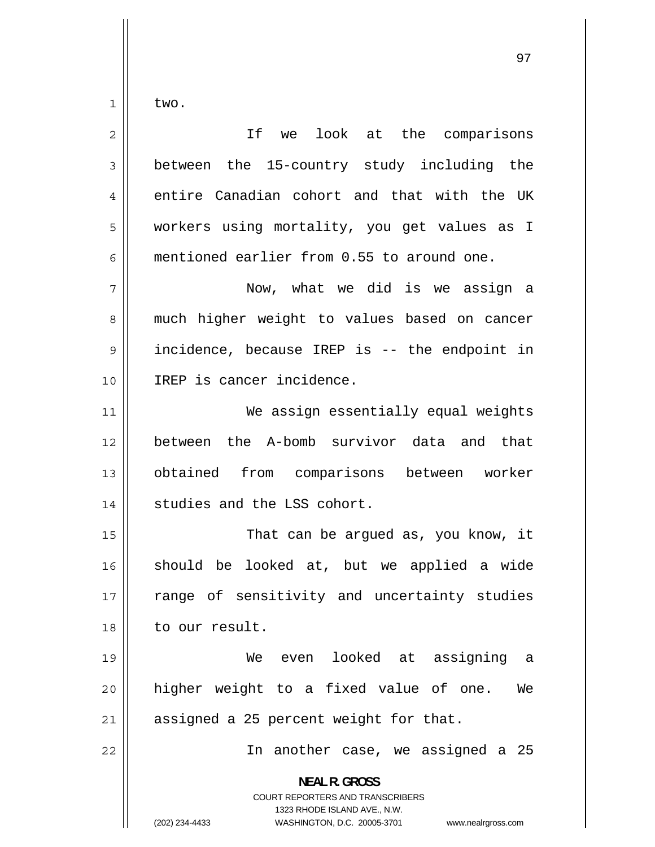1 two.

| $\overline{2}$ | If we look at the comparisons                                                                                                                                          |
|----------------|------------------------------------------------------------------------------------------------------------------------------------------------------------------------|
| 3              | between the 15-country study including the                                                                                                                             |
| $\overline{4}$ | entire Canadian cohort and that with the UK                                                                                                                            |
| 5              | workers using mortality, you get values as I                                                                                                                           |
| 6              | mentioned earlier from 0.55 to around one.                                                                                                                             |
| 7              | Now, what we did is we assign a                                                                                                                                        |
| 8              | much higher weight to values based on cancer                                                                                                                           |
| $\mathsf 9$    | incidence, because IREP is -- the endpoint in                                                                                                                          |
| 10             | IREP is cancer incidence.                                                                                                                                              |
| 11             | We assign essentially equal weights                                                                                                                                    |
| 12             | between the A-bomb survivor data and that                                                                                                                              |
| 13             | obtained from comparisons between worker                                                                                                                               |
| 14             | studies and the LSS cohort.                                                                                                                                            |
| 15             | That can be argued as, you know, it                                                                                                                                    |
| 16             | should be looked at, but we applied a wide                                                                                                                             |
| 17             | range of sensitivity and uncertainty studies                                                                                                                           |
| 18             | to our result.                                                                                                                                                         |
| 19             | We even looked at assigning<br>- a                                                                                                                                     |
| 20             | higher weight to a fixed value of one.<br>We                                                                                                                           |
| 21             | assigned a 25 percent weight for that.                                                                                                                                 |
| 22             | In another case, we assigned a 25                                                                                                                                      |
|                | <b>NEAL R. GROSS</b><br><b>COURT REPORTERS AND TRANSCRIBERS</b><br>1323 RHODE ISLAND AVE., N.W.<br>(202) 234-4433<br>WASHINGTON, D.C. 20005-3701<br>www.nealrgross.com |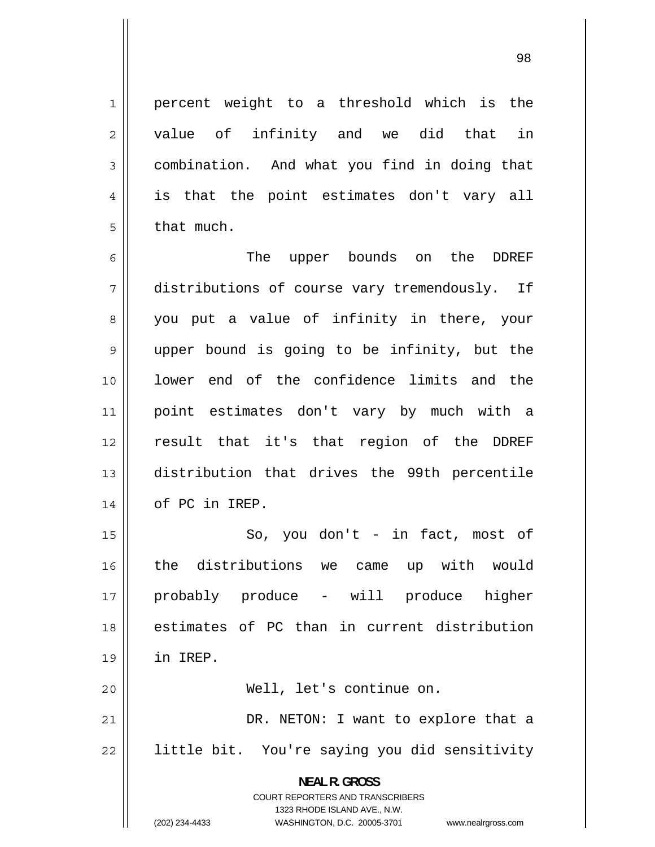98

 percent weight to a threshold which is the value of infinity and we did that in combination. And what you find in doing that is that the point estimates don't vary all that much.

6 The upper bounds on the DDREF 7 distributions of course vary tremendously. If 8 you put a value of infinity in there, your 9 upper bound is going to be infinity, but the 10 lower end of the confidence limits and the 11 point estimates don't vary by much with a 12 result that it's that region of the DDREF 13 distribution that drives the 99th percentile 14 | of PC in IREP.

15 So, you don't - in fact, most of 16 the distributions we came up with would 17 probably produce - will produce higher 18 estimates of PC than in current distribution 19 in IREP. 20 Well, let's continue on.

21 DR. NETON: I want to explore that a 22 little bit. You're saying you did sensitivity

> **NEAL R. GROSS**  COURT REPORTERS AND TRANSCRIBERS 1323 RHODE ISLAND AVE., N.W.

1

2

3

4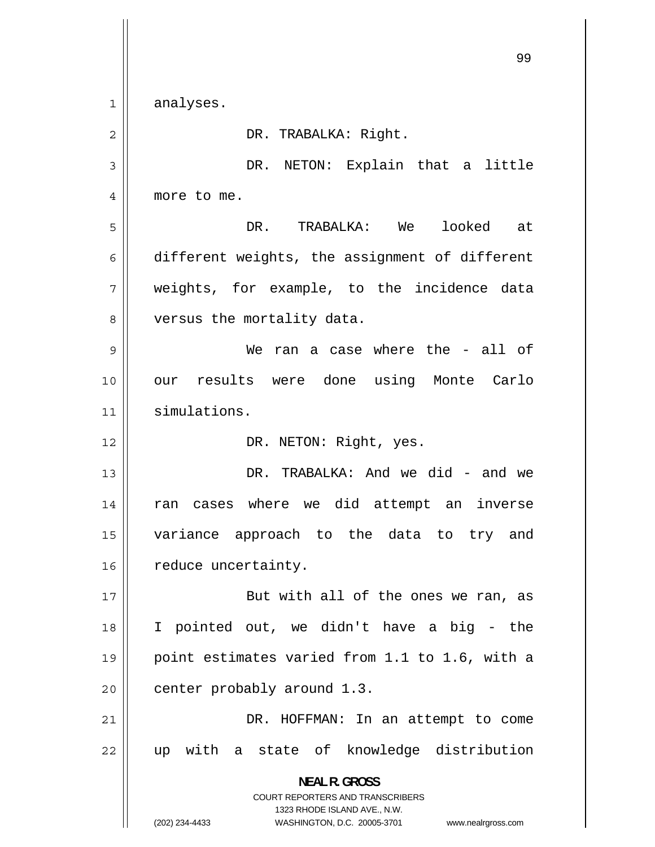99 1 analyses. 2 DR. TRABALKA: Right. 3 DR. NETON: Explain that a little 4 more to me. 5 DR. TRABALKA: We looked at 6 different weights, the assignment of different 7 weights, for example, to the incidence data 8 versus the mortality data. 9 We ran a case where the - all of 10 our results were done using Monte Carlo 11 simulations. 12 || DR. NETON: Right, yes. 13 DR. TRABALKA: And we did - and we 14 ran cases where we did attempt an inverse 15 variance approach to the data to try and 16 | reduce uncertainty. 17 But with all of the ones we ran, as 18 I pointed out, we didn't have a big - the 19 point estimates varied from 1.1 to 1.6, with a 20  $\parallel$  center probably around 1.3. 21 DR. HOFFMAN: In an attempt to come 22 up with a state of knowledge distribution **NEAL R. GROSS**  COURT REPORTERS AND TRANSCRIBERS 1323 RHODE ISLAND AVE., N.W.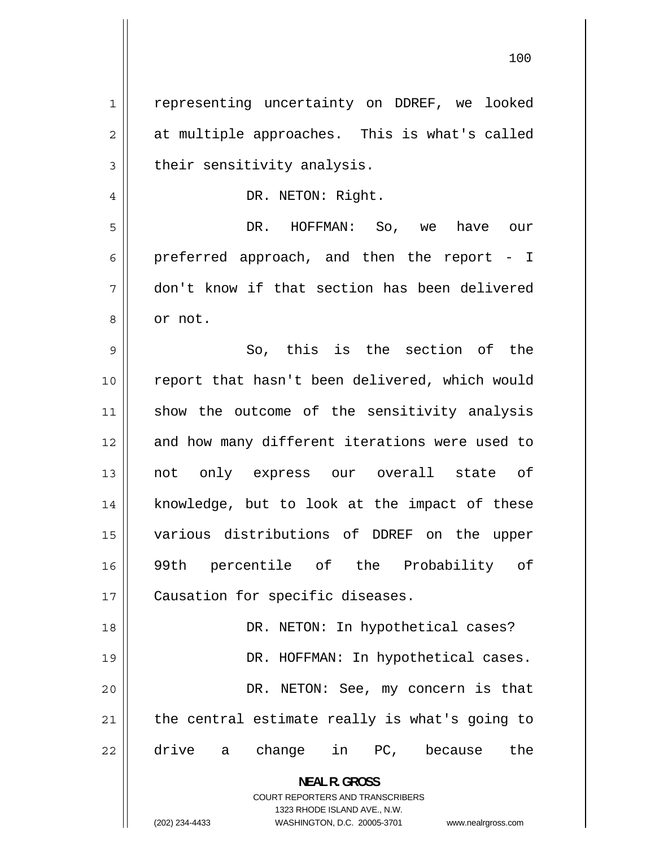1 representing uncertainty on DDREF, we looked 2 at multiple approaches. This is what's called 3 their sensitivity analysis. 4 DR. NETON: Right. 5 DR. HOFFMAN: So, we have our 6 preferred approach, and then the report - I 7 don't know if that section has been delivered 8 or not. 9 So, this is the section of the 10 report that hasn't been delivered, which would 11 show the outcome of the sensitivity analysis 12 and how many different iterations were used to 13 not only express our overall state of 14 knowledge, but to look at the impact of these 15 various distributions of DDREF on the upper 16 99th percentile of the Probability of 17 | Causation for specific diseases. 18 DR. NETON: In hypothetical cases? 19 DR. HOFFMAN: In hypothetical cases. 20 DR. NETON: See, my concern is that 21 the central estimate really is what's going to 22 drive a change in PC, because the **NEAL R. GROSS**  COURT REPORTERS AND TRANSCRIBERS 1323 RHODE ISLAND AVE., N.W.

(202) 234-4433 WASHINGTON, D.C. 20005-3701 www.nealrgross.com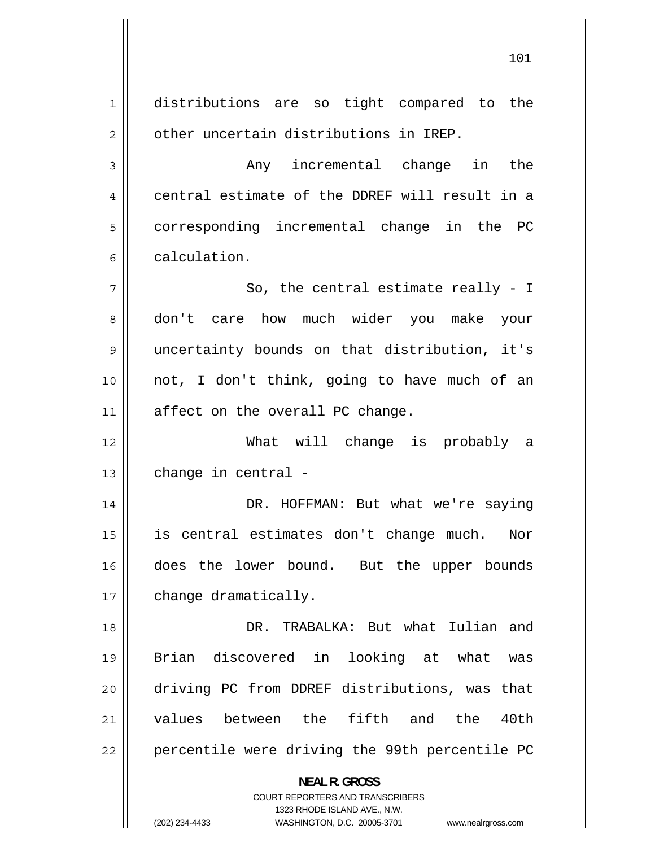1 distributions are so tight compared to the 2 other uncertain distributions in IREP. 3 Any incremental change in the 4 central estimate of the DDREF will result in a 5 corresponding incremental change in the PC 6 calculation. 7 So, the central estimate really - I 8 don't care how much wider you make your 9 uncertainty bounds on that distribution, it's 10 not, I don't think, going to have much of an 11 || affect on the overall PC change. 12 What will change is probably a  $13$  | change in central -14 DR. HOFFMAN: But what we're saying 15 is central estimates don't change much. Nor 16 does the lower bound. But the upper bounds 17 | change dramatically. 18 DR. TRABALKA: But what Iulian and 19 Brian discovered in looking at what was 20 driving PC from DDREF distributions, was that 21 values between the fifth and the 40th 22 percentile were driving the 99th percentile PC **NEAL R. GROSS**  COURT REPORTERS AND TRANSCRIBERS 1323 RHODE ISLAND AVE., N.W.

(202) 234-4433 WASHINGTON, D.C. 20005-3701 www.nealrgross.com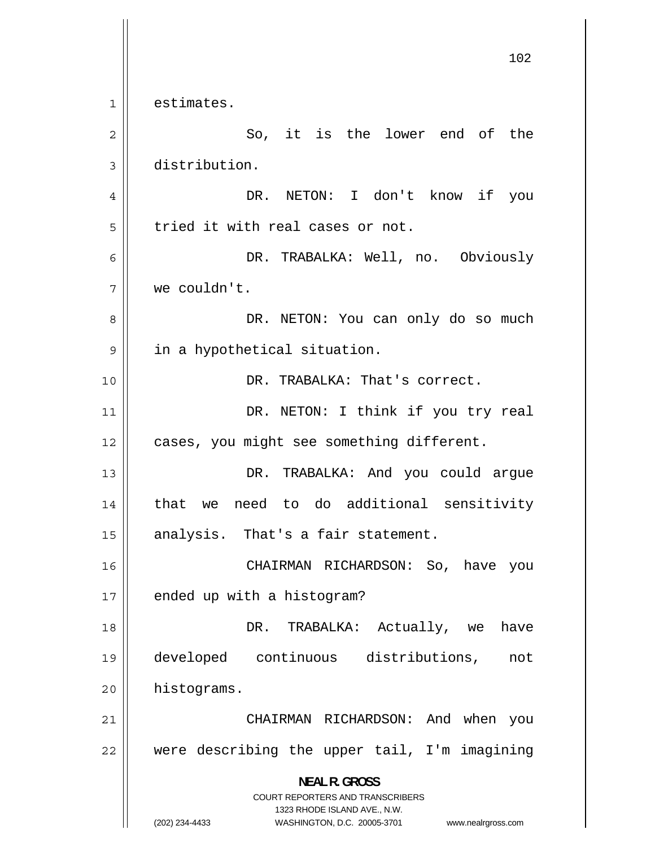1 estimates. 2 So, it is the lower end of the 3 distribution. 4 DR. NETON: I don't know if you 5 tried it with real cases or not. 6 DR. TRABALKA: Well, no. Obviously 7 we couldn't. 8 DR. NETON: You can only do so much 9 in a hypothetical situation. 10 DR. TRABALKA: That's correct. 11 DR. NETON: I think if you try real 12 | cases, you might see something different. 13 DR. TRABALKA: And you could argue 14 that we need to do additional sensitivity 15 || analysis. That's a fair statement. 16 CHAIRMAN RICHARDSON: So, have you  $17$  | ended up with a histogram? 18 DR. TRABALKA: Actually, we have 19 developed continuous distributions, not 20 | histograms. 21 CHAIRMAN RICHARDSON: And when you 22 were describing the upper tail, I'm imagining **NEAL R. GROSS**  COURT REPORTERS AND TRANSCRIBERS 1323 RHODE ISLAND AVE., N.W. (202) 234-4433 WASHINGTON, D.C. 20005-3701 www.nealrgross.com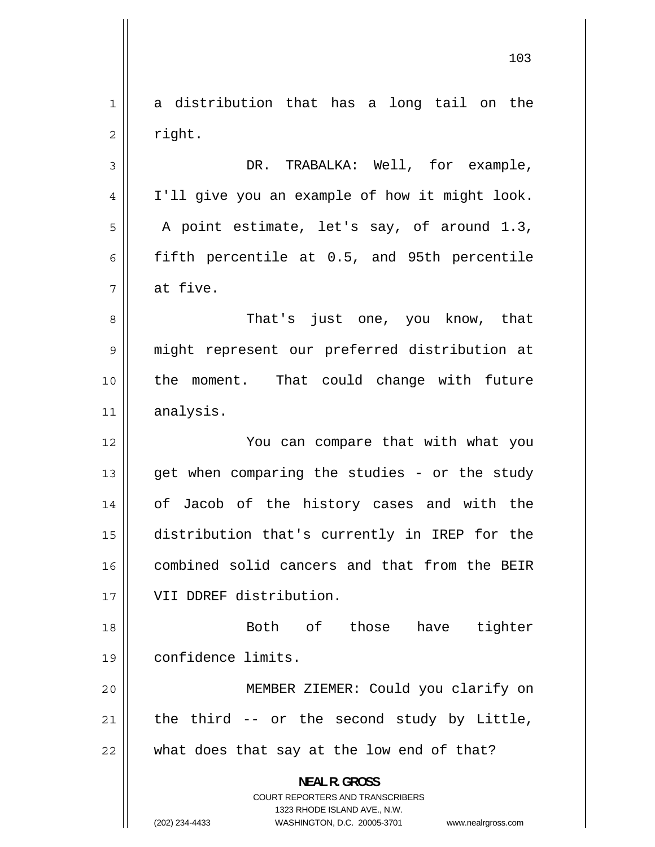1 a distribution that has a long tail on the 2 right. 3 DR. TRABALKA: Well, for example, 4 I'll give you an example of how it might look. 5 A point estimate, let's say, of around 1.3, 6 fifth percentile at 0.5, and 95th percentile 7 at five. 8 That's just one, you know, that 9 might represent our preferred distribution at 10 the moment. That could change with future 11 analysis. 12 You can compare that with what you 13 get when comparing the studies - or the study 14 of Jacob of the history cases and with the 15 distribution that's currently in IREP for the 16 combined solid cancers and that from the BEIR 17 VII DDREF distribution. 18 Both of those have tighter 19 confidence limits. 20 MEMBER ZIEMER: Could you clarify on 21 the third -- or the second study by Little,  $22$  || what does that say at the low end of that? **NEAL R. GROSS**  COURT REPORTERS AND TRANSCRIBERS 1323 RHODE ISLAND AVE., N.W. (202) 234-4433 WASHINGTON, D.C. 20005-3701 www.nealrgross.com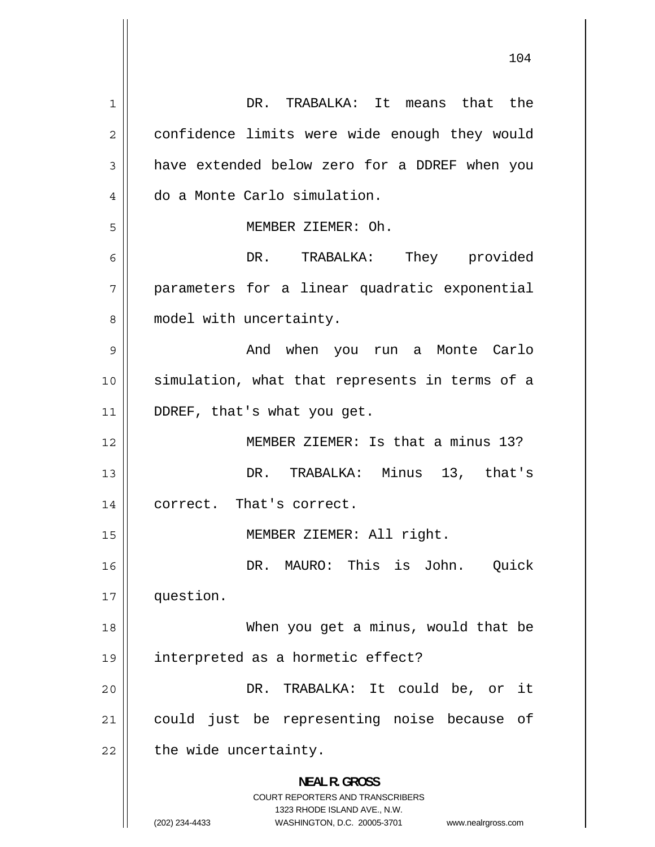1 DR. TRABALKA: It means that the 2 confidence limits were wide enough they would 3 have extended below zero for a DDREF when you 4 do a Monte Carlo simulation. 5 MEMBER ZIEMER: Oh. 6 DR. TRABALKA: They provided 7 parameters for a linear quadratic exponential 8 model with uncertainty. 9 And when you run a Monte Carlo 10 simulation, what that represents in terms of a 11 || DDREF, that's what you get. 12 MEMBER ZIEMER: Is that a minus 13? 13 DR. TRABALKA: Minus 13, that's 14 || correct. That's correct. 15 MEMBER ZIEMER: All right. 16 DR. MAURO: This is John. Ouick 17 question. 18 When you get a minus, would that be 19 interpreted as a hormetic effect? 20 DR. TRABALKA: It could be, or it 21 could just be representing noise because of  $22$  | the wide uncertainty. **NEAL R. GROSS**  COURT REPORTERS AND TRANSCRIBERS 1323 RHODE ISLAND AVE., N.W. (202) 234-4433 WASHINGTON, D.C. 20005-3701 www.nealrgross.com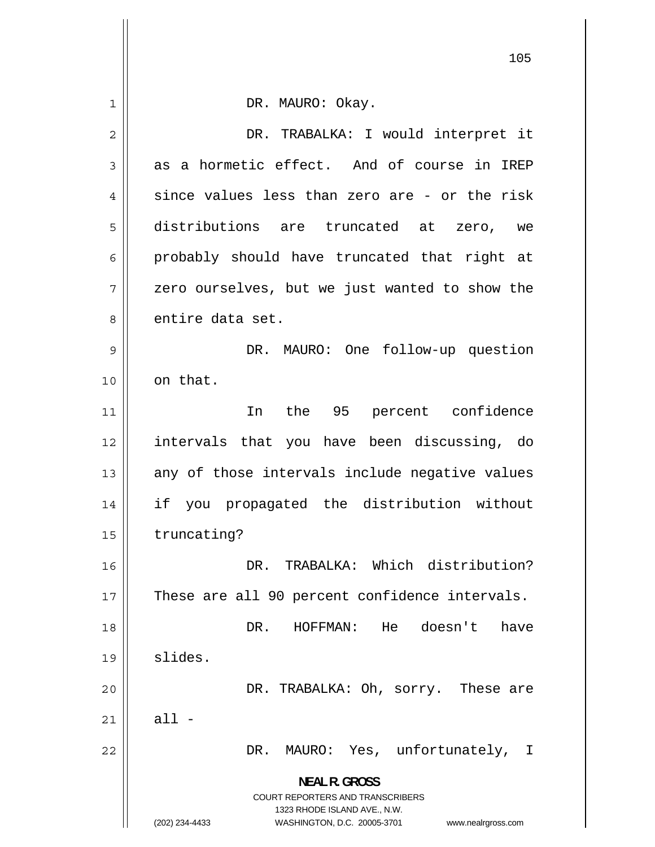|             | ᅩ∪                                                                                                                                                                     |
|-------------|------------------------------------------------------------------------------------------------------------------------------------------------------------------------|
| $\mathbf 1$ | DR. MAURO: Okay.                                                                                                                                                       |
| 2           | DR. TRABALKA: I would interpret it                                                                                                                                     |
| 3           | as a hormetic effect. And of course in IREP                                                                                                                            |
| 4           | since values less than zero are - or the risk                                                                                                                          |
| 5           | distributions are truncated at zero,<br>we                                                                                                                             |
| 6           | probably should have truncated that right at                                                                                                                           |
| 7           | zero ourselves, but we just wanted to show the                                                                                                                         |
| 8           | entire data set.                                                                                                                                                       |
| 9           | DR. MAURO: One follow-up question                                                                                                                                      |
| 10          | on that.                                                                                                                                                               |
| 11          | In the 95 percent confidence                                                                                                                                           |
| 12          | intervals that you have been discussing, do                                                                                                                            |
| 13          | any of those intervals include negative values                                                                                                                         |
| 14          | if you propagated the distribution without                                                                                                                             |
| 15          | truncating?                                                                                                                                                            |
| 16          | DR. TRABALKA: Which distribution?                                                                                                                                      |
| 17          | These are all 90 percent confidence intervals.                                                                                                                         |
| 18          | DR.<br>HOFFMAN:<br>He<br>doesn't<br>have                                                                                                                               |
| 19          | slides.                                                                                                                                                                |
| 20          | DR. TRABALKA: Oh, sorry. These are                                                                                                                                     |
| 21          | $all -$                                                                                                                                                                |
| 22          | MAURO: Yes, unfortunately,<br>DR.<br>T.                                                                                                                                |
|             | <b>NEAL R. GROSS</b><br><b>COURT REPORTERS AND TRANSCRIBERS</b><br>1323 RHODE ISLAND AVE., N.W.<br>(202) 234-4433<br>WASHINGTON, D.C. 20005-3701<br>www.nealrgross.com |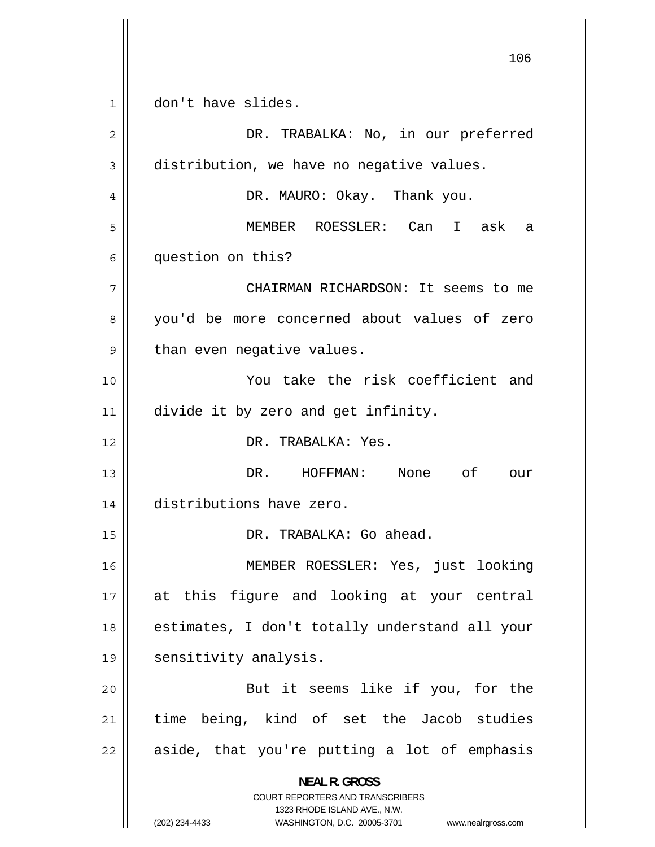1 don't have slides. 2 DR. TRABALKA: No, in our preferred 3 distribution, we have no negative values. 4 DR. MAURO: Okay. Thank you. 5 MEMBER ROESSLER: Can I ask a 6 question on this? 7 CHAIRMAN RICHARDSON: It seems to me 8 you'd be more concerned about values of zero 9 than even negative values. 10 You take the risk coefficient and 11 | divide it by zero and get infinity. 12 DR. TRABALKA: Yes. 13 DR. HOFFMAN: None of our 14 distributions have zero. 15 DR. TRABALKA: Go ahead. 16 MEMBER ROESSLER: Yes, just looking 17 at this figure and looking at your central 18 estimates, I don't totally understand all your 19 || sensitivity analysis. 20 But it seems like if you, for the 21 time being, kind of set the Jacob studies 22 aside, that you're putting a lot of emphasis **NEAL R. GROSS**  COURT REPORTERS AND TRANSCRIBERS 1323 RHODE ISLAND AVE., N.W. (202) 234-4433 WASHINGTON, D.C. 20005-3701 www.nealrgross.com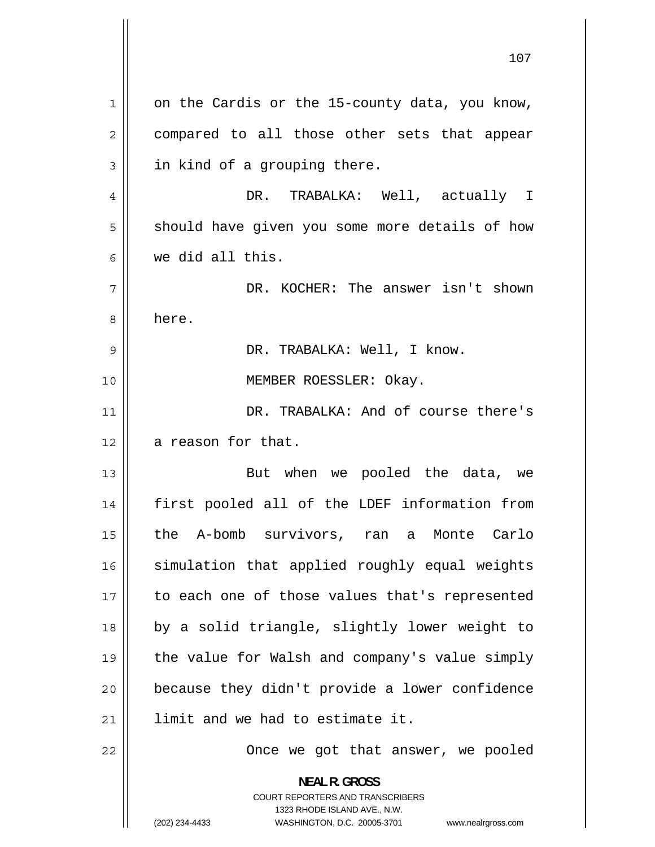| $\mathbf 1$    | on the Cardis or the 15-county data, you know,                                                                                                                         |
|----------------|------------------------------------------------------------------------------------------------------------------------------------------------------------------------|
| $\overline{2}$ | compared to all those other sets that appear                                                                                                                           |
| 3              | in kind of a grouping there.                                                                                                                                           |
| 4              | DR. TRABALKA: Well, actually I                                                                                                                                         |
| 5              | should have given you some more details of how                                                                                                                         |
| 6              | we did all this.                                                                                                                                                       |
| 7              | DR. KOCHER: The answer isn't shown                                                                                                                                     |
| 8              | here.                                                                                                                                                                  |
| 9              | DR. TRABALKA: Well, I know.                                                                                                                                            |
| 10             | MEMBER ROESSLER: Okay.                                                                                                                                                 |
| 11             | DR. TRABALKA: And of course there's                                                                                                                                    |
| 12             | a reason for that.                                                                                                                                                     |
| 13             | But when we pooled the data, we                                                                                                                                        |
| 14             | first pooled all of the LDEF information from                                                                                                                          |
| 15             | the A-bomb survivors, ran a Monte Carlo                                                                                                                                |
| 16             | simulation that applied roughly equal weights                                                                                                                          |
| 17             | to each one of those values that's represented                                                                                                                         |
| 18             | by a solid triangle, slightly lower weight to                                                                                                                          |
| 19             | the value for Walsh and company's value simply                                                                                                                         |
| 20             | because they didn't provide a lower confidence                                                                                                                         |
| 21             | limit and we had to estimate it.                                                                                                                                       |
| 22             | Once we got that answer, we pooled                                                                                                                                     |
|                | <b>NEAL R. GROSS</b><br><b>COURT REPORTERS AND TRANSCRIBERS</b><br>1323 RHODE ISLAND AVE., N.W.<br>(202) 234-4433<br>WASHINGTON, D.C. 20005-3701<br>www.nealrgross.com |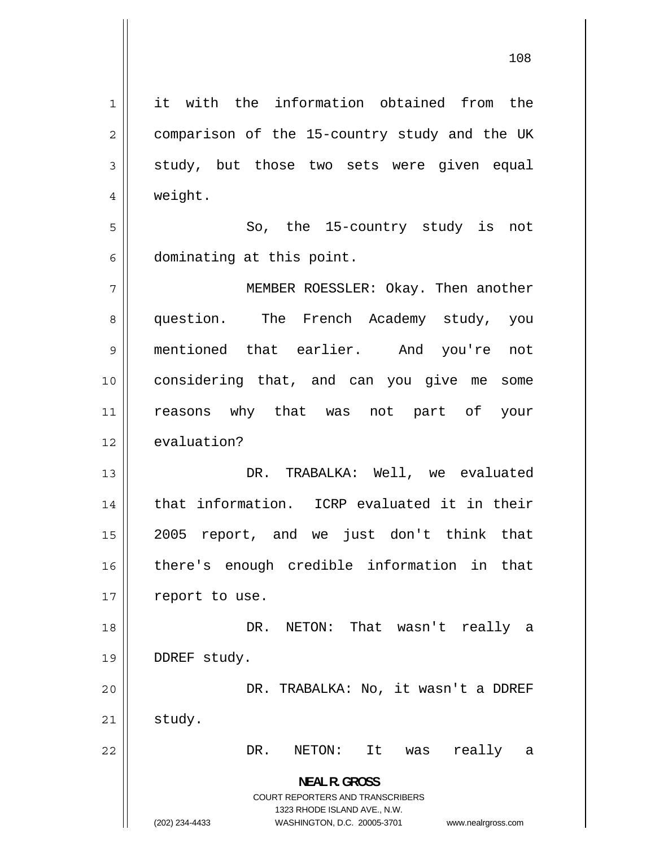1 it with the information obtained from the 2 comparison of the 15-country study and the UK 3 study, but those two sets were given equal 4 weight. 5 So, the 15-country study is not 6 dominating at this point. 7 MEMBER ROESSLER: Okay. Then another 8 question. The French Academy study, you 9 mentioned that earlier. And you're not 10 considering that, and can you give me some 11 reasons why that was not part of your 12 evaluation? 13 DR. TRABALKA: Well, we evaluated 14 that information. ICRP evaluated it in their 15 2005 report, and we just don't think that 16 there's enough credible information in that  $17$  | report to use. 18 DR. NETON: That wasn't really a 19 | DDREF study. 20 DR. TRABALKA: No, it wasn't a DDREF  $21$  study. 22 DR. NETON: It was really a **NEAL R. GROSS**  COURT REPORTERS AND TRANSCRIBERS 1323 RHODE ISLAND AVE., N.W. (202) 234-4433 WASHINGTON, D.C. 20005-3701 www.nealrgross.com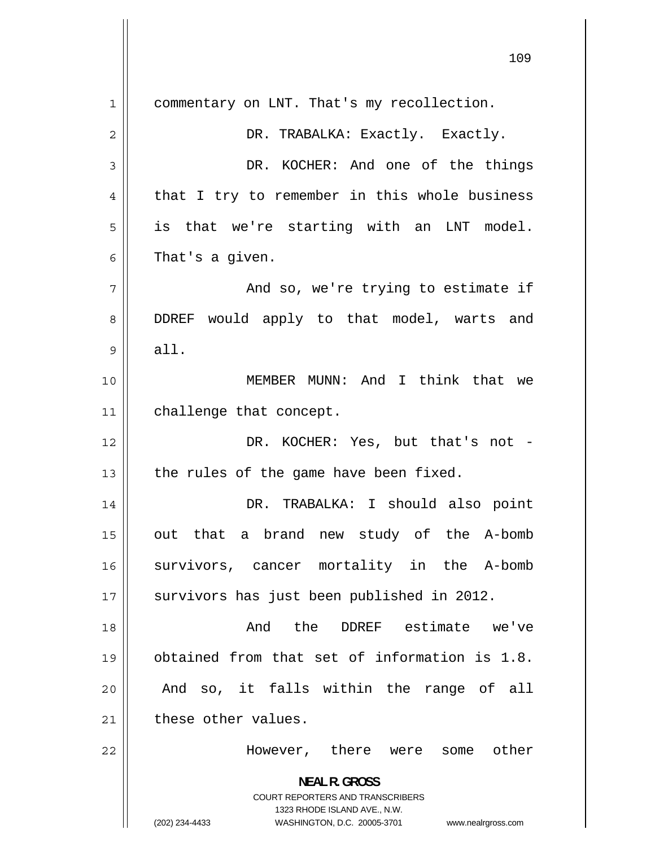1 commentary on LNT. That's my recollection. 2 DR. TRABALKA: Exactly. Exactly. 3 DR. KOCHER: And one of the things 4 that I try to remember in this whole business 5 is that we're starting with an LNT model. 6 That's a given. 7 And so, we're trying to estimate if 8 DDREF would apply to that model, warts and 9 all. 10 MEMBER MUNN: And I think that we 11 | challenge that concept. 12 DR. KOCHER: Yes, but that's not -13  $\parallel$  the rules of the game have been fixed. 14 DR. TRABALKA: I should also point 15 out that a brand new study of the A-bomb 16 survivors, cancer mortality in the A-bomb 17 || survivors has just been published in 2012. 18 And the DDREF estimate we've 19 obtained from that set of information is 1.8. 20 And so, it falls within the range of all  $21$  these other values. 22 However, there were some other **NEAL R. GROSS**  COURT REPORTERS AND TRANSCRIBERS 1323 RHODE ISLAND AVE., N.W. (202) 234-4433 WASHINGTON, D.C. 20005-3701 www.nealrgross.com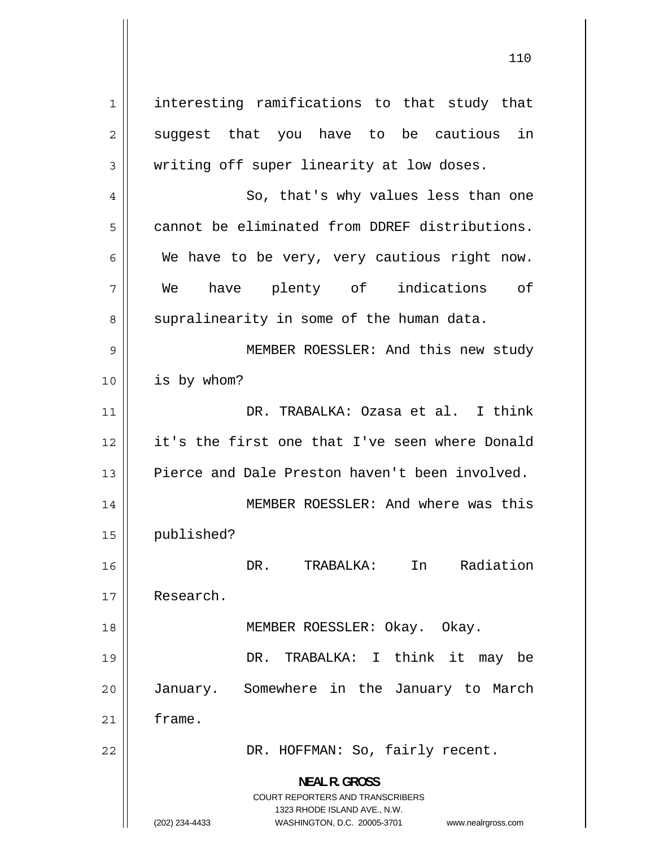1 interesting ramifications to that study that 2 suggest that you have to be cautious in 3 writing off super linearity at low doses. 4 So, that's why values less than one 5 cannot be eliminated from DDREF distributions. 6 We have to be very, very cautious right now. 7 We have plenty of indications of 8 supralinearity in some of the human data. 9 MEMBER ROESSLER: And this new study 10 is by whom? 11 DR. TRABALKA: Ozasa et al. I think 12 it's the first one that I've seen where Donald 13 Pierce and Dale Preston haven't been involved. 14 MEMBER ROESSLER: And where was this 15 published? 16 DR. TRABALKA: In Radiation 17 Research. 18 || MEMBER ROESSLER: Okay. Okay. 19 DR. TRABALKA: I think it may be 20 January. Somewhere in the January to March 21 frame. 22 | DR. HOFFMAN: So, fairly recent. **NEAL R. GROSS**  COURT REPORTERS AND TRANSCRIBERS 1323 RHODE ISLAND AVE., N.W.

(202) 234-4433 WASHINGTON, D.C. 20005-3701 www.nealrgross.com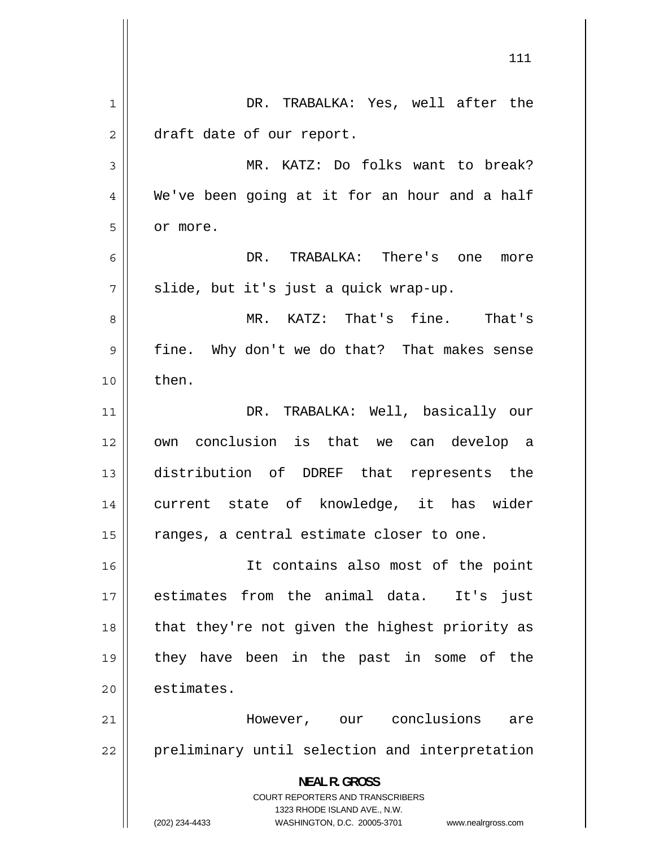|    | 111                                                                                                                                                                       |
|----|---------------------------------------------------------------------------------------------------------------------------------------------------------------------------|
|    |                                                                                                                                                                           |
| 1  | DR. TRABALKA: Yes, well after the                                                                                                                                         |
| 2  | draft date of our report.                                                                                                                                                 |
| 3  | MR. KATZ: Do folks want to break?                                                                                                                                         |
| 4  | We've been going at it for an hour and a half                                                                                                                             |
| 5  | or more.                                                                                                                                                                  |
| 6  | DR. TRABALKA: There's one<br>more                                                                                                                                         |
| 7  | slide, but it's just a quick wrap-up.                                                                                                                                     |
| 8  | MR. KATZ: That's fine. That's                                                                                                                                             |
| 9  | fine. Why don't we do that? That makes sense                                                                                                                              |
| 10 | then.                                                                                                                                                                     |
| 11 | DR. TRABALKA: Well, basically our                                                                                                                                         |
| 12 | own conclusion is that we can develop a                                                                                                                                   |
| 13 | distribution of DDREF that represents the                                                                                                                                 |
| 14 | current state of knowledge, it has wider                                                                                                                                  |
| 15 | ranges, a central estimate closer to one.                                                                                                                                 |
| 16 | It contains also most of the point                                                                                                                                        |
| 17 | estimates from the animal data. It's just                                                                                                                                 |
| 18 | that they're not given the highest priority as                                                                                                                            |
| 19 | they have been in the past in some of the                                                                                                                                 |
| 20 | estimates.                                                                                                                                                                |
| 21 | are                                                                                                                                                                       |
|    |                                                                                                                                                                           |
|    |                                                                                                                                                                           |
|    | <b>COURT REPORTERS AND TRANSCRIBERS</b>                                                                                                                                   |
|    | 1323 RHODE ISLAND AVE., N.W.                                                                                                                                              |
| 22 | However, our conclusions<br>preliminary until selection and interpretation<br><b>NEAL R. GROSS</b><br>(202) 234-4433<br>WASHINGTON, D.C. 20005-3701<br>www.nealrgross.com |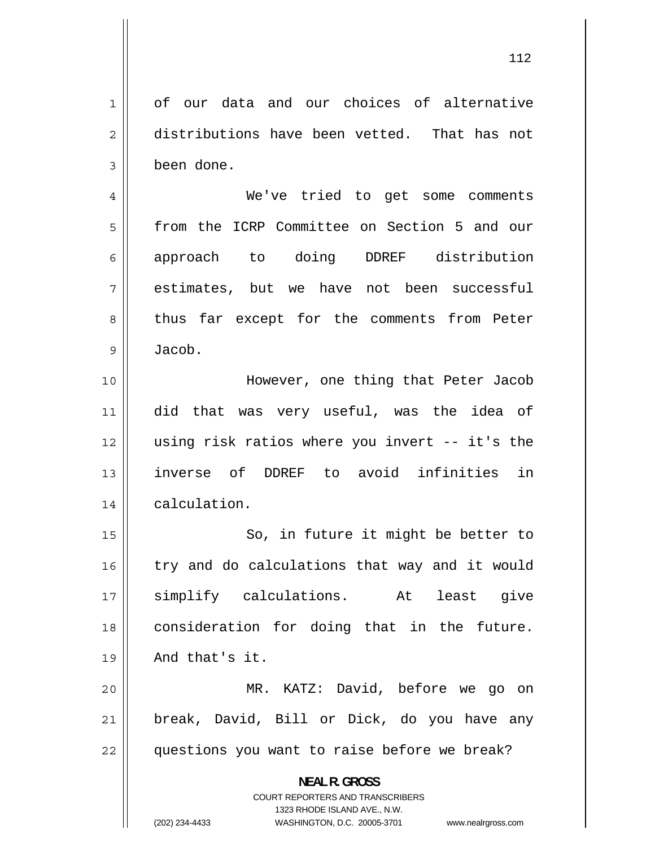1 of our data and our choices of alternative 2 distributions have been vetted. That has not 3 been done. 4 We've tried to get some comments 5 from the ICRP Committee on Section 5 and our 6 approach to doing DDREF distribution 7 estimates, but we have not been successful 8 thus far except for the comments from Peter 9 Jacob. 10 However, one thing that Peter Jacob 11 did that was very useful, was the idea of 12 using risk ratios where you invert -- it's the 13 inverse of DDREF to avoid infinities in 14 | calculation. 15 So, in future it might be better to 16 try and do calculations that way and it would 17 simplify calculations. At least give 18 consideration for doing that in the future. 19 And that's it. 20 MR. KATZ: David, before we go on 21 break, David, Bill or Dick, do you have any  $22$  || questions you want to raise before we break? **NEAL R. GROSS**  COURT REPORTERS AND TRANSCRIBERS 1323 RHODE ISLAND AVE., N.W.

(202) 234-4433 WASHINGTON, D.C. 20005-3701 www.nealrgross.com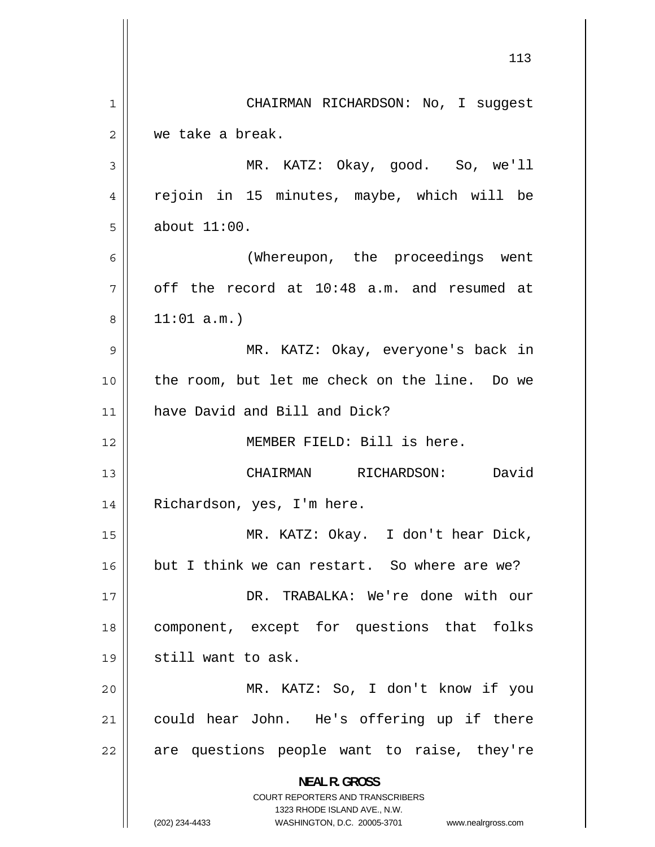|                | 113                                                                                                                                                             |
|----------------|-----------------------------------------------------------------------------------------------------------------------------------------------------------------|
| $\mathbf{1}$   | CHAIRMAN RICHARDSON: No, I suggest                                                                                                                              |
| $\overline{2}$ | we take a break.                                                                                                                                                |
| 3              | MR. KATZ: Okay, good. So, we'll                                                                                                                                 |
| 4              | rejoin in 15 minutes, maybe, which will be                                                                                                                      |
| 5              | about $11:00$ .                                                                                                                                                 |
| 6              | (Whereupon, the proceedings went                                                                                                                                |
| 7              | off the record at 10:48 a.m. and resumed at                                                                                                                     |
| 8              | 11:01 a.m.                                                                                                                                                      |
| 9              | MR. KATZ: Okay, everyone's back in                                                                                                                              |
| 10             | the room, but let me check on the line. Do we                                                                                                                   |
| 11             | have David and Bill and Dick?                                                                                                                                   |
| 12             | MEMBER FIELD: Bill is here.                                                                                                                                     |
| 13             | RICHARDSON:<br>David<br>CHAIRMAN                                                                                                                                |
| 14             | Richardson, yes, I'm here.                                                                                                                                      |
| 15             | MR. KATZ: Okay. I don't hear Dick,                                                                                                                              |
| 16             | but I think we can restart. So where are we?                                                                                                                    |
| 17             | DR. TRABALKA: We're done with our                                                                                                                               |
| 18             | component, except for questions that folks                                                                                                                      |
| 19             | still want to ask.                                                                                                                                              |
| 20             | MR. KATZ: So, I don't know if you                                                                                                                               |
| 21             | could hear John. He's offering up if there                                                                                                                      |
| 22             | are questions people want to raise, they're                                                                                                                     |
|                | <b>NEAL R. GROSS</b><br>COURT REPORTERS AND TRANSCRIBERS<br>1323 RHODE ISLAND AVE., N.W.<br>(202) 234-4433<br>WASHINGTON, D.C. 20005-3701<br>www.nealrgross.com |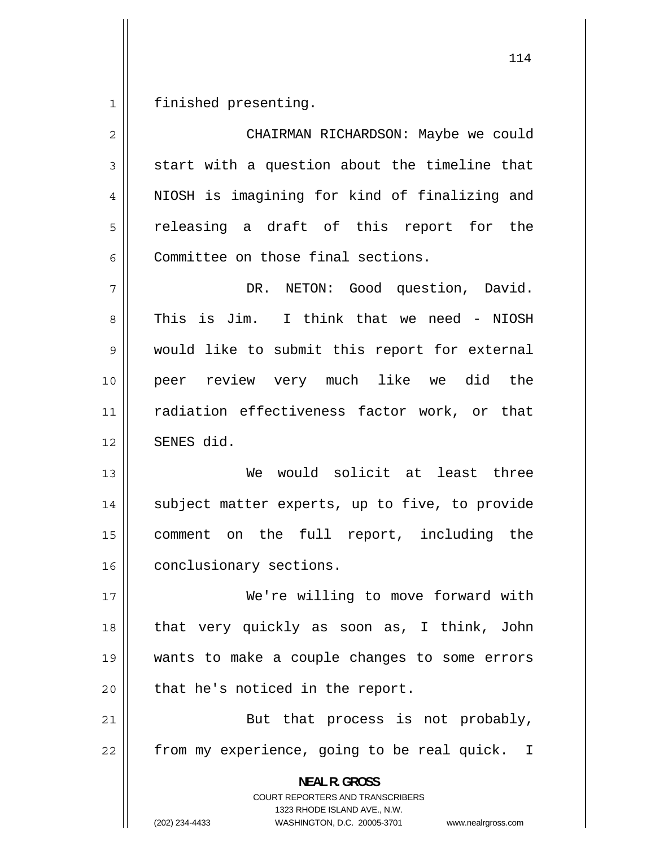1 finished presenting.

2 CHAIRMAN RICHARDSON: Maybe we could 3 start with a question about the timeline that 4 NIOSH is imagining for kind of finalizing and 5 releasing a draft of this report for the 6 Committee on those final sections. 7 DR. NETON: Good question, David. 8 This is Jim. I think that we need - NIOSH 9 would like to submit this report for external 10 peer review very much like we did the 11 radiation effectiveness factor work, or that 12 SENES did. 13 We would solicit at least three 14 subject matter experts, up to five, to provide 15 comment on the full report, including the 16 | conclusionary sections. 17 We're willing to move forward with 18 that very quickly as soon as, I think, John 19 wants to make a couple changes to some errors  $20$  | that he's noticed in the report. 21 But that process is not probably, 22 from my experience, going to be real quick. I **NEAL R. GROSS**  COURT REPORTERS AND TRANSCRIBERS 1323 RHODE ISLAND AVE., N.W. (202) 234-4433 WASHINGTON, D.C. 20005-3701 www.nealrgross.com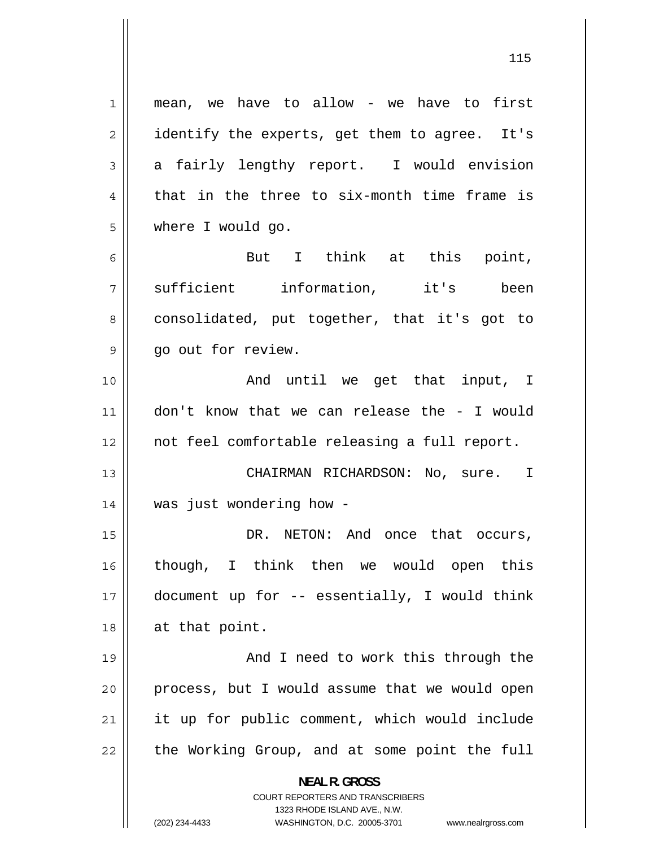1 mean, we have to allow - we have to first 2 identify the experts, get them to agree. It's 3 a fairly lengthy report. I would envision 4 that in the three to six-month time frame is 5 where I would go. 6 But I think at this point, 7 sufficient information, it's been 8 consolidated, put together, that it's got to 9 go out for review. 10 And until we get that input, I 11 don't know that we can release the - I would 12 not feel comfortable releasing a full report. 13 CHAIRMAN RICHARDSON: No, sure. I 14 was just wondering how - 15 DR. NETON: And once that occurs, 16 though, I think then we would open this 17 document up for -- essentially, I would think 18 || at that point. 19 And I need to work this through the 20 process, but I would assume that we would open 21 it up for public comment, which would include 22 the Working Group, and at some point the full **NEAL R. GROSS**  COURT REPORTERS AND TRANSCRIBERS 1323 RHODE ISLAND AVE., N.W. (202) 234-4433 WASHINGTON, D.C. 20005-3701 www.nealrgross.com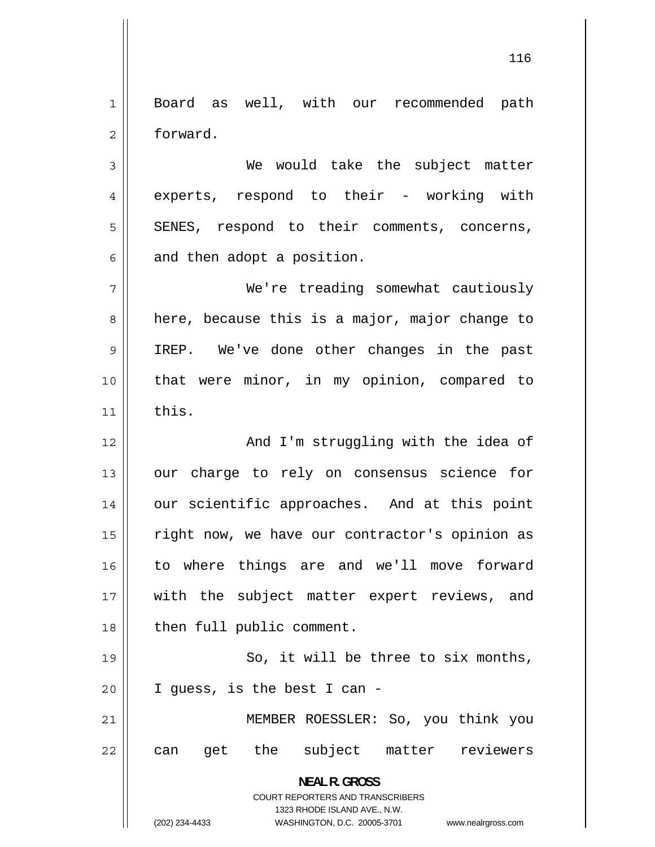1 Board as well, with our recommended path 2 forward.

3 We would take the subject matter 4 experts, respond to their - working with 5 SENES, respond to their comments, concerns, 6 and then adopt a position.

7 We're treading somewhat cautiously 8 here, because this is a major, major change to 9 IREP. We've done other changes in the past 10 that were minor, in my opinion, compared to  $11$  this.

12 And I'm struggling with the idea of 13 our charge to rely on consensus science for 14 our scientific approaches. And at this point 15 right now, we have our contractor's opinion as 16 to where things are and we'll move forward 17 with the subject matter expert reviews, and 18 | then full public comment.

19 So, it will be three to six months, 20 I guess, is the best I can -

21 MEMBER ROESSLER: So, you think you 22 can get the subject matter reviewers

> **NEAL R. GROSS**  COURT REPORTERS AND TRANSCRIBERS 1323 RHODE ISLAND AVE., N.W.

(202) 234-4433 WASHINGTON, D.C. 20005-3701 www.nealrgross.com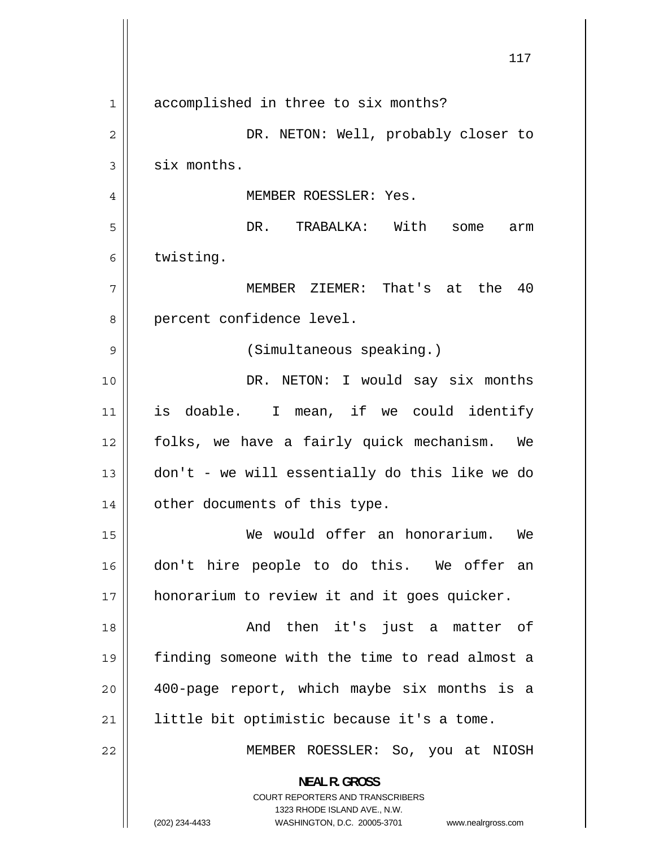|                | 117                                                                                                                                                                    |
|----------------|------------------------------------------------------------------------------------------------------------------------------------------------------------------------|
| $\mathbf 1$    | accomplished in three to six months?                                                                                                                                   |
| $\overline{c}$ | DR. NETON: Well, probably closer to                                                                                                                                    |
| 3              | six months.                                                                                                                                                            |
| 4              | MEMBER ROESSLER: Yes.                                                                                                                                                  |
| 5              | DR. TRABALKA: With<br>some<br>arm                                                                                                                                      |
| 6              | twisting.                                                                                                                                                              |
| 7              | MEMBER ZIEMER: That's at the 40                                                                                                                                        |
| 8              | percent confidence level.                                                                                                                                              |
| 9              | (Simultaneous speaking.)                                                                                                                                               |
| 10             | DR. NETON: I would say six months                                                                                                                                      |
| 11             | is doable. I mean, if we could identify                                                                                                                                |
| 12             | folks, we have a fairly quick mechanism. We                                                                                                                            |
| 13             | don't - we will essentially do this like we do                                                                                                                         |
| 14             | other documents of this type.                                                                                                                                          |
| 15             | We would offer an honorarium. We                                                                                                                                       |
| 16             | don't hire people to do this. We offer an                                                                                                                              |
| 17             | honorarium to review it and it goes quicker.                                                                                                                           |
| 18             | And then it's just a matter of                                                                                                                                         |
| 19             | finding someone with the time to read almost a                                                                                                                         |
| 20             | 400-page report, which maybe six months is a                                                                                                                           |
| 21             | little bit optimistic because it's a tome.                                                                                                                             |
| 22             | MEMBER ROESSLER: So, you at NIOSH                                                                                                                                      |
|                | <b>NEAL R. GROSS</b><br><b>COURT REPORTERS AND TRANSCRIBERS</b><br>1323 RHODE ISLAND AVE., N.W.<br>(202) 234-4433<br>WASHINGTON, D.C. 20005-3701<br>www.nealrgross.com |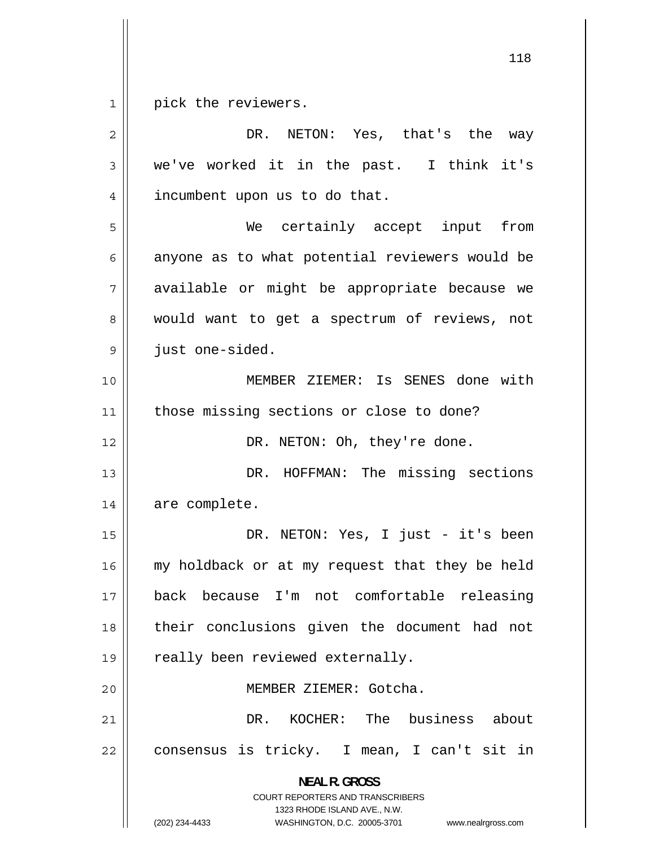$1$ pick the reviewers.

| $\overline{2}$ | DR.<br>NETON: Yes, that's the way                                                                                                                                      |
|----------------|------------------------------------------------------------------------------------------------------------------------------------------------------------------------|
| 3              | we've worked it in the past. I think it's                                                                                                                              |
| 4              | incumbent upon us to do that.                                                                                                                                          |
| 5              | We certainly accept input<br>from                                                                                                                                      |
| 6              | anyone as to what potential reviewers would be                                                                                                                         |
| 7              | available or might be appropriate because we                                                                                                                           |
| 8              | would want to get a spectrum of reviews, not                                                                                                                           |
| 9              | just one-sided.                                                                                                                                                        |
| 10             | MEMBER ZIEMER: Is SENES done with                                                                                                                                      |
| 11             | those missing sections or close to done?                                                                                                                               |
| 12             | DR. NETON: Oh, they're done.                                                                                                                                           |
| 13             | DR. HOFFMAN: The missing sections                                                                                                                                      |
| 14             | are complete.                                                                                                                                                          |
| 15             | DR. NETON: Yes, I just - it's been                                                                                                                                     |
| 16             | my holdback or at my request that they be held                                                                                                                         |
| 17             | I'm not comfortable releasing<br>back because                                                                                                                          |
| 18             | their conclusions given the document had not                                                                                                                           |
| 19             | really been reviewed externally.                                                                                                                                       |
| 20             | MEMBER ZIEMER: Gotcha.                                                                                                                                                 |
| 21             | KOCHER: The business about<br>DR.                                                                                                                                      |
| 22             | consensus is tricky. I mean, I can't sit in                                                                                                                            |
|                | <b>NEAL R. GROSS</b><br><b>COURT REPORTERS AND TRANSCRIBERS</b><br>1323 RHODE ISLAND AVE., N.W.<br>(202) 234-4433<br>WASHINGTON, D.C. 20005-3701<br>www.nealrgross.com |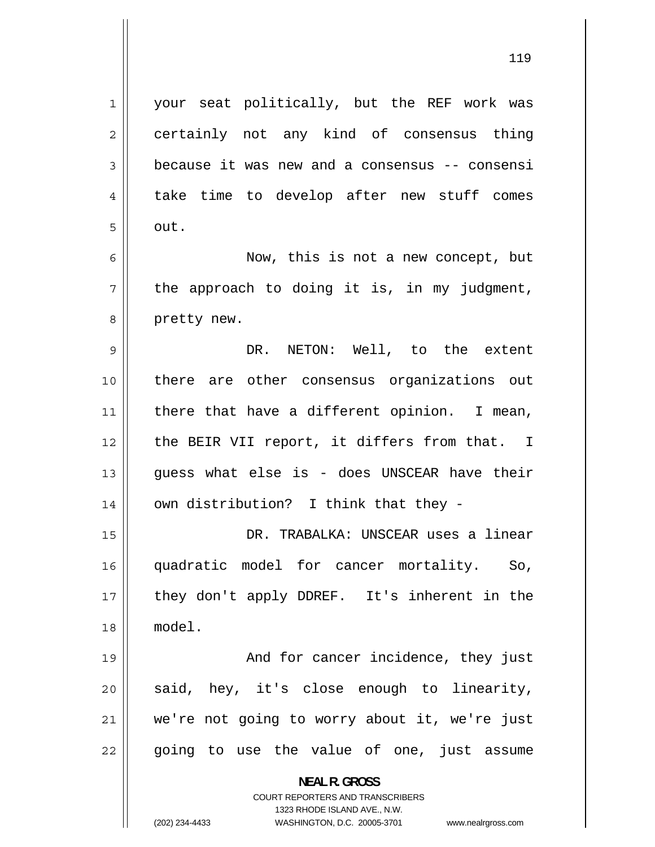1 your seat politically, but the REF work was 2 certainly not any kind of consensus thing 3 because it was new and a consensus -- consensi 4 take time to develop after new stuff comes 5 out. 6 Now, this is not a new concept, but 7 the approach to doing it is, in my judgment, 8 pretty new. 9 DR. NETON: Well, to the extent 10 there are other consensus organizations out 11 there that have a different opinion. I mean, 12 the BEIR VII report, it differs from that. I 13 guess what else is - does UNSCEAR have their  $14$  | own distribution? I think that they -15 DR. TRABALKA: UNSCEAR uses a linear 16 quadratic model for cancer mortality. So, 17 they don't apply DDREF. It's inherent in the 18 model. 19 And for cancer incidence, they just 20 said, hey, it's close enough to linearity, 21 we're not going to worry about it, we're just 22 going to use the value of one, just assume **NEAL R. GROSS**  COURT REPORTERS AND TRANSCRIBERS 1323 RHODE ISLAND AVE., N.W.

(202) 234-4433 WASHINGTON, D.C. 20005-3701 www.nealrgross.com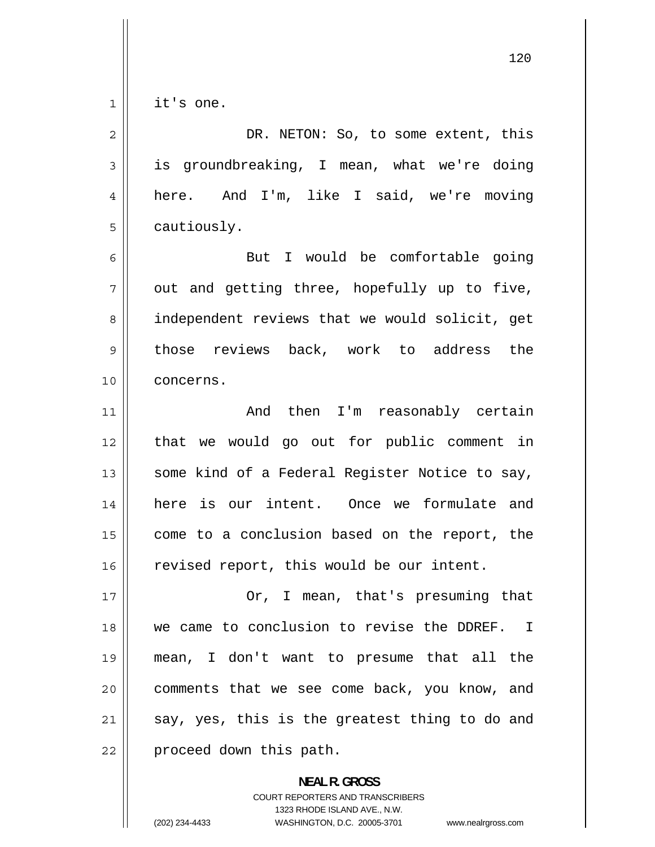$\begin{array}{c|c|c|c} 1 & 1 \\ \hline \end{array}$ it's one.

| 2    | DR. NETON: So, to some extent, this            |
|------|------------------------------------------------|
| 3    | is groundbreaking, I mean, what we're doing    |
| 4    | here. And I'm, like I said, we're moving       |
| 5    | cautiously.                                    |
| 6    | But I would be comfortable going               |
| 7    | out and getting three, hopefully up to five,   |
| 8    | independent reviews that we would solicit, get |
| 9    | those reviews back, work to address the        |
| 10   | concerns.                                      |
| 11   | And then I'm reasonably certain                |
| 12   | that we would go out for public comment in     |
| 13   | some kind of a Federal Register Notice to say, |
| 14   | here is our intent. Once we formulate and      |
| 15   | come to a conclusion based on the report, the  |
| 16   | revised report, this would be our intent.      |
| $17$ | Or, I mean, that's presuming that              |
| 18   | we came to conclusion to revise the DDREF. I   |
| 19   | mean, I don't want to presume that all the     |
| 20   | comments that we see come back, you know, and  |
| 21   | say, yes, this is the greatest thing to do and |
| 22   | proceed down this path.                        |

**NEAL R. GROSS**  COURT REPORTERS AND TRANSCRIBERS 1323 RHODE ISLAND AVE., N.W. (202) 234-4433 WASHINGTON, D.C. 20005-3701 www.nealrgross.com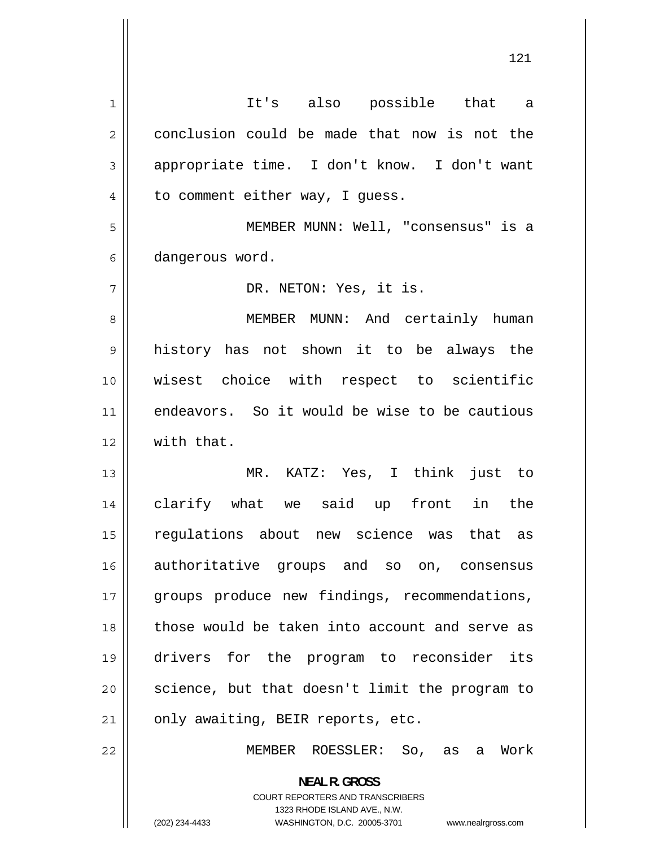1 It's also possible that a 2 conclusion could be made that now is not the 3 appropriate time. I don't know. I don't want 4 to comment either way, I guess. 5 MEMBER MUNN: Well, "consensus" is a 6 dangerous word. 7 DR. NETON: Yes, it is. 8 MEMBER MUNN: And certainly human 9 history has not shown it to be always the 10 wisest choice with respect to scientific 11 endeavors. So it would be wise to be cautious 12 With that. 13 MR. KATZ: Yes, I think just to 14 clarify what we said up front in the 15 regulations about new science was that as 16 authoritative groups and so on, consensus 17 groups produce new findings, recommendations, 18 those would be taken into account and serve as 19 drivers for the program to reconsider its 20 science, but that doesn't limit the program to  $21$  | only awaiting, BEIR reports, etc. 22 MEMBER ROESSLER: So, as a Work **NEAL R. GROSS**  COURT REPORTERS AND TRANSCRIBERS 1323 RHODE ISLAND AVE., N.W.

<sup>(202) 234-4433</sup> WASHINGTON, D.C. 20005-3701 www.nealrgross.com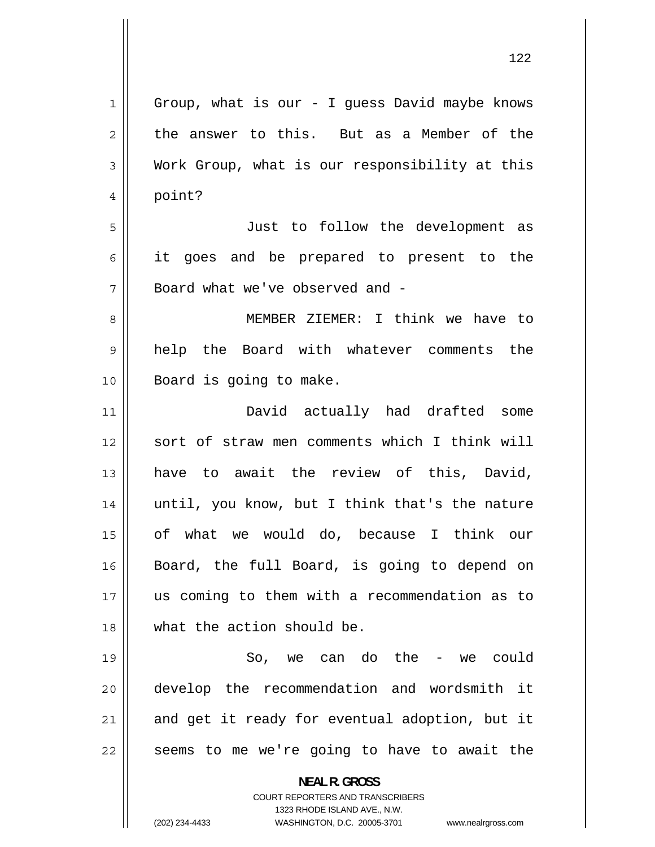| $\mathbf 1$    | Group, what is our - I guess David maybe knows                      |
|----------------|---------------------------------------------------------------------|
| $\overline{2}$ | the answer to this. But as a Member of the                          |
| 3              | Work Group, what is our responsibility at this                      |
| 4              | point?                                                              |
| 5              | Just to follow the development as                                   |
| 6              | it goes and be prepared to present to the                           |
| 7              | Board what we've observed and -                                     |
| 8              | MEMBER ZIEMER: I think we have to                                   |
| 9              | help the Board with whatever comments the                           |
| 10             | Board is going to make.                                             |
| 11             | David actually had drafted some                                     |
| 12             | sort of straw men comments which I think will                       |
| 13             | have to await the review of this, David,                            |
| 14             | until, you know, but I think that's the nature                      |
| 15             | of what we would do, because I think our                            |
| 16             | Board, the full Board, is going to depend on                        |
| 17             | us coming to them with a recommendation as to                       |
| 18             | what the action should be.                                          |
| 19             | we can do the - we could<br>So,                                     |
| 20             | develop the recommendation and wordsmith it                         |
| 21             | and get it ready for eventual adoption, but it                      |
| 22             | seems to me we're going to have to await the                        |
|                | <b>NEAL R. GROSS</b>                                                |
|                | <b>COURT REPORTERS AND TRANSCRIBERS</b>                             |
|                | 1323 RHODE ISLAND AVE., N.W.                                        |
|                | (202) 234-4433<br>WASHINGTON, D.C. 20005-3701<br>www.nealrgross.com |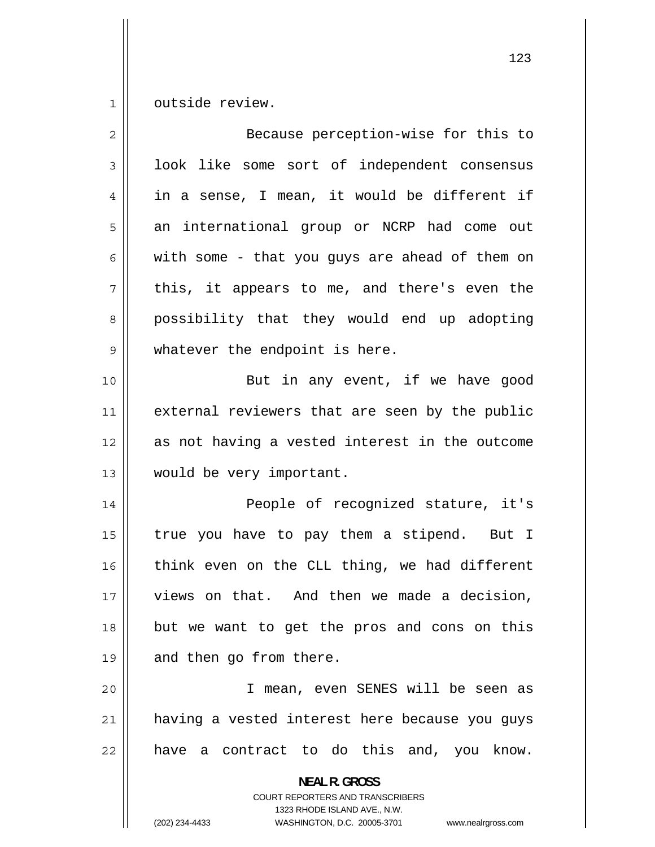1 outside review.

| $\overline{2}$ | Because perception-wise for this to                                                                                                                                    |
|----------------|------------------------------------------------------------------------------------------------------------------------------------------------------------------------|
| 3              | look like some sort of independent consensus                                                                                                                           |
| 4              | in a sense, I mean, it would be different if                                                                                                                           |
| 5              | an international group or NCRP had come out                                                                                                                            |
| 6              | with some - that you guys are ahead of them on                                                                                                                         |
| 7              | this, it appears to me, and there's even the                                                                                                                           |
| 8              | possibility that they would end up adopting                                                                                                                            |
| $\mathsf 9$    | whatever the endpoint is here.                                                                                                                                         |
| 10             | But in any event, if we have good                                                                                                                                      |
| 11             | external reviewers that are seen by the public                                                                                                                         |
| 12             | as not having a vested interest in the outcome                                                                                                                         |
| 13             | would be very important.                                                                                                                                               |
| 14             | People of recognized stature, it's                                                                                                                                     |
| 15             | true you have to pay them a stipend. But I                                                                                                                             |
| 16             | think even on the CLL thing, we had different                                                                                                                          |
| 17             | views on that. And then we made a decision,                                                                                                                            |
| 18             | but we want to get the pros and cons on this                                                                                                                           |
| 19             | and then go from there.                                                                                                                                                |
| 20             | I mean, even SENES will be seen as                                                                                                                                     |
| 21             | having a vested interest here because you guys                                                                                                                         |
| 22             | a contract to do this and, you know.<br>have                                                                                                                           |
|                | <b>NEAL R. GROSS</b><br><b>COURT REPORTERS AND TRANSCRIBERS</b><br>1323 RHODE ISLAND AVE., N.W.<br>(202) 234-4433<br>WASHINGTON, D.C. 20005-3701<br>www.nealrgross.com |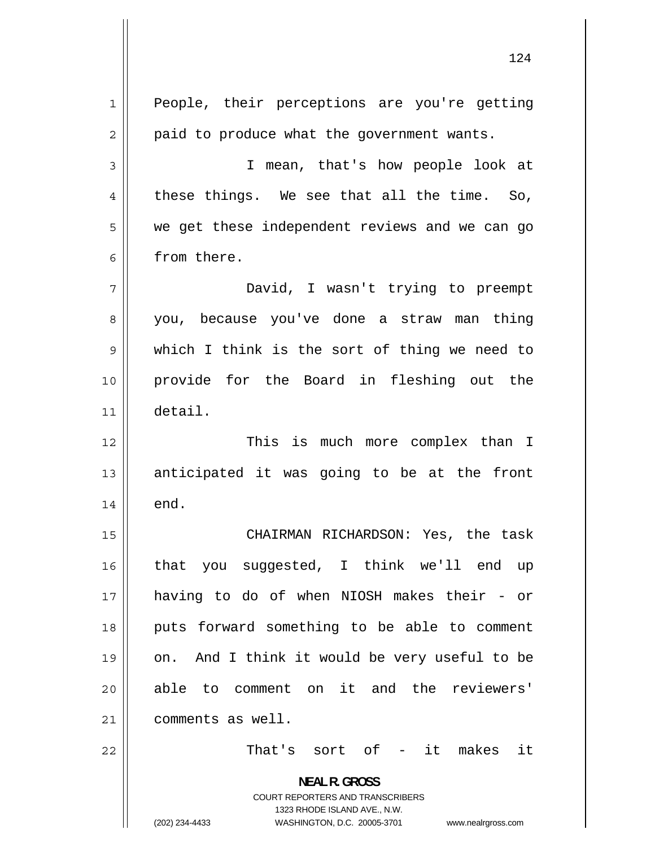| $\mathbf{1}$   | People, their perceptions are you're getting                                                                                                                           |
|----------------|------------------------------------------------------------------------------------------------------------------------------------------------------------------------|
| $\overline{2}$ | paid to produce what the government wants.                                                                                                                             |
| 3              | I mean, that's how people look at                                                                                                                                      |
| 4              | these things. We see that all the time. So,                                                                                                                            |
| 5              | we get these independent reviews and we can go                                                                                                                         |
| 6              | from there.                                                                                                                                                            |
| 7              | David, I wasn't trying to preempt                                                                                                                                      |
| 8              | you, because you've done a straw man thing                                                                                                                             |
| 9              | which I think is the sort of thing we need to                                                                                                                          |
| 10             | provide for the Board in fleshing out the                                                                                                                              |
| 11             | detail.                                                                                                                                                                |
| 12             | This is much more complex than I                                                                                                                                       |
| 13             | anticipated it was going to be at the front                                                                                                                            |
| 14             | end.                                                                                                                                                                   |
| 15             | CHAIRMAN RICHARDSON: Yes, the task                                                                                                                                     |
| 16             | that you suggested, I think we'll end up                                                                                                                               |
| 17             | having to do of when NIOSH makes their - or                                                                                                                            |
| 18             | puts forward something to be able to comment                                                                                                                           |
| 19             | And I think it would be very useful to be<br>on.                                                                                                                       |
| 20             | able to comment on it and the reviewers'                                                                                                                               |
| 21             | comments as well.                                                                                                                                                      |
| 22             | That's sort of - it makes it                                                                                                                                           |
|                | <b>NEAL R. GROSS</b><br><b>COURT REPORTERS AND TRANSCRIBERS</b><br>1323 RHODE ISLAND AVE., N.W.<br>(202) 234-4433<br>WASHINGTON, D.C. 20005-3701<br>www.nealrgross.com |
|                |                                                                                                                                                                        |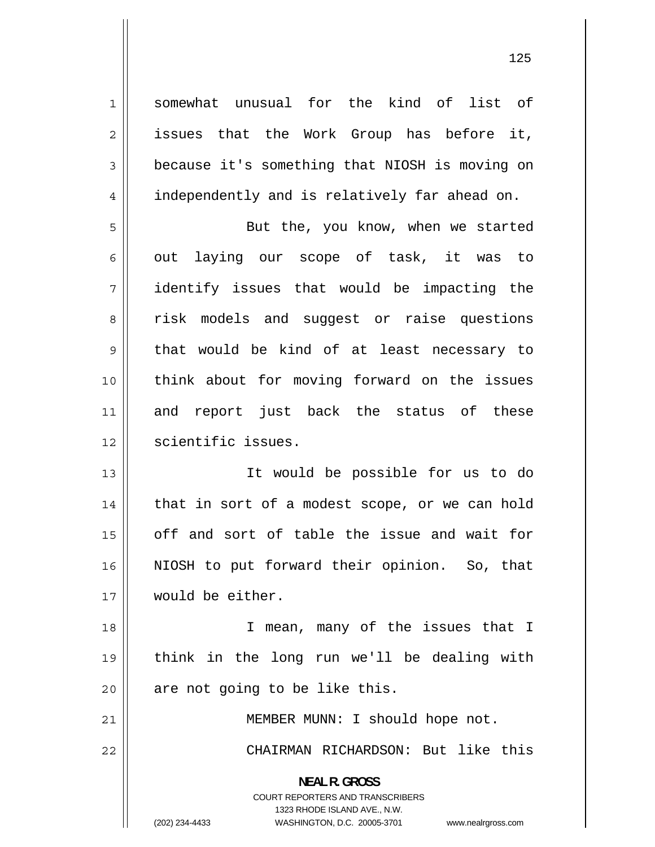1 somewhat unusual for the kind of list of 2 issues that the Work Group has before it, 3 because it's something that NIOSH is moving on 4 independently and is relatively far ahead on. 5 But the, you know, when we started 6 out laying our scope of task, it was to 7 identify issues that would be impacting the 8 risk models and suggest or raise questions 9 that would be kind of at least necessary to 10 think about for moving forward on the issues 11 and report just back the status of these 12 | scientific issues. 13 It would be possible for us to do 14 that in sort of a modest scope, or we can hold 15 off and sort of table the issue and wait for 16 NIOSH to put forward their opinion. So, that 17 would be either. 18 I mean, many of the issues that I 19 think in the long run we'll be dealing with  $20$  | are not going to be like this. 21 | MEMBER MUNN: I should hope not. 22 CHAIRMAN RICHARDSON: But like this **NEAL R. GROSS**  COURT REPORTERS AND TRANSCRIBERS 1323 RHODE ISLAND AVE., N.W. (202) 234-4433 WASHINGTON, D.C. 20005-3701 www.nealrgross.com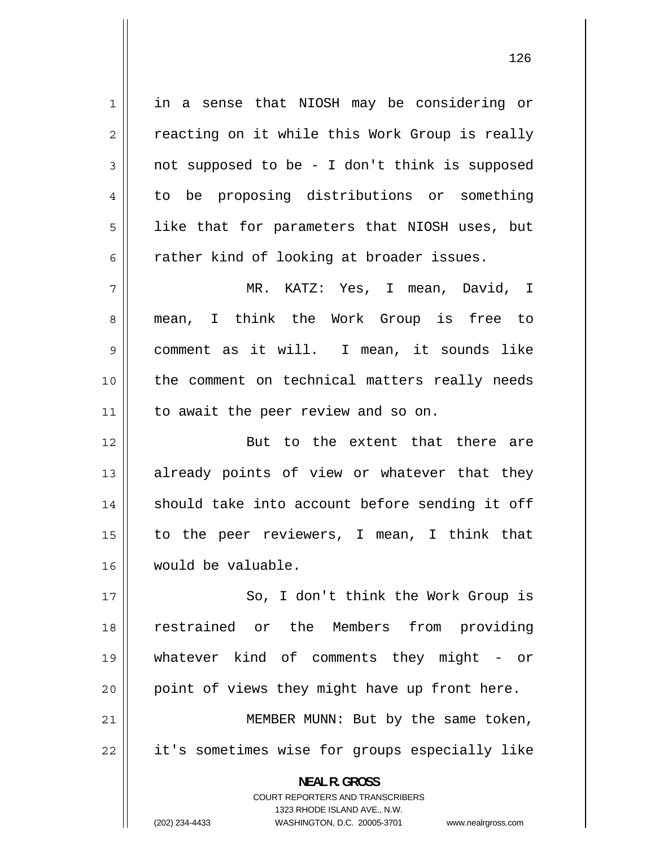1 in a sense that NIOSH may be considering or 2 reacting on it while this Work Group is really 3 not supposed to be - I don't think is supposed 4 to be proposing distributions or something 5 like that for parameters that NIOSH uses, but 6 rather kind of looking at broader issues. 7 MR. KATZ: Yes, I mean, David, I 8 mean, I think the Work Group is free to 9 comment as it will. I mean, it sounds like 10 the comment on technical matters really needs 11 || to await the peer review and so on. 12 But to the extent that there are 13 already points of view or whatever that they 14 should take into account before sending it off 15 to the peer reviewers, I mean, I think that 16 would be valuable. 17 So, I don't think the Work Group is 18 restrained or the Members from providing 19 whatever kind of comments they might - or  $20$  | point of views they might have up front here. 21 MEMBER MUNN: But by the same token, 22 it's sometimes wise for groups especially like **NEAL R. GROSS**  COURT REPORTERS AND TRANSCRIBERS 1323 RHODE ISLAND AVE., N.W.

(202) 234-4433 WASHINGTON, D.C. 20005-3701 www.nealrgross.com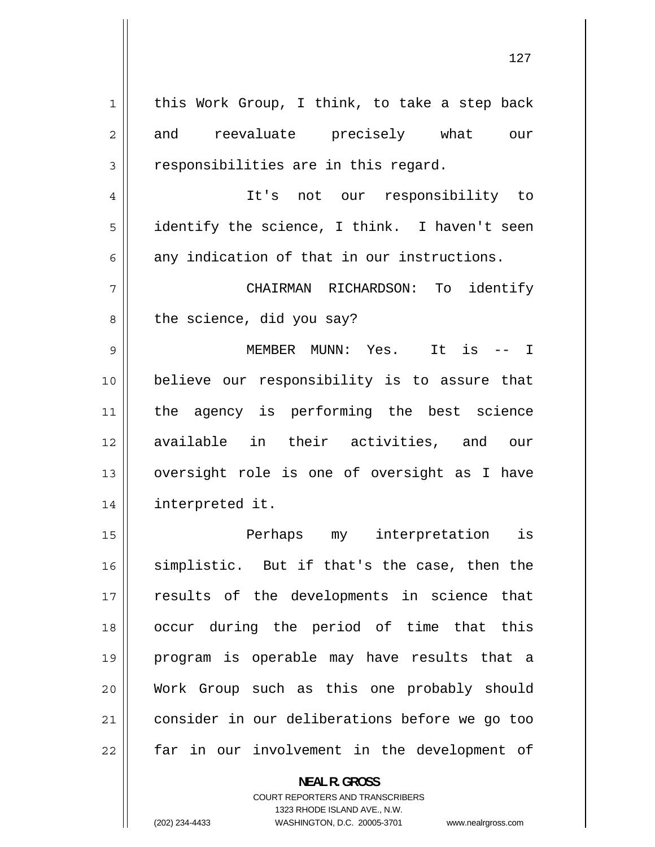| $\mathbf 1$    | this Work Group, I think, to take a step back  |
|----------------|------------------------------------------------|
|                |                                                |
| $\overline{2}$ | and reevaluate precisely what our              |
| 3              | responsibilities are in this regard.           |
| 4              | It's not our responsibility to                 |
| 5              | identify the science, I think. I haven't seen  |
| 6              | any indication of that in our instructions.    |
| 7              | identify<br>CHAIRMAN RICHARDSON: To            |
| 8              | the science, did you say?                      |
| 9              | MEMBER MUNN: Yes.<br>It is $--$ I              |
| 10             | believe our responsibility is to assure that   |
| 11             | the agency is performing the best science      |
| 12             | available in their activities, and our         |
|                |                                                |
| 13             | oversight role is one of oversight as I have   |
| 14             | interpreted it.                                |
| 15             | Perhaps<br>my interpretation<br>is             |
| 16             | simplistic. But if that's the case, then the   |
| 17             | results of the developments in science that    |
| 18             | occur during the period of time that this      |
| 19             | program is operable may have results that a    |
| 20             | Work Group such as this one probably should    |
| 21             | consider in our deliberations before we go too |

**NEAL R. GROSS**  COURT REPORTERS AND TRANSCRIBERS 1323 RHODE ISLAND AVE., N.W.

 $\mathsf{I}$ 

(202) 234-4433 WASHINGTON, D.C. 20005-3701 www.nealrgross.com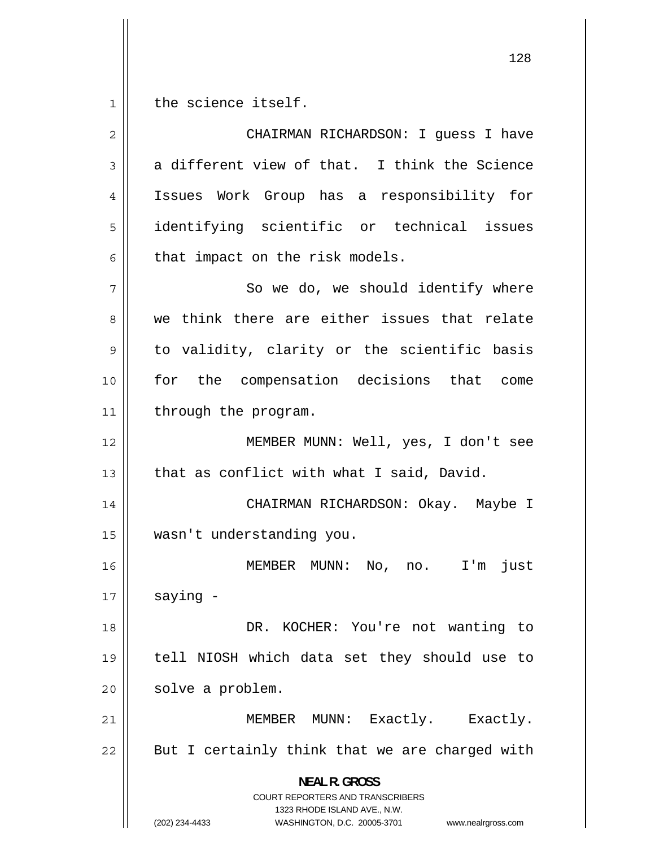$1$ the science itself.

| $\overline{2}$ | CHAIRMAN RICHARDSON: I guess I have                                                                                                                                    |
|----------------|------------------------------------------------------------------------------------------------------------------------------------------------------------------------|
| 3              | a different view of that. I think the Science                                                                                                                          |
| 4              | Issues Work Group has a responsibility for                                                                                                                             |
| 5              | identifying scientific or technical issues                                                                                                                             |
| 6              | that impact on the risk models.                                                                                                                                        |
| 7              | So we do, we should identify where                                                                                                                                     |
| 8              | we think there are either issues that relate                                                                                                                           |
| 9              | to validity, clarity or the scientific basis                                                                                                                           |
| 10             | for the compensation decisions that come                                                                                                                               |
| 11             | through the program.                                                                                                                                                   |
| 12             | MEMBER MUNN: Well, yes, I don't see                                                                                                                                    |
| 13             | that as conflict with what I said, David.                                                                                                                              |
| 14             | CHAIRMAN RICHARDSON: Okay. Maybe I                                                                                                                                     |
| 15             | wasn't understanding you.                                                                                                                                              |
| 16             | MEMBER MUNN: No, no. I'm<br>just                                                                                                                                       |
| 17             | saying -                                                                                                                                                               |
| 18             | DR. KOCHER: You're not wanting to                                                                                                                                      |
| 19             | tell NIOSH which data set they should use to                                                                                                                           |
| 20             | solve a problem.                                                                                                                                                       |
| 21             | MEMBER MUNN: Exactly. Exactly.                                                                                                                                         |
| 22             | But I certainly think that we are charged with                                                                                                                         |
|                | <b>NEAL R. GROSS</b><br><b>COURT REPORTERS AND TRANSCRIBERS</b><br>1323 RHODE ISLAND AVE., N.W.<br>(202) 234-4433<br>WASHINGTON, D.C. 20005-3701<br>www.nealrgross.com |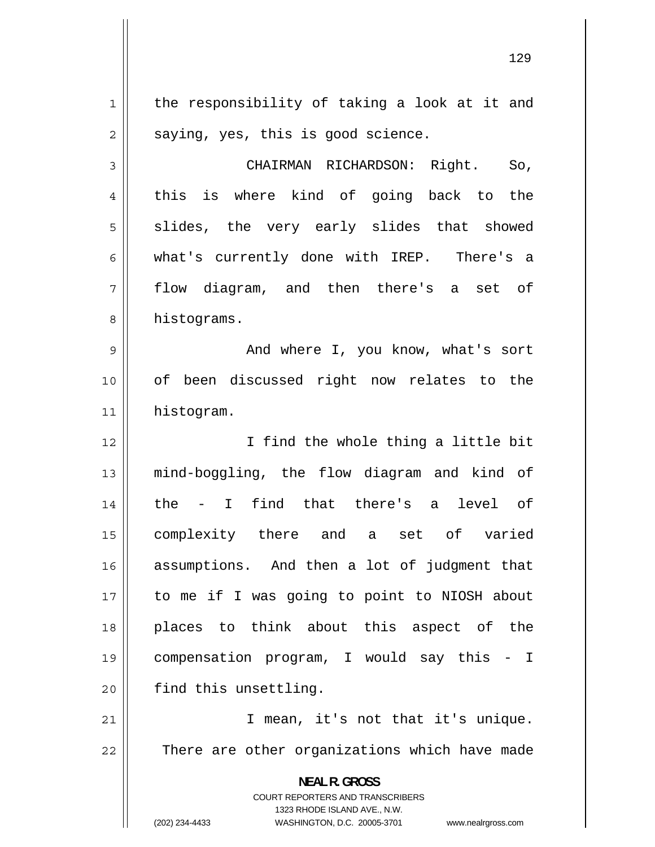the responsibility of taking a look at it and saying, yes, this is good science.

3 CHAIRMAN RICHARDSON: Right. So, 4 this is where kind of going back to the 5 slides, the very early slides that showed 6 what's currently done with IREP. There's a 7 flow diagram, and then there's a set of 8 histograms.

9 And where I, you know, what's sort 10 of been discussed right now relates to the 11 histogram.

12 I find the whole thing a little bit 13 mind-boggling, the flow diagram and kind of 14 the - I find that there's a level of 15 complexity there and a set of varied 16 assumptions. And then a lot of judgment that 17 to me if I was going to point to NIOSH about 18 places to think about this aspect of the 19 compensation program, I would say this - I 20 | find this unsettling.

21 I mean, it's not that it's unique. 22 There are other organizations which have made

> **NEAL R. GROSS**  COURT REPORTERS AND TRANSCRIBERS

> > 1323 RHODE ISLAND AVE., N.W.

(202) 234-4433 WASHINGTON, D.C. 20005-3701 www.nealrgross.com

1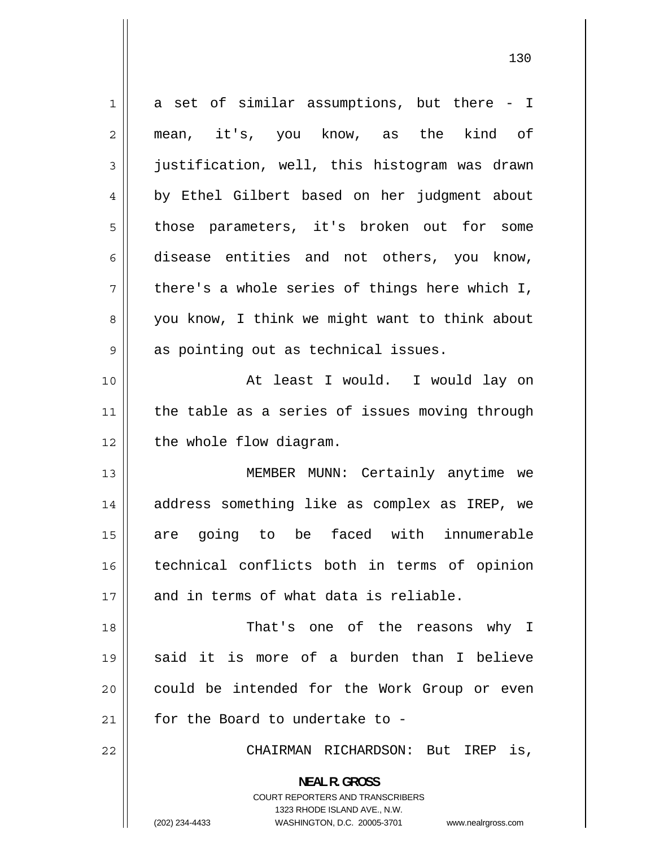1 a set of similar assumptions, but there - I 2 mean, it's, you know, as the kind of 3 justification, well, this histogram was drawn 4 by Ethel Gilbert based on her judgment about 5 those parameters, it's broken out for some 6 disease entities and not others, you know, 7 there's a whole series of things here which I, 8 you know, I think we might want to think about 9 as pointing out as technical issues. 10 At least I would. I would lay on 11 the table as a series of issues moving through 12 | the whole flow diagram. 13 MEMBER MUNN: Certainly anytime we 14 address something like as complex as IREP, we 15 are going to be faced with innumerable 16 technical conflicts both in terms of opinion 17 || and in terms of what data is reliable. 18 That's one of the reasons why I 19 said it is more of a burden than I believe 20 could be intended for the Work Group or even 21  $\parallel$  for the Board to undertake to -22 CHAIRMAN RICHARDSON: But IREP is, **NEAL R. GROSS**  COURT REPORTERS AND TRANSCRIBERS 1323 RHODE ISLAND AVE., N.W. (202) 234-4433 WASHINGTON, D.C. 20005-3701 www.nealrgross.com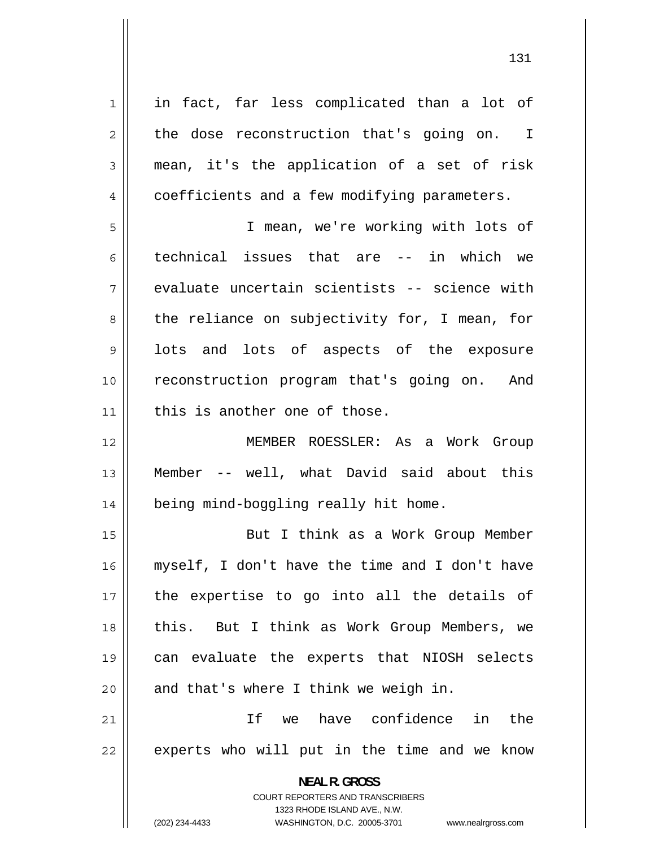1 in fact, far less complicated than a lot of 2 the dose reconstruction that's going on. I 3 mean, it's the application of a set of risk 4 coefficients and a few modifying parameters. 5 I mean, we're working with lots of 6 technical issues that are -- in which we 7 evaluate uncertain scientists -- science with 8 the reliance on subjectivity for, I mean, for 9 lots and lots of aspects of the exposure 10 reconstruction program that's going on. And  $11$  this is another one of those. 12 MEMBER ROESSLER: As a Work Group 13 Member -- well, what David said about this 14 | being mind-boggling really hit home. 15 But I think as a Work Group Member 16 myself, I don't have the time and I don't have 17 the expertise to go into all the details of 18 this. But I think as Work Group Members, we 19 can evaluate the experts that NIOSH selects  $20$  || and that's where I think we weigh in. 21 If we have confidence in the 22 experts who will put in the time and we know **NEAL R. GROSS**  COURT REPORTERS AND TRANSCRIBERS 1323 RHODE ISLAND AVE., N.W. (202) 234-4433 WASHINGTON, D.C. 20005-3701 www.nealrgross.com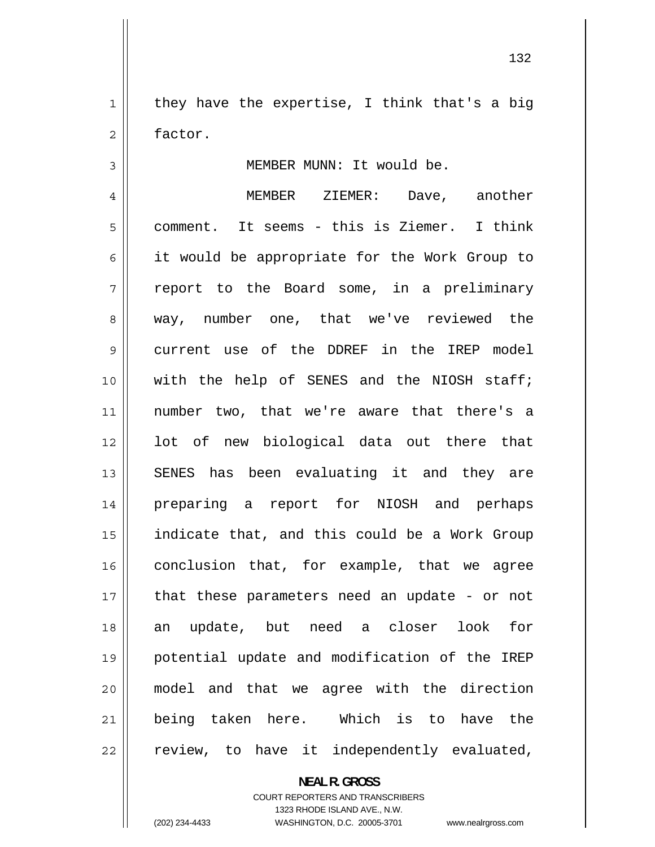1 they have the expertise, I think that's a big 2 factor.

MEMBER MUNN: It would be.

4 MEMBER ZIEMER: Dave, another 5 comment. It seems - this is Ziemer. I think 6 it would be appropriate for the Work Group to 7 report to the Board some, in a preliminary 8 way, number one, that we've reviewed the 9 current use of the DDREF in the IREP model 10 with the help of SENES and the NIOSH staff; 11 number two, that we're aware that there's a 12 lot of new biological data out there that 13 SENES has been evaluating it and they are 14 preparing a report for NIOSH and perhaps 15 indicate that, and this could be a Work Group 16 conclusion that, for example, that we agree 17 that these parameters need an update - or not 18 an update, but need a closer look for 19 potential update and modification of the IREP 20 model and that we agree with the direction 21 being taken here. Which is to have the 22 review, to have it independently evaluated,

**NEAL R. GROSS** 

COURT REPORTERS AND TRANSCRIBERS 1323 RHODE ISLAND AVE., N.W. (202) 234-4433 WASHINGTON, D.C. 20005-3701 www.nealrgross.com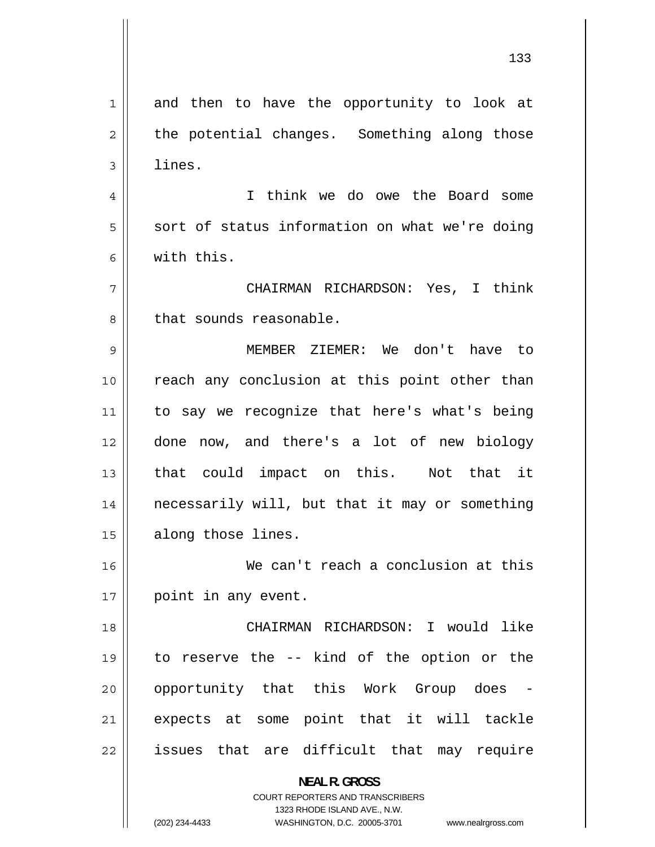1 and then to have the opportunity to look at 2 the potential changes. Something along those 3 lines. 4 I think we do owe the Board some 5 sort of status information on what we're doing 6 with this. 7 CHAIRMAN RICHARDSON: Yes, I think 8 that sounds reasonable. 9 MEMBER ZIEMER: We don't have to 10 reach any conclusion at this point other than 11 to say we recognize that here's what's being 12 done now, and there's a lot of new biology 13 that could impact on this. Not that it 14 necessarily will, but that it may or something 15 | along those lines. 16 We can't reach a conclusion at this 17 || point in any event. 18 CHAIRMAN RICHARDSON: I would like 19 to reserve the -- kind of the option or the 20 opportunity that this Work Group does - 21 expects at some point that it will tackle 22 issues that are difficult that may require **NEAL R. GROSS**  COURT REPORTERS AND TRANSCRIBERS 1323 RHODE ISLAND AVE., N.W.

(202) 234-4433 WASHINGTON, D.C. 20005-3701 www.nealrgross.com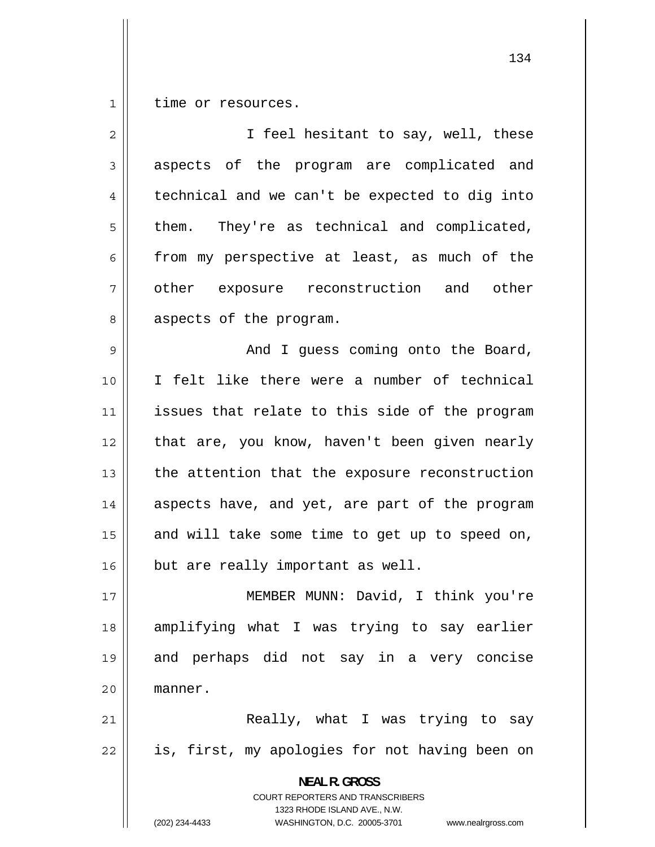1 time or resources.

| $\overline{2}$ | I feel hesitant to say, well, these                                                             |
|----------------|-------------------------------------------------------------------------------------------------|
| 3              | aspects of the program are complicated and                                                      |
| 4              | technical and we can't be expected to dig into                                                  |
| 5              | them. They're as technical and complicated,                                                     |
| 6              | from my perspective at least, as much of the                                                    |
| 7              | other exposure reconstruction and other                                                         |
| 8              | aspects of the program.                                                                         |
| 9              | And I guess coming onto the Board,                                                              |
| 10             | I felt like there were a number of technical                                                    |
| 11             | issues that relate to this side of the program                                                  |
| 12             | that are, you know, haven't been given nearly                                                   |
| 13             | the attention that the exposure reconstruction                                                  |
| 14             | aspects have, and yet, are part of the program                                                  |
| 15             | and will take some time to get up to speed on,                                                  |
| 16             | but are really important as well.                                                               |
| 17             | MEMBER MUNN: David, I think you're                                                              |
| 18             | amplifying what I was trying to say earlier                                                     |
| 19             | and perhaps did not say in a very concise                                                       |
| 20             | manner.                                                                                         |
| 21             | Really, what I was trying to say                                                                |
| 22             | is, first, my apologies for not having been on                                                  |
|                | <b>NEAL R. GROSS</b><br><b>COURT REPORTERS AND TRANSCRIBERS</b><br>1323 RHODE ISLAND AVE., N.W. |
|                | (202) 234-4433<br>WASHINGTON, D.C. 20005-3701<br>www.nealrgross.com                             |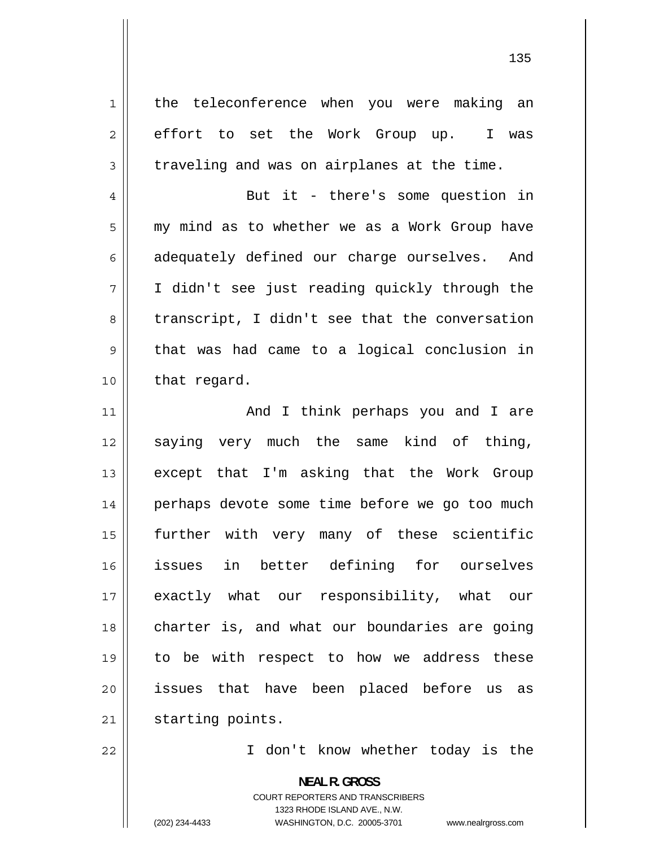1 the teleconference when you were making an 2 effort to set the Work Group up. I was 3 traveling and was on airplanes at the time. 4 But it - there's some question in 5 my mind as to whether we as a Work Group have 6 adequately defined our charge ourselves. And 7 I didn't see just reading quickly through the 8 transcript, I didn't see that the conversation 9 that was had came to a logical conclusion in 10 | that regard. 11 And I think perhaps you and I are 12 saying very much the same kind of thing, 13 except that I'm asking that the Work Group 14 perhaps devote some time before we go too much 15 further with very many of these scientific 16 issues in better defining for ourselves 17 exactly what our responsibility, what our 18 charter is, and what our boundaries are going 19 to be with respect to how we address these 20 issues that have been placed before us as 21 | starting points.

22

I don't know whether today is the

**NEAL R. GROSS**  COURT REPORTERS AND TRANSCRIBERS 1323 RHODE ISLAND AVE., N.W. (202) 234-4433 WASHINGTON, D.C. 20005-3701 www.nealrgross.com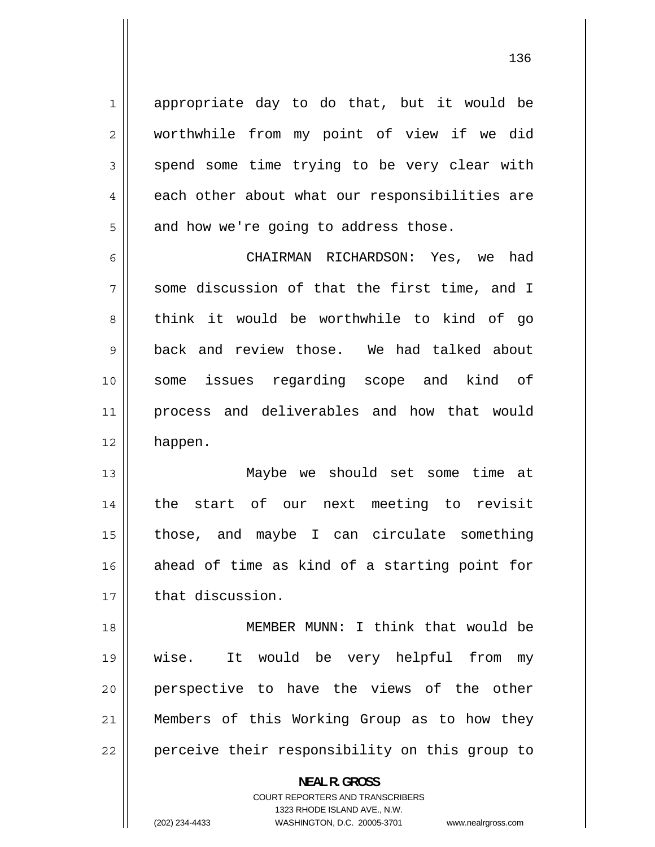appropriate day to do that, but it would be worthwhile from my point of view if we did spend some time trying to be very clear with each other about what our responsibilities are and how we're going to address those.

1

2

3

4

5

6 CHAIRMAN RICHARDSON: Yes, we had 7 some discussion of that the first time, and I 8 think it would be worthwhile to kind of go 9 back and review those. We had talked about 10 some issues regarding scope and kind of 11 process and deliverables and how that would 12 happen.

13 Maybe we should set some time at 14 the start of our next meeting to revisit 15 those, and maybe I can circulate something 16 ahead of time as kind of a starting point for 17 | that discussion.

18 MEMBER MUNN: I think that would be 19 wise. It would be very helpful from my 20 perspective to have the views of the other 21 Members of this Working Group as to how they 22 perceive their responsibility on this group to

> **NEAL R. GROSS**  COURT REPORTERS AND TRANSCRIBERS

> > 1323 RHODE ISLAND AVE., N.W.

(202) 234-4433 WASHINGTON, D.C. 20005-3701 www.nealrgross.com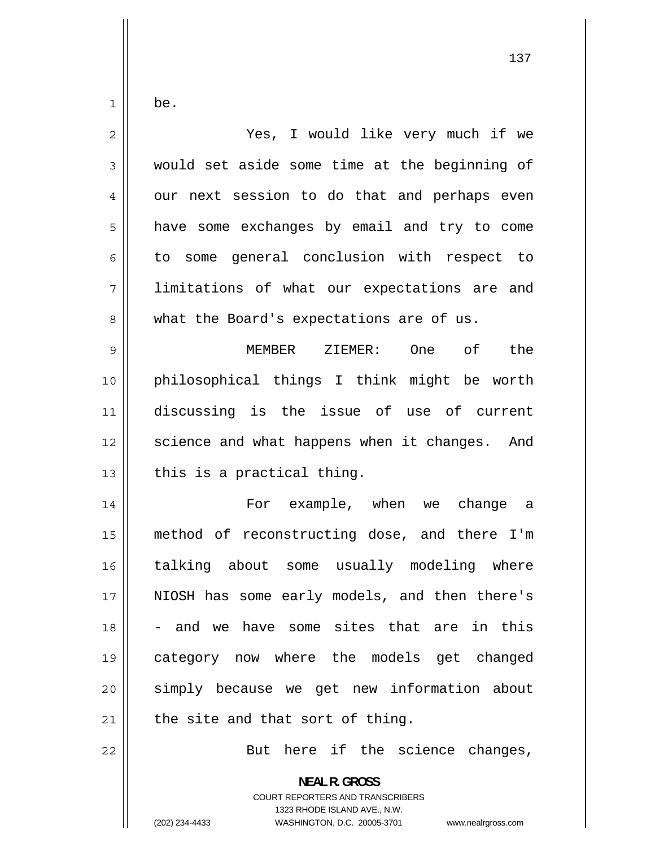be.

1

| $\overline{c}$ | Yes, I would like very much if we                        |
|----------------|----------------------------------------------------------|
| $\mathfrak{Z}$ | would set aside some time at the beginning of            |
| 4              | our next session to do that and perhaps even             |
| 5              | have some exchanges by email and try to come             |
| 6              | to some general conclusion with respect to               |
| 7              | limitations of what our expectations are and             |
| 8              | what the Board's expectations are of us.                 |
| $\mathsf 9$    | MEMBER ZIEMER: One<br>of<br>the                          |
| 10             | philosophical things I think might be worth              |
| 11             | discussing is the issue of use of current                |
| 12             | science and what happens when it changes. And            |
| 13             | this is a practical thing.                               |
| 14             | For example, when we change a                            |
| 15             | method of reconstructing dose, and there I'm             |
| 16             | talking about some usually modeling where                |
| 17             | NIOSH has some early models, and then there's            |
| 18             | and we have some sites that are in this                  |
| 19             | category now where the models get changed                |
| 20             | simply because we get new information about              |
| 21             | the site and that sort of thing.                         |
| 22             | But here if the science changes,                         |
|                | <b>NEAL R. GROSS</b><br>COURT REPORTERS AND TRANSCRIBERS |

1323 RHODE ISLAND AVE., N.W.

 $\mathbf{\mathcal{L}}$ 

(202) 234-4433 WASHINGTON, D.C. 20005-3701 www.nealrgross.com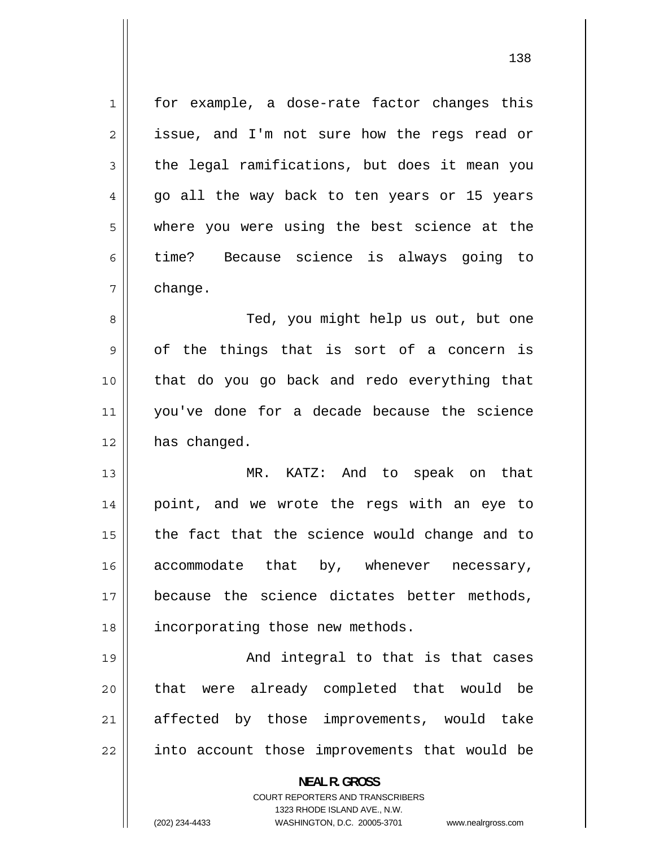1 for example, a dose-rate factor changes this 2 issue, and I'm not sure how the regs read or 3 the legal ramifications, but does it mean you 4 go all the way back to ten years or 15 years 5 where you were using the best science at the 6 time? Because science is always going to 7 change. 8 Ted, you might help us out, but one 9 of the things that is sort of a concern is 10 that do you go back and redo everything that 11 you've done for a decade because the science  $12$  has changed. 13 MR. KATZ: And to speak on that 14 point, and we wrote the regs with an eye to 15 the fact that the science would change and to 16 accommodate that by, whenever necessary, 17 because the science dictates better methods, 18 || incorporating those new methods. 19 And integral to that is that cases 20 that were already completed that would be 21 affected by those improvements, would take 22 into account those improvements that would be **NEAL R. GROSS**  COURT REPORTERS AND TRANSCRIBERS 1323 RHODE ISLAND AVE., N.W. (202) 234-4433 WASHINGTON, D.C. 20005-3701 www.nealrgross.com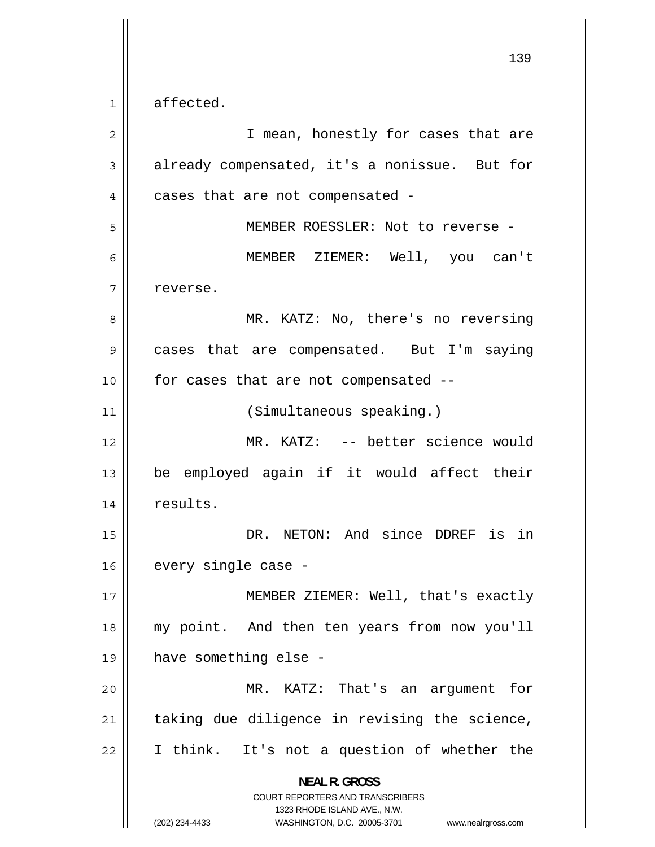1 affected.

| $\overline{2}$ | I mean, honestly for cases that are                                                                                                                                    |
|----------------|------------------------------------------------------------------------------------------------------------------------------------------------------------------------|
| 3              | already compensated, it's a nonissue. But for                                                                                                                          |
| 4              | cases that are not compensated -                                                                                                                                       |
| 5              | MEMBER ROESSLER: Not to reverse -                                                                                                                                      |
| 6              | MEMBER ZIEMER: Well, you can't                                                                                                                                         |
| 7              | reverse.                                                                                                                                                               |
| 8              | MR. KATZ: No, there's no reversing                                                                                                                                     |
| 9              | cases that are compensated. But I'm saying                                                                                                                             |
| 10             | for cases that are not compensated --                                                                                                                                  |
| 11             | (Simultaneous speaking.)                                                                                                                                               |
| 12             | MR. KATZ: -- better science would                                                                                                                                      |
| 13             | be employed again if it would affect their                                                                                                                             |
| 14             | results.                                                                                                                                                               |
| 15             | DR. NETON: And since DDREF is in                                                                                                                                       |
| 16             | every single case -                                                                                                                                                    |
| 17             | MEMBER ZIEMER: Well, that's exactly                                                                                                                                    |
| 18             | my point. And then ten years from now you'll                                                                                                                           |
| 19             | have something else -                                                                                                                                                  |
| 20             | MR. KATZ: That's an argument for                                                                                                                                       |
| 21             | taking due diligence in revising the science,                                                                                                                          |
| 22             | I think. It's not a question of whether the                                                                                                                            |
|                | <b>NEAL R. GROSS</b><br><b>COURT REPORTERS AND TRANSCRIBERS</b><br>1323 RHODE ISLAND AVE., N.W.<br>(202) 234-4433<br>WASHINGTON, D.C. 20005-3701<br>www.nealrgross.com |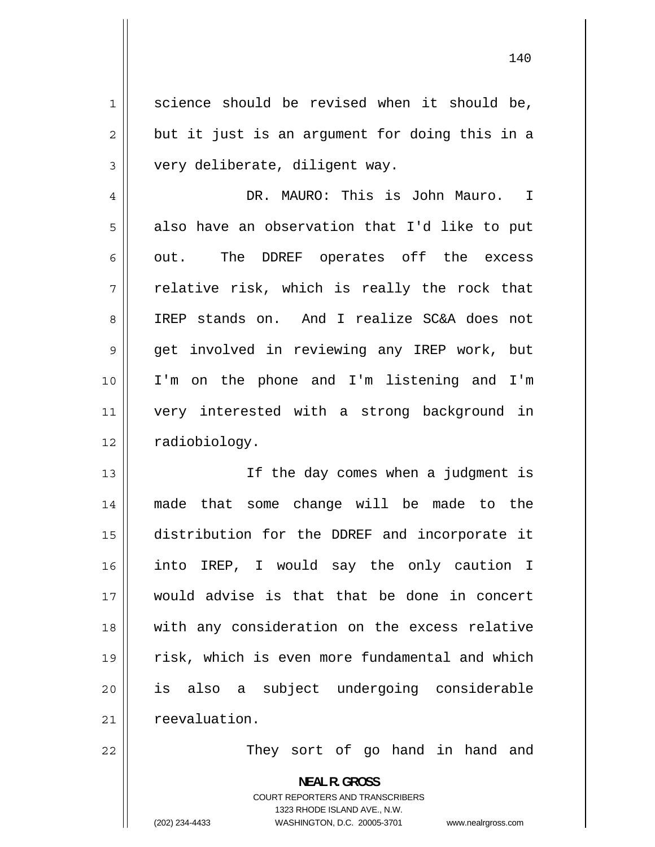1 science should be revised when it should be, 2 but it just is an argument for doing this in a 3 very deliberate, diligent way. 4 DR. MAURO: This is John Mauro. I 5 also have an observation that I'd like to put 6 out. The DDREF operates off the excess 7 relative risk, which is really the rock that 8 IREP stands on. And I realize SC&A does not 9 get involved in reviewing any IREP work, but 10 I'm on the phone and I'm listening and I'm 11 very interested with a strong background in 12 | radiobiology. 13 If the day comes when a judgment is 14 made that some change will be made to the 15

 distribution for the DDREF and incorporate it 16 into IREP, I would say the only caution I 17 would advise is that that be done in concert 18 with any consideration on the excess relative 19 risk, which is even more fundamental and which 20 is also a subject undergoing considerable 21 | reevaluation.

They sort of go hand in hand and

**NEAL R. GROSS**  COURT REPORTERS AND TRANSCRIBERS 1323 RHODE ISLAND AVE., N.W. (202) 234-4433 WASHINGTON, D.C. 20005-3701 www.nealrgross.com

22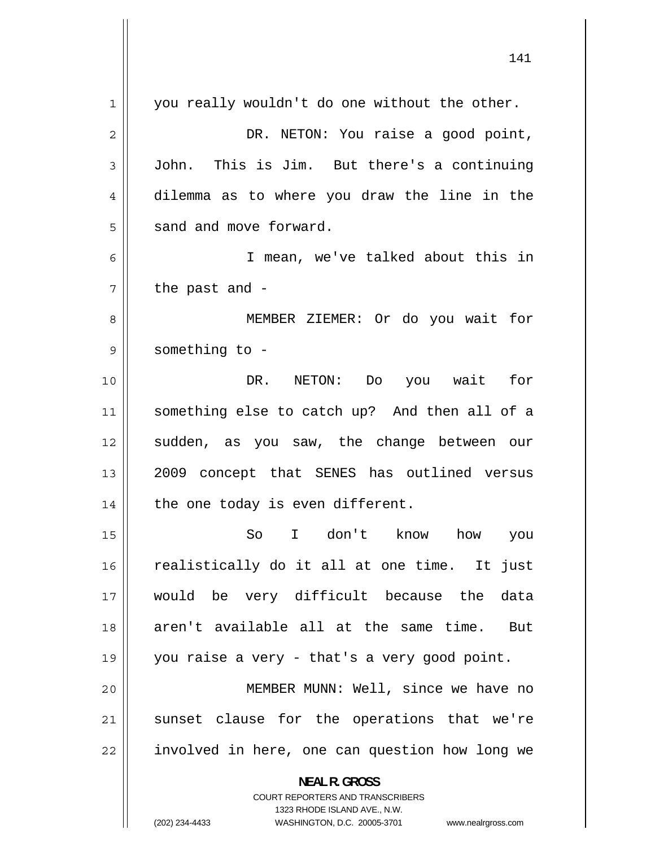| 1  | you really wouldn't do one without the other.                                                    |
|----|--------------------------------------------------------------------------------------------------|
| 2  | DR. NETON: You raise a good point,                                                               |
| 3  | John. This is Jim. But there's a continuing                                                      |
| 4  | dilemma as to where you draw the line in the                                                     |
| 5  | sand and move forward.                                                                           |
| 6  | I mean, we've talked about this in                                                               |
| 7  | the past and -                                                                                   |
| 8  | MEMBER ZIEMER: Or do you wait for                                                                |
| 9  | something to -                                                                                   |
| 10 | DR. NETON: Do<br>you wait for                                                                    |
| 11 | something else to catch up? And then all of a                                                    |
| 12 | sudden, as you saw, the change between our                                                       |
| 13 | 2009 concept that SENES has outlined versus                                                      |
| 14 | the one today is even different.                                                                 |
| 15 | So<br>I don't know<br>how<br>you                                                                 |
| 16 | realistically do it all at one time. It just                                                     |
| 17 | would be very difficult because the data                                                         |
| 18 | aren't available all at the same time. But                                                       |
| 19 | you raise a very - that's a very good point.                                                     |
| 20 | MEMBER MUNN: Well, since we have no                                                              |
| 21 | sunset clause for the operations that we're                                                      |
| 22 | involved in here, one can question how long we                                                   |
|    | <b>NEAL R. GROSS</b>                                                                             |
|    | <b>COURT REPORTERS AND TRANSCRIBERS</b>                                                          |
|    | 1323 RHODE ISLAND AVE., N.W.<br>WASHINGTON, D.C. 20005-3701 www.nealrgross.com<br>(202) 234-4433 |
|    |                                                                                                  |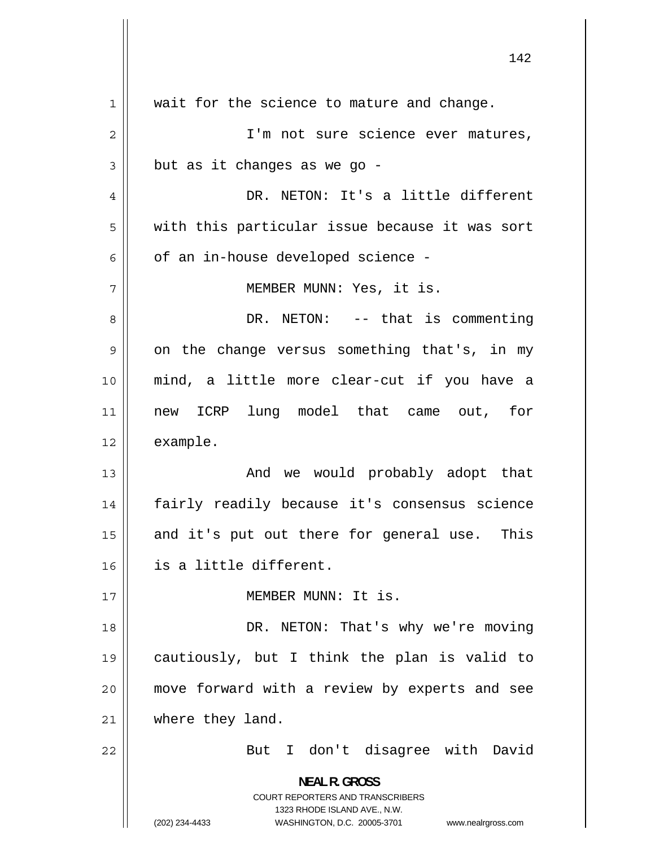|                | ⊥±∠                                                                                                                                                                    |
|----------------|------------------------------------------------------------------------------------------------------------------------------------------------------------------------|
| $\mathbf 1$    | wait for the science to mature and change.                                                                                                                             |
| $\mathbf 2$    | I'm not sure science ever matures,                                                                                                                                     |
| 3              | but as it changes as we go -                                                                                                                                           |
| $\overline{4}$ | DR. NETON: It's a little different                                                                                                                                     |
| 5              | with this particular issue because it was sort                                                                                                                         |
| 6              | of an in-house developed science -                                                                                                                                     |
| 7              | MEMBER MUNN: Yes, it is.                                                                                                                                               |
| 8              | DR. NETON: -- that is commenting                                                                                                                                       |
| 9              | on the change versus something that's, in my                                                                                                                           |
| 10             | mind, a little more clear-cut if you have a                                                                                                                            |
| 11             | new ICRP lung model that came out, for                                                                                                                                 |
| 12             | example.                                                                                                                                                               |
| 13             | And we would probably adopt that                                                                                                                                       |
| 14             | fairly readily because it's consensus science                                                                                                                          |
| 15             | and it's put out there for general use.<br>This                                                                                                                        |
| 16             | is a little different.                                                                                                                                                 |
| 17             | MEMBER MUNN: It is.                                                                                                                                                    |
| 18             | DR. NETON: That's why we're moving                                                                                                                                     |
| 19             | cautiously, but I think the plan is valid to                                                                                                                           |
| 20             | move forward with a review by experts and see                                                                                                                          |
| 21             | where they land.                                                                                                                                                       |
| 22             | But I don't disagree with David                                                                                                                                        |
|                | <b>NEAL R. GROSS</b><br><b>COURT REPORTERS AND TRANSCRIBERS</b><br>1323 RHODE ISLAND AVE., N.W.<br>(202) 234-4433<br>WASHINGTON, D.C. 20005-3701<br>www.nealrgross.com |

 $\mathbf{\mathcal{L}}$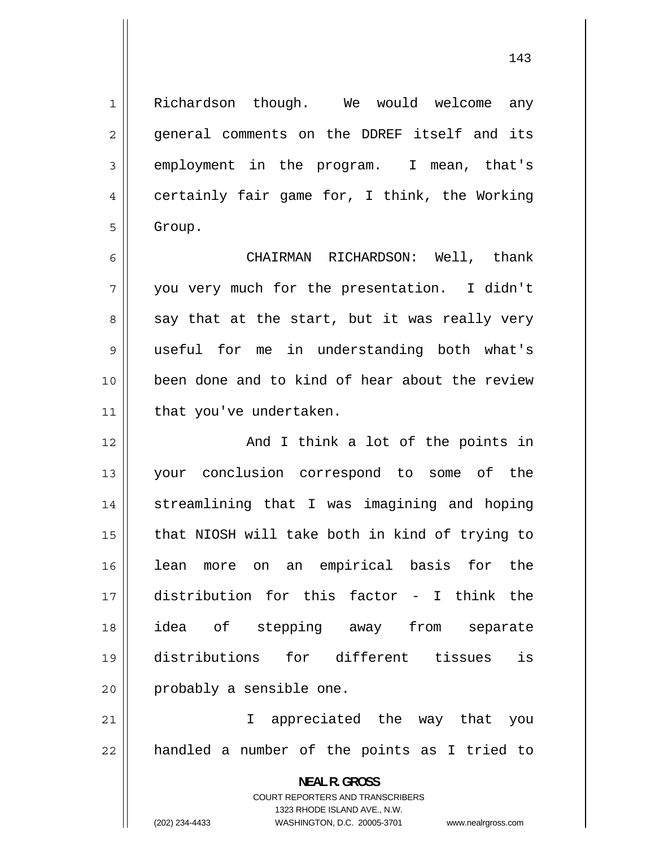Richardson though. We would welcome any general comments on the DDREF itself and its employment in the program. I mean, that's certainly fair game for, I think, the Working Group.

1

2

3

4

5

6 CHAIRMAN RICHARDSON: Well, thank 7 you very much for the presentation. I didn't 8 say that at the start, but it was really very 9 useful for me in understanding both what's 10 been done and to kind of hear about the review 11 | that you've undertaken.

12 And I think a lot of the points in 13 your conclusion correspond to some of the 14 streamlining that I was imagining and hoping 15 that NIOSH will take both in kind of trying to 16 lean more on an empirical basis for the 17 distribution for this factor - I think the 18 idea of stepping away from separate 19 distributions for different tissues is 20 || probably a sensible one.

21 I appreciated the way that you 22 handled a number of the points as I tried to

> **NEAL R. GROSS**  COURT REPORTERS AND TRANSCRIBERS 1323 RHODE ISLAND AVE., N.W.

(202) 234-4433 WASHINGTON, D.C. 20005-3701 www.nealrgross.com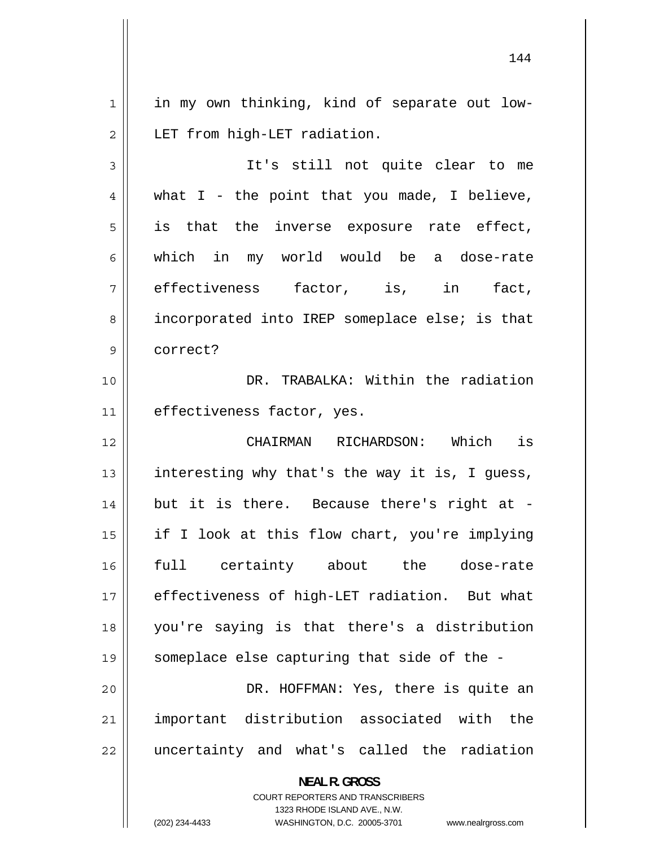1 in my own thinking, kind of separate out low-2 LET from high-LET radiation. 3 It's still not quite clear to me 4 what I - the point that you made, I believe, 5 is that the inverse exposure rate effect, 6 which in my world would be a dose-rate 7 effectiveness factor, is, in fact, 8 incorporated into IREP someplace else; is that 9 correct? 10 DR. TRABALKA: Within the radiation 11 | effectiveness factor, yes. 12 CHAIRMAN RICHARDSON: Which is 13 interesting why that's the way it is, I guess, 14 but it is there. Because there's right at - 15 if I look at this flow chart, you're implying 16 full certainty about the dose-rate 17 effectiveness of high-LET radiation. But what 18 you're saying is that there's a distribution 19 someplace else capturing that side of the - 20 DR. HOFFMAN: Yes, there is quite an 21 important distribution associated with the 22 uncertainty and what's called the radiation

> **NEAL R. GROSS**  COURT REPORTERS AND TRANSCRIBERS 1323 RHODE ISLAND AVE., N.W.

(202) 234-4433 WASHINGTON, D.C. 20005-3701 www.nealrgross.com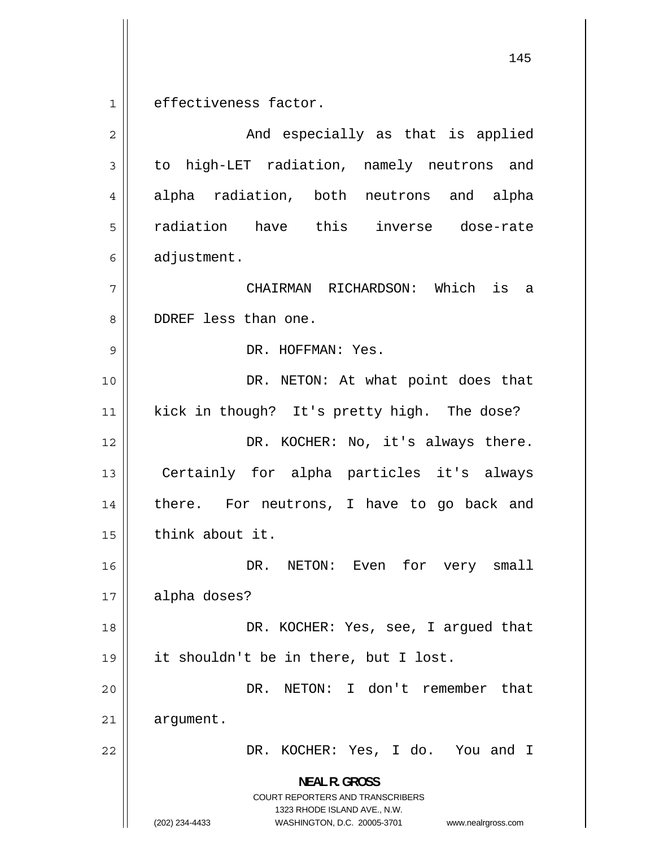145 1 effectiveness factor. 2 And especially as that is applied 3 to high-LET radiation, namely neutrons and 4 alpha radiation, both neutrons and alpha 5 radiation have this inverse dose-rate 6 adjustment. 7 CHAIRMAN RICHARDSON: Which is a 8 DDREF less than one. 9 DR. HOFFMAN: Yes. 10 DR. NETON: At what point does that 11 kick in though? It's pretty high. The dose? 12 DR. KOCHER: No, it's always there. 13 Certainly for alpha particles it's always 14 there. For neutrons, I have to go back and  $15$  | think about it. 16 DR. NETON: Even for very small 17 alpha doses? 18 DR. KOCHER: Yes, see, I argued that 19 it shouldn't be in there, but I lost. 20 DR. NETON: I don't remember that 21 argument. 22 DR. KOCHER: Yes, I do. You and I **NEAL R. GROSS**  COURT REPORTERS AND TRANSCRIBERS 1323 RHODE ISLAND AVE., N.W.

(202) 234-4433 WASHINGTON, D.C. 20005-3701 www.nealrgross.com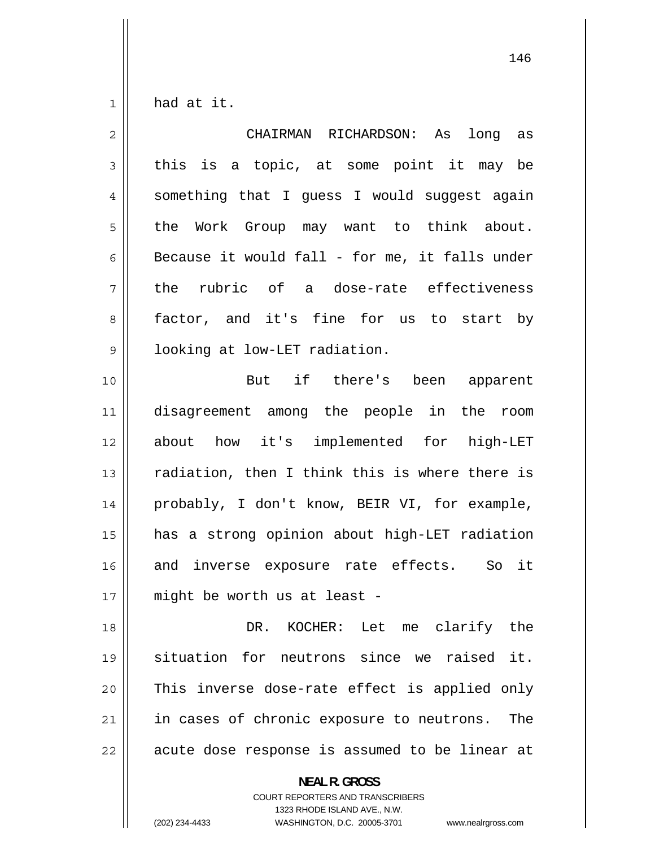1 had at it.

| $\overline{2}$ | CHAIRMAN RICHARDSON: As<br>long as             |
|----------------|------------------------------------------------|
| 3              | this is a topic, at some point it may be       |
| 4              | something that I guess I would suggest again   |
| 5              | the Work Group may want to think about.        |
| 6              | Because it would fall - for me, it falls under |
| 7              | the rubric of a dose-rate effectiveness        |
| 8              | factor, and it's fine for us to start by       |
| 9              | looking at low-LET radiation.                  |
| 10             | But if there's been apparent                   |
| 11             | disagreement among the people in the room      |
| 12             | about how it's implemented for high-LET        |
| 13             | radiation, then I think this is where there is |
| 14             | probably, I don't know, BEIR VI, for example,  |
| 15             | has a strong opinion about high-LET radiation  |
| 16             | and inverse exposure rate effects. So it       |
| 17             | might be worth us at least -                   |
| 18             | DR. KOCHER: Let me clarify the                 |
| 19             | situation for neutrons since we raised it.     |
| 20             | This inverse dose-rate effect is applied only  |
| 21             | in cases of chronic exposure to neutrons. The  |
| 22             | acute dose response is assumed to be linear at |
|                | <b>NEAL R. GROSS</b>                           |

COURT REPORTERS AND TRANSCRIBERS 1323 RHODE ISLAND AVE., N.W.

(202) 234-4433 WASHINGTON, D.C. 20005-3701 www.nealrgross.com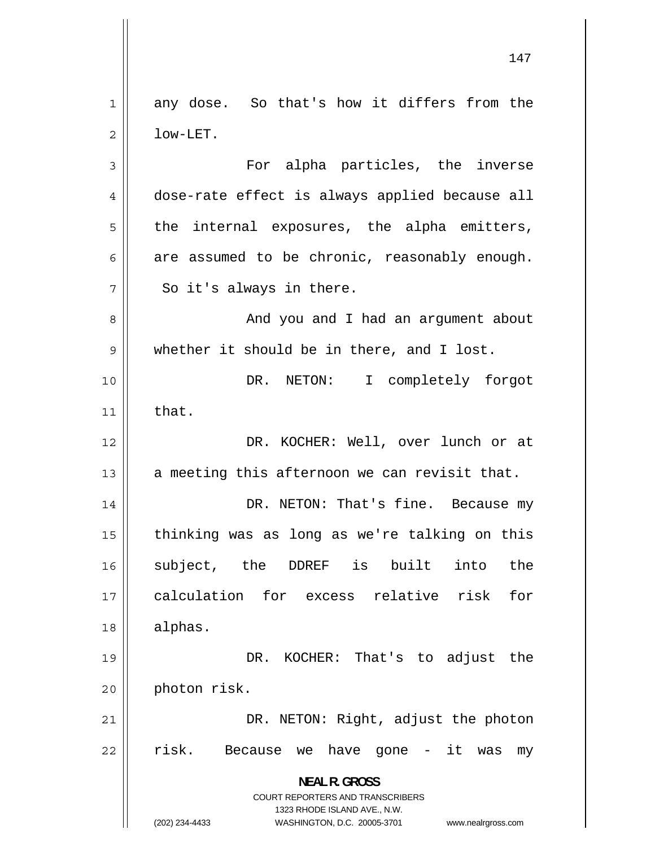147 1 any dose. So that's how it differs from the 2 low-LET. 3 For alpha particles, the inverse 4 dose-rate effect is always applied because all 5 the internal exposures, the alpha emitters, 6 are assumed to be chronic, reasonably enough. 7 So it's always in there. 8 And you and I had an argument about 9 whether it should be in there, and I lost. 10 DR. NETON: I completely forgot  $11$  that. 12 DR. KOCHER: Well, over lunch or at 13  $\parallel$  a meeting this afternoon we can revisit that. 14 DR. NETON: That's fine. Because my 15 thinking was as long as we're talking on this 16 subject, the DDREF is built into the 17 calculation for excess relative risk for 18 alphas. 19 DR. KOCHER: That's to adjust the 20 photon risk. 21 DR. NETON: Right, adjust the photon 22 risk. Because we have gone - it was my **NEAL R. GROSS**  COURT REPORTERS AND TRANSCRIBERS 1323 RHODE ISLAND AVE., N.W. (202) 234-4433 WASHINGTON, D.C. 20005-3701 www.nealrgross.com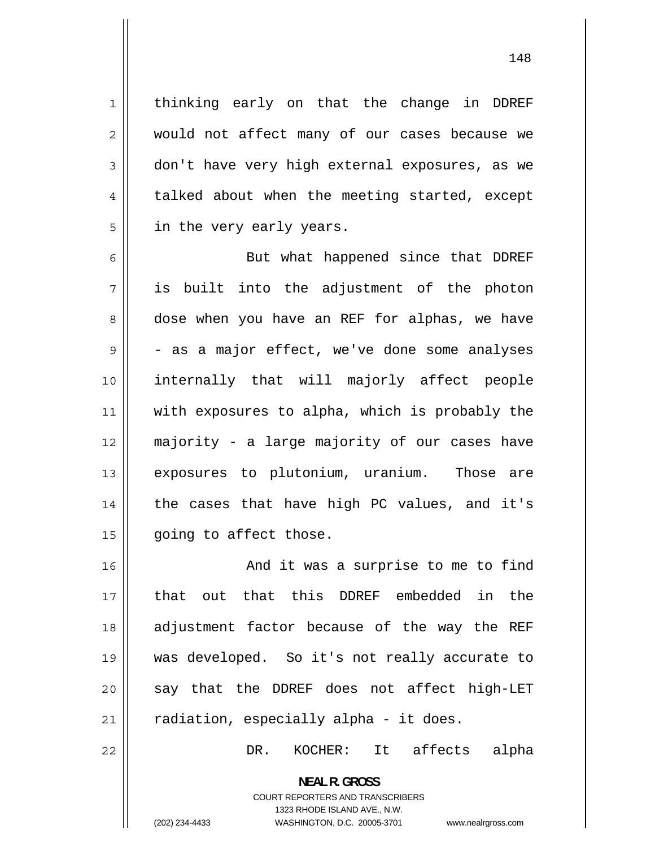thinking early on that the change in DDREF would not affect many of our cases because we don't have very high external exposures, as we talked about when the meeting started, except in the very early years.

6 But what happened since that DDREF 7 is built into the adjustment of the photon 8 dose when you have an REF for alphas, we have 9 - as a major effect, we've done some analyses 10 internally that will majorly affect people 11 with exposures to alpha, which is probably the 12 majority - a large majority of our cases have 13 exposures to plutonium, uranium. Those are 14 the cases that have high PC values, and it's 15 | going to affect those.

16 And it was a surprise to me to find 17 that out that this DDREF embedded in the 18 adjustment factor because of the way the REF 19 was developed. So it's not really accurate to 20 say that the DDREF does not affect high-LET  $21$  | radiation, especially alpha - it does.

DR. KOCHER: It affects alpha

**NEAL R. GROSS**  COURT REPORTERS AND TRANSCRIBERS 1323 RHODE ISLAND AVE., N.W.

22

1

2

3

4

5

(202) 234-4433 WASHINGTON, D.C. 20005-3701 www.nealrgross.com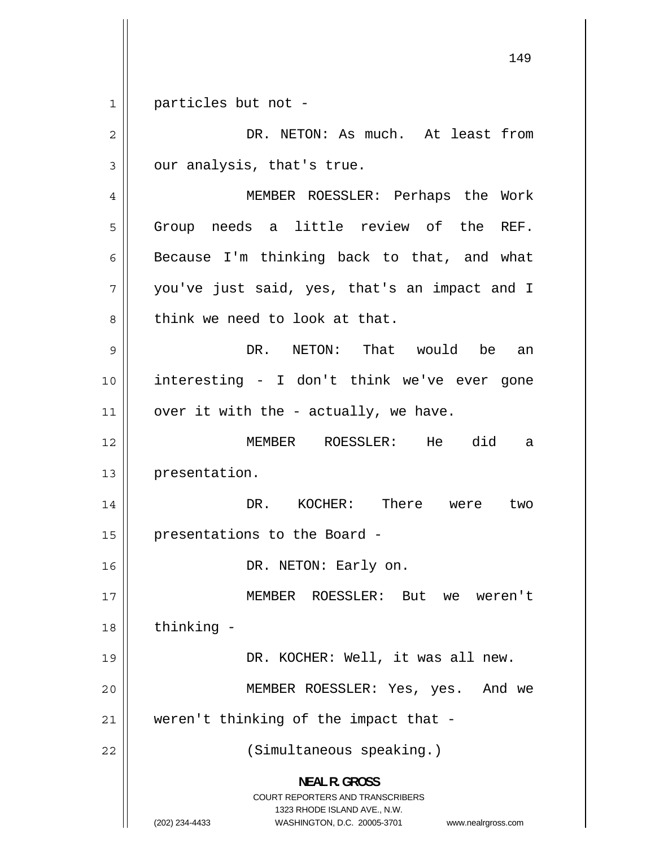149 1 particles but not - 2 DR. NETON: As much. At least from 3 our analysis, that's true. 4 MEMBER ROESSLER: Perhaps the Work 5 Group needs a little review of the REF. 6 Because I'm thinking back to that, and what 7 you've just said, yes, that's an impact and I 8 think we need to look at that. 9 DR. NETON: That would be an 10 interesting - I don't think we've ever gone 11  $\parallel$  over it with the - actually, we have. 12 MEMBER ROESSLER: He did a 13 | presentation. 14 DR. KOCHER: There were two 15 | presentations to the Board -16 || DR. NETON: Early on. 17 MEMBER ROESSLER: But we weren't  $18$  | thinking -19 DR. KOCHER: Well, it was all new. 20 MEMBER ROESSLER: Yes, yes. And we  $21$  | weren't thinking of the impact that -22 || (Simultaneous speaking.) **NEAL R. GROSS**  COURT REPORTERS AND TRANSCRIBERS 1323 RHODE ISLAND AVE., N.W. (202) 234-4433 WASHINGTON, D.C. 20005-3701 www.nealrgross.com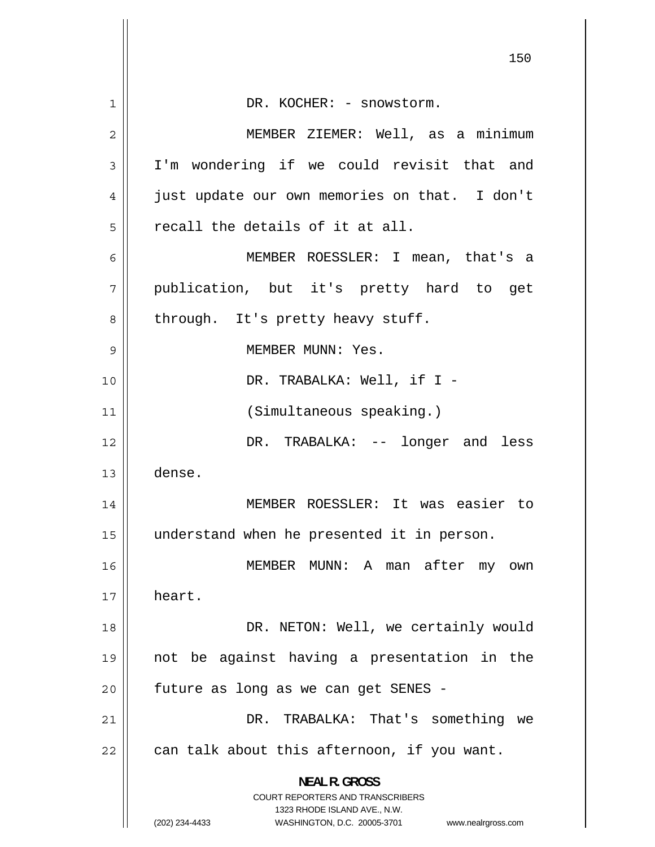|              | 150                                                                                                                                                                    |
|--------------|------------------------------------------------------------------------------------------------------------------------------------------------------------------------|
|              |                                                                                                                                                                        |
| $\mathbf{1}$ | DR. KOCHER: - snowstorm.                                                                                                                                               |
| 2            | MEMBER ZIEMER: Well, as a minimum                                                                                                                                      |
| 3            | I'm wondering if we could revisit that and                                                                                                                             |
| 4            | just update our own memories on that. I don't                                                                                                                          |
| 5            | recall the details of it at all.                                                                                                                                       |
| 6            | MEMBER ROESSLER: I mean, that's a                                                                                                                                      |
| 7            | publication, but it's pretty hard to get                                                                                                                               |
| 8            | through. It's pretty heavy stuff.                                                                                                                                      |
| 9            | MEMBER MUNN: Yes.                                                                                                                                                      |
| 10           | DR. TRABALKA: Well, if I -                                                                                                                                             |
| 11           | (Simultaneous speaking.)                                                                                                                                               |
| 12           | DR. TRABALKA: -- longer and less                                                                                                                                       |
| 13           | dense.                                                                                                                                                                 |
| 14           | MEMBER ROESSLER: It was easier to                                                                                                                                      |
| 15           | understand when he presented it in person.                                                                                                                             |
| 16           | MEMBER MUNN: A<br>man after my own                                                                                                                                     |
| 17           | heart.                                                                                                                                                                 |
| 18           | DR. NETON: Well, we certainly would                                                                                                                                    |
| 19           | not be against having a presentation in the                                                                                                                            |
| 20           | future as long as we can get SENES -                                                                                                                                   |
| 21           | DR. TRABALKA: That's something<br>we                                                                                                                                   |
| 22           | can talk about this afternoon, if you want.                                                                                                                            |
|              | <b>NEAL R. GROSS</b><br><b>COURT REPORTERS AND TRANSCRIBERS</b><br>1323 RHODE ISLAND AVE., N.W.<br>(202) 234-4433<br>WASHINGTON, D.C. 20005-3701<br>www.nealrgross.com |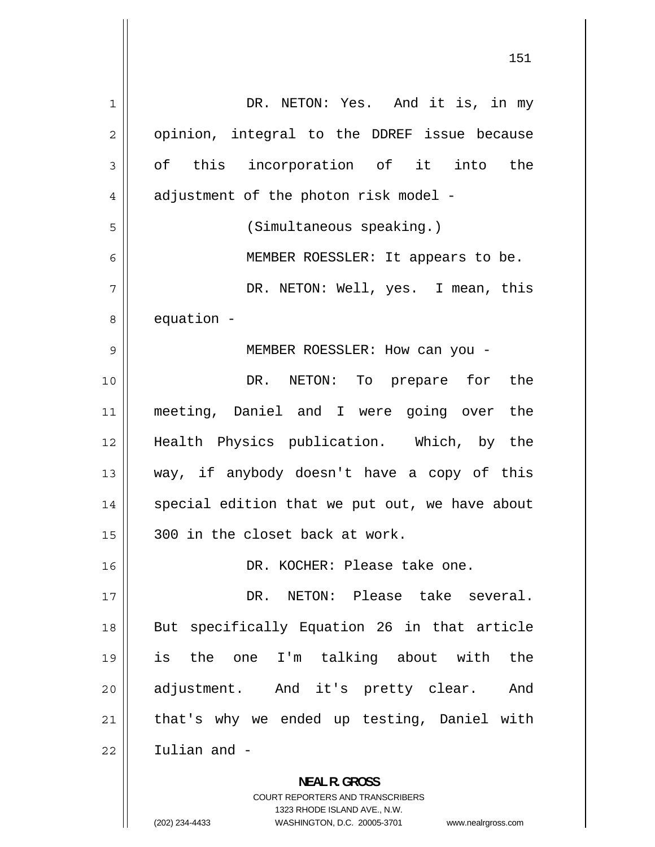| 1  | DR. NETON: Yes. And it is, in my               |
|----|------------------------------------------------|
| 2  | opinion, integral to the DDREF issue because   |
| 3  | of this incorporation of it into the           |
| 4  | adjustment of the photon risk model -          |
| 5  | (Simultaneous speaking.)                       |
| 6  | MEMBER ROESSLER: It appears to be.             |
| 7  | DR. NETON: Well, yes. I mean, this             |
| 8  | equation -                                     |
| 9  | MEMBER ROESSLER: How can you -                 |
| 10 | DR. NETON: To prepare for the                  |
| 11 | meeting, Daniel and I were going over the      |
| 12 | Health Physics publication. Which, by the      |
| 13 | way, if anybody doesn't have a copy of this    |
| 14 | special edition that we put out, we have about |
| 15 | 300 in the closet back at work.                |
| 16 | DR. KOCHER: Please take one.                   |
| 17 | DR. NETON: Please take several.                |
| 18 | But specifically Equation 26 in that article   |
| 19 | is the one I'm talking about with the          |
| 20 | adjustment. And it's pretty clear. And         |
| 21 | that's why we ended up testing, Daniel with    |
| 22 | Iulian and -                                   |
|    | <b>NEAL R. GROSS</b>                           |
|    | COURT REPORTERS AND TRANSCRIBERS               |

1323 RHODE ISLAND AVE., N.W.

 $\prod$ 

(202) 234-4433 WASHINGTON, D.C. 20005-3701 www.nealrgross.com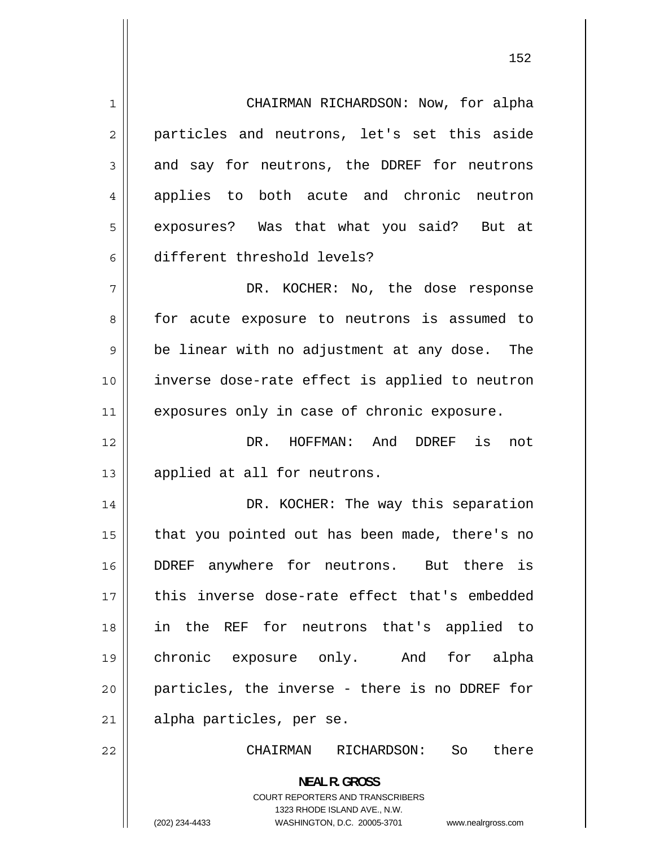1 CHAIRMAN RICHARDSON: Now, for alpha 2 particles and neutrons, let's set this aside 3 and say for neutrons, the DDREF for neutrons 4 applies to both acute and chronic neutron 5 exposures? Was that what you said? But at 6 different threshold levels? 7 DR. KOCHER: No, the dose response 8 for acute exposure to neutrons is assumed to 9 be linear with no adjustment at any dose. The 10 inverse dose-rate effect is applied to neutron 11 || exposures only in case of chronic exposure. 12 DR. HOFFMAN: And DDREF is not 13 || applied at all for neutrons. 14 DR. KOCHER: The way this separation 15 that you pointed out has been made, there's no 16 DDREF anywhere for neutrons. But there is 17 this inverse dose-rate effect that's embedded 18 in the REF for neutrons that's applied to 19 chronic exposure only. And for alpha 20 particles, the inverse - there is no DDREF for 21 || alpha particles, per se. 22 CHAIRMAN RICHARDSON: So there

> **NEAL R. GROSS**  COURT REPORTERS AND TRANSCRIBERS 1323 RHODE ISLAND AVE., N.W.

(202) 234-4433 WASHINGTON, D.C. 20005-3701 www.nealrgross.com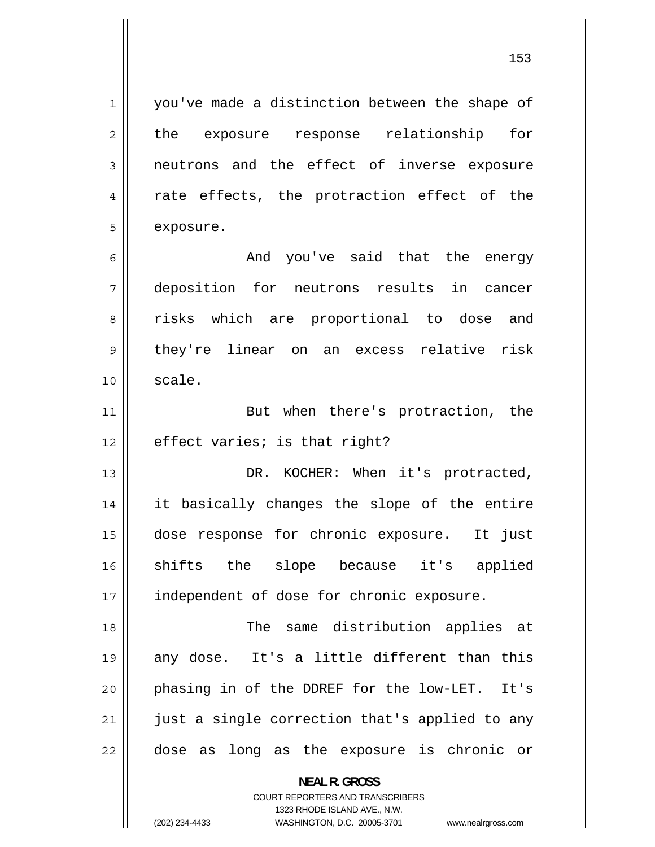you've made a distinction between the shape of the exposure response relationship for neutrons and the effect of inverse exposure rate effects, the protraction effect of the exposure.

1

2

3

4

5

6 And you've said that the energy 7 deposition for neutrons results in cancer 8 risks which are proportional to dose and 9 they're linear on an excess relative risk  $10 \parallel$  scale.

11 But when there's protraction, the  $12$  | effect varies; is that right?

13 DR. KOCHER: When it's protracted, 14 it basically changes the slope of the entire 15 dose response for chronic exposure. It just 16 shifts the slope because it's applied 17 | independent of dose for chronic exposure.

18 The same distribution applies at 19 any dose. It's a little different than this 20 phasing in of the DDREF for the low-LET. It's 21 just a single correction that's applied to any 22 dose as long as the exposure is chronic or

> **NEAL R. GROSS**  COURT REPORTERS AND TRANSCRIBERS 1323 RHODE ISLAND AVE., N.W. (202) 234-4433 WASHINGTON, D.C. 20005-3701 www.nealrgross.com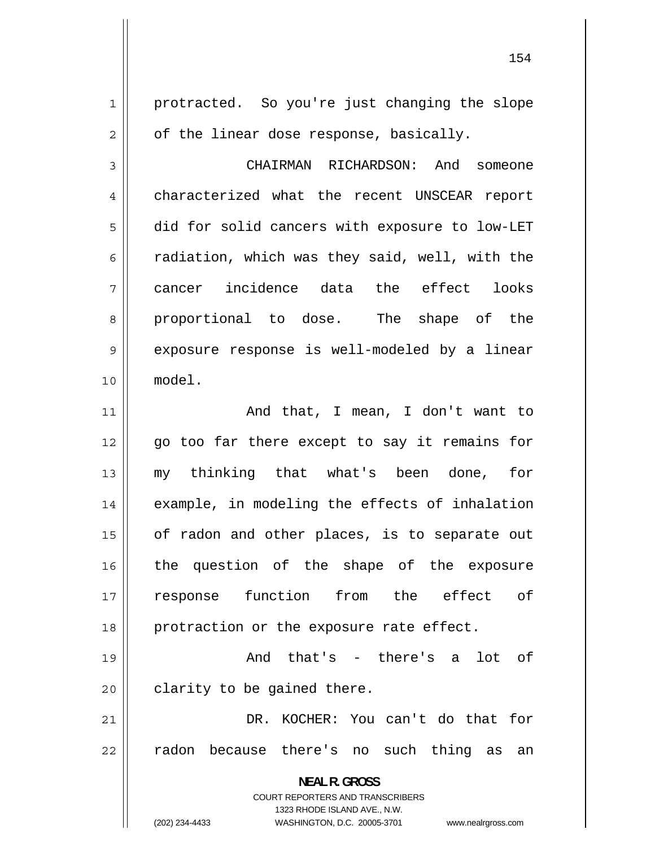protracted. So you're just changing the slope of the linear dose response, basically.

1

2

3 CHAIRMAN RICHARDSON: And someone 4 characterized what the recent UNSCEAR report 5 did for solid cancers with exposure to low-LET 6 radiation, which was they said, well, with the 7 cancer incidence data the effect looks 8 proportional to dose. The shape of the 9 exposure response is well-modeled by a linear 10 model.

11 And that, I mean, I don't want to 12 go too far there except to say it remains for 13 my thinking that what's been done, for 14 example, in modeling the effects of inhalation 15 of radon and other places, is to separate out 16 the question of the shape of the exposure 17 response function from the effect of 18 || protraction or the exposure rate effect.

19 And that's - there's a lot of  $20$  | clarity to be gained there.

21 DR. KOCHER: You can't do that for 22 radon because there's no such thing as an

> **NEAL R. GROSS**  COURT REPORTERS AND TRANSCRIBERS

1323 RHODE ISLAND AVE., N.W. (202) 234-4433 WASHINGTON, D.C. 20005-3701 www.nealrgross.com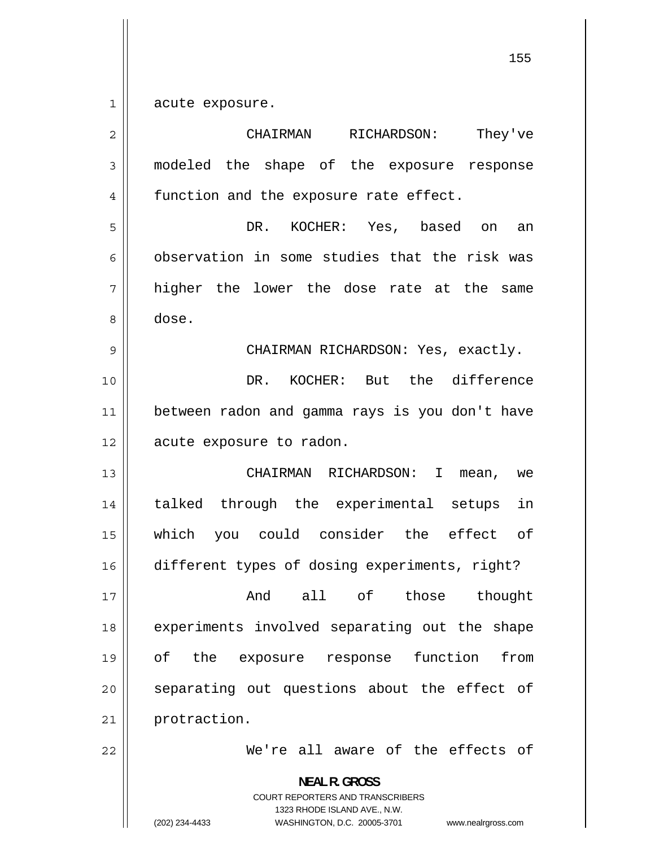1 acute exposure.

| $\overline{2}$ | They've<br>CHAIRMAN<br>RICHARDSON:                                                                                                                                     |
|----------------|------------------------------------------------------------------------------------------------------------------------------------------------------------------------|
| 3              | modeled the shape of the exposure response                                                                                                                             |
| 4              | function and the exposure rate effect.                                                                                                                                 |
| 5              | KOCHER: Yes, based on<br>DR.<br>an                                                                                                                                     |
| 6              | observation in some studies that the risk was                                                                                                                          |
| 7              | higher the lower the dose rate at the same                                                                                                                             |
| 8              | dose.                                                                                                                                                                  |
| 9              | CHAIRMAN RICHARDSON: Yes, exactly.                                                                                                                                     |
| 10             | DR. KOCHER: But the difference                                                                                                                                         |
| 11             | between radon and gamma rays is you don't have                                                                                                                         |
| 12             | acute exposure to radon.                                                                                                                                               |
| 13             | CHAIRMAN RICHARDSON: I<br>mean,<br>we                                                                                                                                  |
| 14             | talked through the experimental setups<br>in                                                                                                                           |
| 15             | which you could consider the effect of                                                                                                                                 |
| 16             | different types of dosing experiments, right?                                                                                                                          |
| 17             | And all of those thought                                                                                                                                               |
| 18             | experiments involved separating out the shape                                                                                                                          |
| 19             | оf<br>function<br>from<br>the<br>exposure response                                                                                                                     |
| 20             | separating out questions about the effect of                                                                                                                           |
| 21             | protraction.                                                                                                                                                           |
| 22             | We're all aware of the effects of                                                                                                                                      |
|                | <b>NEAL R. GROSS</b><br><b>COURT REPORTERS AND TRANSCRIBERS</b><br>1323 RHODE ISLAND AVE., N.W.<br>(202) 234-4433<br>WASHINGTON, D.C. 20005-3701<br>www.nealrgross.com |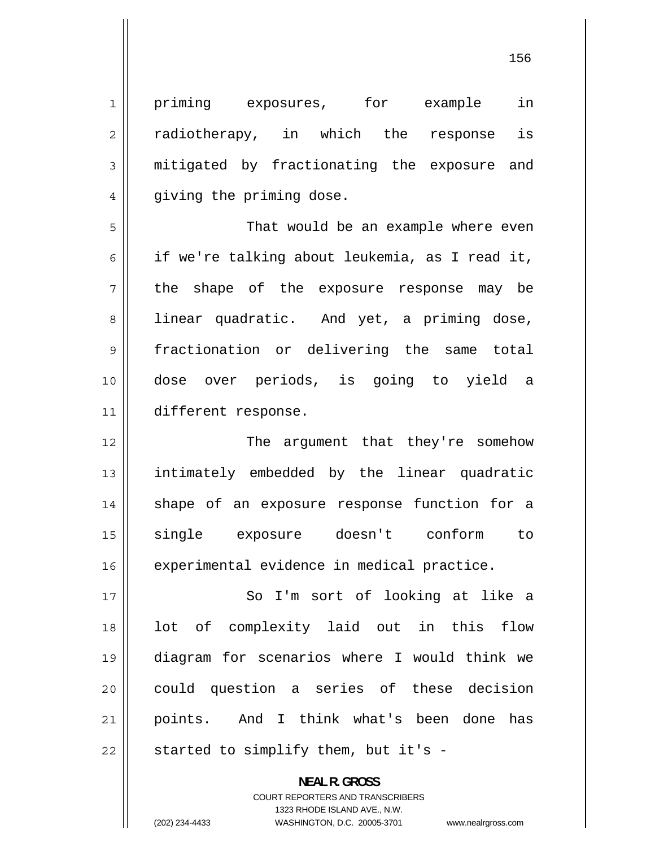| $\mathbf 1$    | in<br>priming exposures,<br>for example        |
|----------------|------------------------------------------------|
| $\overline{c}$ | radiotherapy, in which the<br>is<br>response   |
| 3              | mitigated by fractionating the exposure and    |
| 4              | giving the priming dose.                       |
| 5              | That would be an example where even            |
| 6              | if we're talking about leukemia, as I read it, |
| 7              | the shape of the exposure response may be      |
| 8              | linear quadratic. And yet, a priming dose,     |
| 9              | fractionation or delivering the same total     |
| 10             | dose over periods, is going to yield a         |
| 11             | different response.                            |
| 12             | The argument that they're somehow              |
| 13             | intimately embedded by the linear quadratic    |
| 14             | shape of an exposure response function for a   |
| 15             | exposure doesn't conform<br>single<br>to       |
| 16             | experimental evidence in medical practice.     |
| 17             | So I'm sort of looking at like a               |
| 18             | lot of complexity laid out in this flow        |
| 19             | diagram for scenarios where I would think we   |
| 20             | could question a series of these decision      |
| 21             | points. And I think what's been done has       |
| 22             | started to simplify them, but it's -           |

**NEAL R. GROSS**  COURT REPORTERS AND TRANSCRIBERS 1323 RHODE ISLAND AVE., N.W.

(202) 234-4433 WASHINGTON, D.C. 20005-3701 www.nealrgross.com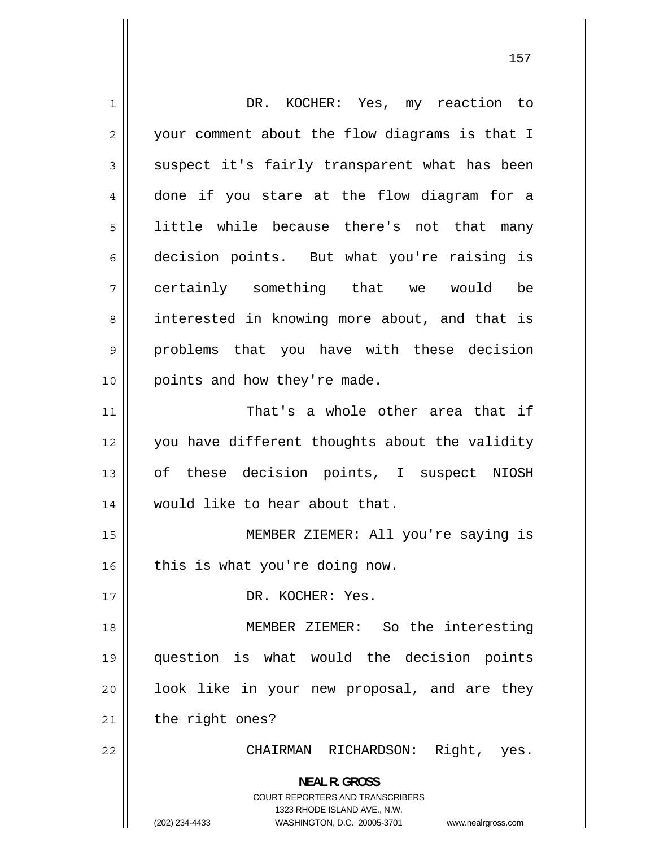1 DR. KOCHER: Yes, my reaction to 2 your comment about the flow diagrams is that I 3 suspect it's fairly transparent what has been 4 done if you stare at the flow diagram for a 5 little while because there's not that many 6 decision points. But what you're raising is 7 certainly something that we would be 8 interested in knowing more about, and that is 9 problems that you have with these decision 10 || points and how they're made. 11 That's a whole other area that if 12 you have different thoughts about the validity 13 of these decision points, I suspect NIOSH 14 would like to hear about that. 15 MEMBER ZIEMER: All you're saying is  $16$  | this is what you're doing now. 17 || DR. KOCHER: Yes. 18 MEMBER ZIEMER: So the interesting 19 question is what would the decision points 20 look like in your new proposal, and are they  $21$  | the right ones? 22 CHAIRMAN RICHARDSON: Right, yes. **NEAL R. GROSS**  COURT REPORTERS AND TRANSCRIBERS 1323 RHODE ISLAND AVE., N.W. (202) 234-4433 WASHINGTON, D.C. 20005-3701 www.nealrgross.com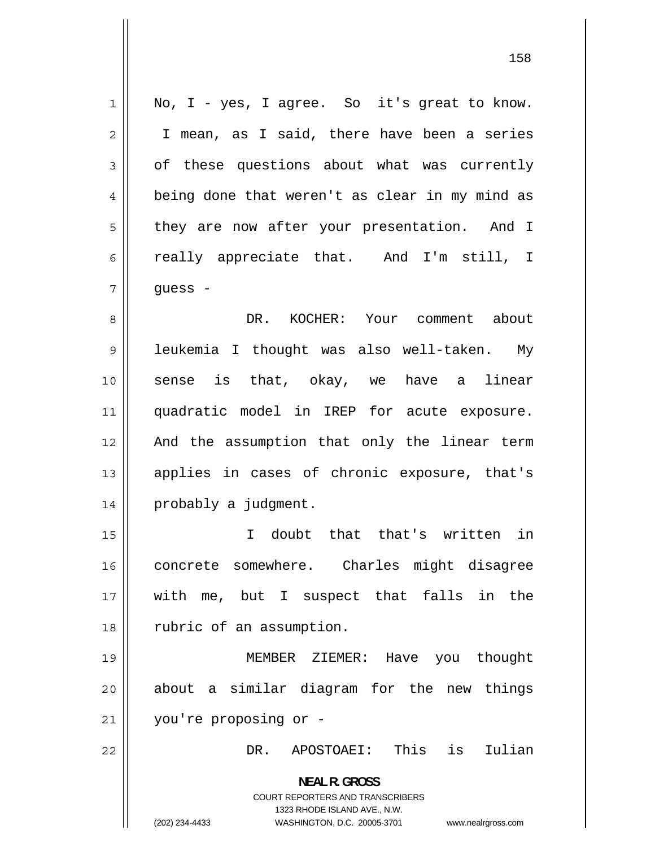1 No, I - yes, I agree. So it's great to know. 2 I mean, as I said, there have been a series 3 of these questions about what was currently [4](#page-3-0) being done that weren't as clear in my mind as [5](#page-4-0) they are now after your presentation. And I [6](#page-5-0) really appreciate that. And I'm still, I [7](#page-6-0) guess - [8](#page-7-0) DR. KOCHER: Your comment about [9](#page-8-0) leukemia I thought was also well-taken. My [10](#page-9-0) sense is that, okay, we have a linear [11](#page-10-0) quadratic model in IREP for acute exposure. [12](#page-11-0) And the assumption that only the linear term [13](#page-12-0) applies in cases of chronic exposure, that's [14](#page-13-0) probably a judgment. [15](#page-14-0) I doubt that that's written in [16](#page-15-0) concrete somewhere. Charles might disagree [17](#page-16-0) with me, but I suspect that falls in the [18](#page-17-0) rubric of an assumption. [19](#page-18-0) MEMBER ZIEMER: Have you thought [20](#page-19-0) about a similar diagram for the new things [21](#page-20-0) you're proposing or - [22](#page-21-0) DR. APOSTOAEI: This is Iulian **NEAL R. GROSS**  COURT REPORTERS AND TRANSCRIBERS 1323 RHODE ISLAND AVE., N.W. (202) 234-4433 WASHINGTON, D.C. 20005-3701 www.nealrgross.com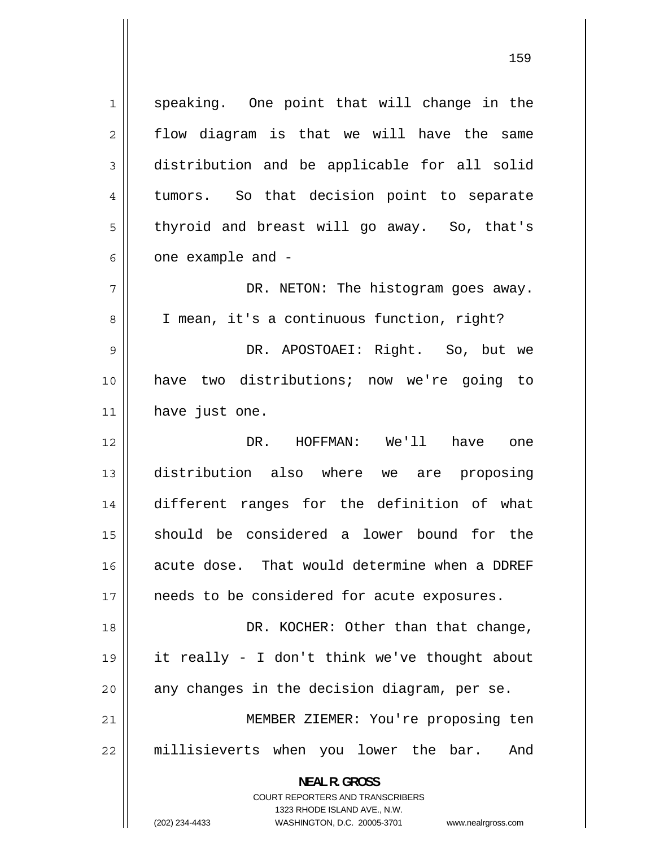1 speaking. One point that will change in the 2 flow diagram is that we will have the same 3 distribution and be applicable for all solid 4 tumors. So that decision point to separate 5 thyroid and breast will go away. So, that's 6 one example and - 7 DR. NETON: The histogram goes away. 8 I mean, it's a continuous function, right? 9 DR. APOSTOAEI: Right. So, but we 10 have two distributions; now we're going to 11 || have just one. 12 DR. HOFFMAN: We'll have one 13 distribution also where we are proposing 14 different ranges for the definition of what 15 should be considered a lower bound for the 16 acute dose. That would determine when a DDREF 17 || needs to be considered for acute exposures. 18 DR. KOCHER: Other than that change, 19 it really - I don't think we've thought about  $20$  || any changes in the decision diagram, per se. 21 MEMBER ZIEMER: You're proposing ten 22 millisieverts when you lower the bar. And **NEAL R. GROSS**  COURT REPORTERS AND TRANSCRIBERS

1323 RHODE ISLAND AVE., N.W.

(202) 234-4433 WASHINGTON, D.C. 20005-3701 www.nealrgross.com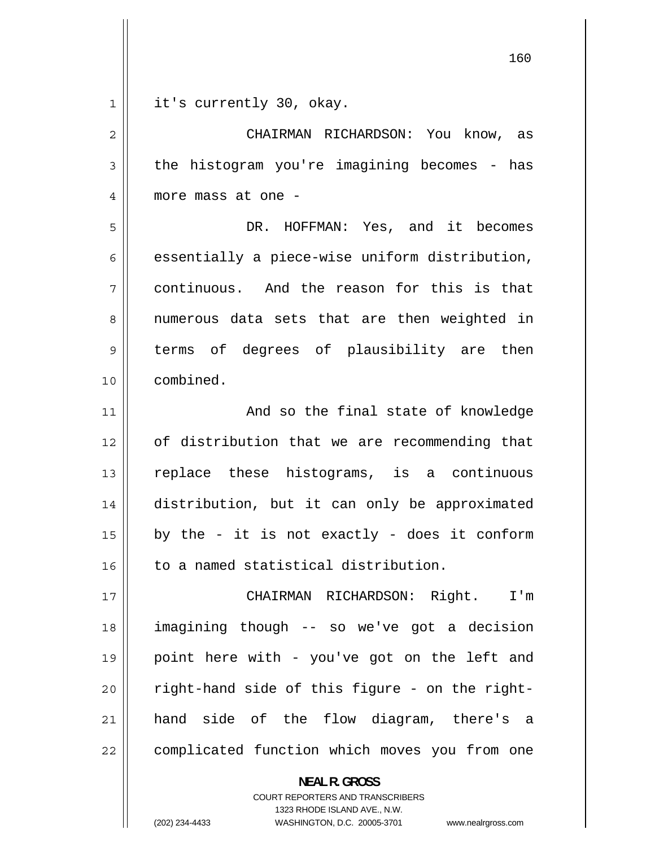1 it's currently 30, okay.

2 CHAIRMAN RICHARDSON: You know, as 3 the histogram you're imagining becomes - has 4 more mass at one - 5 DR. HOFFMAN: Yes, and it becomes 6 essentially a piece-wise uniform distribution,

7 continuous. And the reason for this is that 8 numerous data sets that are then weighted in 9 terms of degrees of plausibility are then 10 combined.

11 And so the final state of knowledge 12 of distribution that we are recommending that 13 replace these histograms, is a continuous 14 distribution, but it can only be approximated 15 by the - it is not exactly - does it conform 16 || to a named statistical distribution.

17 CHAIRMAN RICHARDSON: Right. I'm 18 imagining though -- so we've got a decision 19 point here with - you've got on the left and 20 right-hand side of this figure - on the right-21 hand side of the flow diagram, there's a 22 complicated function which moves you from one

> **NEAL R. GROSS**  COURT REPORTERS AND TRANSCRIBERS 1323 RHODE ISLAND AVE., N.W. (202) 234-4433 WASHINGTON, D.C. 20005-3701 www.nealrgross.com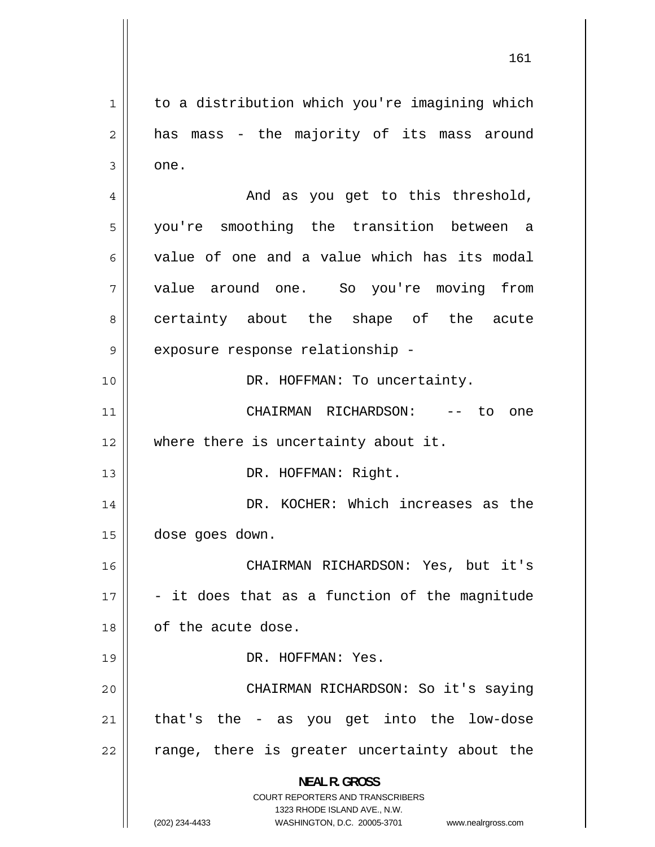1 to a distribution which you're imagining which 2 has mass - the majority of its mass around 3 one. 4 And as you get to this threshold, 5 you're smoothing the transition between a 6 value of one and a value which has its modal 7 value around one. So you're moving from 8 certainty about the shape of the acute 9 exposure response relationship - 10 || DR. HOFFMAN: To uncertainty. 11 CHAIRMAN RICHARDSON: -- to one 12 || where there is uncertainty about it. 13 || DR. HOFFMAN: Right. 14 DR. KOCHER: Which increases as the 15 dose goes down. 16 CHAIRMAN RICHARDSON: Yes, but it's 17 - it does that as a function of the magnitude 18 || of the acute dose. 19 DR. HOFFMAN: Yes. 20 CHAIRMAN RICHARDSON: So it's saying 21 that's the - as you get into the low-dose 22 range, there is greater uncertainty about the **NEAL R. GROSS**  COURT REPORTERS AND TRANSCRIBERS 1323 RHODE ISLAND AVE., N.W. (202) 234-4433 WASHINGTON, D.C. 20005-3701 www.nealrgross.com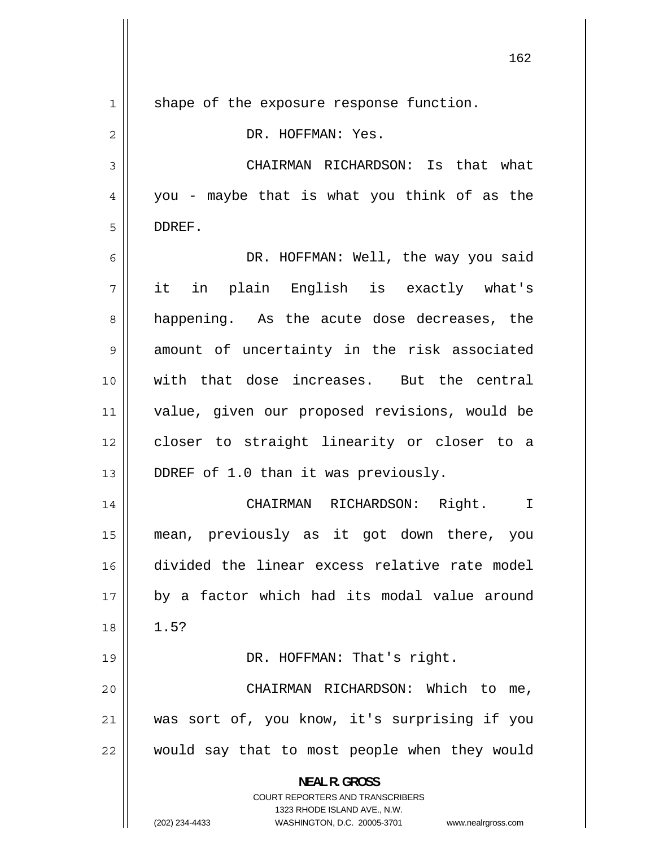| $\mathbf 1$ | shape of the exposure response function.                                                            |
|-------------|-----------------------------------------------------------------------------------------------------|
| 2           | DR. HOFFMAN: Yes.                                                                                   |
| 3           | CHAIRMAN RICHARDSON: Is that what                                                                   |
| 4           | you - maybe that is what you think of as the                                                        |
| 5           | DDREF.                                                                                              |
| 6           | DR. HOFFMAN: Well, the way you said                                                                 |
| 7           | it in plain English is exactly what's                                                               |
| 8           | happening. As the acute dose decreases, the                                                         |
| 9           | amount of uncertainty in the risk associated                                                        |
| 10          | with that dose increases. But the central                                                           |
| 11          | value, given our proposed revisions, would be                                                       |
| 12          | closer to straight linearity or closer to a                                                         |
| 13          | DDREF of 1.0 than it was previously.                                                                |
| 14          | CHAIRMAN RICHARDSON: Right.<br>$\mathbf I$                                                          |
| 15          | mean, previously as it got down there, you                                                          |
| 16          | divided the linear excess relative rate model                                                       |
| 17          | by a factor which had its modal value around                                                        |
| 18          | 1.5?                                                                                                |
| 19          | DR. HOFFMAN: That's right.                                                                          |
| 20          | CHAIRMAN RICHARDSON: Which to me,                                                                   |
| 21          | was sort of, you know, it's surprising if you                                                       |
| 22          | would say that to most people when they would                                                       |
|             | <b>NEAL R. GROSS</b><br><b>COURT REPORTERS AND TRANSCRIBERS</b>                                     |
|             | 1323 RHODE ISLAND AVE., N.W.<br>(202) 234-4433<br>WASHINGTON, D.C. 20005-3701<br>www.nealrgross.com |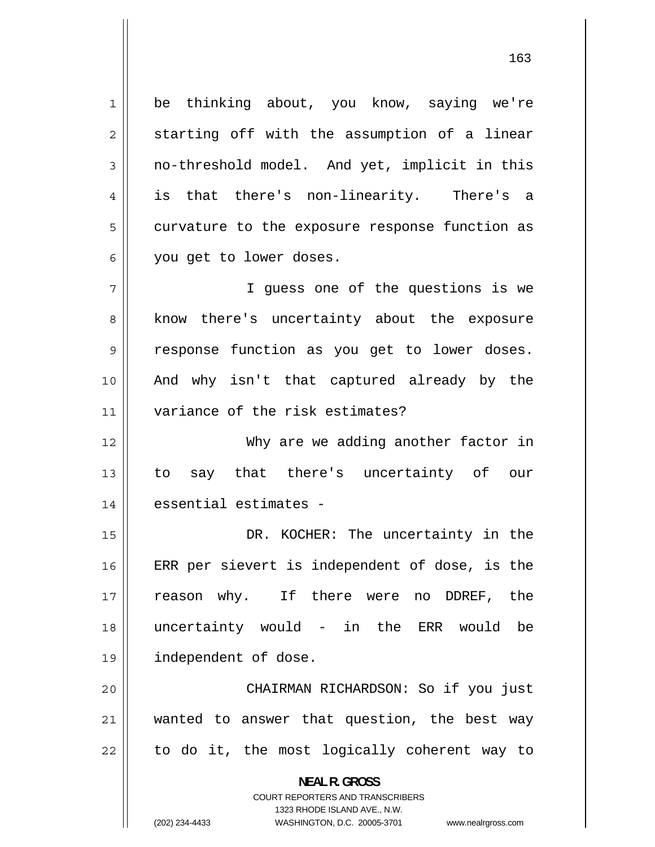1 be thinking about, you know, saying we're 2 starting off with the assumption of a linear 3 no-threshold model. And yet, implicit in this 4 is that there's non-linearity. There's a 5 curvature to the exposure response function as 6 you get to lower doses. 7 I guess one of the questions is we 8 know there's uncertainty about the exposure 9 response function as you get to lower doses. 10 And why isn't that captured already by the 11 variance of the risk estimates? 12 Why are we adding another factor in 13 to say that there's uncertainty of our 14 || essential estimates -15 DR. KOCHER: The uncertainty in the 16 ERR per sievert is independent of dose, is the 17 reason why. If there were no DDREF, the 18 uncertainty would - in the ERR would be 19 independent of dose. 20 CHAIRMAN RICHARDSON: So if you just 21 wanted to answer that question, the best way 22 to do it, the most logically coherent way to **NEAL R. GROSS** 

> COURT REPORTERS AND TRANSCRIBERS 1323 RHODE ISLAND AVE., N.W.

(202) 234-4433 WASHINGTON, D.C. 20005-3701 www.nealrgross.com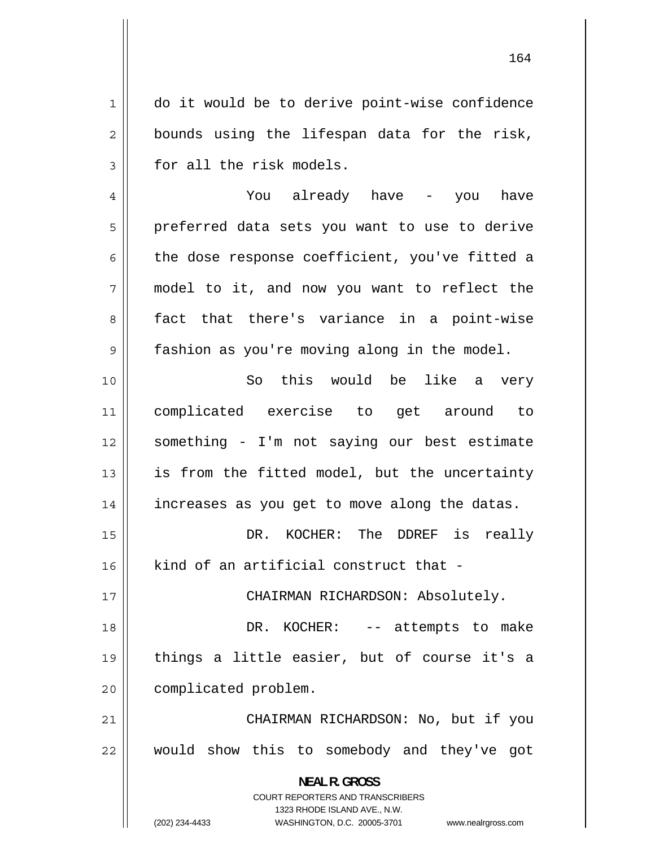1 do it would be to derive point-wise confidence 2 bounds using the lifespan data for the risk, 3 for all the risk models.

4 You already have - you have 5 preferred data sets you want to use to derive 6 the dose response coefficient, you've fitted a 7 model to it, and now you want to reflect the 8 fact that there's variance in a point-wise 9 fashion as you're moving along in the model.

10 So this would be like a very 11 complicated exercise to get around to 12 something - I'm not saying our best estimate 13 is from the fitted model, but the uncertainty 14 increases as you get to move along the datas.

15 DR. KOCHER: The DDREF is really  $16$  || kind of an artificial construct that -

17 CHAIRMAN RICHARDSON: Absolutely.

18 DR. KOCHER: -- attempts to make 19 things a little easier, but of course it's a 20 | complicated problem.

21 CHAIRMAN RICHARDSON: No, but if you 22 would show this to somebody and they've got

> **NEAL R. GROSS**  COURT REPORTERS AND TRANSCRIBERS

> > 1323 RHODE ISLAND AVE., N.W.

(202) 234-4433 WASHINGTON, D.C. 20005-3701 www.nealrgross.com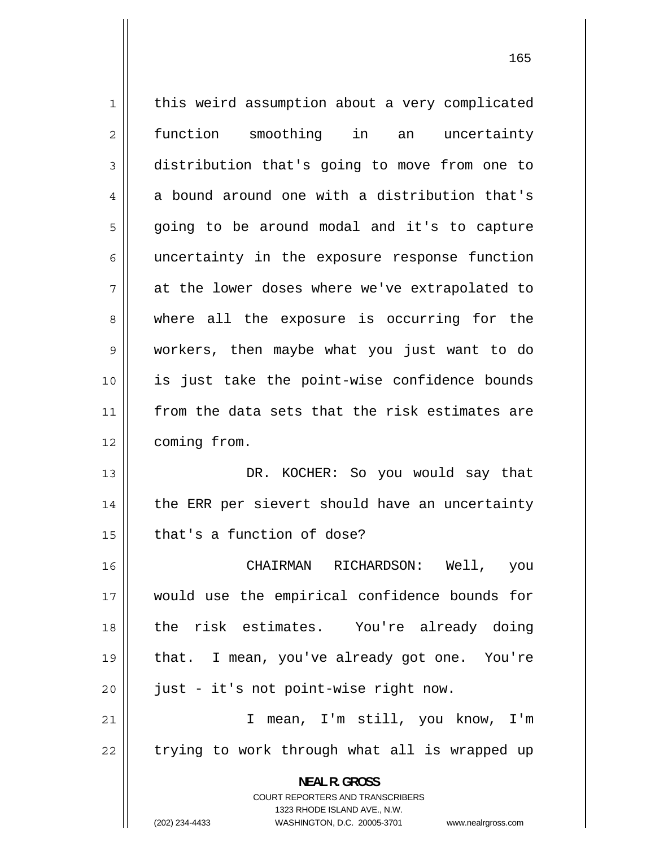1 this weird assumption about a very complicated 2 function smoothing in an uncertainty 3 distribution that's going to move from one to 4 a bound around one with a distribution that's 5 going to be around modal and it's to capture 6 uncertainty in the exposure response function 7 at the lower doses where we've extrapolated to 8 where all the exposure is occurring for the 9 workers, then maybe what you just want to do 10 is just take the point-wise confidence bounds 11 from the data sets that the risk estimates are 12 | coming from. 13 DR. KOCHER: So you would say that 14 the ERR per sievert should have an uncertainty  $15$  | that's a function of dose? 16 CHAIRMAN RICHARDSON: Well, you 17 would use the empirical confidence bounds for 18 the risk estimates. You're already doing 19 that. I mean, you've already got one. You're  $20$  || just - it's not point-wise right now. 21 I mean, I'm still, you know, I'm 22 trying to work through what all is wrapped up **NEAL R. GROSS**  COURT REPORTERS AND TRANSCRIBERS 1323 RHODE ISLAND AVE., N.W.

(202) 234-4433 WASHINGTON, D.C. 20005-3701 www.nealrgross.com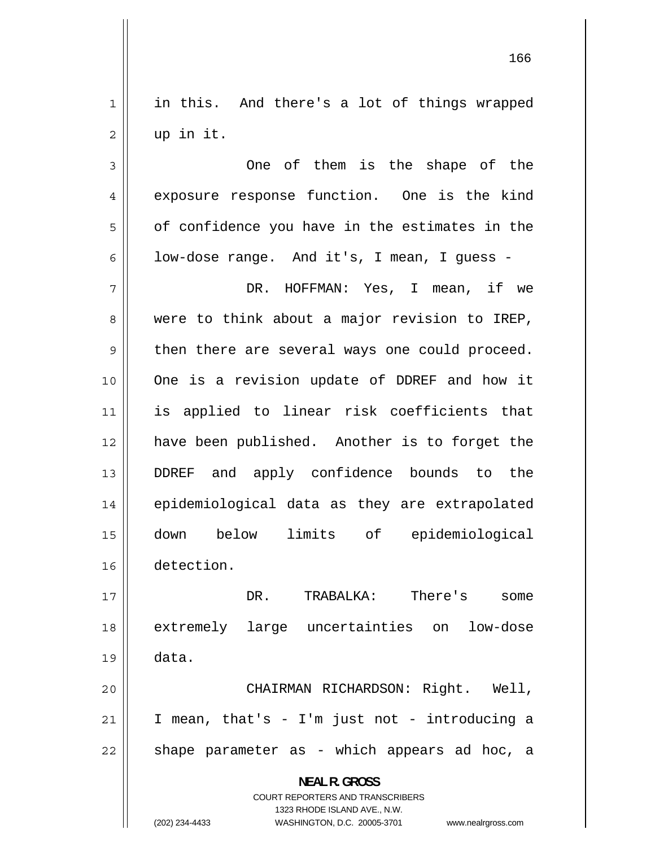1 in this. And there's a lot of things wrapped 2 up in it.

3 One of them is the shape of the 4 exposure response function. One is the kind 5 of confidence you have in the estimates in the 6 low-dose range. And it's, I mean, I guess - 7 DR. HOFFMAN: Yes, I mean, if we 8 were to think about a major revision to IREP, 9 then there are several ways one could proceed. 10 One is a revision update of DDREF and how it 11 is applied to linear risk coefficients that 12 have been published. Another is to forget the 13 DDREF and apply confidence bounds to the 14 epidemiological data as they are extrapolated 15 down below limits of epidemiological 16 detection.

17 DR. TRABALKA: There's some 18 extremely large uncertainties on low-dose 19 data. 20 CHAIRMAN RICHARDSON: Right. Well,

21 I mean, that's - I'm just not - introducing a 22 shape parameter as - which appears ad hoc, a

> **NEAL R. GROSS**  COURT REPORTERS AND TRANSCRIBERS 1323 RHODE ISLAND AVE., N.W.

(202) 234-4433 WASHINGTON, D.C. 20005-3701 www.nealrgross.com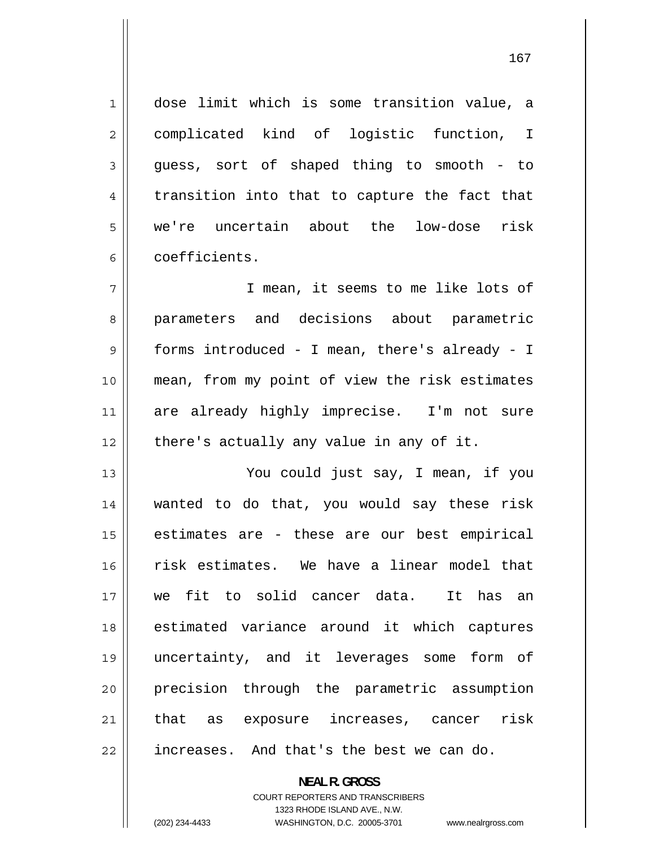dose limit which is some transition value, a complicated kind of logistic function, I guess, sort of shaped thing to smooth - to transition into that to capture the fact that we're uncertain about the low-dose risk coefficients.

7 I mean, it seems to me like lots of 8 parameters and decisions about parametric 9 forms introduced - I mean, there's already - I 10 mean, from my point of view the risk estimates 11 are already highly imprecise. I'm not sure  $12$  | there's actually any value in any of it.

13 You could just say, I mean, if you 14 wanted to do that, you would say these risk 15 estimates are - these are our best empirical 16 risk estimates. We have a linear model that 17 we fit to solid cancer data. It has an 18 estimated variance around it which captures 19 uncertainty, and it leverages some form of 20 precision through the parametric assumption 21 that as exposure increases, cancer risk 22 **increases.** And that's the best we can do.

> **NEAL R. GROSS**  COURT REPORTERS AND TRANSCRIBERS

> > 1323 RHODE ISLAND AVE., N.W.

1

2

3

4

5

6

(202) 234-4433 WASHINGTON, D.C. 20005-3701 www.nealrgross.com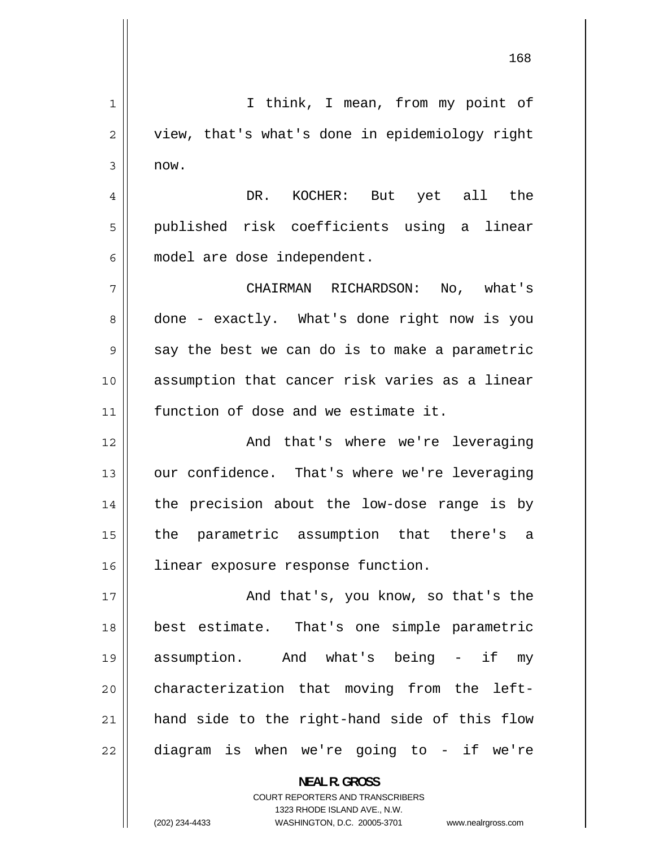1 I think, I mean, from my point of 2 view, that's what's done in epidemiology right 3 now. 4 DR. KOCHER: But yet all the 5 published risk coefficients using a linear 6 model are dose independent. 7 CHAIRMAN RICHARDSON: No, what's 8 done - exactly. What's done right now is you 9 say the best we can do is to make a parametric 10 assumption that cancer risk varies as a linear 11 function of dose and we estimate it. 12 And that's where we're leveraging 13 our confidence. That's where we're leveraging 14 the precision about the low-dose range is by 15 the parametric assumption that there's a 16 | linear exposure response function. 17 And that's, you know, so that's the 18 best estimate. That's one simple parametric 19 assumption. And what's being - if my 20 characterization that moving from the left-21 hand side to the right-hand side of this flow 22 diagram is when we're going to - if we're **NEAL R. GROSS** 

> COURT REPORTERS AND TRANSCRIBERS 1323 RHODE ISLAND AVE., N.W.

(202) 234-4433 WASHINGTON, D.C. 20005-3701 www.nealrgross.com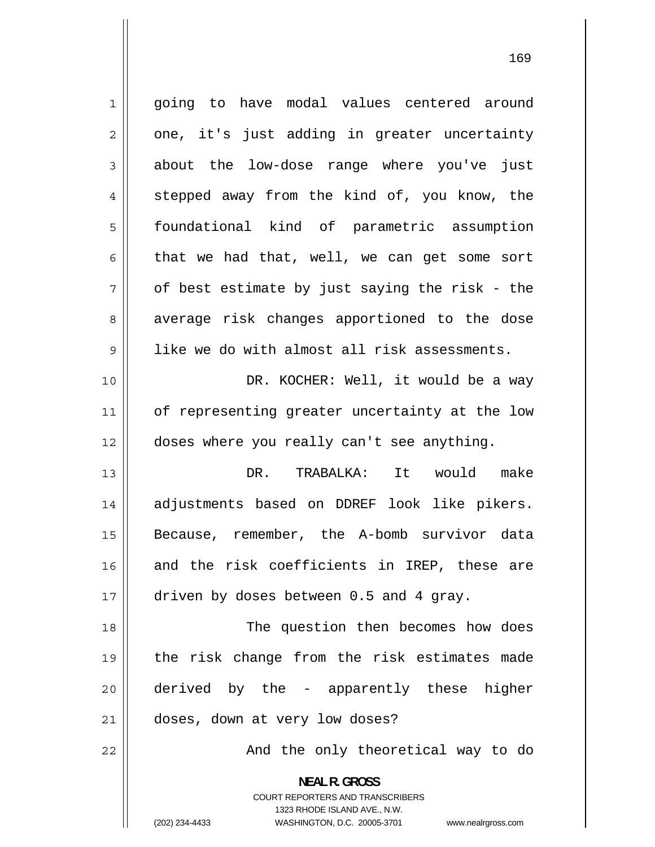1 going to have modal values centered around 2 one, it's just adding in greater uncertainty 3 about the low-dose range where you've just 4 stepped away from the kind of, you know, the 5 foundational kind of parametric assumption 6 that we had that, well, we can get some sort 7 of best estimate by just saying the risk - the 8 average risk changes apportioned to the dose 9 like we do with almost all risk assessments. 10 DR. KOCHER: Well, it would be a way 11 of representing greater uncertainty at the low 12 | doses where you really can't see anything. 13 DR. TRABALKA: It would make 14 adjustments based on DDREF look like pikers. 15 Because, remember, the A-bomb survivor data 16 and the risk coefficients in IREP, these are 17 driven by doses between 0.5 and 4 gray. 18 The question then becomes how does 19 the risk change from the risk estimates made 20 derived by the - apparently these higher 21 doses, down at very low doses? 22 And the only theoretical way to do **NEAL R. GROSS**  COURT REPORTERS AND TRANSCRIBERS

1323 RHODE ISLAND AVE., N.W.

(202) 234-4433 WASHINGTON, D.C. 20005-3701 www.nealrgross.com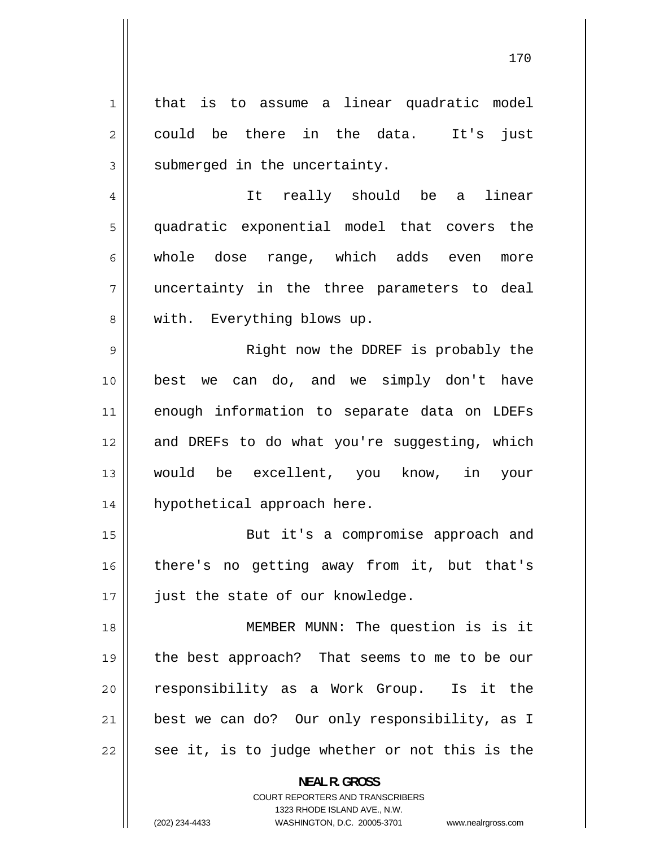1 that is to assume a linear quadratic model 2 could be there in the data. It's just 3 submerged in the uncertainty. 4 It really should be a linear 5 quadratic exponential model that covers the 6 whole dose range, which adds even more 7 uncertainty in the three parameters to deal 8 with. Everything blows up. 9 Right now the DDREF is probably the 10 best we can do, and we simply don't have 11 enough information to separate data on LDEFs 12 and DREFs to do what you're suggesting, which 13 would be excellent, you know, in your 14 hypothetical approach here. 15 But it's a compromise approach and 16 there's no getting away from it, but that's 17 || just the state of our knowledge. 18 MEMBER MUNN: The question is is it 19 the best approach? That seems to me to be our 20 responsibility as a Work Group. Is it the 21 best we can do? Our only responsibility, as I 22 see it, is to judge whether or not this is the

> **NEAL R. GROSS**  COURT REPORTERS AND TRANSCRIBERS

> > 1323 RHODE ISLAND AVE., N.W.

(202) 234-4433 WASHINGTON, D.C. 20005-3701 www.nealrgross.com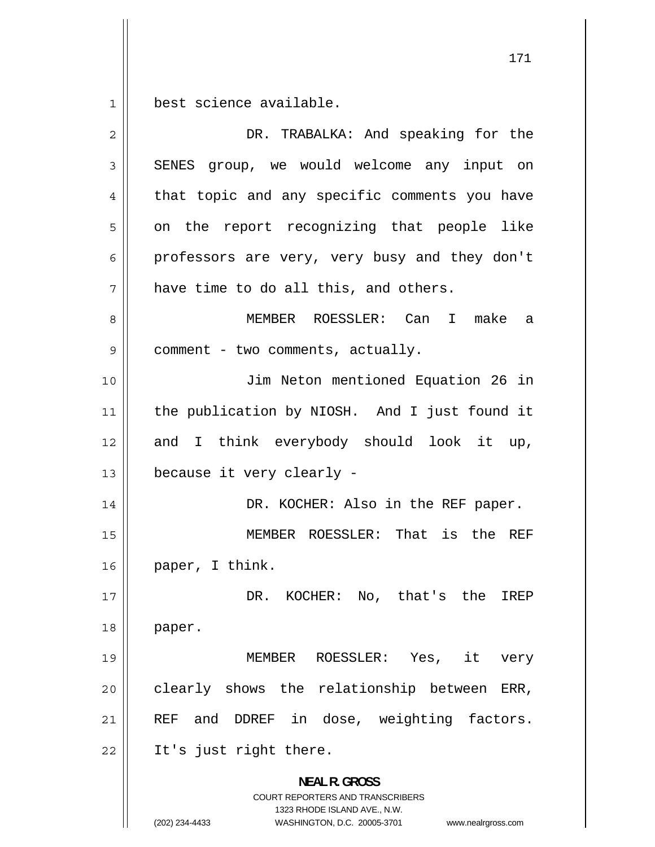$\begin{array}{c|c|c|c} 1 & 1 \\ \hline \end{array}$ best science available.

| 2  | DR. TRABALKA: And speaking for the                                                                                                                              |
|----|-----------------------------------------------------------------------------------------------------------------------------------------------------------------|
| 3  | SENES group, we would welcome any input on                                                                                                                      |
| 4  | that topic and any specific comments you have                                                                                                                   |
| 5  | on the report recognizing that people like                                                                                                                      |
| 6  | professors are very, very busy and they don't                                                                                                                   |
| 7  | have time to do all this, and others.                                                                                                                           |
| 8  | MEMBER ROESSLER: Can I make<br>- a                                                                                                                              |
| 9  | comment - two comments, actually.                                                                                                                               |
| 10 | Jim Neton mentioned Equation 26 in                                                                                                                              |
| 11 | the publication by NIOSH. And I just found it                                                                                                                   |
| 12 | and I think everybody should look it up,                                                                                                                        |
| 13 | because it very clearly -                                                                                                                                       |
| 14 | DR. KOCHER: Also in the REF paper.                                                                                                                              |
| 15 | MEMBER ROESSLER: That is the REF                                                                                                                                |
| 16 | paper, I think.                                                                                                                                                 |
| 17 | DR. KOCHER: No, that's the IREP                                                                                                                                 |
| 18 | paper.                                                                                                                                                          |
| 19 | MEMBER ROESSLER: Yes, it<br>very                                                                                                                                |
| 20 | clearly shows the relationship between ERR,                                                                                                                     |
| 21 | REF and DDREF in dose, weighting factors.                                                                                                                       |
| 22 | It's just right there.                                                                                                                                          |
|    | <b>NEAL R. GROSS</b><br>COURT REPORTERS AND TRANSCRIBERS<br>1323 RHODE ISLAND AVE., N.W.<br>(202) 234-4433<br>WASHINGTON, D.C. 20005-3701<br>www.nealrgross.com |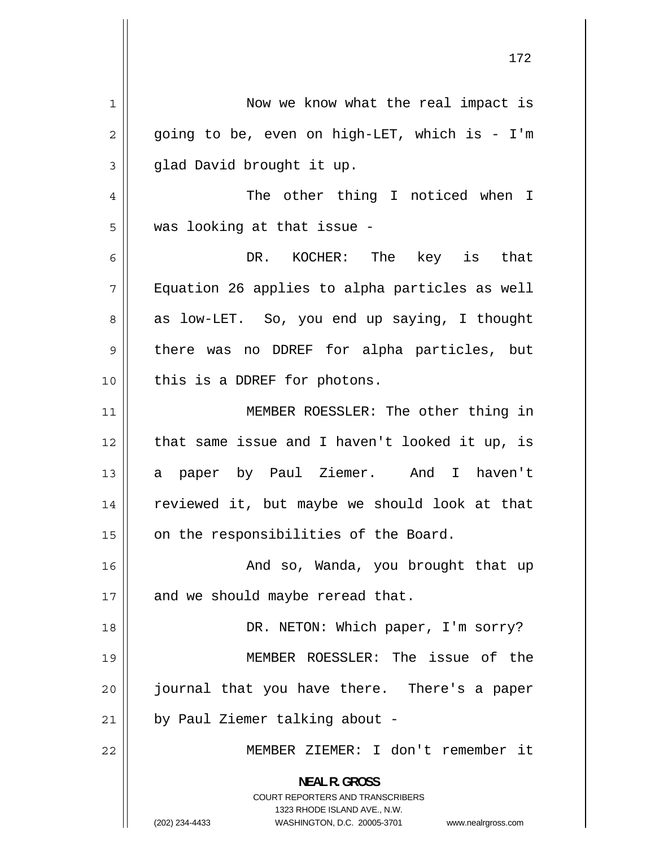1 Now we know what the real impact is 2 going to be, even on high-LET, which is - I'm 3 glad David brought it up. 4 The other thing I noticed when I 5 was looking at that issue - 6 DR. KOCHER: The key is that 7 Equation 26 applies to alpha particles as well 8 as low-LET. So, you end up saying, I thought 9 there was no DDREF for alpha particles, but 10 || this is a DDREF for photons. 11 MEMBER ROESSLER: The other thing in 12 that same issue and I haven't looked it up, is 13 a paper by Paul Ziemer. And I haven't 14 reviewed it, but maybe we should look at that  $15$  | on the responsibilities of the Board. 16 And so, Wanda, you brought that up  $17$  | and we should maybe reread that. 18 || DR. NETON: Which paper, I'm sorry? 19 MEMBER ROESSLER: The issue of the 20 journal that you have there. There's a paper  $21$  | by Paul Ziemer talking about -22 MEMBER ZIEMER: I don't remember it **NEAL R. GROSS**  COURT REPORTERS AND TRANSCRIBERS 1323 RHODE ISLAND AVE., N.W. (202) 234-4433 WASHINGTON, D.C. 20005-3701 www.nealrgross.com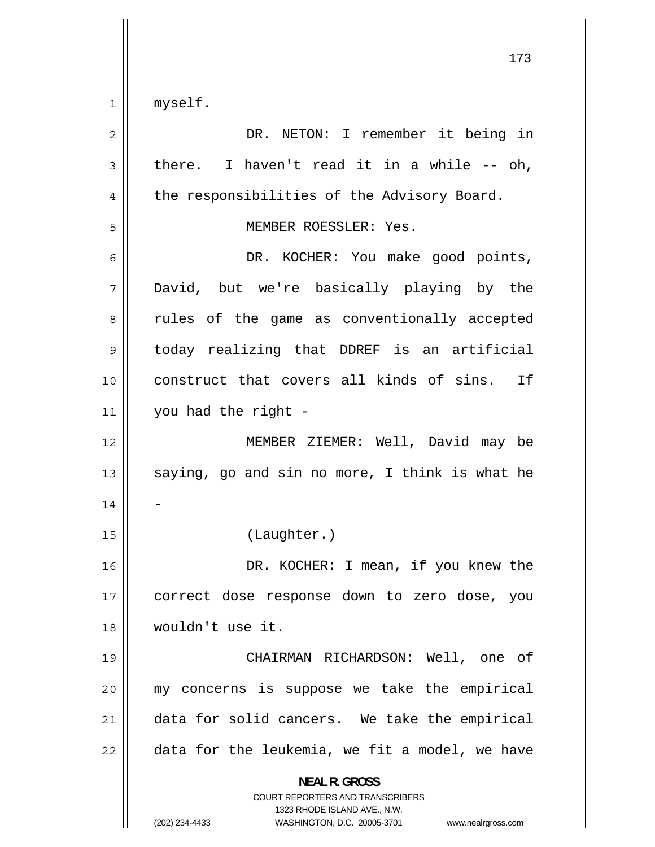$1 \parallel$ myself.

| 2  | DR. NETON: I remember it being in                                                                                                                               |
|----|-----------------------------------------------------------------------------------------------------------------------------------------------------------------|
| 3  | there. I haven't read it in a while $-$ oh,                                                                                                                     |
| 4  | the responsibilities of the Advisory Board.                                                                                                                     |
| 5  | MEMBER ROESSLER: Yes.                                                                                                                                           |
| 6  | DR. KOCHER: You make good points,                                                                                                                               |
| 7  | David, but we're basically playing by the                                                                                                                       |
| 8  | rules of the game as conventionally accepted                                                                                                                    |
| 9  | today realizing that DDREF is an artificial                                                                                                                     |
| 10 | construct that covers all kinds of sins. If                                                                                                                     |
| 11 | you had the right -                                                                                                                                             |
| 12 | MEMBER ZIEMER: Well, David may be                                                                                                                               |
| 13 | saying, go and sin no more, I think is what he                                                                                                                  |
| 14 |                                                                                                                                                                 |
| 15 | (Laughter.)                                                                                                                                                     |
| 16 | DR. KOCHER: I mean, if you knew the                                                                                                                             |
| 17 | correct dose response down to zero dose, you                                                                                                                    |
| 18 | wouldn't use it.                                                                                                                                                |
| 19 | CHAIRMAN RICHARDSON: Well, one of                                                                                                                               |
| 20 | my concerns is suppose we take the empirical                                                                                                                    |
| 21 | data for solid cancers. We take the empirical                                                                                                                   |
| 22 | data for the leukemia, we fit a model, we have                                                                                                                  |
|    | <b>NEAL R. GROSS</b><br>COURT REPORTERS AND TRANSCRIBERS<br>1323 RHODE ISLAND AVE., N.W.<br>(202) 234-4433<br>WASHINGTON, D.C. 20005-3701<br>www.nealrgross.com |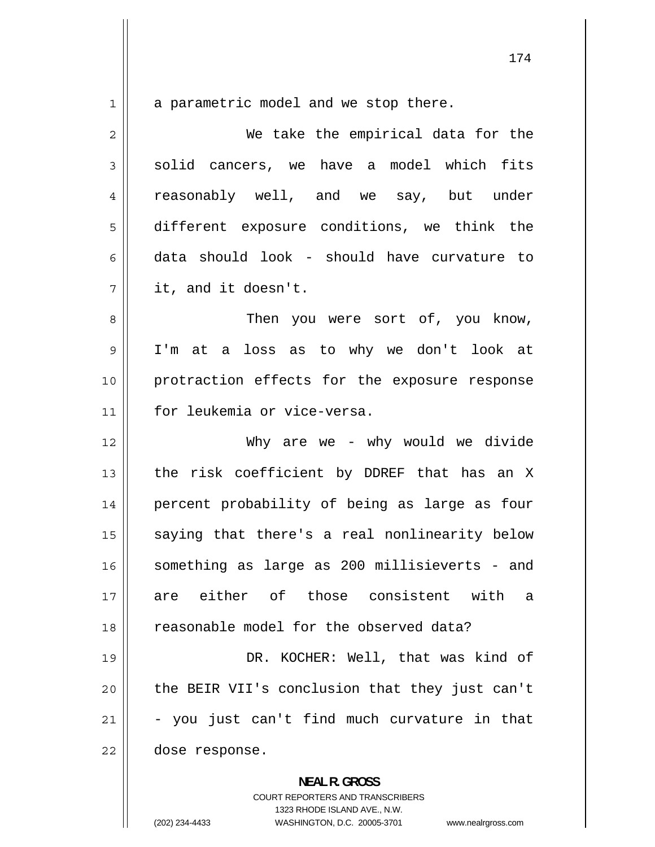1

a parametric model and we stop there.

2 We take the empirical data for the 3 solid cancers, we have a model which fits 4 reasonably well, and we say, but under 5 different exposure conditions, we think the 6 data should look - should have curvature to 7 it, and it doesn't.

8 Then you were sort of, you know, 9 I'm at a loss as to why we don't look at 10 protraction effects for the exposure response 11 for leukemia or vice-versa.

12 Why are we - why would we divide 13 the risk coefficient by DDREF that has an X 14 percent probability of being as large as four 15 saying that there's a real nonlinearity below 16 something as large as 200 millisieverts - and 17 are either of those consistent with a 18 reasonable model for the observed data?

19 DR. KOCHER: Well, that was kind of 20 the BEIR VII's conclusion that they just can't 21 - you just can't find much curvature in that 22 dose response.

> **NEAL R. GROSS**  COURT REPORTERS AND TRANSCRIBERS 1323 RHODE ISLAND AVE., N.W. (202) 234-4433 WASHINGTON, D.C. 20005-3701 www.nealrgross.com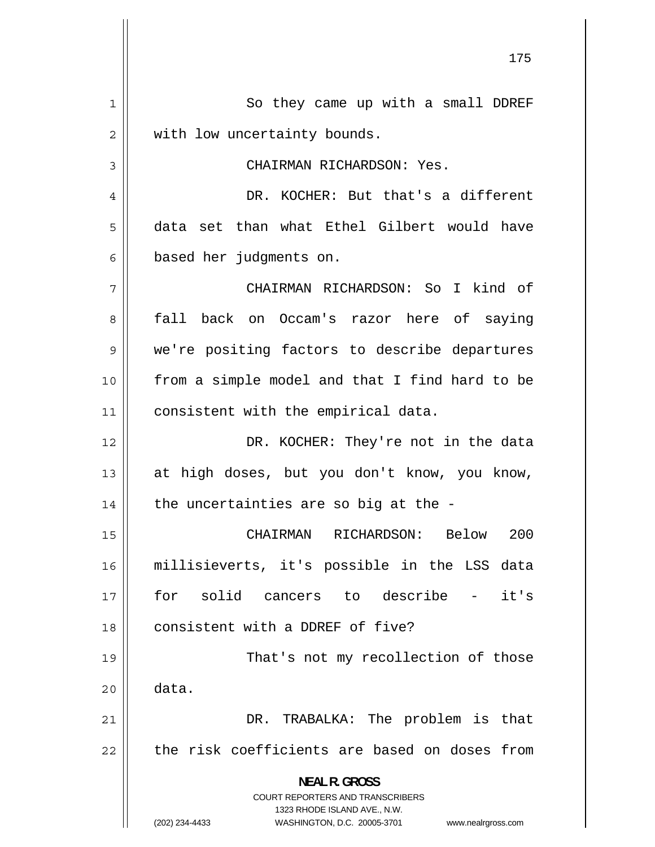1 So they came up with a small DDREF 2 with low uncertainty bounds. 3 CHAIRMAN RICHARDSON: Yes. 4 DR. KOCHER: But that's a different 5 data set than what Ethel Gilbert would have 6 based her judgments on. 7 CHAIRMAN RICHARDSON: So I kind of 8 fall back on Occam's razor here of saying 9 we're positing factors to describe departures 10 from a simple model and that I find hard to be 11 | consistent with the empirical data. 12 DR. KOCHER: They're not in the data 13 at high doses, but you don't know, you know,  $14$  | the uncertainties are so big at the -15 CHAIRMAN RICHARDSON: Below 200 16 millisieverts, it's possible in the LSS data 17 for solid cancers to describe - it's 18 consistent with a DDREF of five? 19 That's not my recollection of those  $20 \parallel$  data. 21 DR. TRABALKA: The problem is that 22 the risk coefficients are based on doses from **NEAL R. GROSS**  COURT REPORTERS AND TRANSCRIBERS 1323 RHODE ISLAND AVE., N.W. (202) 234-4433 WASHINGTON, D.C. 20005-3701 www.nealrgross.com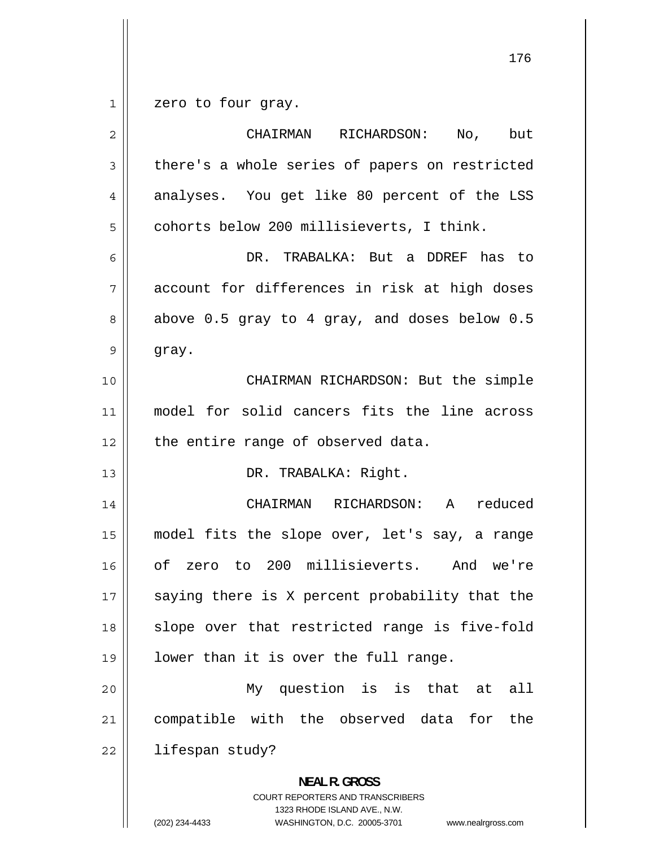1 zero to four gray.

| $\mathbf 2$ | but<br>CHAIRMAN RICHARDSON:<br>No,                                                                                                                              |
|-------------|-----------------------------------------------------------------------------------------------------------------------------------------------------------------|
| 3           | there's a whole series of papers on restricted                                                                                                                  |
| 4           | analyses. You get like 80 percent of the LSS                                                                                                                    |
| 5           | cohorts below 200 millisieverts, I think.                                                                                                                       |
| 6           | DR. TRABALKA: But a DDREF has to                                                                                                                                |
| 7           | account for differences in risk at high doses                                                                                                                   |
| 8           | above 0.5 gray to 4 gray, and doses below 0.5                                                                                                                   |
| 9           | gray.                                                                                                                                                           |
| 10          | CHAIRMAN RICHARDSON: But the simple                                                                                                                             |
| 11          | model for solid cancers fits the line across                                                                                                                    |
| 12          | the entire range of observed data.                                                                                                                              |
| 13          | DR. TRABALKA: Right.                                                                                                                                            |
| 14          | CHAIRMAN RICHARDSON:<br>reduced<br>A                                                                                                                            |
| 15          | model fits the slope over, let's say, a range                                                                                                                   |
| 16          | of zero to 200 millisieverts.<br>And we're                                                                                                                      |
| 17          | saying there is X percent probability that the                                                                                                                  |
| 18          | slope over that restricted range is five-fold                                                                                                                   |
| 19          | lower than it is over the full range.                                                                                                                           |
| 20          | My question is is that at<br>all                                                                                                                                |
| 21          | compatible with the observed data for<br>the                                                                                                                    |
| 22          | lifespan study?                                                                                                                                                 |
|             | <b>NEAL R. GROSS</b><br>COURT REPORTERS AND TRANSCRIBERS<br>1323 RHODE ISLAND AVE., N.W.<br>(202) 234-4433<br>WASHINGTON, D.C. 20005-3701<br>www.nealrgross.com |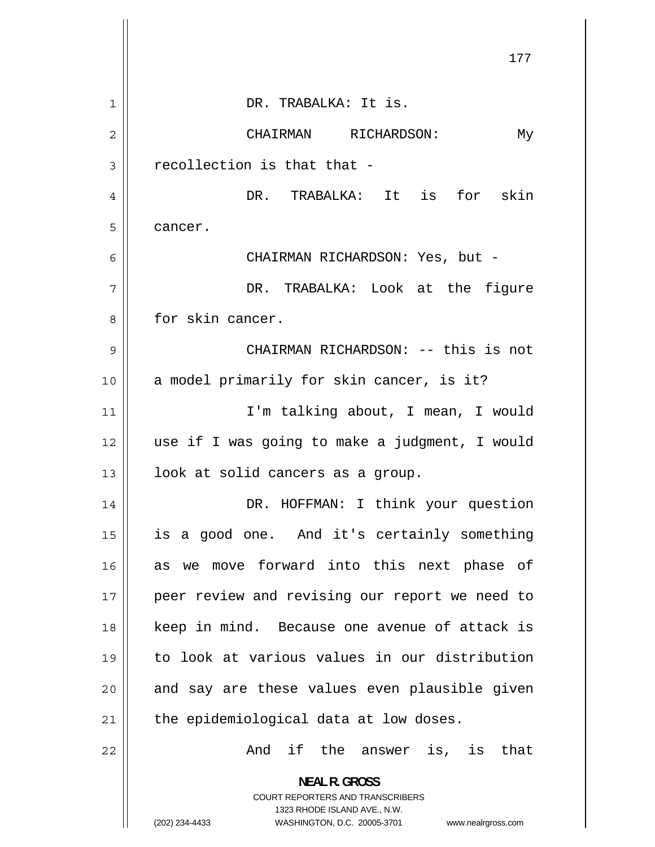|                | 177                                                                                                                                                                    |
|----------------|------------------------------------------------------------------------------------------------------------------------------------------------------------------------|
| $\mathbf{1}$   | DR. TRABALKA: It is.                                                                                                                                                   |
| $\overline{2}$ | CHAIRMAN RICHARDSON:<br>Мy                                                                                                                                             |
| 3              | recollection is that that -                                                                                                                                            |
| 4              | DR. TRABALKA: It is for skin                                                                                                                                           |
| 5              | cancer.                                                                                                                                                                |
| 6              | CHAIRMAN RICHARDSON: Yes, but -                                                                                                                                        |
| 7              | DR. TRABALKA: Look at the figure                                                                                                                                       |
| 8              | for skin cancer.                                                                                                                                                       |
| 9              | CHAIRMAN RICHARDSON: -- this is not                                                                                                                                    |
| 10             | a model primarily for skin cancer, is it?                                                                                                                              |
| 11             | I'm talking about, I mean, I would                                                                                                                                     |
| 12             | use if I was going to make a judgment, I would                                                                                                                         |
| 13             | look at solid cancers as a group.                                                                                                                                      |
| 14             | DR. HOFFMAN: I think your question                                                                                                                                     |
| 15             | is a good one. And it's certainly something                                                                                                                            |
| 16             | move forward into this next phase of<br>as we                                                                                                                          |
| 17             | peer review and revising our report we need to                                                                                                                         |
| 18             | keep in mind. Because one avenue of attack is                                                                                                                          |
| 19             | to look at various values in our distribution                                                                                                                          |
| 20             | and say are these values even plausible given                                                                                                                          |
| 21             | the epidemiological data at low doses.                                                                                                                                 |
| 22             | And if the answer is, is that                                                                                                                                          |
|                | <b>NEAL R. GROSS</b><br><b>COURT REPORTERS AND TRANSCRIBERS</b><br>1323 RHODE ISLAND AVE., N.W.<br>(202) 234-4433<br>WASHINGTON, D.C. 20005-3701<br>www.nealrgross.com |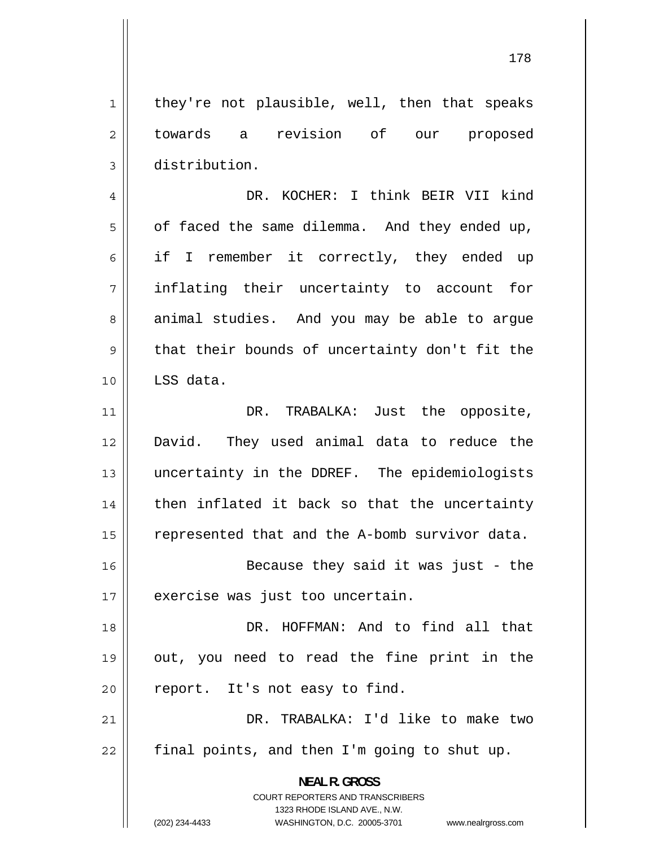1 they're not plausible, well, then that speaks 2 towards a revision of our proposed 3 distribution.

4 DR. KOCHER: I think BEIR VII kind 5 of faced the same dilemma. And they ended up, 6 if I remember it correctly, they ended up 7 inflating their uncertainty to account for 8 animal studies. And you may be able to argue 9 that their bounds of uncertainty don't fit the 10 LSS data.

11 DR. TRABALKA: Just the opposite, 12 David. They used animal data to reduce the 13 uncertainty in the DDREF. The epidemiologists 14 then inflated it back so that the uncertainty 15 represented that and the A-bomb survivor data.

16 Because they said it was just - the 17 || exercise was just too uncertain.

18 DR. HOFFMAN: And to find all that 19 out, you need to read the fine print in the  $20$  | report. It's not easy to find.

21 DR. TRABALKA: I'd like to make two  $22$  || final points, and then I'm going to shut up.

> **NEAL R. GROSS**  COURT REPORTERS AND TRANSCRIBERS

> > 1323 RHODE ISLAND AVE., N.W.

(202) 234-4433 WASHINGTON, D.C. 20005-3701 www.nealrgross.com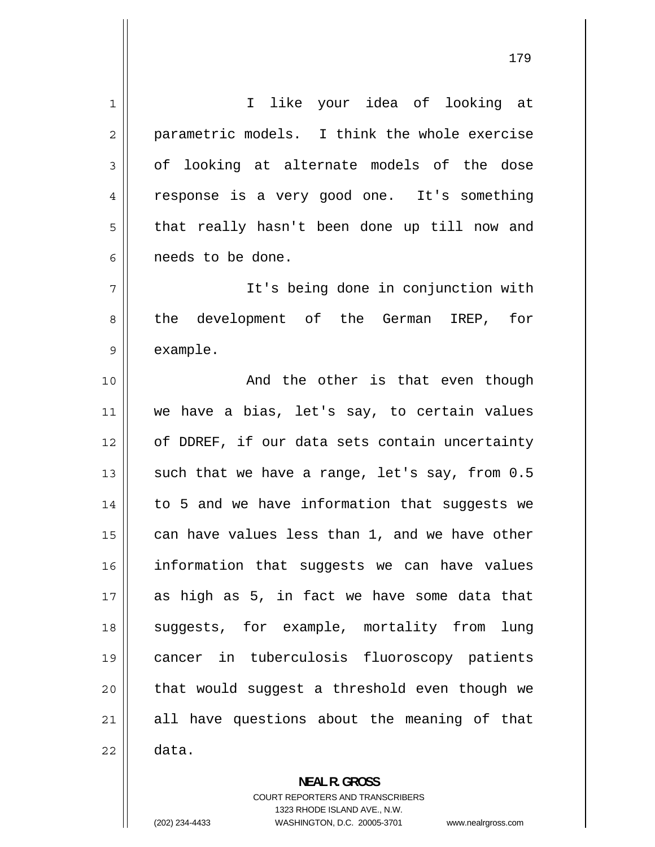1 I like your idea of looking at 2 parametric models. I think the whole exercise 3 of looking at alternate models of the dose 4 response is a very good one. It's something 5 that really hasn't been done up till now and 6 needs to be done. 7 It's being done in conjunction with 8 the development of the German IREP, for 9 example. 10 || The Sand the other is that even though 11 we have a bias, let's say, to certain values 12 of DDREF, if our data sets contain uncertainty 13 such that we have a range, let's say, from 0.5 14 to 5 and we have information that suggests we 15 can have values less than 1, and we have other 16 information that suggests we can have values 17 as high as 5, in fact we have some data that 18 suggests, for example, mortality from lung 19 cancer in tuberculosis fluoroscopy patients 20 that would suggest a threshold even though we 21 all have questions about the meaning of that  $22 \parallel$  data.

> COURT REPORTERS AND TRANSCRIBERS 1323 RHODE ISLAND AVE., N.W.

**NEAL R. GROSS** 

(202) 234-4433 WASHINGTON, D.C. 20005-3701 www.nealrgross.com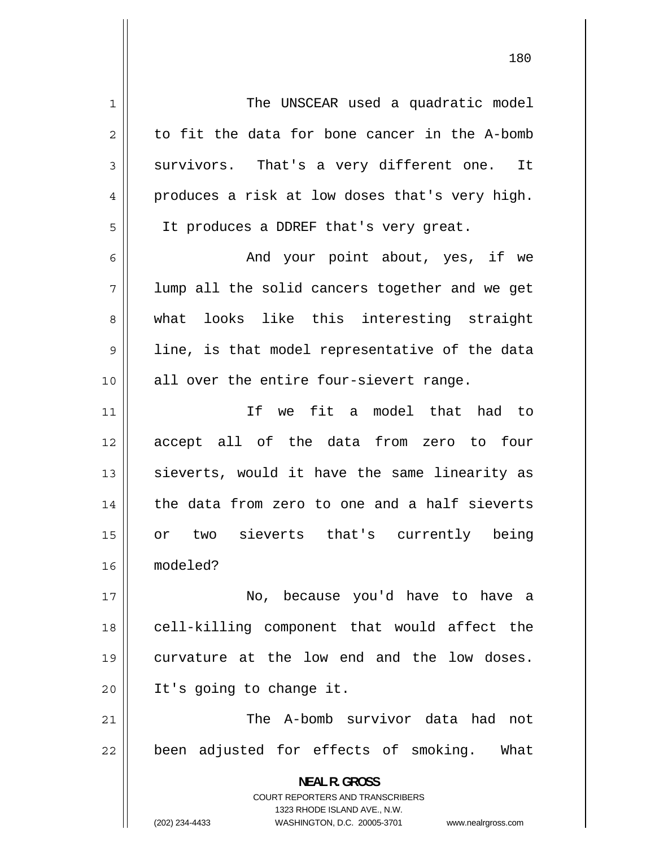1 The UNSCEAR used a quadratic model 2 to fit the data for bone cancer in the A-bomb 3 survivors. That's a very different one. It 4 produces a risk at low doses that's very high. 5 It produces a DDREF that's very great. 6 And your point about, yes, if we 7 lump all the solid cancers together and we get 8 what looks like this interesting straight 9 line, is that model representative of the data 10 || all over the entire four-sievert range. 11 If we fit a model that had to 12 accept all of the data from zero to four 13 sieverts, would it have the same linearity as 14 the data from zero to one and a half sieverts 15 or two sieverts that's currently being 16 modeled? 17 No, because you'd have to have a 18 cell-killing component that would affect the 19 curvature at the low end and the low doses. 20 || It's going to change it. 21 The A-bomb survivor data had not

been adjusted for effects of smoking. What

**NEAL R. GROSS**  COURT REPORTERS AND TRANSCRIBERS

1323 RHODE ISLAND AVE., N.W.

22

(202) 234-4433 WASHINGTON, D.C. 20005-3701 www.nealrgross.com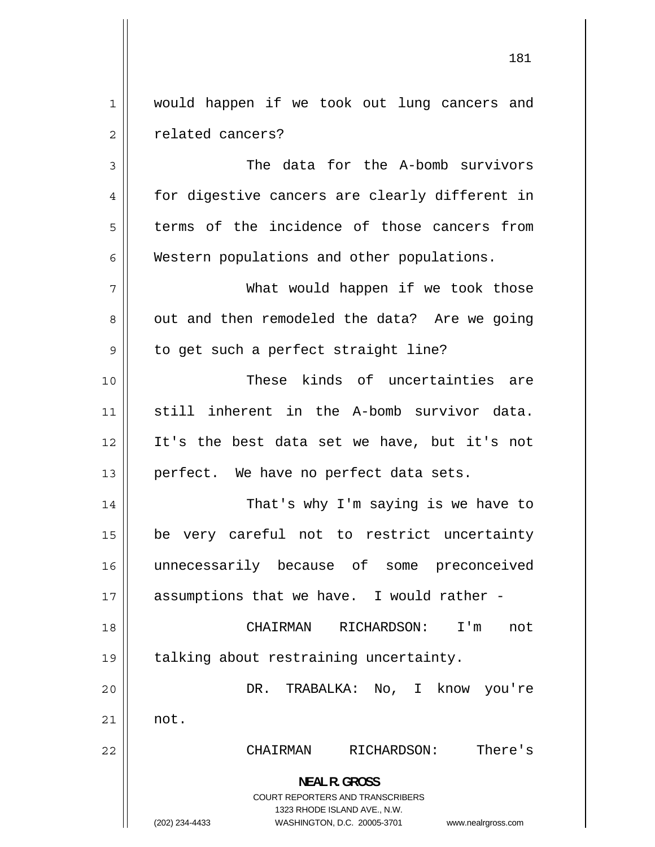1 would happen if we took out lung cancers and 2 related cancers?

3 The data for the A-bomb survivors 4 for digestive cancers are clearly different in 5 terms of the incidence of those cancers from 6 Western populations and other populations.

 What would happen if we took those out and then remodeled the data? Are we going to get such a perfect straight line?

10 These kinds of uncertainties are 11 still inherent in the A-bomb survivor data. 12 It's the best data set we have, but it's not  $13$  || perfect. We have no perfect data sets.

14 That's why I'm saying is we have to 15 be very careful not to restrict uncertainty 16 unnecessarily because of some preconceived  $17$  | assumptions that we have. I would rather -

18 CHAIRMAN RICHARDSON: I'm not 19 | talking about restraining uncertainty.

20 DR. TRABALKA: No, I know you're 21 not.

22 CHAIRMAN RICHARDSON: There's

**NEAL R. GROSS**  COURT REPORTERS AND TRANSCRIBERS 1323 RHODE ISLAND AVE., N.W.

(202) 234-4433 WASHINGTON, D.C. 20005-3701 www.nealrgross.com

7

8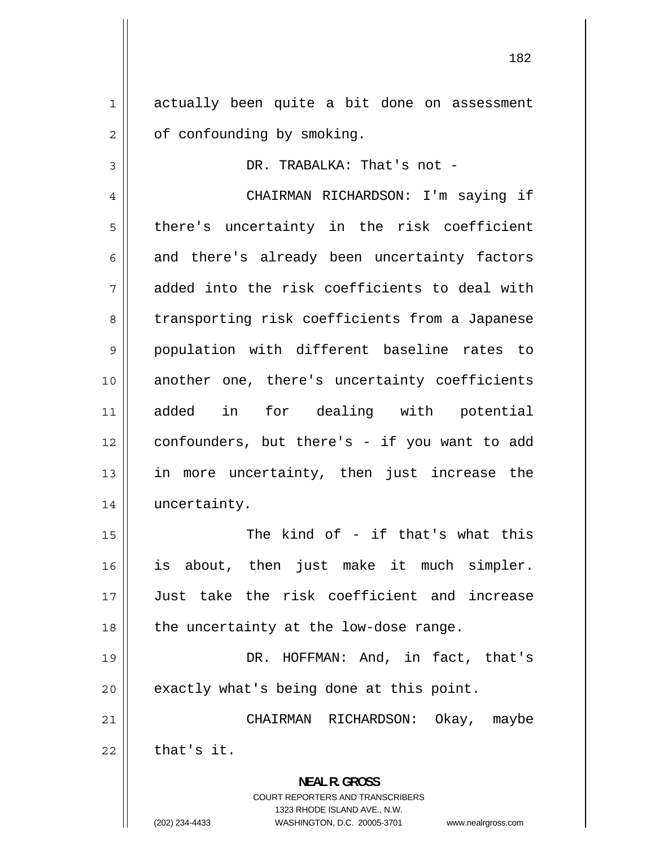1 actually been quite a bit done on assessment 2 of confounding by smoking.

DR. TRABALKA: That's not -

4 CHAIRMAN RICHARDSON: I'm saying if 5 there's uncertainty in the risk coefficient 6 and there's already been uncertainty factors 7 added into the risk coefficients to deal with 8 transporting risk coefficients from a Japanese 9 population with different baseline rates to 10 another one, there's uncertainty coefficients 11 added in for dealing with potential 12 confounders, but there's - if you want to add 13 in more uncertainty, then just increase the 14 uncertainty.

 The kind of - if that's what this is about, then just make it much simpler. Just take the risk coefficient and increase  $18$  || the uncertainty at the low-dose range.

19 DR. HOFFMAN: And, in fact, that's  $20$  | exactly what's being done at this point.

21 CHAIRMAN RICHARDSON: Okay, maybe  $22$  | that's it.

> **NEAL R. GROSS**  COURT REPORTERS AND TRANSCRIBERS 1323 RHODE ISLAND AVE., N.W.

3

15

16

17

(202) 234-4433 WASHINGTON, D.C. 20005-3701 www.nealrgross.com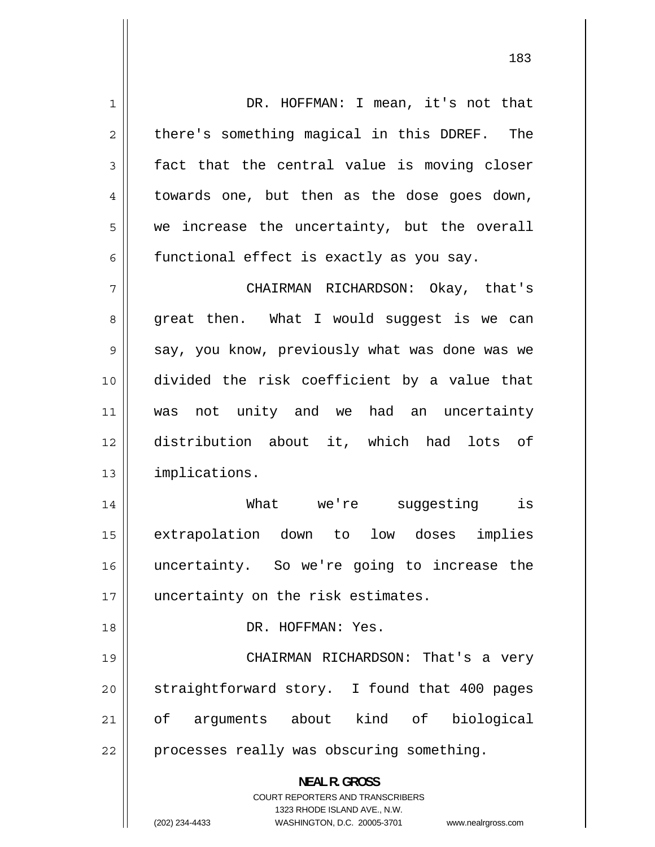1 DR. HOFFMAN: I mean, it's not that 2 there's something magical in this DDREF. The 3 fact that the central value is moving closer 4 towards one, but then as the dose goes down, 5 we increase the uncertainty, but the overall 6 functional effect is exactly as you say. 7 CHAIRMAN RICHARDSON: Okay, that's 8 great then. What I would suggest is we can 9 say, you know, previously what was done was we 10 divided the risk coefficient by a value that 11 was not unity and we had an uncertainty 12 distribution about it, which had lots of 13 implications. 14 What we're suggesting is 15 extrapolation down to low doses implies 16 uncertainty. So we're going to increase the 17 || uncertainty on the risk estimates. 18 DR. HOFFMAN: Yes. 19 CHAIRMAN RICHARDSON: That's a very 20 straightforward story. I found that 400 pages 21 of arguments about kind of biological 22 | processes really was obscuring something. **NEAL R. GROSS**  COURT REPORTERS AND TRANSCRIBERS 1323 RHODE ISLAND AVE., N.W. (202) 234-4433 WASHINGTON, D.C. 20005-3701 www.nealrgross.com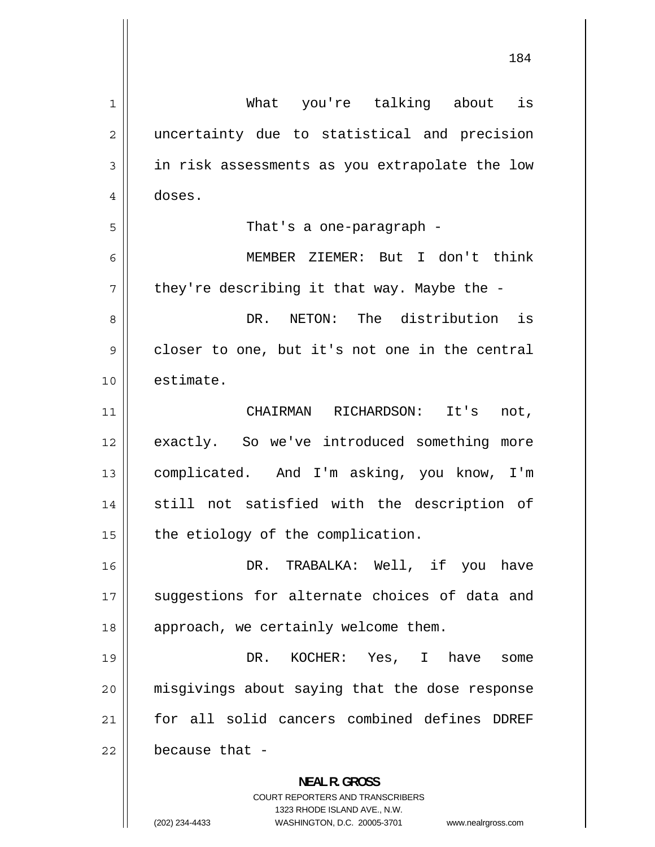| 1  | What you're talking about is                                                                        |
|----|-----------------------------------------------------------------------------------------------------|
| 2  | uncertainty due to statistical and precision                                                        |
| 3  | in risk assessments as you extrapolate the low                                                      |
| 4  | doses.                                                                                              |
| 5  | That's a one-paragraph -                                                                            |
| 6  | MEMBER ZIEMER: But I don't think                                                                    |
| 7  | they're describing it that way. Maybe the -                                                         |
| 8  | NETON: The distribution is<br>DR.                                                                   |
| 9  | closer to one, but it's not one in the central                                                      |
| 10 | estimate.                                                                                           |
| 11 | CHAIRMAN RICHARDSON: It's<br>not,                                                                   |
| 12 | exactly. So we've introduced something more                                                         |
| 13 | complicated. And I'm asking, you know, I'm                                                          |
| 14 | still not satisfied with the description of                                                         |
| 15 | the etiology of the complication.                                                                   |
| 16 | DR. TRABALKA: Well, if you have                                                                     |
| 17 | suggestions for alternate choices of data and                                                       |
| 18 | approach, we certainly welcome them.                                                                |
| 19 | DR. KOCHER: Yes, I have<br>some                                                                     |
| 20 | misgivings about saying that the dose response                                                      |
| 21 | for all solid cancers combined defines DDREF                                                        |
| 22 | because that -                                                                                      |
|    | <b>NEAL R. GROSS</b>                                                                                |
|    | <b>COURT REPORTERS AND TRANSCRIBERS</b>                                                             |
|    | 1323 RHODE ISLAND AVE., N.W.<br>(202) 234-4433<br>WASHINGTON, D.C. 20005-3701<br>www.nealrgross.com |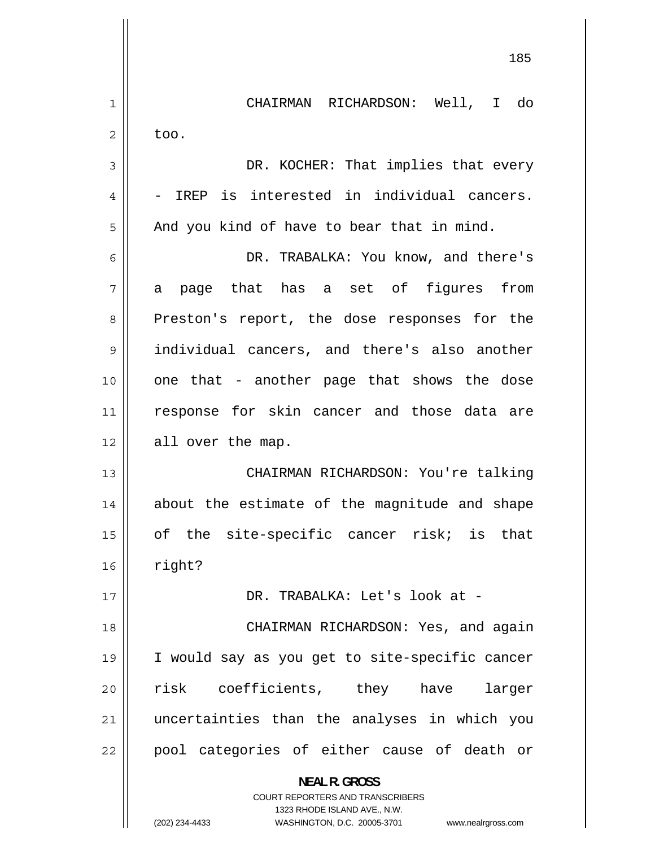|    | 185                                                                     |
|----|-------------------------------------------------------------------------|
| 1  | CHAIRMAN RICHARDSON: Well, I do                                         |
| 2  | too.                                                                    |
| 3  | DR. KOCHER: That implies that every                                     |
| 4  | - IREP is interested in individual cancers.                             |
| 5  | And you kind of have to bear that in mind.                              |
| 6  | DR. TRABALKA: You know, and there's                                     |
| 7  | page that has a set of figures from<br>a                                |
| 8  | Preston's report, the dose responses for the                            |
| 9  | individual cancers, and there's also another                            |
| 10 | one that - another page that shows the dose                             |
| 11 | response for skin cancer and those data are                             |
| 12 | all over the map.                                                       |
| 13 | CHAIRMAN RICHARDSON: You're talking                                     |
| 14 | about the estimate of the magnitude and shape                           |
| 15 | of the site-specific cancer risk; is that                               |
| 16 | right?                                                                  |
| 17 | DR. TRABALKA: Let's look at -                                           |
| 18 | CHAIRMAN RICHARDSON: Yes, and again                                     |
| 19 | I would say as you get to site-specific cancer                          |
| 20 | risk coefficients, they have<br>larger                                  |
| 21 | uncertainties than the analyses in which you                            |
| 22 | pool categories of either cause of death or                             |
|    | <b>NEAL R. GROSS</b>                                                    |
|    | <b>COURT REPORTERS AND TRANSCRIBERS</b><br>1323 RHODE ISLAND AVE., N.W. |
|    | (202) 234-4433<br>WASHINGTON, D.C. 20005-3701<br>www.nealrgross.com     |

 $\overline{\phantom{a}}$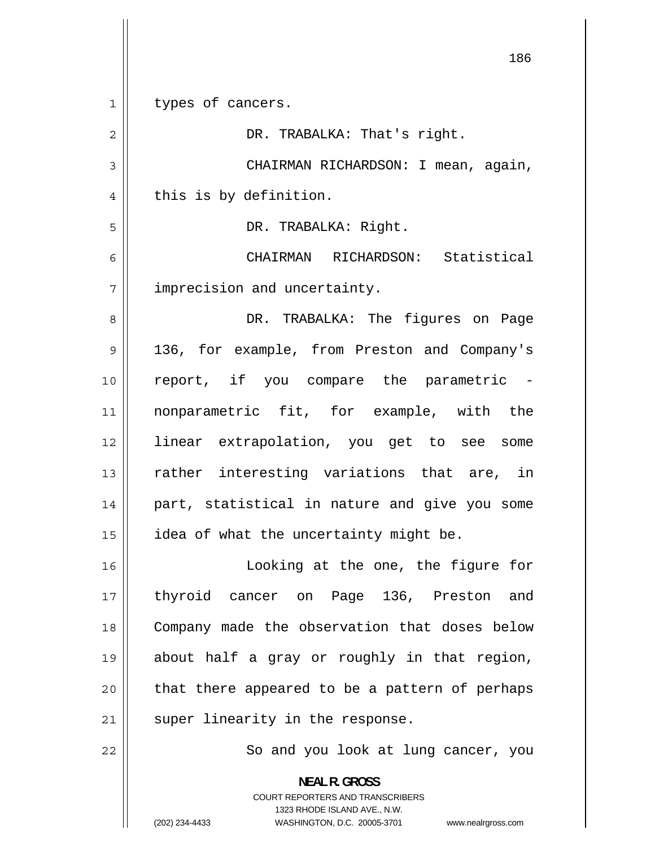| 1  | types of cancers.                                                                                                                                               |
|----|-----------------------------------------------------------------------------------------------------------------------------------------------------------------|
| 2  | DR. TRABALKA: That's right.                                                                                                                                     |
| 3  | CHAIRMAN RICHARDSON: I mean, again,                                                                                                                             |
| 4  | this is by definition.                                                                                                                                          |
| 5  | DR. TRABALKA: Right.                                                                                                                                            |
| 6  | CHAIRMAN RICHARDSON: Statistical                                                                                                                                |
| 7  | imprecision and uncertainty.                                                                                                                                    |
| 8  | DR. TRABALKA: The figures on Page                                                                                                                               |
| 9  | 136, for example, from Preston and Company's                                                                                                                    |
| 10 | report, if you compare the parametric -                                                                                                                         |
| 11 | nonparametric fit, for example, with the                                                                                                                        |
| 12 | linear extrapolation, you get to see some                                                                                                                       |
| 13 | rather interesting variations that are, in                                                                                                                      |
| 14 | part, statistical in nature and give you some                                                                                                                   |
| 15 | idea of what the uncertainty might be.                                                                                                                          |
| 16 | Looking at the one, the figure for                                                                                                                              |
| 17 | thyroid cancer on Page 136, Preston and                                                                                                                         |
| 18 | Company made the observation that doses below                                                                                                                   |
| 19 | about half a gray or roughly in that region,                                                                                                                    |
| 20 | that there appeared to be a pattern of perhaps                                                                                                                  |
| 21 | super linearity in the response.                                                                                                                                |
| 22 | So and you look at lung cancer, you                                                                                                                             |
|    | <b>NEAL R. GROSS</b><br>COURT REPORTERS AND TRANSCRIBERS<br>1323 RHODE ISLAND AVE., N.W.<br>(202) 234-4433<br>WASHINGTON, D.C. 20005-3701<br>www.nealrgross.com |

 $\mathsf{I}$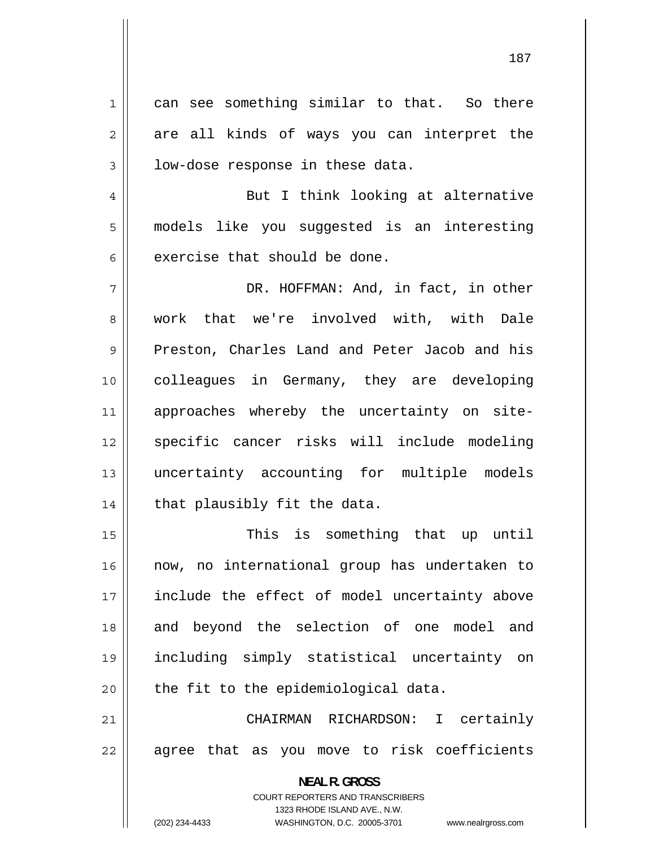1 can see something similar to that. So there 2 are all kinds of ways you can interpret the 3 low-dose response in these data. 4 But I think looking at alternative 5 models like you suggested is an interesting 6 exercise that should be done. 7 DR. HOFFMAN: And, in fact, in other 8 work that we're involved with, with Dale 9 Preston, Charles Land and Peter Jacob and his 10 colleagues in Germany, they are developing 11 approaches whereby the uncertainty on site-12 specific cancer risks will include modeling 13 uncertainty accounting for multiple models

15 This is something that up until 16 now, no international group has undertaken to 17 include the effect of model uncertainty above 18 and beyond the selection of one model and 19 including simply statistical uncertainty on  $20$  || the fit to the epidemiological data.

21 CHAIRMAN RICHARDSON: I certainly 22 agree that as you move to risk coefficients

> **NEAL R. GROSS**  COURT REPORTERS AND TRANSCRIBERS 1323 RHODE ISLAND AVE., N.W.

 $14$  | that plausibly fit the data.

(202) 234-4433 WASHINGTON, D.C. 20005-3701 www.nealrgross.com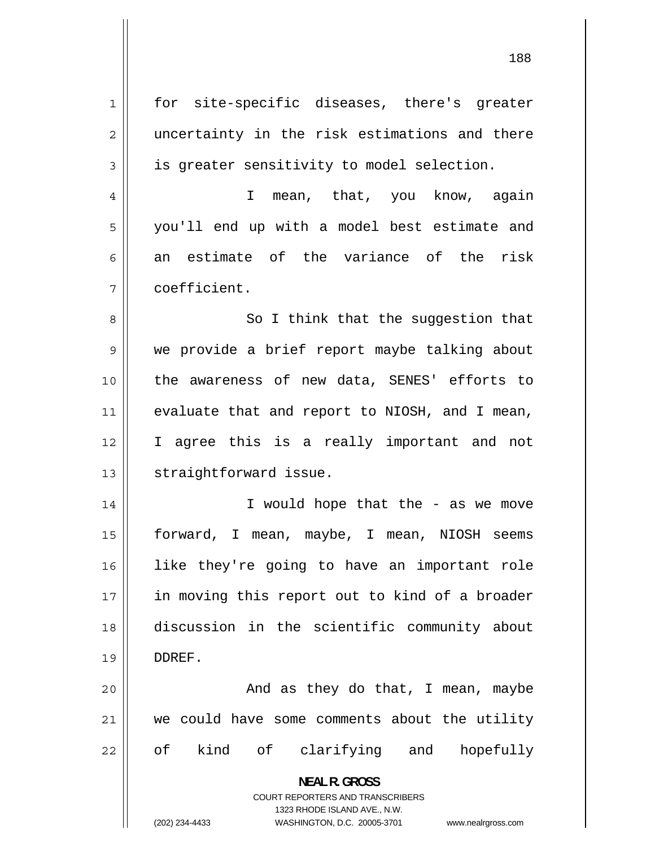1 for site-specific diseases, there's greater 2 uncertainty in the risk estimations and there 3 is greater sensitivity to model selection. 4 I mean, that, you know, again 5 you'll end up with a model best estimate and 6 an estimate of the variance of the risk 7 coefficient. 8 So I think that the suggestion that 9 we provide a brief report maybe talking about 10 the awareness of new data, SENES' efforts to 11 evaluate that and report to NIOSH, and I mean, 12 I agree this is a really important and not 13 | straightforward issue. 14 I would hope that the - as we move 15 forward, I mean, maybe, I mean, NIOSH seems 16 like they're going to have an important role 17 in moving this report out to kind of a broader 18 discussion in the scientific community about 19 DDREF. 20 And as they do that, I mean, maybe 21 we could have some comments about the utility 22 of kind of clarifying and hopefully **NEAL R. GROSS**  COURT REPORTERS AND TRANSCRIBERS 1323 RHODE ISLAND AVE., N.W.

188

(202) 234-4433 WASHINGTON, D.C. 20005-3701 www.nealrgross.com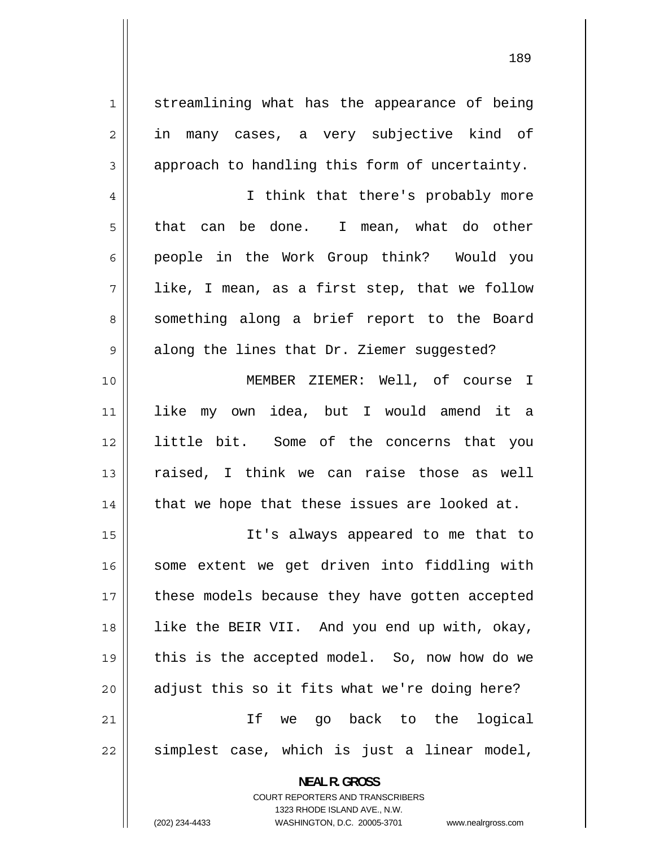streamlining what has the appearance of being in many cases, a very subjective kind of approach to handling this form of uncertainty.

1

2

3

4

5

6

8

9

 I think that there's probably more that can be done. I mean, what do other people in the Work Group think? Would you 7 like, I mean, as a first step, that we follow something along a brief report to the Board along the lines that Dr. Ziemer suggested?

10 MEMBER ZIEMER: Well, of course I 11 like my own idea, but I would amend it a 12 little bit. Some of the concerns that you 13 raised, I think we can raise those as well  $14$  | that we hope that these issues are looked at.

15 It's always appeared to me that to 16 some extent we get driven into fiddling with 17 these models because they have gotten accepted 18 like the BEIR VII. And you end up with, okay, 19 this is the accepted model. So, now how do we  $20$  || adjust this so it fits what we're doing here? 21 If we go back to the logical 22 simplest case, which is just a linear model,

> **NEAL R. GROSS**  COURT REPORTERS AND TRANSCRIBERS 1323 RHODE ISLAND AVE., N.W. (202) 234-4433 WASHINGTON, D.C. 20005-3701 www.nealrgross.com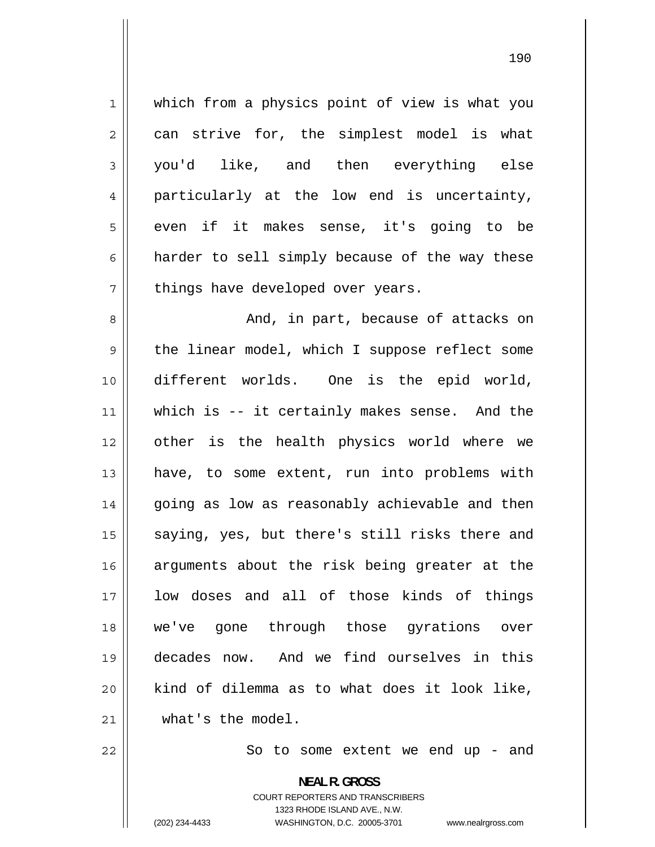1 which from a physics point of view is what you 2 can strive for, the simplest model is what 3 you'd like, and then everything else 4 particularly at the low end is uncertainty, 5 even if it makes sense, it's going to be 6 harder to sell simply because of the way these 7 things have developed over years. 8 And, in part, because of attacks on 9 the linear model, which I suppose reflect some 10 different worlds. One is the epid world, 11 which is -- it certainly makes sense. And the 12 other is the health physics world where we 13 have, to some extent, run into problems with 14 going as low as reasonably achievable and then 15 saying, yes, but there's still risks there and 16 arguments about the risk being greater at the 17 low doses and all of those kinds of things 18 we've gone through those gyrations over 19 decades now. And we find ourselves in this 20 kind of dilemma as to what does it look like, 21 what's the model. 22 So to some extent we end up - and

> **NEAL R. GROSS**  COURT REPORTERS AND TRANSCRIBERS

1323 RHODE ISLAND AVE., N.W.

(202) 234-4433 WASHINGTON, D.C. 20005-3701 www.nealrgross.com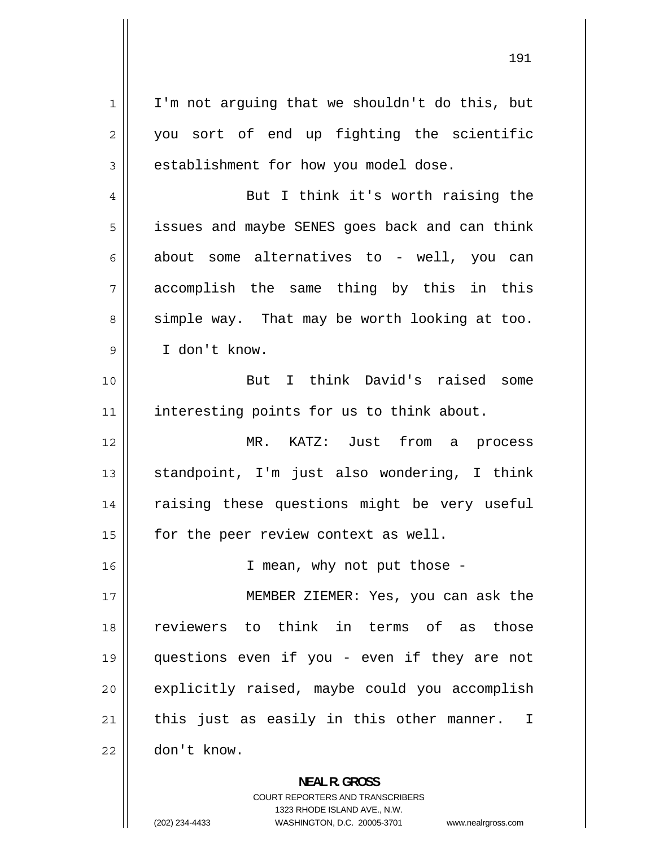1 I'm not arguing that we shouldn't do this, but 2 you sort of end up fighting the scientific 3 establishment for how you model dose. 4 But I think it's worth raising the 5 issues and maybe SENES goes back and can think 6 about some alternatives to - well, you can 7 accomplish the same thing by this in this 8 simple way. That may be worth looking at too. 9 I don't know. 10 But I think David's raised some 11 || interesting points for us to think about. 12 MR. KATZ: Just from a process 13 standpoint, I'm just also wondering, I think 14 raising these questions might be very useful 15 | for the peer review context as well. 16 || I mean, why not put those -17 MEMBER ZIEMER: Yes, you can ask the 18 reviewers to think in terms of as those 19 questions even if you - even if they are not 20 explicitly raised, maybe could you accomplish 21 this just as easily in this other manner. I 22 don't know.

> **NEAL R. GROSS**  COURT REPORTERS AND TRANSCRIBERS 1323 RHODE ISLAND AVE., N.W. (202) 234-4433 WASHINGTON, D.C. 20005-3701 www.nealrgross.com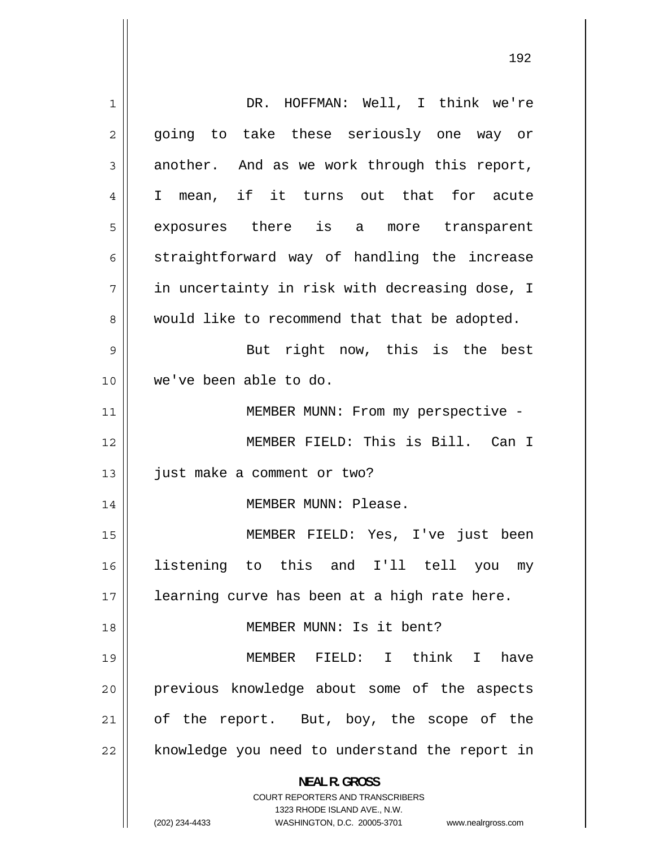1 DR. HOFFMAN: Well, I think we're 2 going to take these seriously one way or 3 another. And as we work through this report, 4 I mean, if it turns out that for acute 5 exposures there is a more transparent 6 straightforward way of handling the increase 7 in uncertainty in risk with decreasing dose, I 8 would like to recommend that that be adopted. 9 But right now, this is the best 10 we've been able to do. 11 || MEMBER MUNN: From my perspective -12 MEMBER FIELD: This is Bill. Can I 13 | just make a comment or two? 14 || MEMBER MUNN: Please. 15 MEMBER FIELD: Yes, I've just been 16 listening to this and I'll tell you my 17 || learning curve has been at a high rate here. 18 MEMBER MUNN: Is it bent? 19 MEMBER FIELD: I think I have 20 previous knowledge about some of the aspects 21 of the report. But, boy, the scope of the 22 knowledge you need to understand the report in **NEAL R. GROSS**  COURT REPORTERS AND TRANSCRIBERS 1323 RHODE ISLAND AVE., N.W. (202) 234-4433 WASHINGTON, D.C. 20005-3701 www.nealrgross.com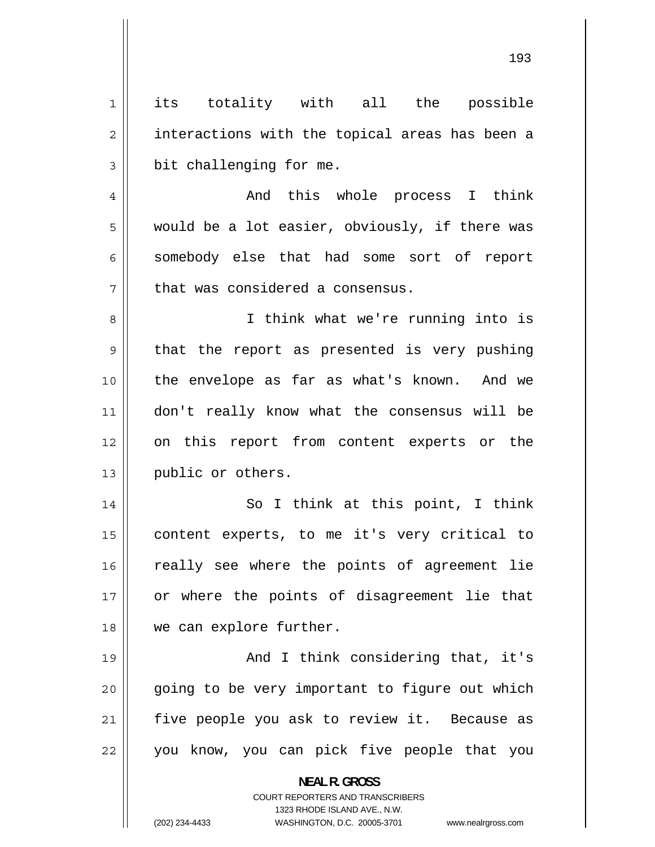1 its totality with all the possible 2 interactions with the topical areas has been a 3 bit challenging for me. 4 And this whole process I think 5 would be a lot easier, obviously, if there was 6 somebody else that had some sort of report 7 that was considered a consensus. 8 I think what we're running into is 9 that the report as presented is very pushing 10 the envelope as far as what's known. And we 11 don't really know what the consensus will be 12 on this report from content experts or the 13 | public or others. 14 So I think at this point, I think 15 content experts, to me it's very critical to 16 really see where the points of agreement lie 17 or where the points of disagreement lie that 18 we can explore further. 19 And I think considering that, it's 20 going to be very important to figure out which 21 five people you ask to review it. Because as 22 you know, you can pick five people that you **NEAL R. GROSS**  COURT REPORTERS AND TRANSCRIBERS 1323 RHODE ISLAND AVE., N.W.

(202) 234-4433 WASHINGTON, D.C. 20005-3701 www.nealrgross.com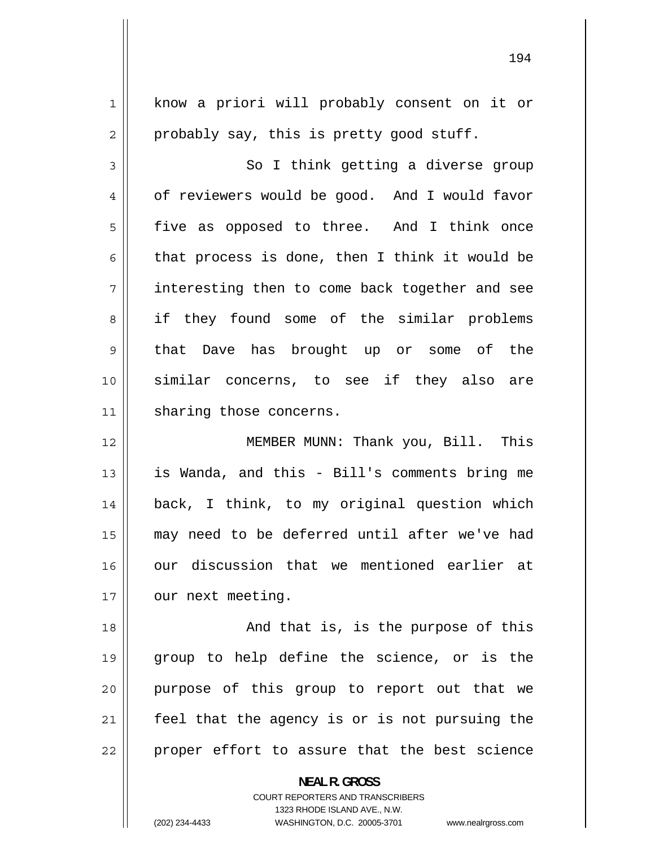| $\mathbf 1$    | know a priori will probably consent on it or   |
|----------------|------------------------------------------------|
| $\overline{2}$ | probably say, this is pretty good stuff.       |
| 3              | So I think getting a diverse group             |
| 4              | of reviewers would be good. And I would favor  |
| 5              | five as opposed to three. And I think once     |
| 6              | that process is done, then I think it would be |
| 7              | interesting then to come back together and see |
| 8              | if they found some of the similar problems     |
| 9              | that Dave has brought up or some of the        |
| 10             | similar concerns, to see if they also are      |
| 11             | sharing those concerns.                        |
|                |                                                |
| 12             | MEMBER MUNN: Thank you, Bill. This             |
| 13             | is Wanda, and this - Bill's comments bring me  |
| 14             | back, I think, to my original question which   |
| 15             | may need to be deferred until after we've had  |
| 16             | our discussion that we mentioned earlier at    |
| 17             | our next meeting.                              |
| 18             | And that is, is the purpose of this            |
| 19             | group to help define the science, or is the    |
| 20             | purpose of this group to report out that we    |
| 21             | feel that the agency is or is not pursuing the |

**NEAL R. GROSS**  COURT REPORTERS AND TRANSCRIBERS 1323 RHODE ISLAND AVE., N.W.

 $\mathsf{II}$ 

(202) 234-4433 WASHINGTON, D.C. 20005-3701 www.nealrgross.com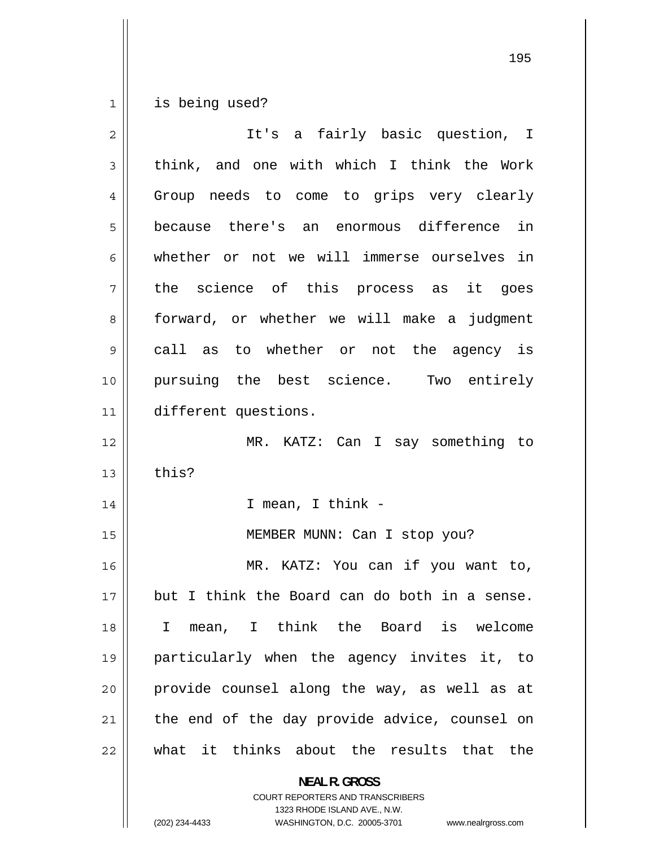1 is being used?

| $\overline{2}$ | It's a fairly basic question, I                    |
|----------------|----------------------------------------------------|
| 3              | think, and one with which I think the Work         |
| 4              | Group needs to come to grips very clearly          |
| 5              | because there's an enormous difference in          |
| 6              | whether or not we will immerse ourselves in        |
| 7              | the science of this process as it goes             |
| 8              | forward, or whether we will make a judgment        |
| 9              | call as to whether or not the agency is            |
| 10             | pursuing the best science. Two entirely            |
| 11             | different questions.                               |
| 12             | MR. KATZ: Can I say something to                   |
| 13             | this?                                              |
| 14             | I mean, I think -                                  |
| 15             | MEMBER MUNN: Can I stop you?                       |
| 16             | MR. KATZ: You can if you want to,                  |
| 17             | but I think the Board can do both in a sense.      |
| 18             | mean, I think the Board is welcome<br>$\mathbf{I}$ |
| 19             | particularly when the agency invites it, to        |
| 20             | provide counsel along the way, as well as at       |
| 21             | the end of the day provide advice, counsel on      |
| 22             | what it thinks about the results that the          |
|                | <b>NEAL R. GROSS</b>                               |

COURT REPORTERS AND TRANSCRIBERS 1323 RHODE ISLAND AVE., N.W.

(202) 234-4433 WASHINGTON, D.C. 20005-3701 www.nealrgross.com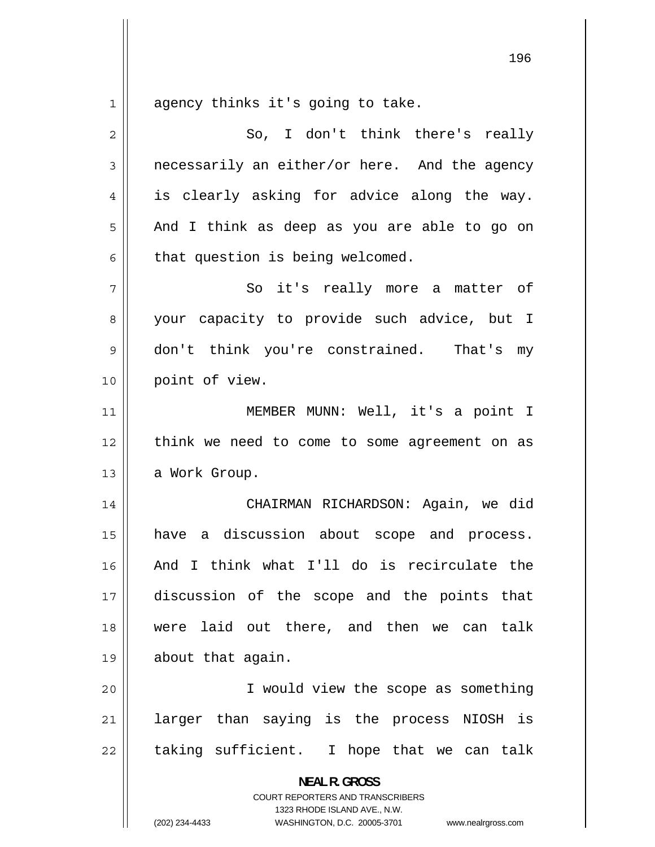1 agency thinks it's going to take.

| $\overline{2}$ | So, I don't think there's really                                    |
|----------------|---------------------------------------------------------------------|
| 3              | necessarily an either/or here. And the agency                       |
|                |                                                                     |
| $\overline{4}$ | is clearly asking for advice along the way.                         |
| 5              | And I think as deep as you are able to go on                        |
| 6              | that question is being welcomed.                                    |
| 7              | So it's really more a matter of                                     |
| 8              | your capacity to provide such advice, but I                         |
| 9              | don't think you're constrained. That's my                           |
| 10             | point of view.                                                      |
| 11             | MEMBER MUNN: Well, it's a point I                                   |
| 12             | think we need to come to some agreement on as                       |
| 13             | a Work Group.                                                       |
| 14             | CHAIRMAN RICHARDSON: Again, we did                                  |
| 15             | a discussion about scope and process.<br>have                       |
| 16             | And I think what I'll do is recirculate the                         |
| 17             | discussion of the scope and the points that                         |
| 18             | were laid out there, and then we can talk                           |
| 19             | about that again.                                                   |
| 20             | I would view the scope as something                                 |
| 21             | larger than saying is the process NIOSH is                          |
| 22             | taking sufficient. I hope that we can talk                          |
|                |                                                                     |
|                | <b>NEAL R. GROSS</b><br>COURT REPORTERS AND TRANSCRIBERS            |
|                | 1323 RHODE ISLAND AVE., N.W.                                        |
|                | (202) 234-4433<br>WASHINGTON, D.C. 20005-3701<br>www.nealrgross.com |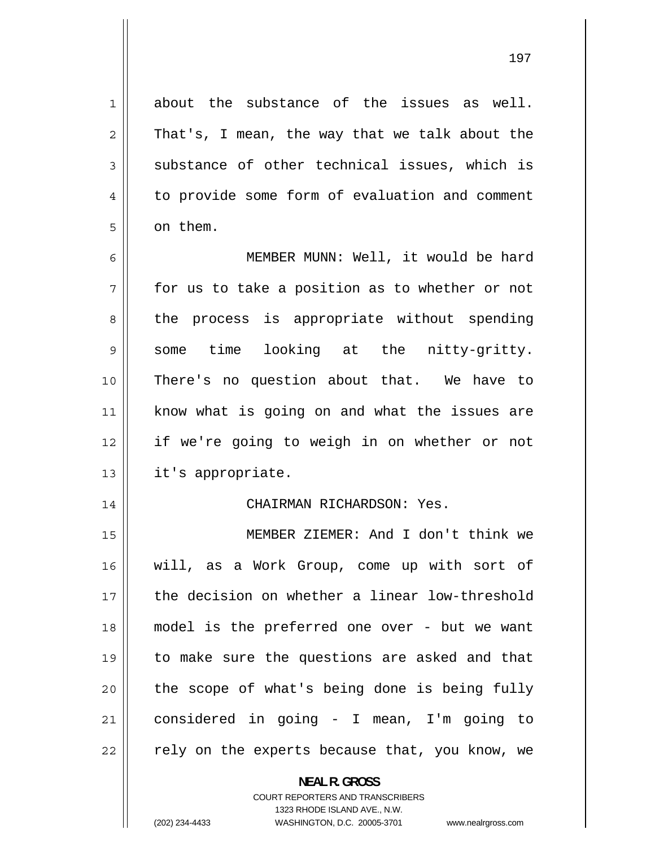about the substance of the issues as well. That's, I mean, the way that we talk about the substance of other technical issues, which is to provide some form of evaluation and comment on them.

1

2

3

4

5

6 MEMBER MUNN: Well, it would be hard 7 for us to take a position as to whether or not 8 the process is appropriate without spending 9 some time looking at the nitty-gritty. 10 There's no question about that. We have to 11 know what is going on and what the issues are 12 if we're going to weigh in on whether or not 13 || it's appropriate.

## 14 CHAIRMAN RICHARDSON: Yes.

15 MEMBER ZIEMER: And I don't think we 16 will, as a Work Group, come up with sort of 17 the decision on whether a linear low-threshold 18 model is the preferred one over - but we want 19 to make sure the questions are asked and that 20 the scope of what's being done is being fully 21 considered in going - I mean, I'm going to 22 rely on the experts because that, you know, we

**NEAL R. GROSS** 

COURT REPORTERS AND TRANSCRIBERS 1323 RHODE ISLAND AVE., N.W. (202) 234-4433 WASHINGTON, D.C. 20005-3701 www.nealrgross.com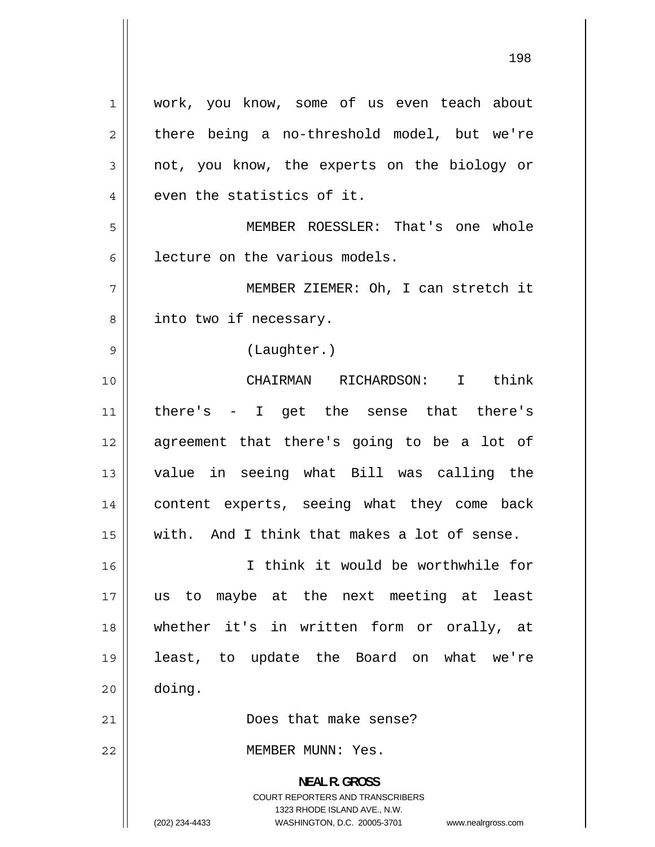1 work, you know, some of us even teach about 2 there being a no-threshold model, but we're 3 not, you know, the experts on the biology or 4 even the statistics of it. 5 MEMBER ROESSLER: That's one whole 6 lecture on the various models. 7 MEMBER ZIEMER: Oh, I can stretch it 8 into two if necessary. 9 (Laughter.) 10 CHAIRMAN RICHARDSON: I think 11 there's - I get the sense that there's 12 agreement that there's going to be a lot of 13 value in seeing what Bill was calling the 14 content experts, seeing what they come back 15 with. And I think that makes a lot of sense. 16 I think it would be worthwhile for 17 us to maybe at the next meeting at least 18 whether it's in written form or orally, at 19 least, to update the Board on what we're 20 doing. 21 || **Does** that make sense? 22 MEMBER MUNN: Yes. **NEAL R. GROSS**  COURT REPORTERS AND TRANSCRIBERS 1323 RHODE ISLAND AVE., N.W.

(202) 234-4433 WASHINGTON, D.C. 20005-3701 www.nealrgross.com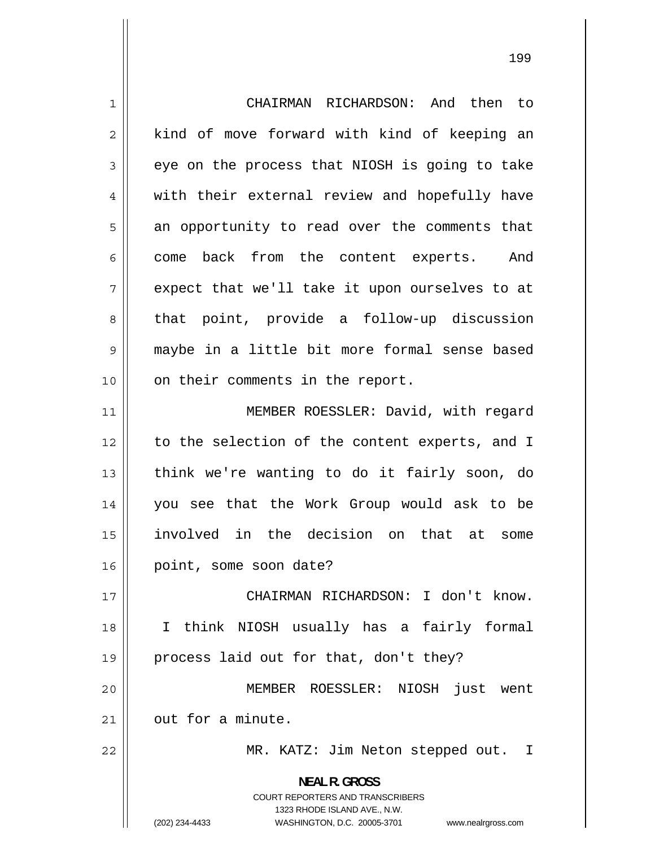1 CHAIRMAN RICHARDSON: And then to 2 kind of move forward with kind of keeping an 3 eye on the process that NIOSH is going to take 4 with their external review and hopefully have 5 an opportunity to read over the comments that 6 come back from the content experts. And 7 expect that we'll take it upon ourselves to at 8 that point, provide a follow-up discussion 9 maybe in a little bit more formal sense based 10 || on their comments in the report. 11 MEMBER ROESSLER: David, with regard 12 to the selection of the content experts, and I 13 think we're wanting to do it fairly soon, do 14 you see that the Work Group would ask to be 15 involved in the decision on that at some 16 point, some soon date? 17 CHAIRMAN RICHARDSON: I don't know. 18 I think NIOSH usually has a fairly formal 19 || process laid out for that, don't they? 20 MEMBER ROESSLER: NIOSH just went 21  $\parallel$  out for a minute. 22 MR. KATZ: Jim Neton stepped out. I **NEAL R. GROSS**  COURT REPORTERS AND TRANSCRIBERS 1323 RHODE ISLAND AVE., N.W. (202) 234-4433 WASHINGTON, D.C. 20005-3701 www.nealrgross.com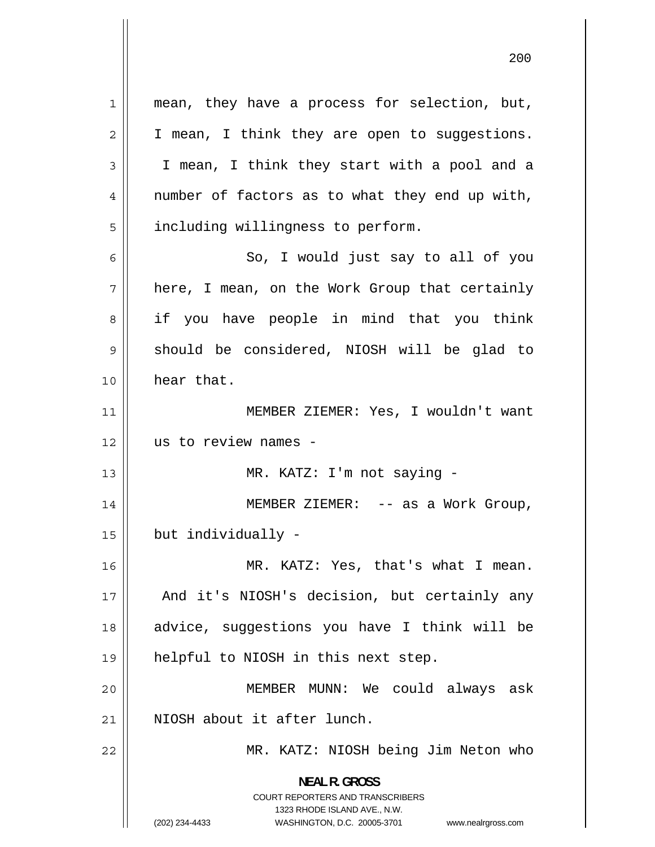1 mean, they have a process for selection, but, 2 I mean, I think they are open to suggestions. 3 I mean, I think they start with a pool and a 4 number of factors as to what they end up with, 5 including willingness to perform. 6 So, I would just say to all of you 7 here, I mean, on the Work Group that certainly 8 if you have people in mind that you think 9 should be considered, NIOSH will be glad to 10 hear that. 11 MEMBER ZIEMER: Yes, I wouldn't want 12 us to review names - 13 MR. KATZ: I'm not saying - 14 MEMBER ZIEMER: -- as a Work Group,  $15$  | but individually -16 MR. KATZ: Yes, that's what I mean. 17 And it's NIOSH's decision, but certainly any 18 advice, suggestions you have I think will be 19 helpful to NIOSH in this next step. 20 MEMBER MUNN: We could always ask 21 || NIOSH about it after lunch. 22 MR. KATZ: NIOSH being Jim Neton who **NEAL R. GROSS**  COURT REPORTERS AND TRANSCRIBERS 1323 RHODE ISLAND AVE., N.W.

(202) 234-4433 WASHINGTON, D.C. 20005-3701 www.nealrgross.com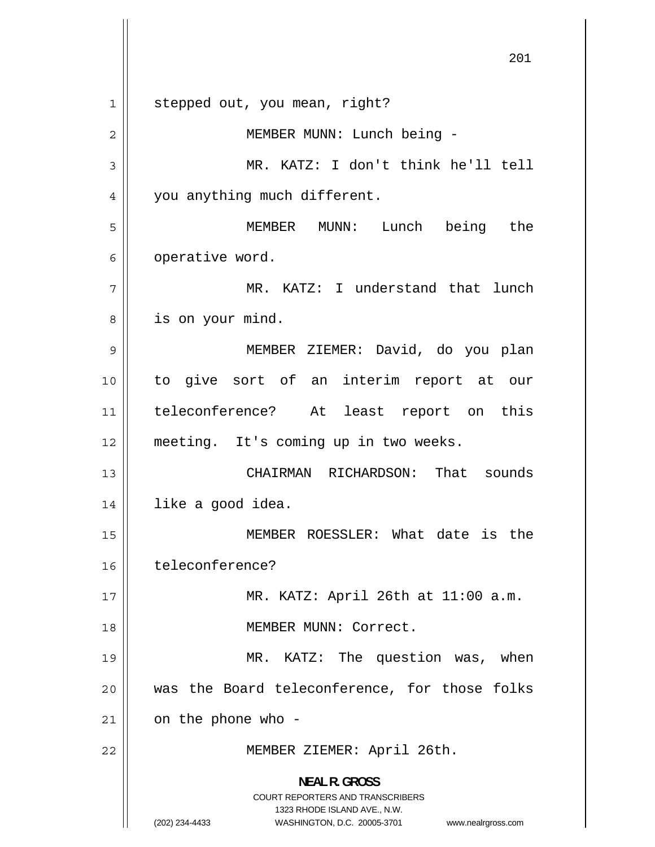1 stepped out, you mean, right? 2 MEMBER MUNN: Lunch being - 3 MR. KATZ: I don't think he'll tell 4 you anything much different. 5 MEMBER MUNN: Lunch being the 6 operative word. 7 MR. KATZ: I understand that lunch 8 is on your mind. 9 MEMBER ZIEMER: David, do you plan 10 to give sort of an interim report at our 11 teleconference? At least report on this 12 meeting. It's coming up in two weeks. 13 CHAIRMAN RICHARDSON: That sounds 14 | like a good idea. 15 MEMBER ROESSLER: What date is the 16 teleconference? 17 MR. KATZ: April 26th at 11:00 a.m. 18 MEMBER MUNN: Correct. 19 MR. KATZ: The question was, when 20 was the Board teleconference, for those folks  $21$  on the phone who -22 MEMBER ZIEMER: April 26th. **NEAL R. GROSS**  COURT REPORTERS AND TRANSCRIBERS 1323 RHODE ISLAND AVE., N.W. (202) 234-4433 WASHINGTON, D.C. 20005-3701 www.nealrgross.com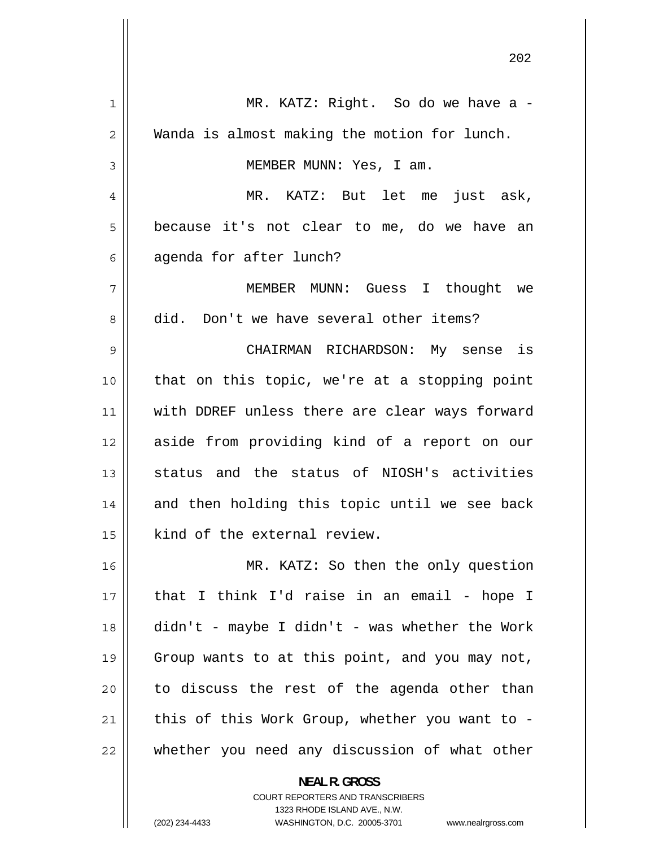| 1  | MR. KATZ: Right. So do we have a -                       |
|----|----------------------------------------------------------|
| 2  | Wanda is almost making the motion for lunch.             |
| 3  | MEMBER MUNN: Yes, I am.                                  |
| 4  | MR. KATZ: But let me just ask,                           |
| 5  | because it's not clear to me, do we have an              |
| 6  | agenda for after lunch?                                  |
| 7  | MEMBER MUNN: Guess I thought we                          |
| 8  | did. Don't we have several other items?                  |
| 9  | CHAIRMAN RICHARDSON: My sense is                         |
| 10 | that on this topic, we're at a stopping point            |
| 11 | with DDREF unless there are clear ways forward           |
| 12 | aside from providing kind of a report on our             |
| 13 | status and the status of NIOSH's activities              |
| 14 | and then holding this topic until we see back            |
| 15 | kind of the external review.                             |
| 16 | MR. KATZ: So then the only question                      |
| 17 | that I think I'd raise in an email - hope I              |
| 18 | $\text{d}$ idn't - maybe I didn't - was whether the Work |
| 19 | Group wants to at this point, and you may not,           |
| 20 | to discuss the rest of the agenda other than             |
| 21 | this of this Work Group, whether you want to -           |
| 22 | whether you need any discussion of what other            |
|    | <b>NEAL R. GROSS</b>                                     |

COURT REPORTERS AND TRANSCRIBERS 1323 RHODE ISLAND AVE., N.W.

 $\mathsf{I}$ 

(202) 234-4433 WASHINGTON, D.C. 20005-3701 www.nealrgross.com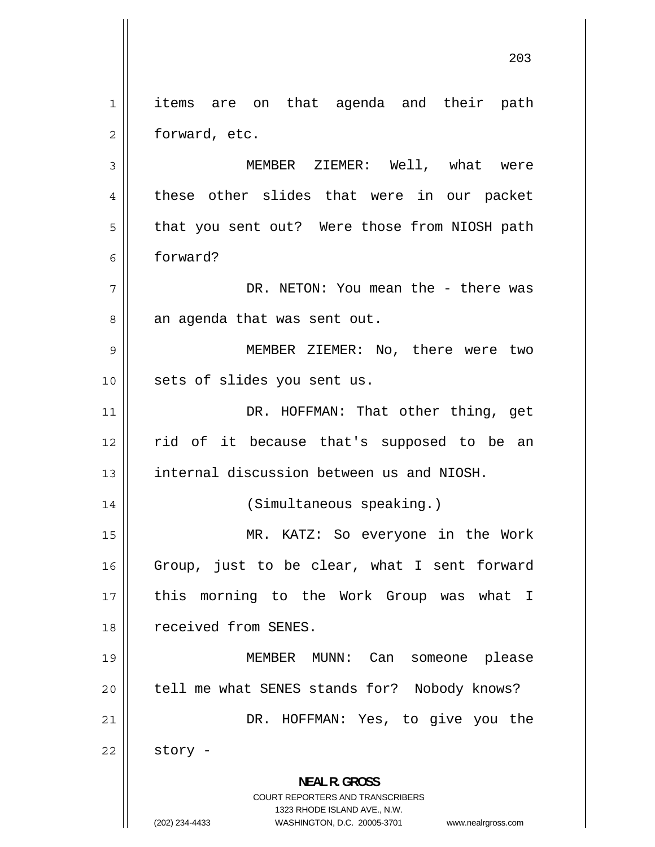1 items are on that agenda and their path 2 forward, etc. 3 MEMBER ZIEMER: Well, what were 4 these other slides that were in our packet 5 that you sent out? Were those from NIOSH path 6 forward? 7 DR. NETON: You mean the - there was 8 an agenda that was sent out. 9 MEMBER ZIEMER: No, there were two 10 || sets of slides you sent us. 11 DR. HOFFMAN: That other thing, get 12 rid of it because that's supposed to be an 13 **internal discussion between us and NIOSH.** 14 || (Simultaneous speaking.) 15 MR. KATZ: So everyone in the Work 16 Group, just to be clear, what I sent forward 17 this morning to the Work Group was what I 18 | received from SENES. 19 MEMBER MUNN: Can someone please 20 || tell me what SENES stands for? Nobody knows? 21 DR. HOFFMAN: Yes, to give you the  $22$  story -**NEAL R. GROSS**  COURT REPORTERS AND TRANSCRIBERS

> 1323 RHODE ISLAND AVE., N.W. (202) 234-4433 WASHINGTON, D.C. 20005-3701 www.nealrgross.com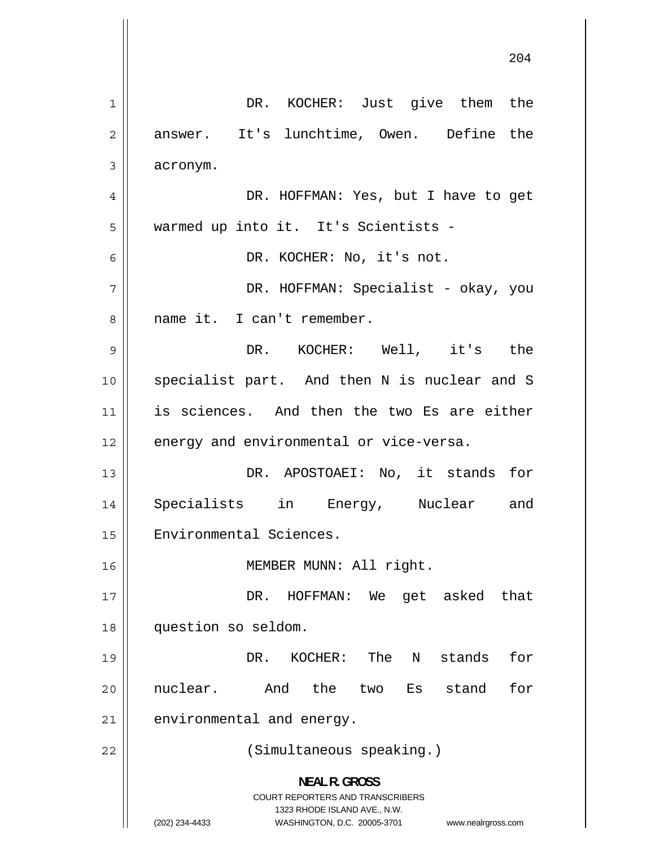1 DR. KOCHER: Just give them the 2 answer. It's lunchtime, Owen. Define the 3 acronym. 4 DR. HOFFMAN: Yes, but I have to get 5 warmed up into it. It's Scientists - 6 DR. KOCHER: No, it's not. 7 DR. HOFFMAN: Specialist - okay, you 8 name it. I can't remember. 9 DR. KOCHER: Well, it's the 10 specialist part. And then N is nuclear and S 11 is sciences. And then the two Es are either 12 | energy and environmental or vice-versa. 13 DR. APOSTOAEI: No, it stands for 14 Specialists in Energy, Nuclear and 15 | Environmental Sciences. 16 || MEMBER MUNN: All right. 17 DR. HOFFMAN: We get asked that 18 question so seldom. 19 DR. KOCHER: The N stands for 20 nuclear. And the two Es stand for  $21$  environmental and energy. 22 || (Simultaneous speaking.) **NEAL R. GROSS**  COURT REPORTERS AND TRANSCRIBERS 1323 RHODE ISLAND AVE., N.W. (202) 234-4433 WASHINGTON, D.C. 20005-3701 www.nealrgross.com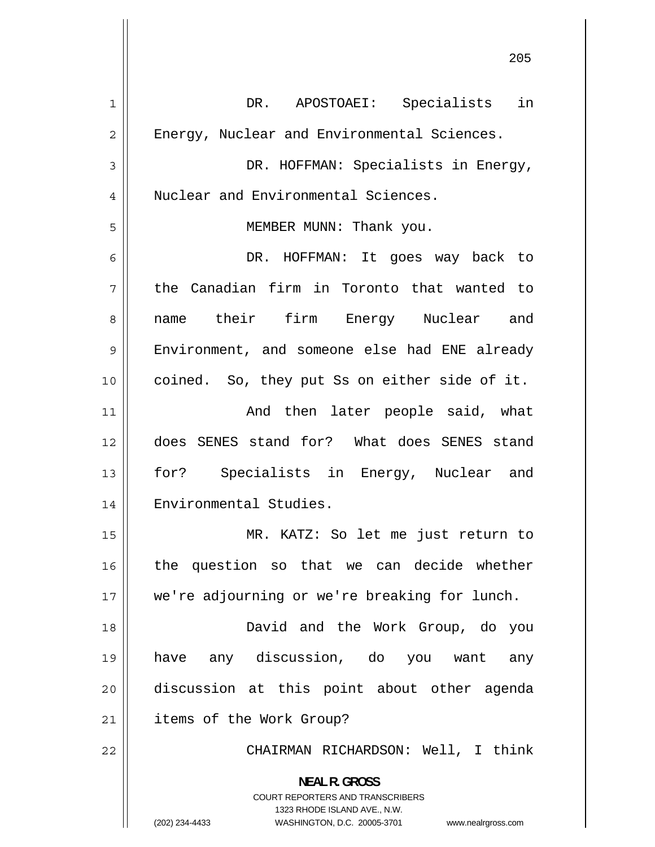| $\mathbf{1}$   | DR. APOSTOAEI: Specialists in                                       |
|----------------|---------------------------------------------------------------------|
| $\overline{c}$ | Energy, Nuclear and Environmental Sciences.                         |
| 3              | DR. HOFFMAN: Specialists in Energy,                                 |
| 4              | Nuclear and Environmental Sciences.                                 |
| 5              | MEMBER MUNN: Thank you.                                             |
| 6              | DR. HOFFMAN: It goes way back to                                    |
| 7              | the Canadian firm in Toronto that wanted to                         |
| 8              | name their firm Energy Nuclear and                                  |
| 9              | Environment, and someone else had ENE already                       |
| 10             | coined. So, they put Ss on either side of it.                       |
| 11             | And then later people said, what                                    |
| 12             | does SENES stand for? What does SENES stand                         |
| 13             | for? Specialists in Energy, Nuclear and                             |
| 14             | Environmental Studies.                                              |
| 15             | MR. KATZ: So let me just return to                                  |
| 16             | the question so that we can decide whether                          |
| 17             | we're adjourning or we're breaking for lunch.                       |
| 18             | David and the Work Group, do you                                    |
| 19             | have any discussion, do you want<br>any                             |
| 20             | discussion at this point about other agenda                         |
| 21             | items of the Work Group?                                            |
| 22             | CHAIRMAN RICHARDSON: Well, I think                                  |
|                |                                                                     |
|                | <b>NEAL R. GROSS</b><br><b>COURT REPORTERS AND TRANSCRIBERS</b>     |
|                | 1323 RHODE ISLAND AVE., N.W.                                        |
|                | WASHINGTON, D.C. 20005-3701<br>(202) 234-4433<br>www.nealrgross.com |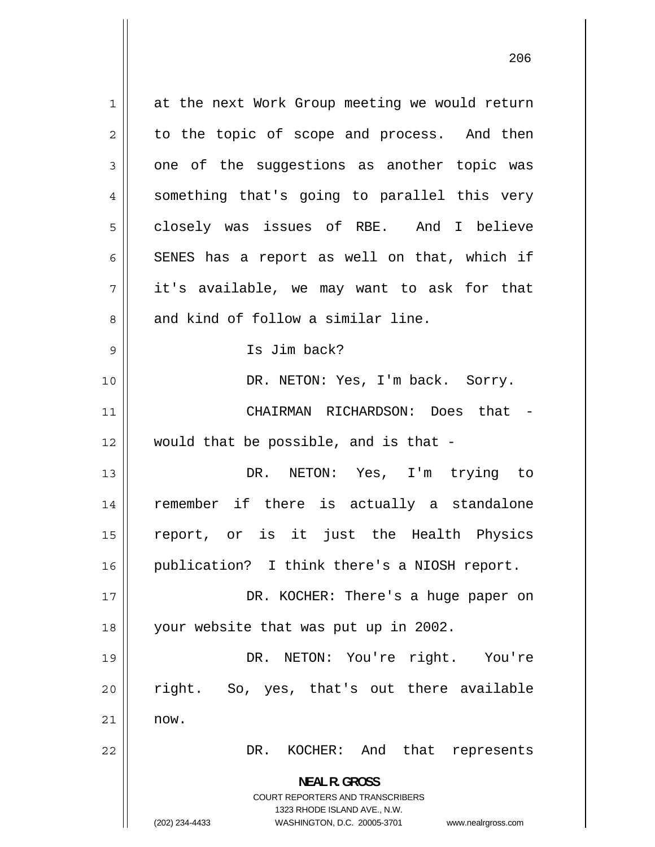1 at the next Work Group meeting we would return 2 to the topic of scope and process. And then 3 one of the suggestions as another topic was 4 something that's going to parallel this very 5 closely was issues of RBE. And I believe 6 SENES has a report as well on that, which if 7 it's available, we may want to ask for that 8 and kind of follow a similar line. 9 Is Jim back? 10 || DR. NETON: Yes, I'm back. Sorry. 11 CHAIRMAN RICHARDSON: Does that -  $12$  || would that be possible, and is that -13 DR. NETON: Yes, I'm trying to 14 remember if there is actually a standalone 15 report, or is it just the Health Physics 16 || publication? I think there's a NIOSH report. 17 DR. KOCHER: There's a huge paper on 18 your website that was put up in 2002. 19 DR. NETON: You're right. You're 20 right. So, yes, that's out there available 21 now. 22 DR. KOCHER: And that represents **NEAL R. GROSS**  COURT REPORTERS AND TRANSCRIBERS 1323 RHODE ISLAND AVE., N.W. (202) 234-4433 WASHINGTON, D.C. 20005-3701 www.nealrgross.com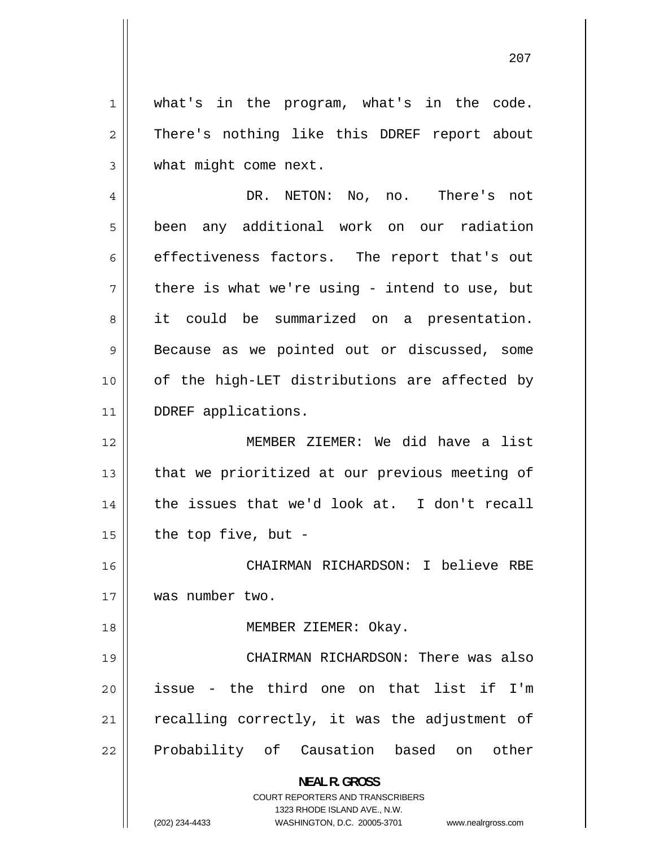1 what's in the program, what's in the code. 2 There's nothing like this DDREF report about 3 what might come next.

4 DR. NETON: No, no. There's not 5 been any additional work on our radiation 6 effectiveness factors. The report that's out 7 there is what we're using - intend to use, but 8 it could be summarized on a presentation. 9 Because as we pointed out or discussed, some 10 of the high-LET distributions are affected by 11 || DDREF applications.

12 MEMBER ZIEMER: We did have a list 13 that we prioritized at our previous meeting of 14 the issues that we'd look at. I don't recall  $15$  | the top five, but -

16 CHAIRMAN RICHARDSON: I believe RBE 17 was number two.

18 || MEMBER ZIEMER: Okay.

19 CHAIRMAN RICHARDSON: There was also 20 issue - the third one on that list if I'm 21 recalling correctly, it was the adjustment of 22 Probability of Causation based on other

**NEAL R. GROSS** 

COURT REPORTERS AND TRANSCRIBERS 1323 RHODE ISLAND AVE., N.W. (202) 234-4433 WASHINGTON, D.C. 20005-3701 www.nealrgross.com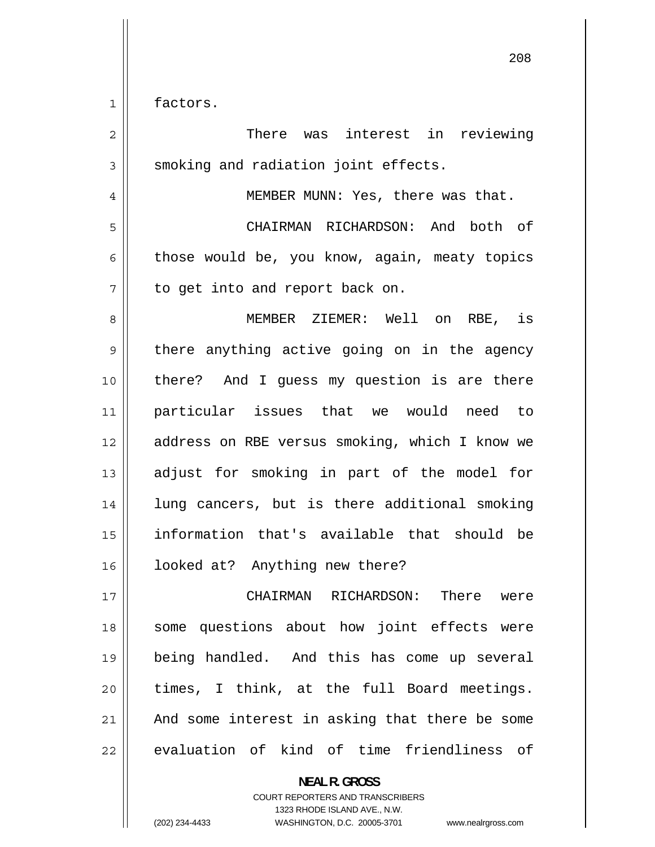1 factors.

| $\overline{2}$ | There was<br>interest in reviewing             |
|----------------|------------------------------------------------|
| 3              | smoking and radiation joint effects.           |
| 4              | MEMBER MUNN: Yes, there was that.              |
| 5              | CHAIRMAN RICHARDSON: And both of               |
| 6              | those would be, you know, again, meaty topics  |
| 7              | to get into and report back on.                |
| 8              | MEMBER ZIEMER: Well on RBE, is                 |
| 9              | there anything active going on in the agency   |
| 10             | there? And I quess my question is are there    |
| 11             | particular issues that we would need to        |
| 12             | address on RBE versus smoking, which I know we |
| 13             | adjust for smoking in part of the model for    |
| 14             | lung cancers, but is there additional smoking  |
| 15             | information that's available that should be    |
| 16             | looked at? Anything new there?                 |
| 17             | There<br>CHAIRMAN RICHARDSON:<br>were          |
| 18             | some questions about how joint effects were    |
| 19             | being handled. And this has come up several    |
| 20             | times, I think, at the full Board meetings.    |
| 21             | And some interest in asking that there be some |
| 22             | evaluation of kind of time friendliness of     |

**NEAL R. GROSS**  COURT REPORTERS AND TRANSCRIBERS

1323 RHODE ISLAND AVE., N.W.

(202) 234-4433 WASHINGTON, D.C. 20005-3701 www.nealrgross.com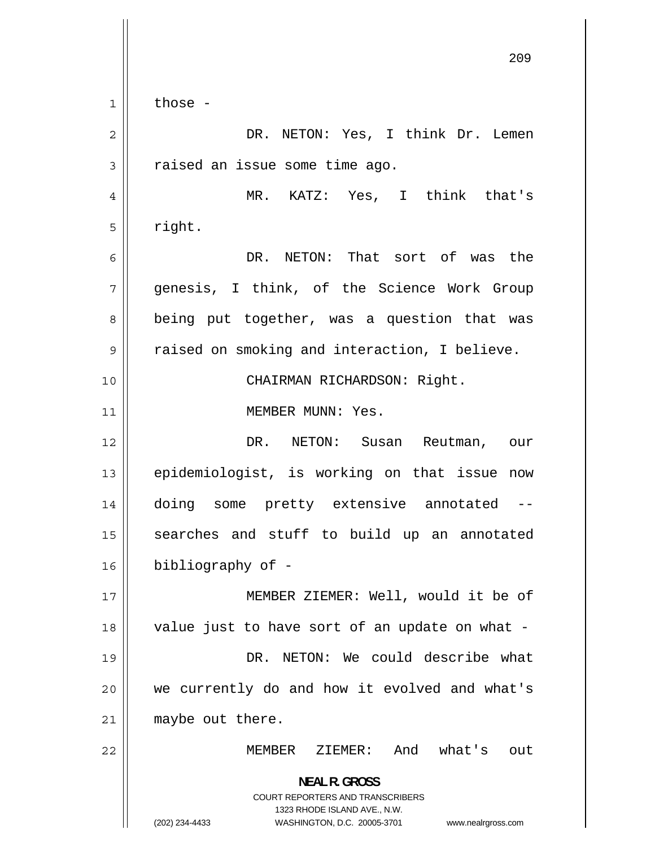209 1 those - 2 DR. NETON: Yes, I think Dr. Lemen 3 raised an issue some time ago. 4 MR. KATZ: Yes, I think that's 5 right. 6 DR. NETON: That sort of was the 7 genesis, I think, of the Science Work Group 8 being put together, was a question that was 9 raised on smoking and interaction, I believe. 10 || CHAIRMAN RICHARDSON: Right. 11 | MEMBER MUNN: Yes. 12 DR. NETON: Susan Reutman, our 13 epidemiologist, is working on that issue now 14 doing some pretty extensive annotated -- 15 searches and stuff to build up an annotated 16 bibliography of - 17 MEMBER ZIEMER: Well, would it be of 18 value just to have sort of an update on what - 19 DR. NETON: We could describe what 20 we currently do and how it evolved and what's 21 || maybe out there. 22 MEMBER ZIEMER: And what's out **NEAL R. GROSS**  COURT REPORTERS AND TRANSCRIBERS 1323 RHODE ISLAND AVE., N.W. (202) 234-4433 WASHINGTON, D.C. 20005-3701 www.nealrgross.com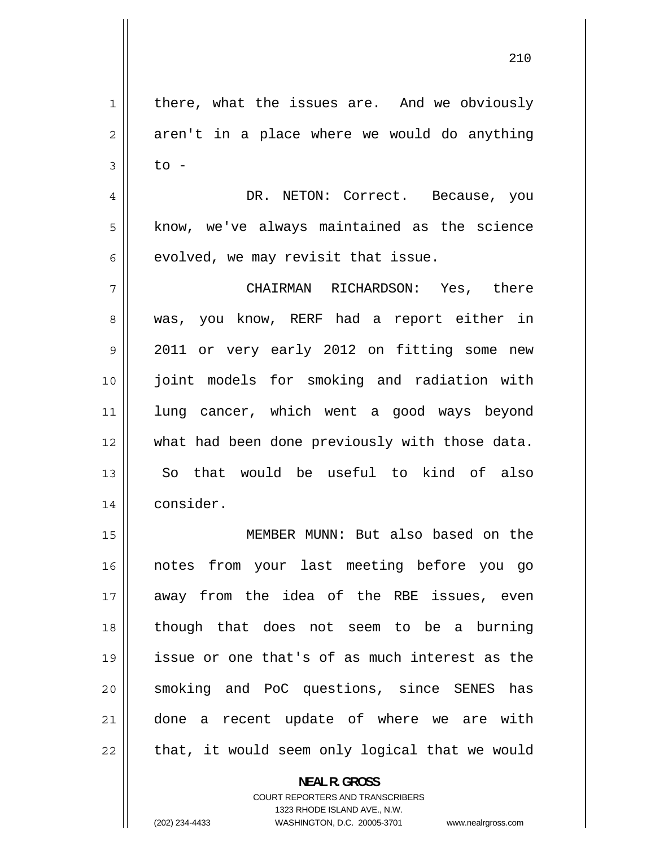1 there, what the issues are. And we obviously 2 aren't in a place where we would do anything 3 to - 4 DR. NETON: Correct. Because, you 5 know, we've always maintained as the science 6 evolved, we may revisit that issue. 7 CHAIRMAN RICHARDSON: Yes, there 8 was, you know, RERF had a report either in 9 2011 or very early 2012 on fitting some new 10 joint models for smoking and radiation with 11 lung cancer, which went a good ways beyond 12 what had been done previously with those data. 13 So that would be useful to kind of also 14 consider. 15 MEMBER MUNN: But also based on the 16 notes from your last meeting before you go 17 away from the idea of the RBE issues, even 18 though that does not seem to be a burning 19 issue or one that's of as much interest as the 20 smoking and PoC questions, since SENES has 21 done a recent update of where we are with 22 that, it would seem only logical that we would

> **NEAL R. GROSS**  COURT REPORTERS AND TRANSCRIBERS 1323 RHODE ISLAND AVE., N.W. (202) 234-4433 WASHINGTON, D.C. 20005-3701 www.nealrgross.com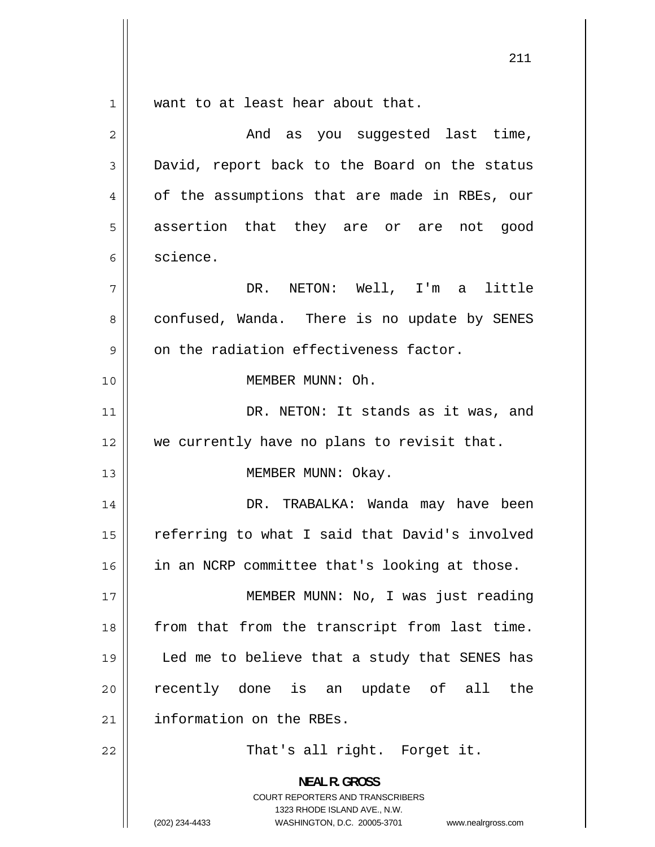1 want to at least hear about that. 2 And as you suggested last time, 3 David, report back to the Board on the status 4 of the assumptions that are made in RBEs, our 5 assertion that they are or are not good 6 science. 7 DR. NETON: Well, I'm a little 8 confused, Wanda. There is no update by SENES 9 on the radiation effectiveness factor. 10 MEMBER MUNN: Oh. 11 DR. NETON: It stands as it was, and 12 || we currently have no plans to revisit that. 13 || MEMBER MUNN: Okay. 14 DR. TRABALKA: Wanda may have been 15 referring to what I said that David's involved 16 in an NCRP committee that's looking at those. 17 MEMBER MUNN: No, I was just reading 18 from that from the transcript from last time. 19 Led me to believe that a study that SENES has 20 recently done is an update of all the 21 | information on the RBEs. 22 || That's all right. Forget it. **NEAL R. GROSS**  COURT REPORTERS AND TRANSCRIBERS

1323 RHODE ISLAND AVE., N.W.

211

(202) 234-4433 WASHINGTON, D.C. 20005-3701 www.nealrgross.com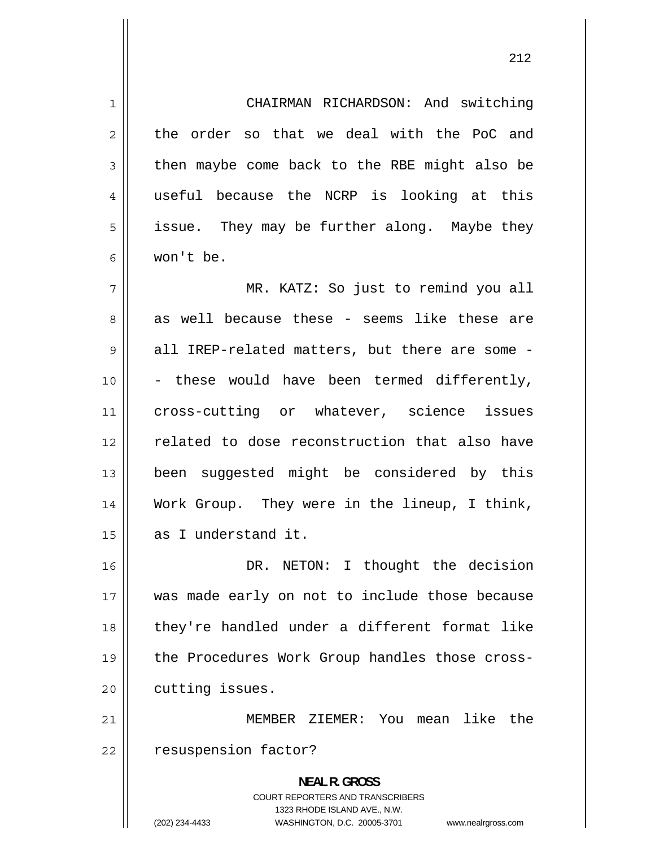1 CHAIRMAN RICHARDSON: And switching 2 the order so that we deal with the PoC and 3 then maybe come back to the RBE might also be 4 useful because the NCRP is looking at this 5 issue. They may be further along. Maybe they 6 won't be. 7 MR. KATZ: So just to remind you all 8 as well because these - seems like these are 9 all IREP-related matters, but there are some - 10 - these would have been termed differently, 11 cross-cutting or whatever, science issues 12 related to dose reconstruction that also have 13 been suggested might be considered by this 14 Work Group. They were in the lineup, I think, 15 as I understand it. 16 DR. NETON: I thought the decision 17 was made early on not to include those because 18 they're handled under a different format like 19 the Procedures Work Group handles those cross- $20$  | cutting issues. 21 MEMBER ZIEMER: You mean like the 22 | resuspension factor? **NEAL R. GROSS**  COURT REPORTERS AND TRANSCRIBERS 1323 RHODE ISLAND AVE., N.W. (202) 234-4433 WASHINGTON, D.C. 20005-3701 www.nealrgross.com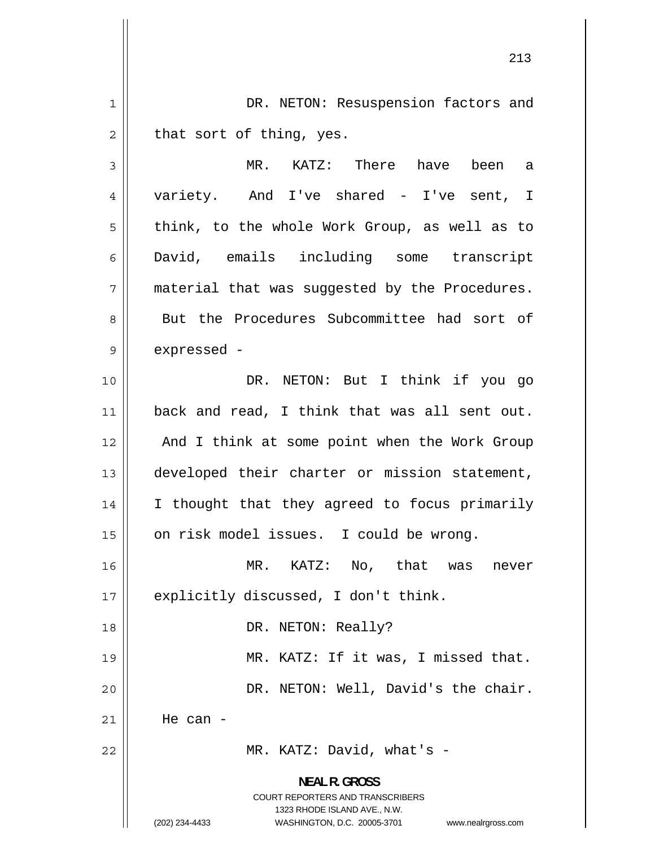1 DR. NETON: Resuspension factors and 2 that sort of thing, yes. 3 MR. KATZ: There have been a 4 variety. And I've shared - I've sent, I 5 think, to the whole Work Group, as well as to 6 David, emails including some transcript 7 material that was suggested by the Procedures. 8 But the Procedures Subcommittee had sort of 9 expressed - 10 || DR. NETON: But I think if you go 11 back and read, I think that was all sent out. 12 And I think at some point when the Work Group 13 developed their charter or mission statement, 14 I thought that they agreed to focus primarily 15 | on risk model issues. I could be wrong. 16 MR. KATZ: No, that was never 17 || explicitly discussed, I don't think. 18 || DR. NETON: Really? 19 MR. KATZ: If it was, I missed that. 20 DR. NETON: Well, David's the chair. 21 He can - 22 || MR. KATZ: David, what's -**NEAL R. GROSS**  COURT REPORTERS AND TRANSCRIBERS 1323 RHODE ISLAND AVE., N.W. (202) 234-4433 WASHINGTON, D.C. 20005-3701 www.nealrgross.com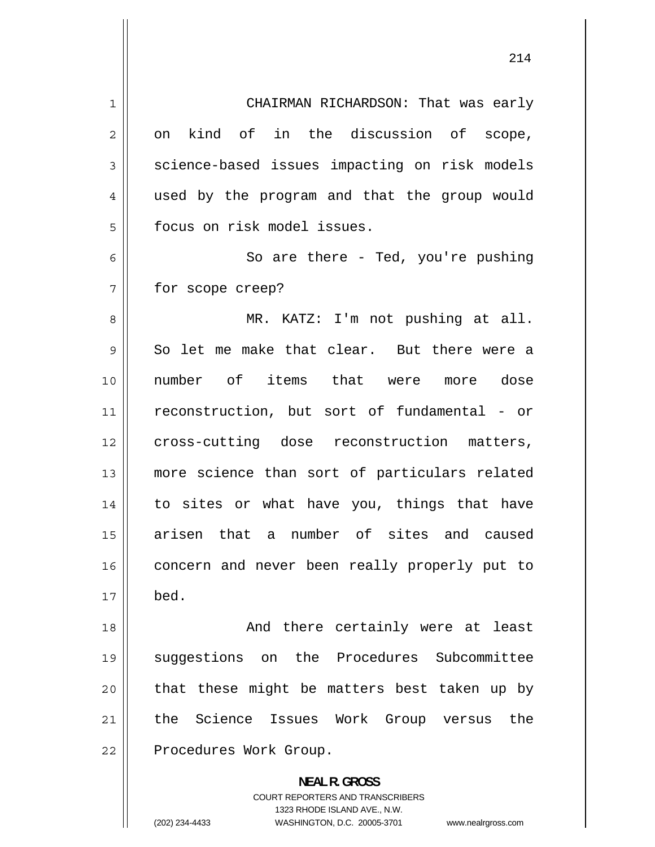| $\mathbf 1$ | CHAIRMAN RICHARDSON: That was early                                 |
|-------------|---------------------------------------------------------------------|
| 2           | kind of in the discussion of scope,<br>on                           |
| 3           | science-based issues impacting on risk models                       |
| 4           | used by the program and that the group would                        |
| 5           | focus on risk model issues.                                         |
| 6           | So are there - Ted, you're pushing                                  |
| 7           | for scope creep?                                                    |
| 8           | MR. KATZ: I'm not pushing at all.                                   |
| 9           | So let me make that clear. But there were a                         |
| 10          | number of items that were more dose                                 |
| 11          | reconstruction, but sort of fundamental - or                        |
| 12          | cross-cutting dose reconstruction matters,                          |
| 13          | more science than sort of particulars related                       |
| 14          | to sites or what have you, things that have                         |
| 15          | arisen that a number of sites and caused                            |
| 16          | concern and never been really properly put to                       |
| 17          | bed.                                                                |
|             |                                                                     |
| 18          | And there certainly were at least                                   |
| 19          | suggestions on the Procedures Subcommittee                          |
| 20          | that these might be matters best taken up by                        |
| 21          | the Science Issues Work<br>Group versus<br>the                      |
| 22          | Procedures Work Group.                                              |
|             | <b>NEAL R. GROSS</b>                                                |
|             | COURT REPORTERS AND TRANSCRIBERS<br>1323 RHODE ISLAND AVE., N.W.    |
|             | (202) 234-4433<br>WASHINGTON, D.C. 20005-3701<br>www.nealrgross.com |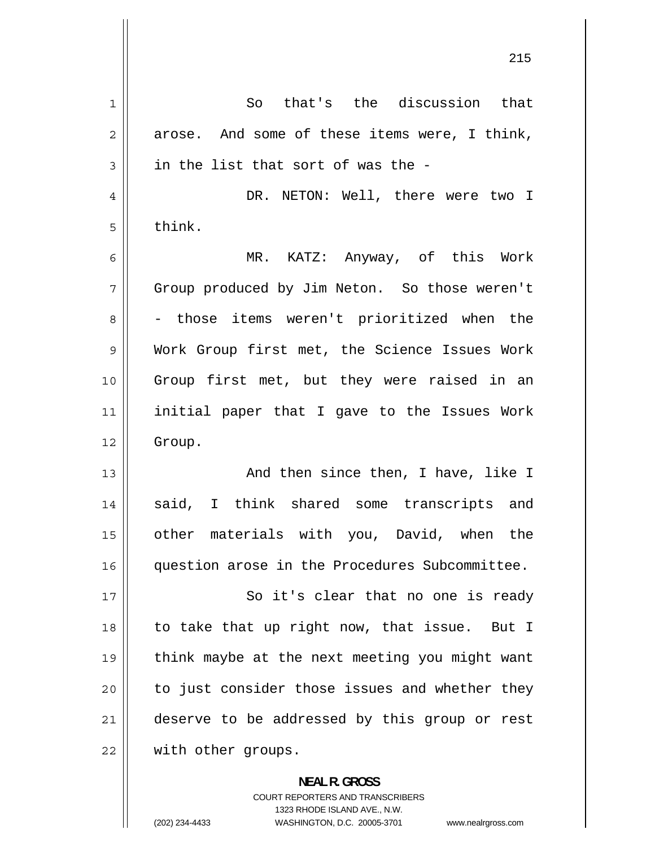| 1              | So that's the discussion that                  |
|----------------|------------------------------------------------|
| $\overline{2}$ | arose. And some of these items were, I think,  |
| 3              | in the list that sort of was the -             |
| 4              | DR. NETON: Well, there were two I              |
| 5              | think.                                         |
| 6              | MR. KATZ: Anyway, of this Work                 |
| 7              | Group produced by Jim Neton. So those weren't  |
| 8              | - those items weren't prioritized when the     |
| $\mathsf 9$    | Work Group first met, the Science Issues Work  |
| 10             | Group first met, but they were raised in an    |
| 11             | initial paper that I gave to the Issues Work   |
| 12             | Group.                                         |
| 13             | And then since then, I have, like I            |
| 14             | said, I think shared some transcripts and      |
| 15             | other materials with you, David, when the      |
| 16             | question arose in the Procedures Subcommittee. |
| 17             | So it's clear that no one is ready             |
| 18             | to take that up right now, that issue. But I   |
| 19             | think maybe at the next meeting you might want |
| 20             | to just consider those issues and whether they |
| 21             | deserve to be addressed by this group or rest  |
| 22             | with other groups.                             |
|                |                                                |

**NEAL R. GROSS**  COURT REPORTERS AND TRANSCRIBERS 1323 RHODE ISLAND AVE., N.W. (202) 234-4433 WASHINGTON, D.C. 20005-3701 www.nealrgross.com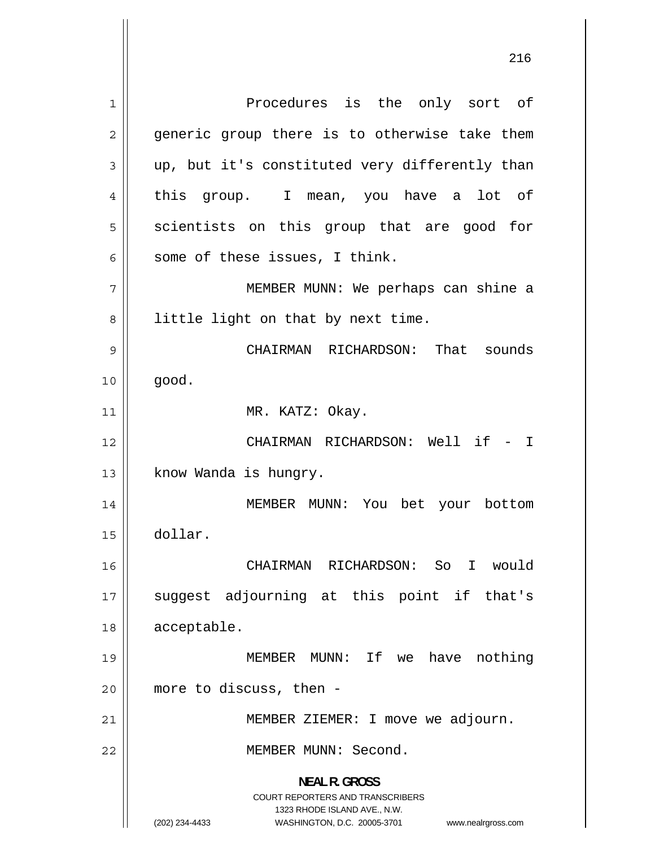1 Procedures is the only sort of 2 generic group there is to otherwise take them 3 up, but it's constituted very differently than 4 this group. I mean, you have a lot of 5 scientists on this group that are good for 6 some of these issues, I think. 7 MEMBER MUNN: We perhaps can shine a 8 little light on that by next time. 9 CHAIRMAN RICHARDSON: That sounds  $10 \parallel$  good. 11 || MR. KATZ: Okay. 12 CHAIRMAN RICHARDSON: Well if - I 13 | know Wanda is hungry. 14 MEMBER MUNN: You bet your bottom 15 dollar. 16 CHAIRMAN RICHARDSON: So I would 17 suggest adjourning at this point if that's 18 | acceptable. 19 MEMBER MUNN: If we have nothing 20 more to discuss, then - 21 || MEMBER ZIEMER: I move we adjourn. 22 MEMBER MUNN: Second. **NEAL R. GROSS**  COURT REPORTERS AND TRANSCRIBERS 1323 RHODE ISLAND AVE., N.W. (202) 234-4433 WASHINGTON, D.C. 20005-3701 www.nealrgross.com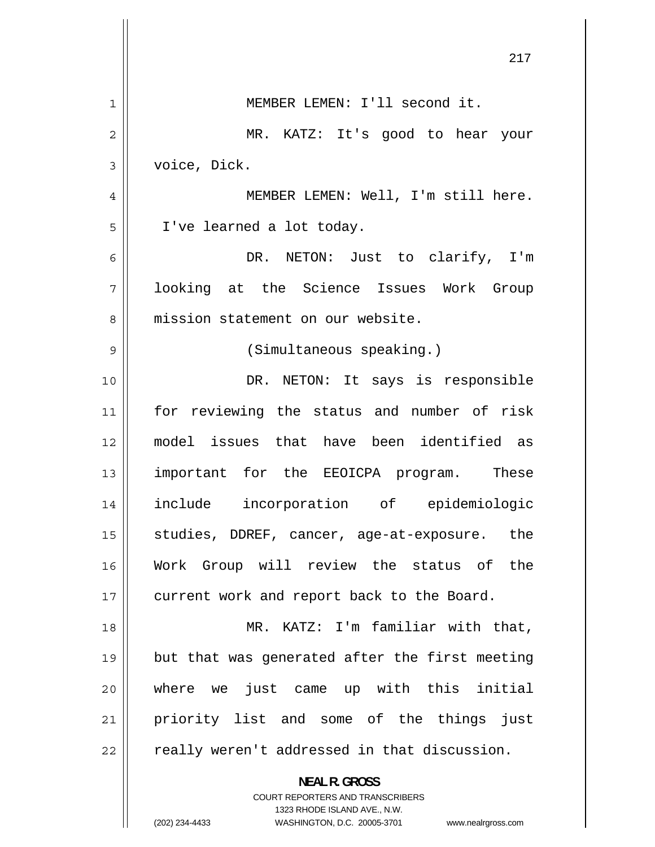|                | 217                                                                 |
|----------------|---------------------------------------------------------------------|
|                |                                                                     |
| 1              | MEMBER LEMEN: I'll second it.                                       |
| $\overline{2}$ | MR. KATZ: It's good to hear your                                    |
| 3              | voice, Dick.                                                        |
| 4              | MEMBER LEMEN: Well, I'm still here.                                 |
| 5              | I've learned a lot today.                                           |
| 6              | DR. NETON: Just to clarify, I'm                                     |
| 7              | looking at the Science Issues Work Group                            |
| 8              | mission statement on our website.                                   |
| 9              | (Simultaneous speaking.)                                            |
| 10             | DR. NETON: It says is responsible                                   |
| 11             | for reviewing the status and number of risk                         |
| 12             | model issues that have been identified as                           |
| 13             | important for the EEOICPA program. These                            |
| 14             | include incorporation of epidemiologic                              |
| 15             | studies, DDREF, cancer, age-at-exposure. the                        |
| 16             | Work Group will review the status of the                            |
| 17             | current work and report back to the Board.                          |
| 18             | MR. KATZ: I'm familiar with that,                                   |
| 19             | but that was generated after the first meeting                      |
| 20             | where we just came up with this initial                             |
| 21             | priority list and some of the things just                           |
| 22             | really weren't addressed in that discussion.                        |
|                | <b>NEAL R. GROSS</b><br><b>COURT REPORTERS AND TRANSCRIBERS</b>     |
|                | 1323 RHODE ISLAND AVE., N.W.                                        |
|                | (202) 234-4433<br>WASHINGTON, D.C. 20005-3701<br>www.nealrgross.com |

 $\mathbf{I}$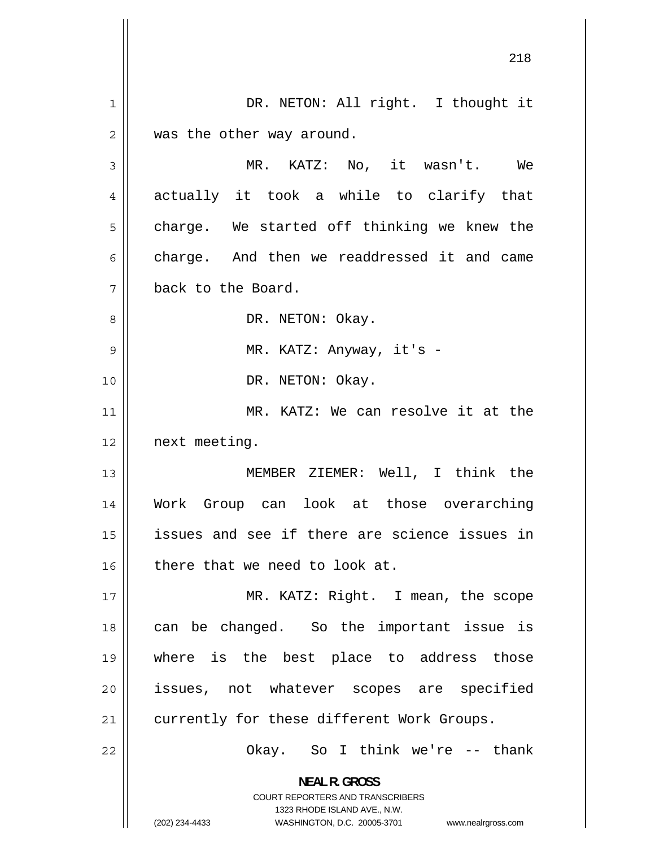1 DR. NETON: All right. I thought it 2 was the other way around. 3 MR. KATZ: No, it wasn't. We 4 actually it took a while to clarify that 5 charge. We started off thinking we knew the 6 charge. And then we readdressed it and came 7 back to the Board. 8 DR. NETON: Okay. 9 MR. KATZ: Anyway, it's - 10 || DR. NETON: Okay. 11 MR. KATZ: We can resolve it at the 12 next meeting. 13 MEMBER ZIEMER: Well, I think the 14 Work Group can look at those overarching 15 issues and see if there are science issues in 16 there that we need to look at. 17 MR. KATZ: Right. I mean, the scope 18 can be changed. So the important issue is 19 where is the best place to address those 20 issues, not whatever scopes are specified 21 | currently for these different Work Groups. 22 Okay. So I think we're -- thank **NEAL R. GROSS**  COURT REPORTERS AND TRANSCRIBERS 1323 RHODE ISLAND AVE., N.W. (202) 234-4433 WASHINGTON, D.C. 20005-3701 www.nealrgross.com

218